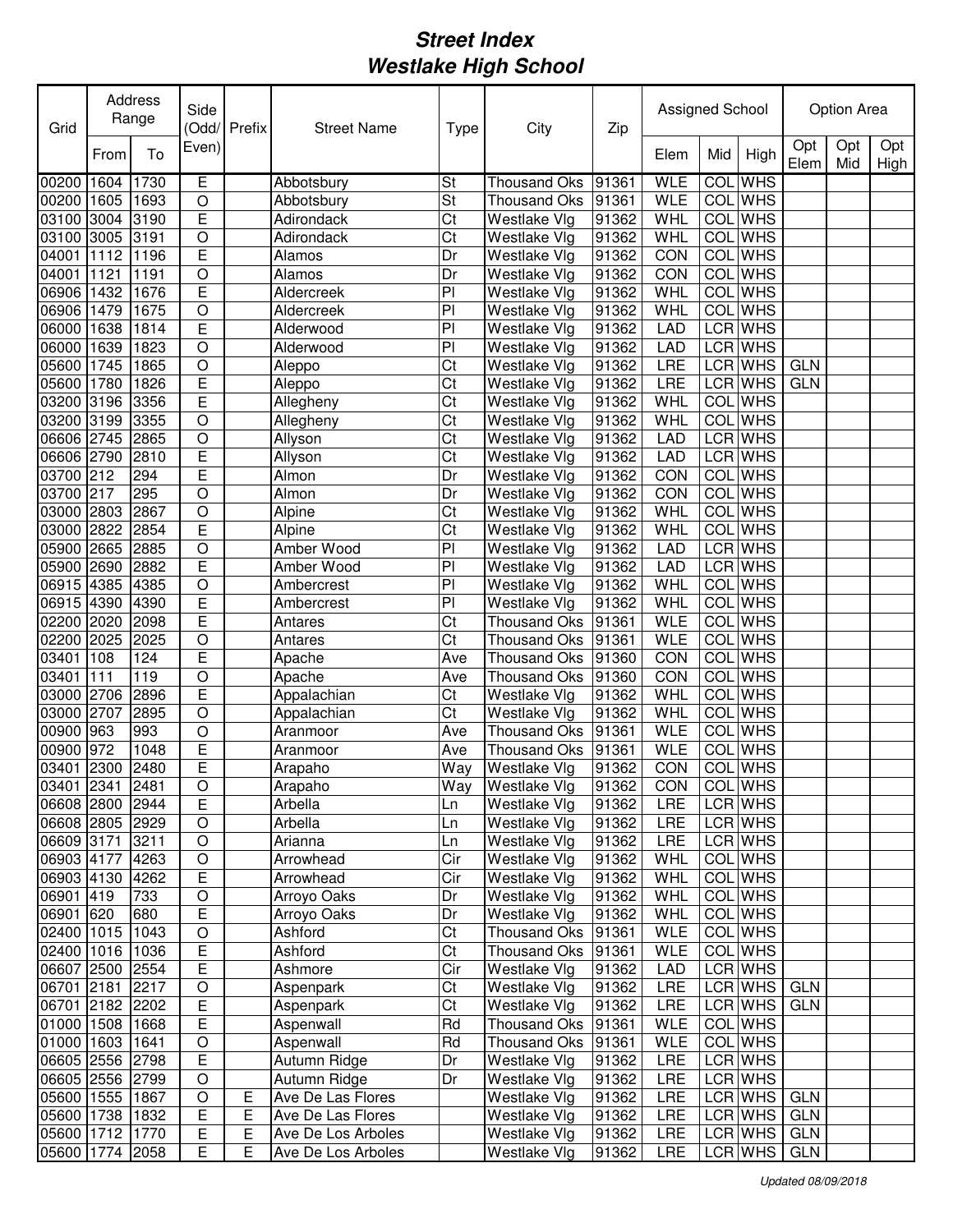| Grid            |      | Address<br>Range | Side           | Odd/Prefix | <b>Street Name</b> | <b>Type</b>    | City                | Zip   | Assigned School |                  |                |             | <b>Option Area</b> |             |
|-----------------|------|------------------|----------------|------------|--------------------|----------------|---------------------|-------|-----------------|------------------|----------------|-------------|--------------------|-------------|
|                 | From | To               | Even)          |            |                    |                |                     |       | Elem            | Mid              | High           | Opt<br>Elem | Opt<br>Mid         | Opt<br>High |
| 00200           | 1604 | 1730             | Е              |            | Abbotsbury         | St             | Thousand Oks        | 91361 | <b>WLE</b>      | <b>COL</b>       | <b>WHS</b>     |             |                    |             |
| 00200           | 1605 | 1693             | $\circ$        |            | Abbotsbury         | St             | <b>Thousand Oks</b> | 91361 | <b>WLE</b>      |                  | <b>COL</b> WHS |             |                    |             |
| 03100           | 3004 | 3190             | E              |            | Adirondack         | Ct             | Westlake Vlg        | 91362 | WHL             | COL              | <b>WHS</b>     |             |                    |             |
| 03100           | 3005 | 3191             | $\overline{O}$ |            | Adirondack         | Ct             | Westlake Vlg        | 91362 | WHL             | <b>COL</b>       | <b>WHS</b>     |             |                    |             |
| 04001           | 1112 | 1196             | E              |            | Alamos             | Dr             | Westlake Vlg        | 91362 | CON             | COL              | <b>WHS</b>     |             |                    |             |
| 04001           | 1121 | 1191             | $\circ$        |            | Alamos             | Dr             | Westlake Vlg        | 91362 | CON             | $\overline{COI}$ | <b>WHS</b>     |             |                    |             |
| 06906           | 1432 | 1676             | Ē              |            | Aldercreek         | P              | Westlake Vlg        | 91362 | WHL             | COL              | <b>WHS</b>     |             |                    |             |
| 06906           | 1479 | 1675             | $\circ$        |            | Aldercreek         | P              | Westlake Vlg        | 91362 | <b>WHL</b>      |                  | COL WHS        |             |                    |             |
| 06000           | 1638 | 1814             | E              |            | Alderwood          | P <sub>1</sub> | Westlake Vlg        | 91362 | <b>LAD</b>      |                  | LCR WHS        |             |                    |             |
| 06000           | 1639 | 1823             | $\bigcirc$     |            | Alderwood          | P <sub>1</sub> | Westlake Vlg        | 91362 | <b>LAD</b>      |                  | LCR WHS        |             |                    |             |
| 05600           | 1745 | 1865             | $\circ$        |            | Aleppo             | Ct             | Westlake Vlg        | 91362 | LRE             |                  | LCR WHS        | <b>GLN</b>  |                    |             |
| 05600           | 1780 | 1826             | E              |            | Aleppo             | Ct             | Westlake Vlg        | 91362 | LRE             |                  | LCR WHS        | <b>GLN</b>  |                    |             |
| 03200 3196      |      | 3356             | E              |            | Allegheny          | Ct             | Westlake Vlg        | 91362 | <b>WHL</b>      | <b>COL</b>       | <b>WHS</b>     |             |                    |             |
| 03200 3199      |      | 3355             | $\circ$        |            | Allegheny          | Ct             | Westlake Vlg        | 91362 | WHL             | <b>COL</b>       | <b>WHS</b>     |             |                    |             |
| 06606 2745      |      | 2865             | $\circ$        |            | Allyson            | Ct             | Westlake Vlg        | 91362 | <b>LAD</b>      |                  | LCR WHS        |             |                    |             |
| 06606 2790      |      | 2810             | E              |            | Allyson            | Ct             | Westlake Vlg        | 91362 | <b>LAD</b>      |                  | <b>LCR</b> WHS |             |                    |             |
| 03700 212       |      | 294              | E              |            | Almon              | Dr             | Westlake Vlg        | 91362 | CON             | COL              | <b>WHS</b>     |             |                    |             |
| 03700 217       |      | 295              | $\bigcirc$     |            | Almon              | Dr             | Westlake Vlg        | 91362 | CON             | COL              | <b>WHS</b>     |             |                    |             |
| 03000 2803      |      | 2867             | $\bigcirc$     |            | Alpine             | Ct             | Westlake Vlg        | 91362 | WHL             | <b>COL</b>       | <b>WHS</b>     |             |                    |             |
| 03000 2822      |      | 2854             | E              |            | Alpine             | Ct             | Westlake Vlg        | 91362 | <b>WHL</b>      | COL              | <b>WHS</b>     |             |                    |             |
| 05900 2665      |      | 2885             | $\circ$        |            | Amber Wood         | PI             | Westlake Vlg        | 91362 | <b>LAD</b>      |                  | LCR WHS        |             |                    |             |
| 05900 2690      |      | 2882             | E              |            | Amber Wood         | P <sub>1</sub> | Westlake Vlg        | 91362 | LAD             |                  | <b>LCR WHS</b> |             |                    |             |
| 06915 4385      |      | 4385             | O              |            | Ambercrest         | P <sub>1</sub> | Westlake Vlg        | 91362 | WHL             |                  | <b>COL</b> WHS |             |                    |             |
| 06915 4390      |      | 4390             | E              |            | Ambercrest         | PI             | Westlake Vlg        | 91362 | WHL             |                  | <b>COL</b> WHS |             |                    |             |
| 02200 2020      |      | 2098             | E              |            | Antares            | Ct             | Thousand Oks        | 91361 | <b>WLE</b>      |                  | COL WHS        |             |                    |             |
| 02200           | 2025 | 2025             | O              |            | Antares            | Ct             | <b>Thousand Oks</b> | 91361 | <b>WLE</b>      |                  | <b>COL</b> WHS |             |                    |             |
| 03401           | 108  | 124              | E              |            | Apache             | Ave            | Thousand Oks        | 91360 | CON             |                  | <b>COL</b> WHS |             |                    |             |
| 03401           | 111  | 119              | $\overline{O}$ |            | Apache             | Ave            | Thousand Oks        | 91360 | CON             | <b>COL</b>       | <b>WHS</b>     |             |                    |             |
| 03000           | 2706 | 2896             | Ē              |            | Appalachian        | Ct             | Westlake Vlg        | 91362 | WHL             | <b>COL</b>       | <b>WHS</b>     |             |                    |             |
| 03000           | 2707 | 2895             | $\circ$        |            | Appalachian        | Ct             | Westlake Vlg        | 91362 | WHL             | <b>COL</b>       | <b>WHS</b>     |             |                    |             |
| 00900           | 963  | 993              | $\bigcirc$     |            | Aranmoor           | Ave            | Thousand Oks        | 91361 | <b>WLE</b>      | COL              | <b>WHS</b>     |             |                    |             |
| 00900           | 972  | 1048             | E              |            | Aranmoor           | Ave            | Thousand Oks        | 91361 | <b>WLE</b>      | COL              | <b>WHS</b>     |             |                    |             |
| 03401 2300      |      | 2480             | E              |            | Arapaho            | Way            | Westlake Vlg        | 91362 | CON             |                  | COL WHS        |             |                    |             |
| 03401 2341 2481 |      |                  | $\overline{O}$ |            | Arapaho            | Way            | <b>Westlake Vlg</b> | 91362 | <b>CON</b>      |                  | <b>COL</b> WHS |             |                    |             |
| 06608 2800 2944 |      |                  | E              |            | Arbella            | Ln             | Westlake Vlg        | 91362 | LRE             |                  | LCR WHS        |             |                    |             |
| 06608 2805 2929 |      |                  | $\mathsf O$    |            | Arbella            | Ln             | Westlake Vlg        | 91362 | LRE             |                  | LCR WHS        |             |                    |             |
| 06609 3171      |      | 3211             | $\circ$        |            | Arianna            | Ln             | Westlake Vlg        | 91362 | LRE             |                  | LCR WHS        |             |                    |             |
| 06903 4177      |      | 4263             | O              |            | Arrowhead          | Cir            | Westlake Vlg        | 91362 | WHL             |                  | COL WHS        |             |                    |             |
| 06903 4130 4262 |      |                  | E              |            | Arrowhead          | Cir            | Westlake Vlg        | 91362 | WHL             |                  | COL WHS        |             |                    |             |
| 06901 419       |      | 733              | $\circ$        |            | Arroyo Oaks        | Dr             | Westlake Vlg        | 91362 | WHL             |                  | COL WHS        |             |                    |             |
| 06901 620       |      | 680              | E              |            | Arroyo Oaks        | Dr             | Westlake Vlg        | 91362 | WHL             |                  | COL WHS        |             |                    |             |
| 02400 1015 1043 |      |                  | $\bigcirc$     |            | Ashford            | Ct             | Thousand Oks 91361  |       | <b>WLE</b>      |                  | COL WHS        |             |                    |             |
| 02400 1016 1036 |      |                  | Е              |            | Ashford            | Ct             | Thousand Oks 91361  |       | <b>WLE</b>      |                  | COL WHS        |             |                    |             |
| 06607 2500 2554 |      |                  | Е              |            | Ashmore            | Cir            | Westlake Vlg        | 91362 | LAD             |                  | LCR WHS        |             |                    |             |
| 06701 2181      |      | 2217             | O              |            | Aspenpark          | Ct             | Westlake Vlg        | 91362 | LRE             |                  | LCR WHS        | <b>GLN</b>  |                    |             |
| 06701 2182 2202 |      |                  | $\overline{E}$ |            | Aspenpark          | Ct             | Westlake Vlg        | 91362 | LRE             |                  | LCR WHS        | <b>GLN</b>  |                    |             |
| 01000 1508 1668 |      |                  | E              |            | Aspenwall          | Rd             | Thousand Oks 91361  |       | <b>WLE</b>      |                  | COL WHS        |             |                    |             |
| 01000 1603 1641 |      |                  | $\mathsf O$    |            | Aspenwall          | Rd             | Thousand Oks 91361  |       | <b>WLE</b>      |                  | COL WHS        |             |                    |             |
| 06605 2556 2798 |      |                  | E              |            | Autumn Ridge       | Dr             | Westlake Vlg        | 91362 | LRE             |                  | LCR WHS        |             |                    |             |
| 06605 2556 2799 |      |                  | O              |            | Autumn Ridge       | Dr             | Westlake Vlg        | 91362 | LRE             |                  | LCR WHS        |             |                    |             |
| 05600 1555 1867 |      |                  | $\circ$        | Ε          | Ave De Las Flores  |                | Westlake Vlg        | 91362 | LRE             |                  | LCR WHS        | <b>GLN</b>  |                    |             |
| 05600 1738 1832 |      |                  | E              | Е          | Ave De Las Flores  |                | Westlake Vlg        | 91362 | <b>LRE</b>      |                  | LCR WHS        | <b>GLN</b>  |                    |             |
| 05600 1712 1770 |      |                  | E              | Е          | Ave De Los Arboles |                | Westlake Vlg        | 91362 | LRE             |                  | LCR WHS        | <b>GLN</b>  |                    |             |
| 05600 1774 2058 |      |                  | E              | E          | Ave De Los Arboles |                | Westlake Vlg        | 91362 | LRE             |                  | LCR WHS        | <b>GLN</b>  |                    |             |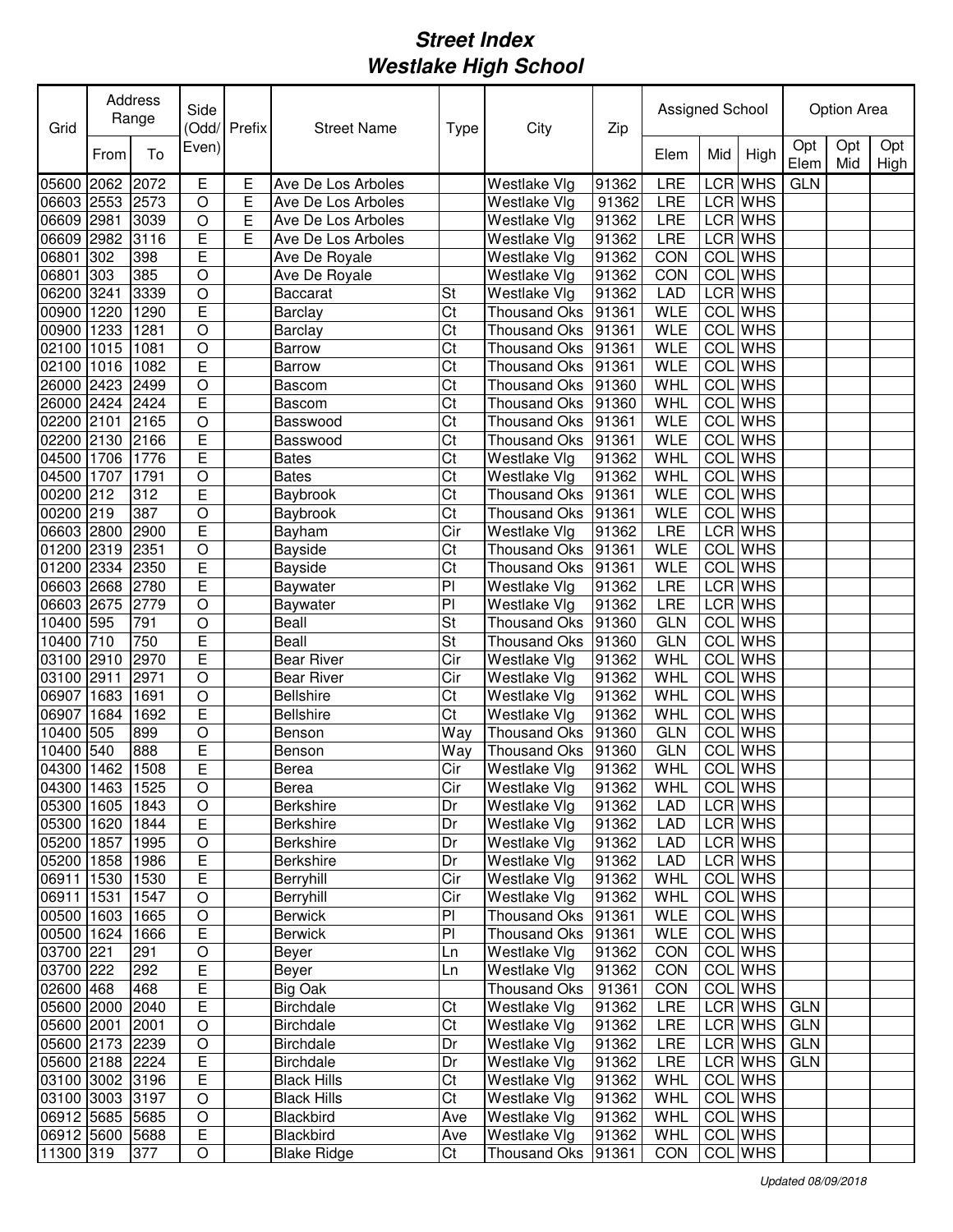| Grid                                 |      | <b>Address</b><br>Range | Side           | (Odd/Prefix | <b>Street Name</b>            | <b>Type</b>            | City                         | Zip            | Assigned School          |            |                           |             | Option Area |             |
|--------------------------------------|------|-------------------------|----------------|-------------|-------------------------------|------------------------|------------------------------|----------------|--------------------------|------------|---------------------------|-------------|-------------|-------------|
|                                      | From | To                      | Even)          |             |                               |                        |                              |                | Elem                     | Mid        | High                      | Opt<br>Elem | Opt<br>Mid  | Opt<br>High |
| 05600                                | 2062 | 2072                    | Е              | Е           | Ave De Los Arboles            |                        | Westlake Vlg                 | 91362          | LRE                      |            | LCR WHS                   | <b>GLN</b>  |             |             |
| 06603                                | 2553 | 2573                    | $\circ$        | Е           | Ave De Los Arboles            |                        | Westlake Vlg                 | 91362          | LRE                      |            | LCR WHS                   |             |             |             |
| 06609                                | 2981 | 3039                    | $\bigcirc$     | E           | Ave De Los Arboles            |                        | Westlake Vlg                 | 91362          | LRE                      |            | LCR WHS                   |             |             |             |
| 06609                                | 2982 | 3116                    | E              | E           | Ave De Los Arboles            |                        | Westlake Vlg                 | 91362          | LRE                      |            | LCR WHS                   |             |             |             |
| 06801                                | 302  | 398                     | E              |             | Ave De Royale                 |                        | Westlake Vlg                 | 91362          | CON                      |            | <b>COL</b> WHS            |             |             |             |
| 06801                                | 303  | 385                     | $\circ$        |             | Ave De Royale                 |                        | Westlake Vlg                 | 91362          | CON                      |            | <b>COL</b> WHS            |             |             |             |
| 06200                                | 3241 | 3339                    | $\circ$        |             | <b>Baccarat</b>               | St                     | Westlake Vlg                 | 91362          | LAD                      |            | LCR WHS                   |             |             |             |
| 00900                                | 1220 | 1290                    | E              |             | Barclay                       | Ct                     | <b>Thousand Oks</b>          | 91361          | <b>WLE</b>               |            | COL WHS                   |             |             |             |
| 00900                                | 1233 | 1281                    | $\overline{O}$ |             | <b>Barclay</b>                | Ct                     | <b>Thousand Oks</b>          | 91361          | <b>WLE</b>               |            | COL WHS                   |             |             |             |
| 02100                                | 1015 | 1081                    | O              |             | <b>Barrow</b>                 | Ct                     | <b>Thousand Oks</b>          | 91361          | <b>WLE</b>               |            | COL WHS                   |             |             |             |
| 02100                                | 1016 | 1082                    | E              |             | Barrow                        | Ct                     | <b>Thousand Oks</b>          | 91361          | <b>WLE</b>               | <b>COL</b> | <b>WHS</b>                |             |             |             |
| 26000                                | 2423 | 2499                    | $\overline{O}$ |             | Bascom                        | Ct                     | <b>Thousand Oks</b>          | 91360          | WHL                      | COL        | <b>WHS</b>                |             |             |             |
| 26000                                | 2424 | 2424                    | E              |             | Bascom                        | $\overline{\text{Ct}}$ | <b>Thousand Oks</b>          | 91360          | WHL                      | <b>COL</b> | <b>WHS</b>                |             |             |             |
| 02200 2101                           |      | 2165                    | $\overline{O}$ |             | Basswood                      | Ct                     | <b>Thousand Oks</b>          | 91361          | <b>WLE</b>               | <b>COL</b> | <b>WHS</b>                |             |             |             |
| 02200 2130                           |      | 2166                    | E              |             | Basswood                      | Ct                     | <b>Thousand Oks</b>          | 91361          | <b>WLE</b>               | COL        | <b>WHS</b>                |             |             |             |
| 04500                                | 1706 | 1776                    | Ē              |             | <b>Bates</b>                  | Ct                     | Westlake Vlg                 | 91362          | WHL                      | <b>COL</b> | <b>WHS</b>                |             |             |             |
| 04500                                | 1707 | 1791                    | O              |             | <b>Bates</b>                  | Ct                     | Westlake Vlg                 | 91362          | WHL                      | <b>COL</b> | <b>WHS</b>                |             |             |             |
| 00200 212                            |      | 312                     | E              |             | Baybrook                      | Ct                     | <b>Thousand Oks</b>          | 91361          | <b>WLE</b>               | COL        | <b>WHS</b>                |             |             |             |
| 00200 219                            |      | 387                     | $\overline{O}$ |             | Baybrook                      | $\overline{\text{Ct}}$ | <b>Thousand Oks</b>          | 91361          | <b>WLE</b>               | <b>COL</b> | <b>WHS</b>                |             |             |             |
| 06603 2800                           |      | 2900                    | E              |             | Bayham                        | Cir                    | Westlake Vlg                 | 91362          | LRE                      |            | <b>LCR</b> WHS            |             |             |             |
| 01200 2319                           |      | 2351                    | $\circ$        |             | Bayside                       | Ct                     | <b>Thousand Oks</b>          | 91361          | <b>WLE</b>               |            | <b>COL</b> WHS            |             |             |             |
| 01200 2334                           |      | 2350                    | E              |             | Bayside                       | Ct                     | <b>Thousand Oks</b>          | 91361          | <b>WLE</b>               |            | <b>COL</b> WHS            |             |             |             |
| 06603 2668                           |      | 2780                    | E              |             | Baywater                      | PI                     | Westlake Vlg                 | 91362          | LRE                      |            | <b>LCR WHS</b>            |             |             |             |
| 06603 2675                           |      | 2779                    | $\circ$        |             | Baywater                      | PI                     | Westlake Vlg                 | 91362          | LRE                      |            | LCR WHS                   |             |             |             |
| 10400 595                            |      | 791                     | $\circ$        |             | Beall                         | St                     | <b>Thousand Oks</b>          | 91360          | <b>GLN</b>               | <b>COL</b> | <b>WHS</b>                |             |             |             |
| 10400                                | 710  | 750                     | E              |             | Beall                         | St                     | <b>Thousand Oks</b>          | 91360          | <b>GLN</b>               | <b>COL</b> | <b>WHS</b>                |             |             |             |
| 03100                                | 2910 | 2970                    | E              |             | <b>Bear River</b>             | Cir                    | Westlake Vlg                 | 91362          | WHL                      | COL        | <b>WHS</b>                |             |             |             |
| 03100                                | 2911 | 2971                    | $\bigcirc$     |             | <b>Bear River</b>             | Cir                    | Westlake Vlg                 | 91362          | WHL                      | <b>COL</b> | <b>WHS</b>                |             |             |             |
| 06907                                | 1683 | 1691                    | $\bigcirc$     |             | <b>Bellshire</b>              | Ct                     | Westlake Vlg                 | 91362          | WHL                      | <b>COL</b> | <b>WHS</b>                |             |             |             |
| 06907                                | 1684 | 1692                    | E              |             | <b>Bellshire</b>              | Ct                     | Westlake Vlg                 | 91362          | WHL                      | COL        | <b>WHS</b>                |             |             |             |
| 10400                                | 505  | 899                     | O              |             | Benson                        | Way                    | <b>Thousand Oks</b>          | 91360          | <b>GLN</b>               |            | <b>COL</b> WHS            |             |             |             |
| 10400                                | 540  | 888                     | E              |             | Benson                        | Way                    | <b>Thousand Oks</b>          | 91360          | <b>GLN</b>               | COL        | <b>WHS</b>                |             |             |             |
| 04300                                | 1462 | 1508                    | Ē              |             | Berea                         | Cir                    | Westlake Vlg                 | 91362          | WHL                      |            | COL WHS                   |             |             |             |
|                                      |      |                         | $\mathsf O$    |             |                               |                        |                              |                |                          |            |                           |             |             |             |
| 04300  1463  1525<br>05300 1605 1843 |      |                         | O              |             | Berea<br>Berkshire            | Cir<br>Dr              | Westlake Vlg<br>Westlake Vlg | 91362<br>91362 | <b>WHL</b><br><b>LAD</b> |            | <b>COLIWHS</b><br>LCR WHS |             |             |             |
| 05300 1620                           |      | 1844                    | Е              |             | <b>Berkshire</b>              | Dr                     | Westlake Vlg                 | 91362          | <b>LAD</b>               |            | LCR WHS                   |             |             |             |
| 05200 1857                           |      | 1995                    | $\mathsf O$    |             | <b>Berkshire</b>              | Dr                     | Westlake Vlg                 | 91362          | LAD                      |            | LCR WHS                   |             |             |             |
| 05200 1858                           |      | 1986                    | E              |             | Berkshire                     | Dr                     | Westlake Vlg                 | 91362          | <b>LAD</b>               |            | LCR WHS                   |             |             |             |
|                                      |      | 1530                    | E              |             | Berryhill                     | Cir                    |                              | 91362          | WHL                      |            | COL WHS                   |             |             |             |
| 06911 1530<br>06911                  | 1531 | 1547                    | $\mathsf O$    |             | Berryhill                     | Cir                    | Westlake Vlg<br>Westlake Vlg | 91362          | WHL                      |            | COL WHS                   |             |             |             |
| 00500 1603                           |      | 1665                    | $\hbox{O}$     |             | <b>Berwick</b>                | PI                     | Thousand Oks                 | 91361          | <b>WLE</b>               |            | COL WHS                   |             |             |             |
| 00500 1624                           |      | 1666                    | Ε              |             | <b>Berwick</b>                | PI                     | Thousand Oks                 | 91361          | <b>WLE</b>               |            | COL WHS                   |             |             |             |
| 03700 221                            |      | 291                     | O              |             | Beyer                         | Ln                     | Westlake Vlg                 | 91362          | <b>CON</b>               |            | COL WHS                   |             |             |             |
|                                      |      | 292                     | E              |             | Beyer                         |                        | Westlake Vlg                 | 91362          | <b>CON</b>               |            | COL WHS                   |             |             |             |
| 03700 222<br>02600 468               |      | 468                     | E              |             | Big Oak                       | Ln                     | Thousand Oks                 | 91361          | <b>CON</b>               |            | COL WHS                   |             |             |             |
|                                      |      |                         |                |             |                               | Ct                     |                              |                |                          |            |                           | <b>GLN</b>  |             |             |
| 05600 2000                           |      | 2040<br>2001            | E<br>$\circ$   |             | Birchdale<br><b>Birchdale</b> | Ct                     | Westlake Vlg<br>Westlake Vlg | 91362<br>91362 | LRE<br><b>LRE</b>        |            | LCR WHS<br>LCR WHS        | <b>GLN</b>  |             |             |
| 05600 2001                           |      |                         | $\circ$        |             |                               | Dr                     | Westlake Vlg                 | 91362          | <b>LRE</b>               |            | LCR WHS                   | <b>GLN</b>  |             |             |
| 05600 2173 2239                      |      |                         |                |             | Birchdale                     |                        |                              |                |                          |            |                           | <b>GLN</b>  |             |             |
| 05600 2188 2224                      |      |                         | E              |             | Birchdale                     | Dr                     | <b>Westlake Vlg</b>          | 91362          | LRE                      |            | LCR WHS                   |             |             |             |
| 03100 3002 3196                      |      |                         | Е              |             | <b>Black Hills</b>            | Ct                     | <b>Westlake Vlg</b>          | 91362          | WHL                      |            | <b>COL</b> WHS            |             |             |             |
| 03100 3003 3197                      |      |                         | $\circ$        |             | <b>Black Hills</b>            | Ct                     | Westlake Vlg                 | 91362          | WHL                      |            | COL WHS                   |             |             |             |
| 06912 5685 5685                      |      |                         | $\circ$        |             | Blackbird                     | Ave                    | Westlake Vlg                 | 91362          | WHL                      |            | <b>COL</b> WHS            |             |             |             |
| 06912 5600 5688                      |      |                         | Ε              |             | Blackbird                     | Ave                    | Westlake Vlg                 | 91362          | <b>WHL</b>               |            | COL WHS                   |             |             |             |
| 11300 319                            |      | 377                     | O              |             | <b>Blake Ridge</b>            | Ct                     | Thousand Oks                 | 91361          | CON                      |            | COL WHS                   |             |             |             |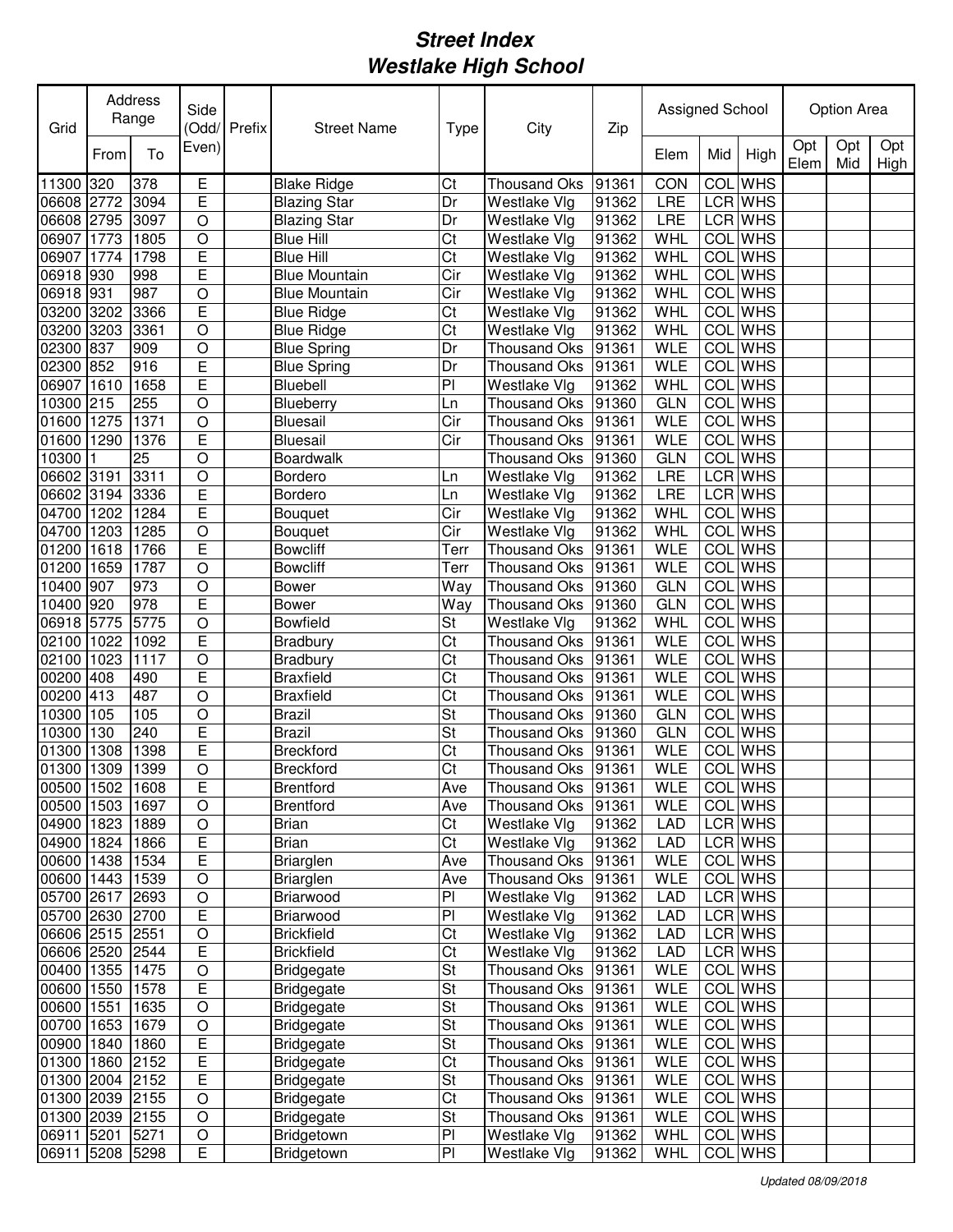| Grid                               |      | Address<br>Range | Side               | (Odd/Prefix | <b>Street Name</b>                     | Type      | City                                     | Zip   | Assigned School          |            |                    |             | Option Area |             |
|------------------------------------|------|------------------|--------------------|-------------|----------------------------------------|-----------|------------------------------------------|-------|--------------------------|------------|--------------------|-------------|-------------|-------------|
|                                    | From | To               | Even)              |             |                                        |           |                                          |       | Elem                     | Mid        | High               | Opt<br>Elem | Opt<br>Mid  | Opt<br>High |
| 11300 320                          |      | 378              | Ε                  |             | <b>Blake Ridge</b>                     | Ct        | <b>Thousand Oks</b>                      | 91361 | CON                      | <b>COL</b> | <b>WHS</b>         |             |             |             |
| 06608 2772                         |      | 3094             | E                  |             | <b>Blazing Star</b>                    | Dr        | Westlake Vlg                             | 91362 | LRE                      |            | LCR WHS            |             |             |             |
| 06608 2795                         |      | 3097             | O                  |             | <b>Blazing Star</b>                    | Dr        | Westlake Vlg                             | 91362 | LRE                      |            | LCR WHS            |             |             |             |
| 06907                              | 1773 | 1805             | $\circ$            |             | <b>Blue Hill</b>                       | Ct        | Westlake Vlg                             | 91362 | WHL                      |            | <b>COL</b> WHS     |             |             |             |
| 06907                              | 1774 | 1798             | E                  |             | <b>Blue Hill</b>                       | Ct        | Westlake Vlg                             | 91362 | <b>WHL</b>               |            | <b>COL</b> WHS     |             |             |             |
| 06918 930                          |      | 998              | Ē                  |             | <b>Blue Mountain</b>                   | Cir       | Westlake Vlg                             | 91362 | WHL                      | COL        | <b>WHS</b>         |             |             |             |
| 06918 931                          |      | 987              | $\circ$            |             | <b>Blue Mountain</b>                   | Cir       | Westlake Vlg                             | 91362 | <b>WHL</b>               | COL        | <b>WHS</b>         |             |             |             |
| 03200                              | 3202 | 3366             | E                  |             | <b>Blue Ridge</b>                      | Ct        | Westlake Vlg                             | 91362 | <b>WHL</b>               | <b>COL</b> | <b>WHS</b>         |             |             |             |
| 03200                              | 3203 | 3361             | $\overline{O}$     |             | <b>Blue Ridge</b>                      | Ct        | Westlake Vlg                             | 91362 | WHL                      | <b>COL</b> | <b>WHS</b>         |             |             |             |
| 02300                              | 837  | 909              | $\circ$            |             | <b>Blue Spring</b>                     | Dr        | <b>Thousand Oks</b>                      | 91361 | <b>WLE</b>               | COL        | <b>WHS</b>         |             |             |             |
| 02300                              | 852  | 916              | Ē                  |             | <b>Blue Spring</b>                     | Dr        | <b>Thousand Oks</b>                      | 91361 | <b>WLE</b>               | COL        | <b>WHS</b>         |             |             |             |
| 06907                              | 1610 | 1658             | Ē                  |             | Bluebell                               | PI        | Westlake Vlg                             | 91362 | <b>WHL</b>               | COL        | <b>WHS</b>         |             |             |             |
| 10300 215                          |      | 255              | $\overline{O}$     |             | Blueberry                              | Ln        | <b>Thousand Oks</b>                      | 91360 | <b>GLN</b>               | COL        | <b>WHS</b>         |             |             |             |
| 01600                              | 1275 | 1371             | $\overline{O}$     |             | <b>Bluesail</b>                        | Cir       | <b>Thousand Oks</b>                      | 91361 | <b>WLE</b>               | COL        | <b>WHS</b>         |             |             |             |
| 01600                              | 1290 | 1376             | E                  |             | <b>Bluesail</b>                        | Cir       | <b>Thousand Oks</b>                      | 91361 | <b>WLE</b>               | <b>COL</b> | <b>WHS</b>         |             |             |             |
| 10300                              |      | 25               | $\circ$            |             | <b>Boardwalk</b>                       |           | Thousand Oks                             | 91360 | <b>GLN</b>               | <b>COL</b> | <b>WHS</b>         |             |             |             |
| 06602 3191                         |      | 3311             | $\circ$            |             | <b>Bordero</b>                         | Ln        | Westlake Vlg                             | 91362 | LRE                      |            | <b>LCR</b> WHS     |             |             |             |
| 06602 3194                         |      | 3336             | E                  |             | Bordero                                | Ln        | Westlake Vlg                             | 91362 | LRE                      |            | <b>LCR</b> WHS     |             |             |             |
| 04700                              | 1202 | 1284             | E                  |             | Bouquet                                | Cir       | Westlake Vlg                             | 91362 | WHL                      | <b>COL</b> | <b>WHS</b>         |             |             |             |
| 04700                              | 1203 | 1285             | O                  |             | Bouquet                                | Cir       | Westlake Vlg                             | 91362 | <b>WHL</b>               | COL        | <b>WHS</b>         |             |             |             |
| 01200                              | 1618 | 1766             | E                  |             | <b>Bowcliff</b>                        | Terr      | <b>Thousand Oks</b>                      | 91361 | <b>WLE</b>               | COL        | <b>WHS</b>         |             |             |             |
| 01200                              | 1659 | 1787             | $\overline{O}$     |             | <b>Bowcliff</b>                        | Terr      | <b>Thousand Oks</b>                      | 91361 | <b>WLE</b>               | COL        | <b>WHS</b>         |             |             |             |
| 10400                              | 907  | 973              | $\circ$            |             | <b>Bower</b>                           | Way       | <b>Thousand Oks</b>                      | 91360 | <b>GLN</b>               | COL        | <b>WHS</b>         |             |             |             |
| 10400                              | 920  | 978              | E                  |             | <b>Bower</b>                           | Way       | <b>Thousand Oks</b>                      | 91360 | <b>GLN</b>               | COL        | <b>WHS</b>         |             |             |             |
| 06918 5775                         |      | 5775             | $\circ$            |             | <b>Bowfield</b>                        | St        | <b>Westlake Vlg</b>                      | 91362 | WHL                      | COL        | <b>WHS</b>         |             |             |             |
| 02100                              | 1022 | 1092             | E                  |             | <b>Bradbury</b>                        | Ct        | <b>Thousand Oks</b>                      | 91361 | <b>WLE</b>               | COL        | <b>WHS</b>         |             |             |             |
| 02100                              | 1023 | 1117             | O                  |             | <b>Bradbury</b>                        | Ct        | <b>Thousand Oks</b>                      | 91361 | <b>WLE</b>               | COL        | <b>WHS</b>         |             |             |             |
| 00200 408                          |      | 490              | E                  |             | <b>Braxfield</b>                       | Ct        | Thousand Oks                             | 91361 | <b>WLE</b>               |            | <b>COL</b> WHS     |             |             |             |
| 00200                              | 413  | 487              | O                  |             | <b>Braxfield</b>                       | Ct        | Thousand Oks                             | 91361 | <b>WLE</b>               |            | <b>COL</b> WHS     |             |             |             |
| 10300                              | 105  | 105              | $\circ$            |             | <b>Brazil</b>                          | St        | <b>Thousand Oks</b>                      | 91360 | <b>GLN</b>               |            | COL WHS            |             |             |             |
| 10300                              | 130  | 240              | E                  |             | <b>Brazil</b>                          | St        | <b>Thousand Oks</b>                      | 91360 | <b>GLN</b>               |            | COL WHS            |             |             |             |
| 01300                              | 1308 | 1398             | E                  |             | <b>Breckford</b>                       | Ct        | Thousand Oks                             | 91361 | <b>WLE</b>               | COL        | <b>WHS</b>         |             |             |             |
| 01300                              | 1309 | 1399             | O                  |             | <b>Breckford</b>                       | Ct        | Thousand Oks                             | 91361 | <b>WLE</b>               |            | COL WHS            |             |             |             |
| 00500 1502 1608                    |      |                  | E                  |             | <b>Brentford</b>                       | Ave       | Thousand Oks                             | 91361 | WLE                      |            | <b>COL</b> WHS     |             |             |             |
| 00500 1503 1697                    |      |                  | $\bigcirc$         |             | <b>Brentford</b>                       | Ave       | Thousand Oks                             | 91361 | <b>WLE</b>               |            | COL WHS            |             |             |             |
| 04900 1823                         |      | 1889             | O                  |             | Brian                                  | Ct        | Westlake Vlg                             | 91362 | <b>LAD</b>               |            | LCR WHS            |             |             |             |
| 04900 1824 1866                    |      |                  | E                  |             | <b>Brian</b>                           | Ct        | Westlake Vlg                             | 91362 | <b>LAD</b>               |            | LCR WHS            |             |             |             |
| 00600 1438 1534                    |      |                  | E                  |             | <b>Briarglen</b>                       | Ave       | <b>Thousand Oks</b>                      | 91361 | <b>WLE</b>               |            | COL WHS            |             |             |             |
| 00600 1443 1539                    |      |                  | $\mathsf O$        |             | Briarglen                              | Ave<br>PI | Thousand Oks                             | 91361 | <b>WLE</b>               |            | COL WHS            |             |             |             |
| 05700 2617 2693                    |      |                  | $\hbox{O}$         |             | Briarwood                              |           | Westlake Vlg                             | 91362 | <b>LAD</b>               |            | LCR WHS            |             |             |             |
| 05700 2630 2700                    |      |                  | E                  |             | Briarwood                              | PI        | Westlake Vlg                             | 91362 | <b>LAD</b>               |            | LCR WHS<br>LCR WHS |             |             |             |
| 06606 2515 2551                    |      |                  | $\circ$<br>E       |             | <b>Brickfield</b><br><b>Brickfield</b> | Ct<br>Ct  | Westlake Vlg                             | 91362 | <b>LAD</b><br><b>LAD</b> |            | LCR WHS            |             |             |             |
| 06606 2520                         |      | 2544             |                    |             |                                        |           | Westlake Vlg                             | 91362 |                          |            | COL WHS            |             |             |             |
| 00400 1355 1475<br>00600 1550 1578 |      |                  | $\circ$<br>E       |             | <b>Bridgegate</b>                      | St<br>St  | Thousand Oks 91361                       |       | <b>WLE</b><br><b>WLE</b> |            | COL WHS            |             |             |             |
| 00600 1551                         |      | 1635             |                    |             | <b>Bridgegate</b>                      | St        | Thousand Oks 91361                       |       | <b>WLE</b>               |            | COL WHS            |             |             |             |
| 00700 1653 1679                    |      |                  | $\circ$<br>$\circ$ |             | Bridgegate<br><b>Bridgegate</b>        | St        | Thousand Oks 91361<br>Thousand Oks 91361 |       | <b>WLE</b>               | COL        | <b>WHS</b>         |             |             |             |
| 00900 1840                         |      | 1860             | Ε                  |             | <b>Bridgegate</b>                      | St        | Thousand Oks                             | 91361 | <b>WLE</b>               | COL        | <b>WHS</b>         |             |             |             |
| 01300 1860                         |      | 2152             | Е                  |             | <b>Bridgegate</b>                      | Ct        | Thousand Oks                             | 91361 | <b>WLE</b>               |            | COL WHS            |             |             |             |
| 01300 2004 2152                    |      |                  | Ε                  |             | <b>Bridgegate</b>                      | St        | Thousand Oks                             | 91361 | WLE                      |            | COL WHS            |             |             |             |
| 01300 2039 2155                    |      |                  | $\mathsf O$        |             | <b>Bridgegate</b>                      | Ct        | Thousand Oks                             | 91361 | <b>WLE</b>               |            | COL WHS            |             |             |             |
| 01300 2039 2155                    |      |                  | $\mathsf O$        |             | <b>Bridgegate</b>                      | St        | Thousand Oks                             | 91361 | <b>WLE</b>               |            | COL WHS            |             |             |             |
| 06911 5201                         |      | 5271             | $\hbox{O}$         |             | Bridgetown                             | PI        | Westlake Vlg                             | 91362 | WHL                      |            | COL WHS            |             |             |             |
| 06911 5208 5298                    |      |                  | E                  |             | Bridgetown                             | PI        | Westlake Vlg                             | 91362 | WHL                      |            | COL WHS            |             |             |             |
|                                    |      |                  |                    |             |                                        |           |                                          |       |                          |            |                    |             |             |             |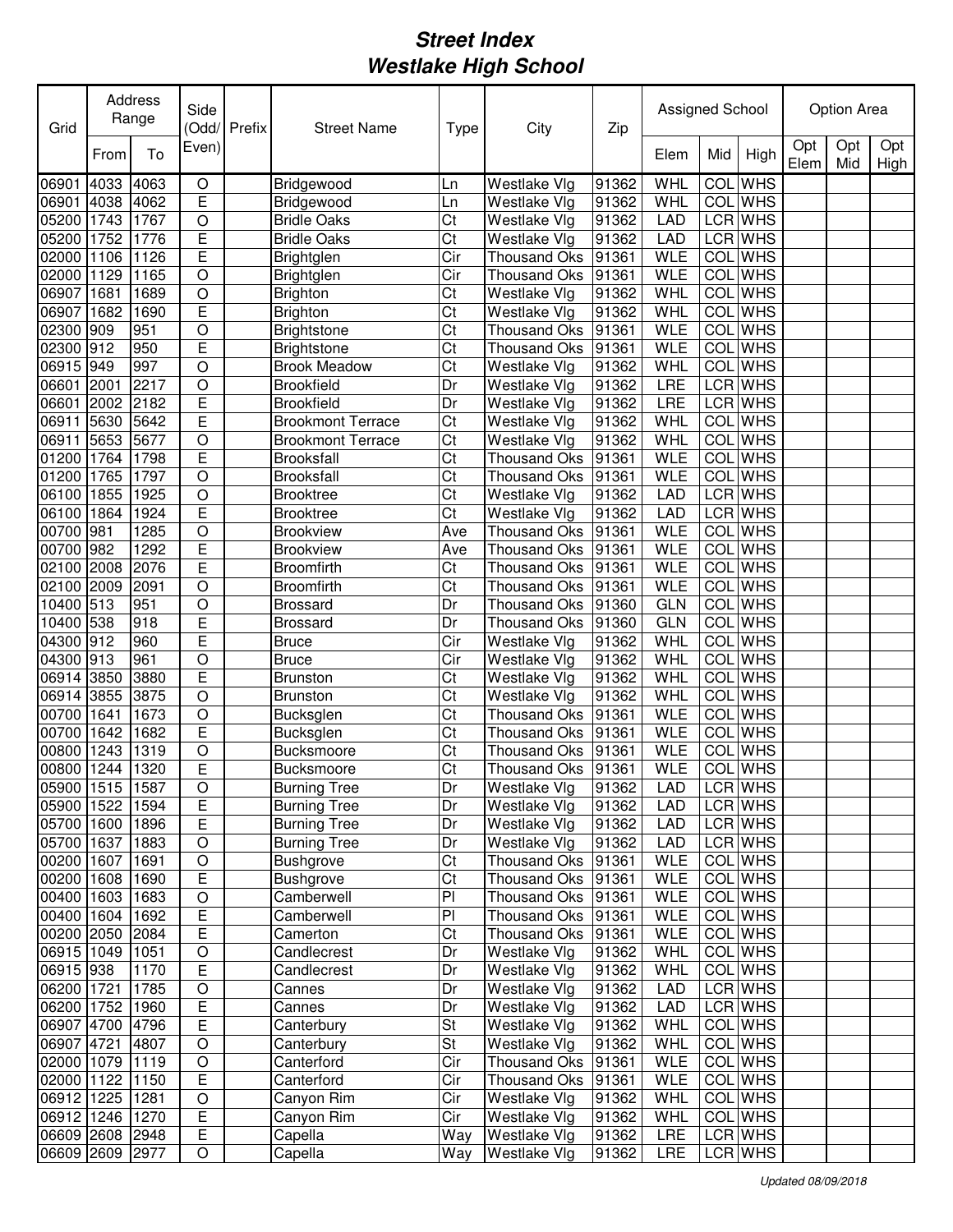| Grid            |       | Address<br>Range | Side           | Odd/Prefix | <b>Street Name</b>       | <b>Type</b> | City                | Zip   | Assigned School |            |                |             | <b>Option Area</b> |             |
|-----------------|-------|------------------|----------------|------------|--------------------------|-------------|---------------------|-------|-----------------|------------|----------------|-------------|--------------------|-------------|
|                 | From  | To               | Even)          |            |                          |             |                     |       | Elem            | Mid        | High           | Opt<br>Elem | Opt<br>Mid         | Opt<br>High |
| 06901           | 4033  | 4063             | $\circ$        |            | Bridgewood               | Ln          | Westlake Vlg        | 91362 | <b>WHL</b>      | COL        | <b>WHS</b>     |             |                    |             |
| 06901           | 4038  | 4062             | E              |            | Bridgewood               | Ln          | Westlake Vlg        | 91362 | <b>WHL</b>      |            | <b>COL</b> WHS |             |                    |             |
| 05200           | 1743  | 1767             | O              |            | <b>Bridle Oaks</b>       | Ct          | Westlake Vlg        | 91362 | LAD             |            | LCR WHS        |             |                    |             |
| 05200           | 1752  | 1776             | E              |            | <b>Bridle Oaks</b>       | Ct          | Westlake Vlg        | 91362 | LAD             |            | LCR WHS        |             |                    |             |
| 02000           | 1106  | 1126             | E              |            | Brightglen               | Cir         | <b>Thousand Oks</b> | 91361 | <b>WLE</b>      | COL        | <b>WHS</b>     |             |                    |             |
| 02000           | 1129  | 1165             | $\circ$        |            | Brightglen               | Cir         | <b>Thousand Oks</b> | 91361 | <b>WLE</b>      | COL        | <b>WHS</b>     |             |                    |             |
| 06907           | 1681  | 1689             | $\circ$        |            | Brighton                 | Ct          | Westlake Vlg        | 91362 | WHL             | COL        | <b>WHS</b>     |             |                    |             |
| 06907           | 1682  | 1690             | E              |            | Brighton                 | Ct          | Westlake Vlg        | 91362 | WHL             | COL        | <b>WHS</b>     |             |                    |             |
| 02300           | 909   | 951              | $\circ$        |            | <b>Brightstone</b>       | Ct          | <b>Thousand Oks</b> | 91361 | <b>WLE</b>      | COL        | <b>WHS</b>     |             |                    |             |
| 02300           | 912   | 950              | E              |            | <b>Brightstone</b>       | Ct          | <b>Thousand Oks</b> | 91361 | <b>WLE</b>      | COL        | <b>WHS</b>     |             |                    |             |
| 06915           | 949   | 997              | $\bigcirc$     |            | <b>Brook Meadow</b>      | Ct          | Westlake Vlg        | 91362 | WHL             | <b>COL</b> | <b>WHS</b>     |             |                    |             |
| 06601           | 2001  | 2217             | $\circ$        |            | <b>Brookfield</b>        | Dr          | Westlake Vlg        | 91362 | LRE             |            | LCR WHS        |             |                    |             |
| 06601           | 2002  | 2182             | Ē              |            | <b>Brookfield</b>        | Dr          | Westlake Vlg        | 91362 | LRE             |            | <b>LCR</b> WHS |             |                    |             |
| 06911           | 5630  | 5642             | Ē              |            | <b>Brookmont Terrace</b> | Ct          | Westlake Vlg        | 91362 | WHL             | <b>COL</b> | <b>WHS</b>     |             |                    |             |
| 06911           | 15653 | 5677             | $\circ$        |            | <b>Brookmont Terrace</b> | Ct          | Westlake Vlg        | 91362 | WHL             | <b>COL</b> | <b>WHS</b>     |             |                    |             |
| 01200           | 1764  | 1798             | E              |            | Brooksfall               | Ct          | <b>Thousand Oks</b> | 91361 | <b>WLE</b>      | <b>COL</b> | <b>WHS</b>     |             |                    |             |
| 01200           | 1765  | 1797             | $\circ$        |            | <b>Brooksfall</b>        | Ct          | <b>Thousand Oks</b> | 91361 | <b>WLE</b>      | <b>COL</b> | <b>WHS</b>     |             |                    |             |
| 06100           | 1855  | 1925             | $\circ$        |            | <b>Brooktree</b>         | Ct          | Westlake Vlg        | 91362 | <b>LAD</b>      |            | <b>LCR</b> WHS |             |                    |             |
| 06100           | 1864  | 1924             | E              |            | <b>Brooktree</b>         | Ct          | Westlake Vlg        | 91362 | <b>LAD</b>      |            | <b>LCR</b> WHS |             |                    |             |
| 00700           | 981   | 1285             | $\circ$        |            | <b>Brookview</b>         | Ave         | <b>Thousand Oks</b> | 91361 | <b>WLE</b>      | COL        | <b>WHS</b>     |             |                    |             |
| 00700           | 982   | 1292             | E              |            | <b>Brookview</b>         | Ave         | <b>Thousand Oks</b> | 91361 | <b>WLE</b>      | COL        | <b>WHS</b>     |             |                    |             |
| 02100           | 2008  | 2076             | E              |            | <b>Broomfirth</b>        | Ct          | <b>Thousand Oks</b> | 91361 | <b>WLE</b>      | COL        | <b>WHS</b>     |             |                    |             |
| 02100           | 2009  | 2091             | $\circ$        |            | <b>Broomfirth</b>        | Ct          | <b>Thousand Oks</b> | 91361 | <b>WLE</b>      | COL        | <b>WHS</b>     |             |                    |             |
| 10400 513       |       | 951              | O              |            | Brossard                 | Dr          | <b>Thousand Oks</b> | 91360 | <b>GLN</b>      | COL        | <b>WHS</b>     |             |                    |             |
| 10400           | 538   | 918              | E              |            | <b>Brossard</b>          | Dr          | Thousand Oks        | 91360 | <b>GLN</b>      | COL        | <b>WHS</b>     |             |                    |             |
| 04300           | 912   | 960              | E              |            | <b>Bruce</b>             | Cir         | Westlake Vlg        | 91362 | <b>WHL</b>      |            | <b>COL</b> WHS |             |                    |             |
| 04300           | 913   | 961              | O              |            | <b>Bruce</b>             | Cir         | Westlake Vlg        | 91362 | <b>WHL</b>      | COL        | <b>WHS</b>     |             |                    |             |
| 06914           | 3850  | 3880             | E              |            | <b>Brunston</b>          | Ct          | Westlake Vlg        | 91362 | WHL             |            | <b>COL</b> WHS |             |                    |             |
| 06914           | 3855  | 3875             | O              |            | <b>Brunston</b>          | Ct          | Westlake Vlg        | 91362 | <b>WHL</b>      | COL        | <b>WHS</b>     |             |                    |             |
| 00700           | 1641  | 1673             | $\circ$        |            | Bucksglen                | Ct          | Thousand Oks        | 91361 | <b>WLE</b>      | COL        | <b>WHS</b>     |             |                    |             |
| 00700           | 1642  | 1682             | E              |            | Bucksglen                | Ct          | <b>Thousand Oks</b> | 91361 | <b>WLE</b>      | <b>COL</b> | <b>WHS</b>     |             |                    |             |
| 00800           | 1243  | 1319             | $\circ$        |            | Bucksmoore               | Ct          | <b>Thousand Oks</b> | 91361 | <b>WLE</b>      | COL        | <b>WHS</b>     |             |                    |             |
| 00800           | 1244  | 1320             | E              |            | <b>Bucksmoore</b>        | Ct          | <b>Thousand Oks</b> | 91361 | <b>WLE</b>      | COL        | <b>WHS</b>     |             |                    |             |
| 05900 1515 1587 |       |                  | $\overline{O}$ |            | <b>Burning Tree</b>      | Dr          | Westlake Vlg        | 91362 | <b>LAD</b>      |            | LCR WHS        |             |                    |             |
| 05900 1522      |       | 1594             | E              |            | <b>Burning Tree</b>      | Dr          | Westlake Vlg        | 91362 | <b>LAD</b>      |            | LCR WHS        |             |                    |             |
| 05700 1600 1896 |       |                  | E              |            | <b>Burning Tree</b>      | Dr          | Westlake Vlg        | 91362 | LAD             |            | LCR WHS        |             |                    |             |
| 05700 1637 1883 |       |                  | $\mathsf O$    |            | <b>Burning Tree</b>      | Dr          | Westlake Vlg        | 91362 | <b>LAD</b>      |            | LCR WHS        |             |                    |             |
| 00200 1607      |       | 1691             | $\hbox{O}$     |            | <b>Bushgrove</b>         | Ct          | Thousand Oks        | 91361 | <b>WLE</b>      |            | COL WHS        |             |                    |             |
| 00200 1608      |       | 1690             | E              |            | <b>Bushgrove</b>         | Ct          | Thousand Oks        | 91361 | <b>WLE</b>      |            | COL WHS        |             |                    |             |
| 00400 1603 1683 |       |                  | $\hbox{O}$     |            | Camberwell               | PI          | Thousand Oks        | 91361 | <b>WLE</b>      |            | COL WHS        |             |                    |             |
| 00400 1604      |       | 1692             | E              |            | Camberwell               | PI          | Thousand Oks        | 91361 | <b>WLE</b>      |            | COL WHS        |             |                    |             |
| 00200 2050      |       | 2084             | E              |            | Camerton                 | Ct          | Thousand Oks        | 91361 | <b>WLE</b>      |            | COL WHS        |             |                    |             |
| 06915 1049 1051 |       |                  | $\bigcirc$     |            | Candlecrest              | Dr          | Westlake Vlg        | 91362 | WHL             |            | COL WHS        |             |                    |             |
| 06915 938       |       | 1170             | E              |            | Candlecrest              | Dr          | Westlake Vlg        | 91362 | WHL             |            | COL WHS        |             |                    |             |
| 06200 1721      |       | 1785             | $\circ$        |            | Cannes                   | Dr          | Westlake Vlg        | 91362 | <b>LAD</b>      |            | <b>LCR WHS</b> |             |                    |             |
| 06200 1752 1960 |       |                  | E              |            | Cannes                   | Dr          | Westlake Vlg        | 91362 | <b>LAD</b>      |            | LCR WHS        |             |                    |             |
| 06907 4700      |       | 4796             | Е              |            | Canterbury               | St          | Westlake Vlg        | 91362 | WHL             |            | COL WHS        |             |                    |             |
| 06907 4721      |       | 4807             | O              |            | Canterbury               | St          | Westlake Vlg        | 91362 | WHL             |            | COL WHS        |             |                    |             |
| 02000 1079 1119 |       |                  | $\mathsf O$    |            | Canterford               | Cir         | Thousand Oks        | 91361 | <b>WLE</b>      |            | COL WHS        |             |                    |             |
| 02000 1122 1150 |       |                  | $\overline{E}$ |            | Canterford               | Cir         | Thousand Oks        | 91361 | <b>WLE</b>      |            | COL WHS        |             |                    |             |
| 06912 1225 1281 |       |                  | O              |            | Canyon Rim               | Cir         | Westlake Vlg        | 91362 | WHL             |            | COL WHS        |             |                    |             |
| 06912 1246 1270 |       |                  | $\overline{E}$ |            | Canyon Rim               | Cir         | Westlake Vlg        | 91362 | WHL             |            | COL WHS        |             |                    |             |
| 06609 2608 2948 |       |                  | $\overline{E}$ |            | Capella                  | Way         | Westlake Vlg        | 91362 | LRE             |            | LCR WHS        |             |                    |             |
| 06609 2609 2977 |       |                  | O              |            | Capella                  | Way         | Westlake Vlg        | 91362 | LRE             |            | LCR WHS        |             |                    |             |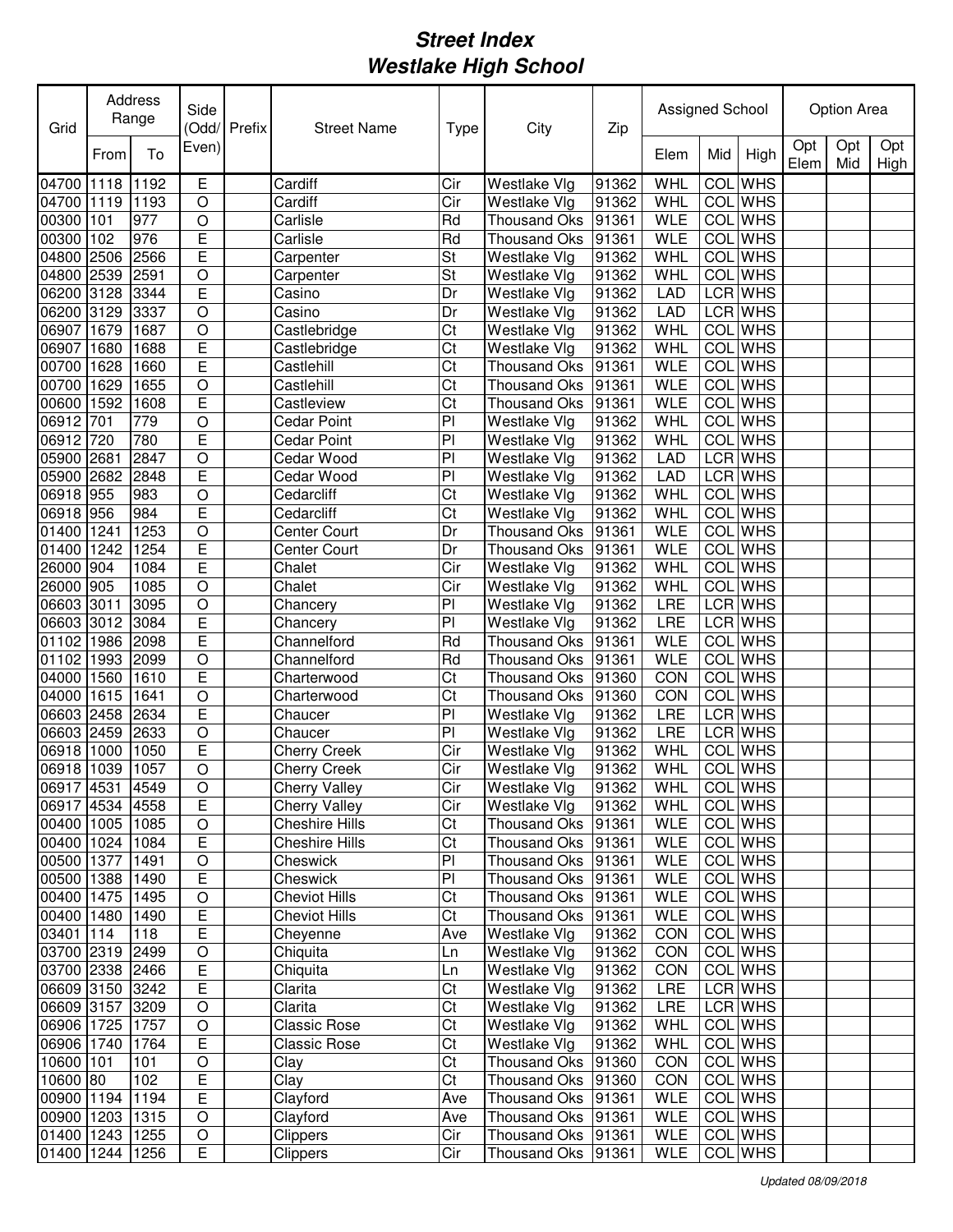| Grid            |      | Address<br>Range | Side           | Odd/Prefix | <b>Street Name</b>    | Type           | City                | Zip   | Assigned School |                  |                |             | Option Area |             |
|-----------------|------|------------------|----------------|------------|-----------------------|----------------|---------------------|-------|-----------------|------------------|----------------|-------------|-------------|-------------|
|                 | From | To               | Even)          |            |                       |                |                     |       | Elem            | Mid              | High           | Opt<br>Elem | Opt<br>Mid  | Opt<br>High |
| 04700 1118      |      | 1192             | E              |            | Cardiff               | Cir            | Westlake Vlg        | 91362 | WHL             | COL              | <b>WHS</b>     |             |             |             |
| 04700 1119      |      | 1193             | $\circ$        |            | Cardiff               | Cir            | Westlake Vlg        | 91362 | WHL             |                  | <b>COL</b> WHS |             |             |             |
| 00300           | 101  | 977              | $\circ$        |            | Carlisle              | Rd             | Thousand Oks        | 91361 | <b>WLE</b>      |                  | <b>COL</b> WHS |             |             |             |
| 00300           | 102  | 976              | E              |            | Carlisle              | Rd             | <b>Thousand Oks</b> | 91361 | <b>WLE</b>      |                  | <b>COL</b> WHS |             |             |             |
| 04800           | 2506 | 2566             | E              |            | Carpenter             | St             | Westlake Vlg        | 91362 | WHL             |                  | <b>COL</b> WHS |             |             |             |
| 04800           | 2539 | 2591             | $\circ$        |            | Carpenter             | St             | Westlake Vlg        | 91362 | WHL             |                  | <b>COL</b> WHS |             |             |             |
| 06200           | 3128 | 3344             | E              |            | Casino                | Dr             | Westlake Vlg        | 91362 | LAD             |                  | LCR WHS        |             |             |             |
| 06200           | 3129 | 3337             | $\overline{O}$ |            | Casino                | Dr             | Westlake Vlg        | 91362 | <b>LAD</b>      |                  | LCR WHS        |             |             |             |
| 06907           | 1679 | 1687             | $\overline{O}$ |            | Castlebridge          | Ct             | Westlake Vlg        | 91362 | WHL             | COL              | <b>WHS</b>     |             |             |             |
| 06907           | 1680 | 1688             | E              |            | Castlebridge          | Ct             | Westlake Vlg        | 91362 | WHL             | COL              | <b>WHS</b>     |             |             |             |
| 00700           | 1628 | 1660             | Ē              |            | Castlehill            | Ct             | <b>Thousand Oks</b> | 91361 | <b>WLE</b>      | $\overline{COL}$ | <b>WHS</b>     |             |             |             |
| 00700           | 1629 | 1655             | $\bigcirc$     |            | Castlehill            | Ct             | <b>Thousand Oks</b> | 91361 | <b>WLE</b>      | COL              | <b>WHS</b>     |             |             |             |
| 00600           | 1592 | 1608             | Ē              |            | Castleview            | Ct             | <b>Thousand Oks</b> | 91361 | <b>WLE</b>      | COL              | <b>WHS</b>     |             |             |             |
| 06912           | 701  | 779              | $\overline{O}$ |            | <b>Cedar Point</b>    | PI             | Westlake Vlg        | 91362 | <b>WHL</b>      | <b>COL</b>       | <b>WHS</b>     |             |             |             |
| 06912 720       |      | 780              | E              |            | Cedar Point           | P <sub>1</sub> | Westlake Vlg        | 91362 | WHL             | COL              | <b>WHS</b>     |             |             |             |
| 05900 2681      |      | 2847             | $\circ$        |            | Cedar Wood            | PI             | Westlake Vlg        | 91362 | <b>LAD</b>      |                  | <b>LCR</b> WHS |             |             |             |
| 05900 2682      |      | 2848             | E              |            | Cedar Wood            | PI             | Westlake Vlg        | 91362 | <b>LAD</b>      |                  | <b>LCR</b> WHS |             |             |             |
| 06918 955       |      | 983              | $\circ$        |            | Cedarcliff            | Ct             | Westlake Vlg        | 91362 | WHL             | <b>COL</b>       | <b>WHS</b>     |             |             |             |
| 06918 956       |      | 984              | E              |            | Cedarcliff            | Ct             | Westlake Vlg        | 91362 | WHL             | COL              | <b>WHS</b>     |             |             |             |
| 01400 1241      |      | 1253             | $\overline{O}$ |            | <b>Center Court</b>   | Dr             | Thousand Oks        | 91361 | <b>WLE</b>      | COL              | <b>WHS</b>     |             |             |             |
| 01400           | 1242 | 1254             | E              |            | Center Court          | Dr             | <b>Thousand Oks</b> | 91361 | <b>WLE</b>      | COL              | <b>WHS</b>     |             |             |             |
| 26000           | 904  | 1084             | E              |            | Chalet                | Cir            | Westlake Vlg        | 91362 | WHL             | COL              | <b>WHS</b>     |             |             |             |
| 26000           | 905  | 1085             | $\circ$        |            | Chalet                | Cir            | Westlake Vlg        | 91362 | WHL             | COL              | <b>WHS</b>     |             |             |             |
| 06603 3011      |      | 3095             | $\bigcirc$     |            | Chancery              | PI             | Westlake Vlg        | 91362 | LRE             |                  | <b>LCR</b> WHS |             |             |             |
| 06603 3012      |      | 3084             | Ε              |            | Chancery              | P              | Westlake Vlg        | 91362 | LRE             |                  | LCR WHS        |             |             |             |
| 01102           | 1986 | 2098             | E              |            | Channelford           | Rd             | Thousand Oks        | 91361 | <b>WLE</b>      |                  | COL WHS        |             |             |             |
| 01102           | 1993 | 2099             | $\circ$        |            | Channelford           | Rd             | <b>Thousand Oks</b> | 91361 | <b>WLE</b>      | COL              | <b>WHS</b>     |             |             |             |
| 04000           | 1560 | 1610             | E              |            | Charterwood           | Ct             | <b>Thousand Oks</b> | 91360 | CON             |                  | <b>COL</b> WHS |             |             |             |
| 04000           | 1615 | 1641             | O              |            | Charterwood           | Ct             | Thousand Oks        | 91360 | CON             |                  | <b>COL</b> WHS |             |             |             |
| 06603 2458      |      | 2634             | E              |            | Chaucer               | PI             | Westlake Vlg        | 91362 | LRE             |                  | LCR WHS        |             |             |             |
| 06603 2459      |      | 2633             | O              |            | Chaucer               | PI             | Westlake Vlg        | 91362 | <b>LRE</b>      |                  | LCR WHS        |             |             |             |
| 06918           | 1000 | 1050             | E              |            | Cherry Creek          | Cir            | Westlake Vlg        | 91362 | <b>WHL</b>      | COL              | <b>WHS</b>     |             |             |             |
| 06918 1039      |      | 1057             | O              |            | <b>Cherry Creek</b>   | Cir            | Westlake Vlg        | 91362 | WHL             |                  | COL WHS        |             |             |             |
| 06917 4531 4549 |      |                  | $\overline{O}$ |            | Cherry Valley         | Cir            | Westlake Vlg        | 91362 | WHL             |                  | <b>COL</b> WHS |             |             |             |
| 06917 4534 4558 |      |                  | E              |            | <b>Cherry Valley</b>  | Cir            | Westlake Vlg        | 91362 | WHL             |                  | COL WHS        |             |             |             |
| 00400 1005 1085 |      |                  | $\mathsf O$    |            | <b>Cheshire Hills</b> | Ct             | Thousand Oks 91361  |       | <b>WLE</b>      |                  | COL WHS        |             |             |             |
| 00400 1024 1084 |      |                  | E              |            | <b>Cheshire Hills</b> | Ct             | Thousand Oks        | 91361 | WLE             |                  | COL WHS        |             |             |             |
| 00500 1377 1491 |      |                  | $\mathsf O$    |            | Cheswick              | PI             | Thousand Oks        | 91361 | <b>WLE</b>      |                  | COL WHS        |             |             |             |
| 00500 1388 1490 |      |                  | E              |            | Cheswick              | PI             | Thousand Oks 91361  |       | <b>WLE</b>      |                  | COL WHS        |             |             |             |
| 00400 1475 1495 |      |                  | $\hbox{O}$     |            | <b>Cheviot Hills</b>  | Ct             | Thousand Oks 91361  |       | <b>WLE</b>      |                  | COL WHS        |             |             |             |
| 00400 1480 1490 |      |                  | E              |            | <b>Cheviot Hills</b>  | Ct             | Thousand Oks 91361  |       | <b>WLE</b>      |                  | COL WHS        |             |             |             |
| 03401 114       |      | 118              | E              |            | Cheyenne              | Ave            | Westlake Vlg        | 91362 | CON             |                  | COL WHS        |             |             |             |
| 03700 2319 2499 |      |                  | $\bigcirc$     |            | Chiquita              | Ln             | Westlake Vlg        | 91362 | CON             |                  | COL WHS        |             |             |             |
| 03700 2338 2466 |      |                  | E              |            | Chiquita              | Ln             | Westlake Vlg        | 91362 | CON             |                  | COL WHS        |             |             |             |
| 06609 3150 3242 |      |                  | E              |            | Clarita               | Ct             | Westlake Vlg        | 91362 | LRE             |                  | LCR WHS        |             |             |             |
| 06609 3157 3209 |      |                  | $\circ$        |            | Clarita               | Ct             | Westlake Vlg        | 91362 | LRE             |                  | LCR WHS        |             |             |             |
| 06906 1725 1757 |      |                  | $\circ$        |            | Classic Rose          | Ct             | Westlake Vlg        | 91362 | WHL             |                  | COL WHS        |             |             |             |
| 06906 1740 1764 |      |                  | Ε              |            | Classic Rose          | Ct             | Westlake Vlg        | 91362 | WHL             |                  | COL WHS        |             |             |             |
| 10600 101       |      | 101              | $\mathsf O$    |            | Clay                  | Ct             | Thousand Oks 91360  |       | CON             |                  | COL WHS        |             |             |             |
| 10600 80        |      | 102              | Е              |            | Clay                  | Ct             | Thousand Oks 91360  |       | CON             |                  | COL WHS        |             |             |             |
| 00900 1194 1194 |      |                  | E              |            | Clayford              | Ave            | Thousand Oks 91361  |       | <b>WLE</b>      |                  | COL WHS        |             |             |             |
| 00900 1203 1315 |      |                  | O              |            | Clayford              | Ave            | Thousand Oks 91361  |       | <b>WLE</b>      |                  | COL WHS        |             |             |             |
| 01400 1243 1255 |      |                  | O              |            | <b>Clippers</b>       | Cir            | Thousand Oks 91361  |       | <b>WLE</b>      |                  | COL WHS        |             |             |             |
| 01400 1244 1256 |      |                  | E              |            | <b>Clippers</b>       | Cir            | Thousand Oks 91361  |       | WLE             |                  | COL WHS        |             |             |             |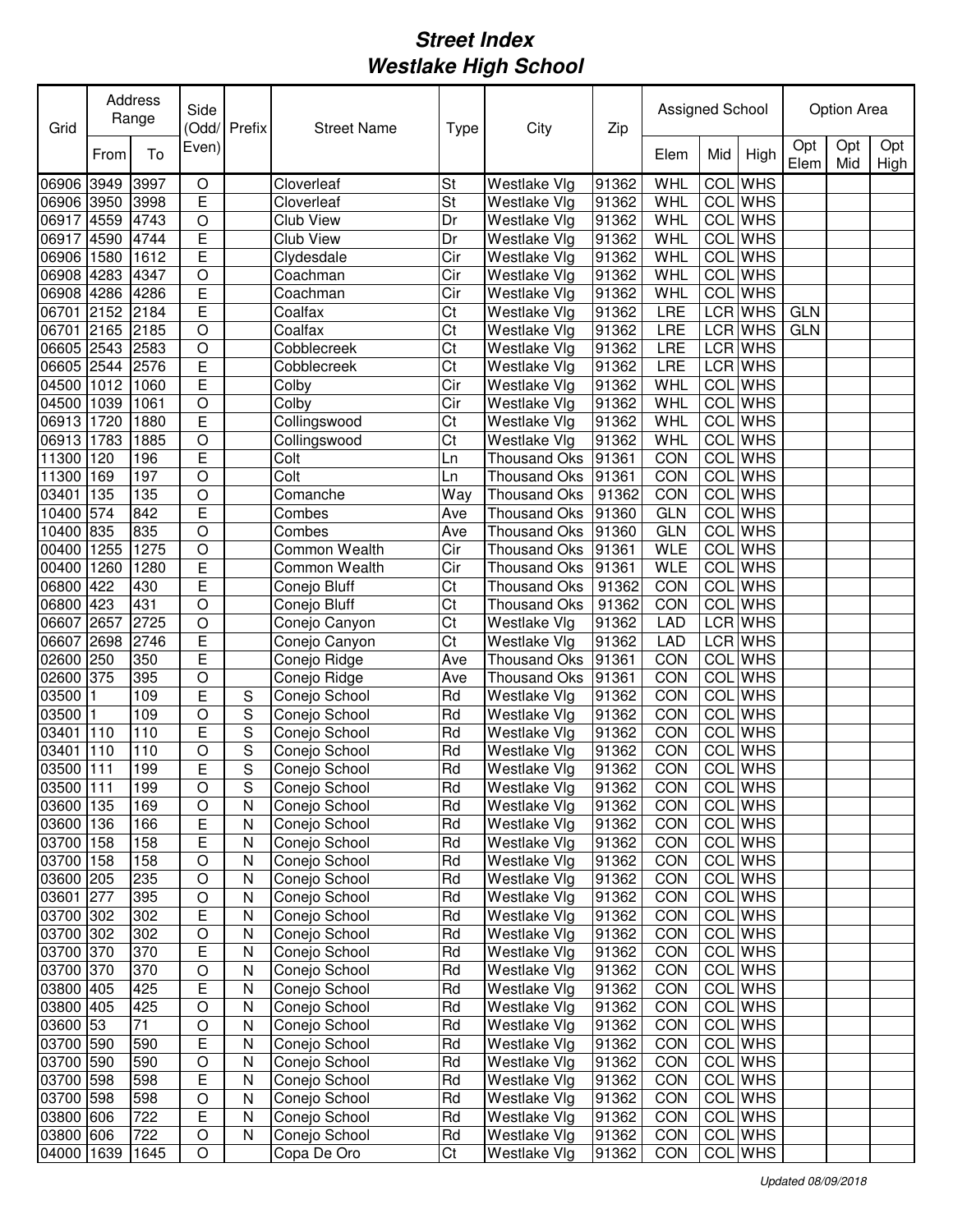| Grid       |      | Address<br>Range | Side           | (Odd/ Prefix | <b>Street Name</b> | Type     | City                | Zip   | Assigned School |            |                |             | Option Area |             |
|------------|------|------------------|----------------|--------------|--------------------|----------|---------------------|-------|-----------------|------------|----------------|-------------|-------------|-------------|
|            | From | To               | Even)          |              |                    |          |                     |       | Elem            | Mid        | High           | Opt<br>Elem | Opt<br>Mid  | Opt<br>High |
| 06906      | 3949 | 3997             | O              |              | Cloverleaf         | St       | Westlake Vlg        | 91362 | WHL             | COL        | <b>WHS</b>     |             |             |             |
| 06906      | 3950 | 3998             | E              |              | Cloverleaf         | St       | Westlake Vlg        | 91362 | WHL             |            | COL WHS        |             |             |             |
| 06917      | 4559 | 4743             | O              |              | Club View          | Dr       | <b>Westlake Vlg</b> | 91362 | WHL             |            | COL WHS        |             |             |             |
| 06917      | 4590 | 4744             | E              |              | Club View          | Dr       | <b>Westlake Vlg</b> | 91362 | WHL             |            | COL WHS        |             |             |             |
| 06906      | 1580 | 1612             | E              |              | Clydesdale         | Cir      | Westlake Vlg        | 91362 | WHL             | <b>COL</b> | <b>WHS</b>     |             |             |             |
| 06908      | 4283 | 4347             | O              |              | Coachman           | Cir      | Westlake Vlg        | 91362 | WHL             |            | COL WHS        |             |             |             |
| 06908      | 4286 | 4286             | E              |              | Coachman           | Cir      | Westlake Vlg        | 91362 | <b>WHL</b>      |            | COL WHS        |             |             |             |
| 06701      | 2152 | 2184             | E              |              | Coalfax            | Ct       | Westlake Vlg        | 91362 | <b>LRE</b>      |            | LCR WHS        | <b>GLN</b>  |             |             |
| 06701      | 2165 | 2185             | $\overline{O}$ |              | Coalfax            | Ct       | Westlake Vlg        | 91362 | <b>LRE</b>      |            | LCR WHS        | <b>GLN</b>  |             |             |
| 06605      | 2543 | 2583             | O              |              | Cobblecreek        | Ct       | Westlake Vlg        | 91362 | <b>LRE</b>      |            | LCR WHS        |             |             |             |
| 06605      | 2544 | 2576             | E              |              | Cobblecreek        | Ct       | Westlake Vlg        | 91362 | <b>LRE</b>      |            | LCR WHS        |             |             |             |
| 04500      | 1012 | 1060             | E              |              | Colby              | Cir      | Westlake Vlg        | 91362 | WHL             | COL        | <b>WHS</b>     |             |             |             |
| 04500      | 1039 | 1061             | $\bigcirc$     |              | Colby              | Cir      | Westlake Vlg        | 91362 | WHL             | <b>COL</b> | <b>WHS</b>     |             |             |             |
| 06913      | 1720 | 1880             | E              |              | Collingswood       | Ct       | Westlake Vlg        | 91362 | WHL             | COL        | <b>WHS</b>     |             |             |             |
| 06913      | 1783 | 1885             | $\bigcirc$     |              | Collingswood       | Ct       | Westlake Vlg        | 91362 | WHL             | <b>COL</b> | <b>WHS</b>     |             |             |             |
| 11300      | 120  | 196              | E              |              | Colt               | Ln       | <b>Thousand Oks</b> | 91361 | CON             | <b>COL</b> | <b>WHS</b>     |             |             |             |
| 11300      | 169  | 197              | $\circ$        |              | Colt               | Ln       | <b>Thousand Oks</b> | 91361 | CON             | COL        | <b>WHS</b>     |             |             |             |
| 03401      | 135  | 135              | $\circ$        |              | Comanche           | Way      | <b>Thousand Oks</b> | 91362 | CON             | COL        | <b>WHS</b>     |             |             |             |
| 10400      | 574  | 842              | E              |              | Combes             | Ave      | <b>Thousand Oks</b> | 91360 | <b>GLN</b>      | COL        | <b>WHS</b>     |             |             |             |
| 10400      | 835  | 835              | $\circ$        |              | Combes             | Ave      | <b>Thousand Oks</b> | 91360 | <b>GLN</b>      | COL        | <b>WHS</b>     |             |             |             |
| 00400      | 1255 | 1275             | $\circ$        |              | Common Wealth      | Cir      | <b>Thousand Oks</b> | 91361 | <b>WLE</b>      | COL        | <b>WHS</b>     |             |             |             |
| 00400      | 1260 | 1280             | E              |              | Common Wealth      | Cir      | <b>Thousand Oks</b> | 91361 | <b>WLE</b>      | COL        | <b>WHS</b>     |             |             |             |
|            |      |                  | E              |              |                    |          |                     |       |                 |            | <b>WHS</b>     |             |             |             |
| 06800      | 422  | 430<br>431       |                |              | Conejo Bluff       | Ct<br>Ct | <b>Thousand Oks</b> | 91362 | CON             | COL        | <b>WHS</b>     |             |             |             |
| 06800      | 423  |                  | $\circ$        |              | Conejo Bluff       |          | <b>Thousand Oks</b> | 91362 | CON             | COL        |                |             |             |             |
| 06607      | 2657 | 2725             | O              |              | Conejo Canyon      | Ct       | Westlake Vlg        | 91362 | <b>LAD</b>      |            | LCR WHS        |             |             |             |
| 06607      | 2698 | 2746             | E              |              | Conejo Canyon      | Ct       | Westlake Vlg        | 91362 | <b>LAD</b>      |            | LCR WHS        |             |             |             |
| 02600      | 250  | 350              | E              |              | Conejo Ridge       | Ave      | <b>Thousand Oks</b> | 91361 | CON             |            | COL WHS        |             |             |             |
| 02600      | 375  | 395              | O              |              | Conejo Ridge       | Ave      | <b>Thousand Oks</b> | 91361 | CON             |            | COL WHS        |             |             |             |
| 03500      |      | 109              | E              | S            | Conejo School      | Rd       | Westlake Vlg        | 91362 | CON             |            | COL WHS        |             |             |             |
| 03500      |      | 109              | O              | S            | Conejo School      | Rd       | Westlake Vlg        | 91362 | CON             |            | COL WHS        |             |             |             |
| 03401      | 110  | 110              | E              | S            | Conejo School      | Rd       | Westlake Vlg        | 91362 | CON             |            | <b>COL</b> WHS |             |             |             |
| 03401      | 110  | 110              | O              | S            | Conejo School      | Rd       | Westlake Vlg        | 91362 | CON             | <b>COL</b> | <b>WHS</b>     |             |             |             |
| 03500      | 111  | 199              | E              | S            | Conejo School      | Rd       | Westlake Vlg        | 91362 | CON             |            | COL WHS        |             |             |             |
| 03500 111  |      | 199              | O              | S            | Conejo School      | Rd       | Westlake Vlg        | 91362 | CON             |            | COL WHS        |             |             |             |
| 03600 135  |      | 169              | O              | N            | Conejo School      | Rd       | Westlake Vlg        | 91362 | <b>CON</b>      |            | COL WHS        |             |             |             |
| 03600 136  |      | 166              | Е              | N            | Conejo School      | Rd       | Westlake Vlg        | 91362 | CON             |            | COL WHS        |             |             |             |
| 03700 158  |      | 158              | E              | N            | Conejo School      | Rd       | Westlake Vlg        | 91362 | <b>CON</b>      |            | COL WHS        |             |             |             |
| 03700 158  |      | 158              | O              | N            | Conejo School      | Rd       | Westlake Vlg        | 91362 | CON             |            | COL WHS        |             |             |             |
| 03600 205  |      | 235              | O              | N            | Conejo School      | Rd       | Westlake Vlg        | 91362 | <b>CON</b>      |            | COL WHS        |             |             |             |
| 03601 277  |      | 395              | O              | N            | Conejo School      | Rd       | Westlake Vlg        | 91362 | CON             |            | COL WHS        |             |             |             |
| 03700 302  |      | 302              | E              | N            | Conejo School      | Rd       | Westlake Vlg        | 91362 | CON             |            | COL WHS        |             |             |             |
| 03700 302  |      | 302              | O              | N            | Conejo School      | Rd       | Westlake Vlg        | 91362 | <b>CON</b>      |            | COL WHS        |             |             |             |
| 03700 370  |      | 370              | Е              | N            | Conejo School      | Rd       | Westlake Vlg        | 91362 | <b>CON</b>      |            | COL WHS        |             |             |             |
| 03700 370  |      | 370              | O              | Ν            | Conejo School      | Rd       | Westlake Vlg        | 91362 | <b>CON</b>      |            | COL WHS        |             |             |             |
| 03800 405  |      | 425              | E              | N            | Conejo School      | Rd       | Westlake Vlg        | 91362 | CON             |            | COL WHS        |             |             |             |
| 03800 405  |      | 425              | O              | N            | Conejo School      | Rd       | Westlake Vlg        | 91362 | CON             |            | COL WHS        |             |             |             |
| 03600 53   |      | 71               | O              | N            | Conejo School      | Rd       | Westlake Vlg        | 91362 | CON             |            | COL WHS        |             |             |             |
| 03700 590  |      | 590              | Ε              | N            | Conejo School      | Rd       | Westlake Vlg        | 91362 | CON             |            | COL WHS        |             |             |             |
| 03700 590  |      | 590              | O              | N            | Conejo School      | Rd       | Westlake Vlg        | 91362 | <b>CON</b>      |            | COL WHS        |             |             |             |
| 03700 598  |      | 598              | Е              | N            | Conejo School      | Rd       | Westlake Vlg        | 91362 | <b>CON</b>      |            | COL WHS        |             |             |             |
| 03700 598  |      | 598              | O              | N            | Conejo School      | Rd       | Westlake Vlg        | 91362 | <b>CON</b>      |            | COL WHS        |             |             |             |
| 03800 606  |      | 722              | E              | N            | Conejo School      | Rd       | Westlake Vlg        | 91362 | <b>CON</b>      |            | COL WHS        |             |             |             |
| 03800 606  |      | 722              | O              | N            | Conejo School      | Rd       | Westlake Vlg        | 91362 | CON             |            | COL WHS        |             |             |             |
| 04000 1639 |      | 1645             | O              |              | Copa De Oro        | Ct       | Westlake Vlg        | 91362 | CON             |            | COL WHS        |             |             |             |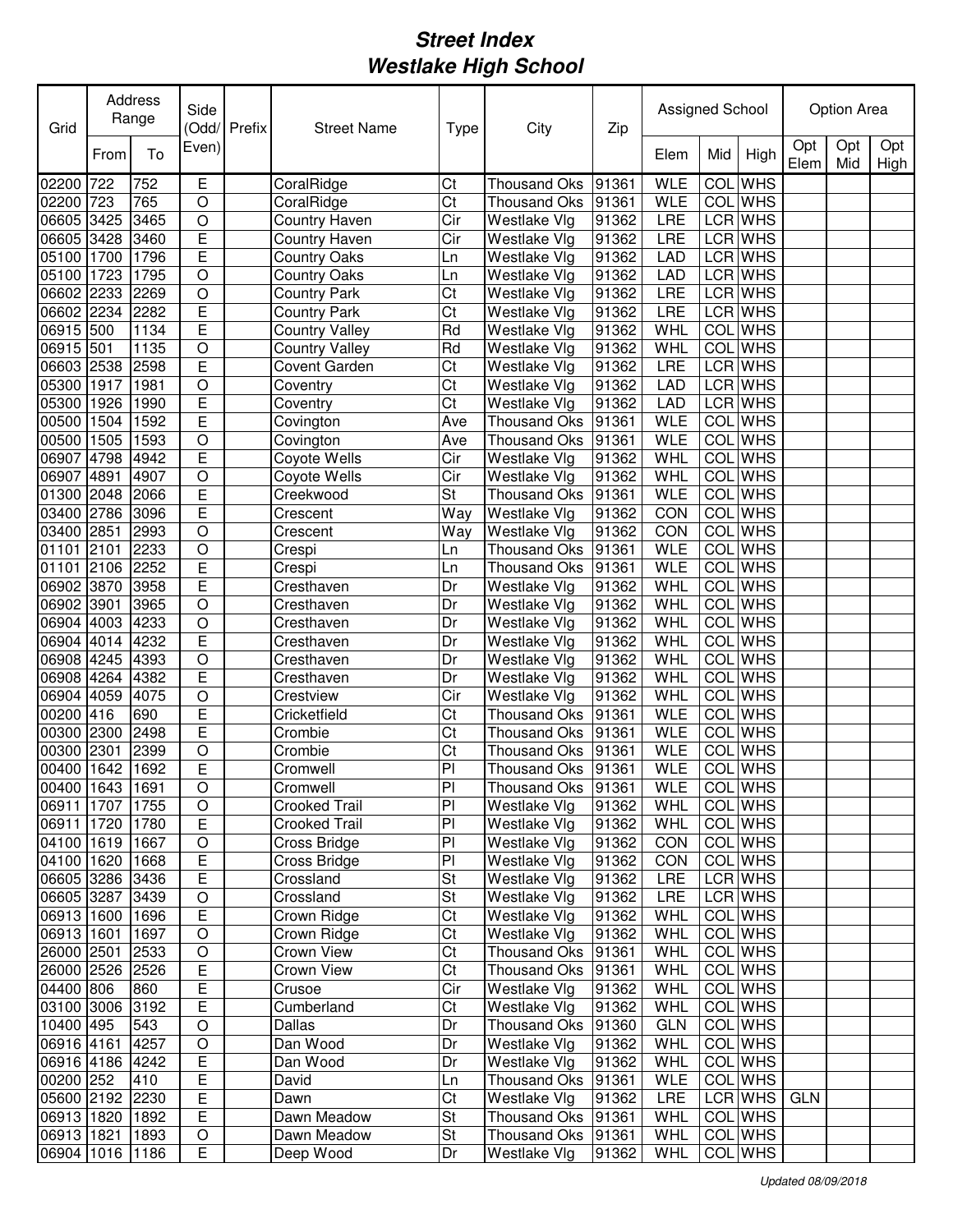| Grid                          |      | Address<br>Range | Side           | (Odd/Prefix | <b>Street Name</b>    | Type                   | City                               | Zip            | Assigned School |            |                    |             | <b>Option Area</b> |             |
|-------------------------------|------|------------------|----------------|-------------|-----------------------|------------------------|------------------------------------|----------------|-----------------|------------|--------------------|-------------|--------------------|-------------|
|                               | From | To               | Even)          |             |                       |                        |                                    |                | Elem            | Mid        | High               | Opt<br>Elem | Opt<br>Mid         | Opt<br>High |
| 02200                         | 722  | 752              | Ε              |             | CoralRidge            | Ct                     | <b>Thousand Oks</b>                | 91361          | <b>WLE</b>      | <b>COL</b> | <b>WHS</b>         |             |                    |             |
| 02200                         | 723  | 765              | O              |             | CoralRidge            | Ct                     | <b>Thousand Oks</b>                | 91361          | <b>WLE</b>      |            | <b>COL</b> WHS     |             |                    |             |
| 06605                         | 3425 | 3465             | $\circ$        |             | Country Haven         | Cir                    | Westlake Vlg                       | 91362          | LRE             |            | LCR WHS            |             |                    |             |
| 06605 3428                    |      | 3460             | E              |             | Country Haven         | Cir                    | Westlake Vlg                       | 91362          | LRE             |            | LCR WHS            |             |                    |             |
| 05100                         | 1700 | 1796             | E              |             | <b>Country Oaks</b>   | Ln                     | Westlake Vlg                       | 91362          | <b>LAD</b>      |            | LCR WHS            |             |                    |             |
| 05100                         | 1723 | 1795             | $\circ$        |             | <b>Country Oaks</b>   | Ln                     | Westlake Vlg                       | 91362          | LAD             |            | <b>LCR WHS</b>     |             |                    |             |
| 06602                         | 2233 | 2269             | $\circ$        |             | <b>Country Park</b>   | Ct                     | Westlake Vlg                       | 91362          | LRE             |            | LCR WHS            |             |                    |             |
| 06602                         | 2234 | 2282             | Ē              |             | <b>Country Park</b>   | Ct                     | Westlake Vlg                       | 91362          | LRE             |            | LCR WHS            |             |                    |             |
| 06915                         | 500  | 1134             | Ē              |             | <b>Country Valley</b> | Rd                     | Westlake Vlg                       | 91362          | WHL             | COL        | <b>WHS</b>         |             |                    |             |
| 06915                         | 501  | 1135             | $\circ$        |             | <b>Country Valley</b> | Rd                     | Westlake Vlg                       | 91362          | WHL             | <b>COL</b> | <b>WHS</b>         |             |                    |             |
| 06603                         | 2538 | 2598             | Ē              |             | Covent Garden         | Ct                     | Westlake Vlg                       | 91362          | <b>LRE</b>      |            | LCR WHS            |             |                    |             |
| 05300                         | 1917 | 1981             | $\bigcirc$     |             | Coventry              | Ct                     | Westlake Vlg                       | 91362          | <b>LAD</b>      |            | LCR WHS            |             |                    |             |
| 05300                         | 1926 | 1990             | Ē              |             | Coventry              | $\overline{\text{Ct}}$ | Westlake Vlg                       | 91362          | <b>LAD</b>      |            | <b>LCR</b> WHS     |             |                    |             |
| 00500                         | 1504 | 1592             | Ē              |             | Covington             | Ave                    | <b>Thousand Oks</b>                | 91361          | <b>WLE</b>      | <b>COL</b> | <b>WHS</b>         |             |                    |             |
| 00500                         | 1505 | 1593             | $\circ$        |             | Covington             | Ave                    | <b>Thousand Oks</b>                | 91361          | <b>WLE</b>      | <b>COL</b> | <b>WHS</b>         |             |                    |             |
| 06907                         | 4798 | 4942             | Ē              |             | Coyote Wells          | Cir                    | Westlake Vlg                       | 91362          | WHL             | <b>COL</b> | <b>WHS</b>         |             |                    |             |
| 06907                         | 4891 | 4907             | $\overline{O}$ |             | Coyote Wells          | Cir                    | Westlake Vlg                       | 91362          | WHL             | <b>COL</b> | <b>WHS</b>         |             |                    |             |
| 01300 2048                    |      | 2066             | E              |             | Creekwood             | St                     | <b>Thousand Oks</b>                | 91361          | <b>WLE</b>      | COL        | <b>WHS</b>         |             |                    |             |
| 03400 2786                    |      | 3096             | E              |             | Crescent              | Way                    | Westlake Vlg                       | 91362          | CON             | COL        | <b>WHS</b>         |             |                    |             |
| 03400 2851                    |      | 2993             | $\circ$        |             | Crescent              | Way                    | Westlake Vlg                       | 91362          | CON             | COL        | <b>WHS</b>         |             |                    |             |
| 01101                         | 2101 | 2233             | $\circ$        |             | Crespi                | Ln                     | <b>Thousand Oks</b>                | 91361          | <b>WLE</b>      | COL        | <b>WHS</b>         |             |                    |             |
| 01101                         | 2106 | 2252             | E              |             | Crespi                | Ln                     | Thousand Oks                       | 91361          | <b>WLE</b>      | COL        | <b>WHS</b>         |             |                    |             |
| 06902                         | 3870 | 3958             | E              |             | Cresthaven            | Dr                     | Westlake Vlg                       | 91362          | <b>WHL</b>      | COL        | <b>WHS</b>         |             |                    |             |
| 06902                         | 3901 | 3965             | $\circ$        |             | Cresthaven            | Dr                     | Westlake Vlg                       | 91362          | WHL             | COL        | <b>WHS</b>         |             |                    |             |
| 06904 4003                    |      | 4233             | $\circ$        |             | Cresthaven            | Dr                     | Westlake Vlg                       | 91362          | WHL             | COL        | <b>WHS</b>         |             |                    |             |
| 06904 4014                    |      | 4232             | E              |             | Cresthaven            | Dr                     | Westlake Vlg                       | 91362          | WHL             | COL        | <b>WHS</b>         |             |                    |             |
| 06908                         | 4245 | 4393             | $\circ$        |             | Cresthaven            | Dr                     | Westlake Vlg                       | 91362          | WHL             | COL        | <b>WHS</b>         |             |                    |             |
| 06908 4264                    |      | 4382             | E              |             | Cresthaven            | Dr                     | Westlake Vlg                       | 91362          | WHL             | COL        | <b>WHS</b>         |             |                    |             |
| 06904 4059                    |      | 4075             | O              |             | Crestview             | Cir                    | Westlake Vlg                       | 91362          | WHL             |            | <b>COL</b> WHS     |             |                    |             |
| 00200                         | 416  | 690              | E              |             | Cricketfield          | Ct                     | <b>Thousand Oks</b>                | 91361          | <b>WLE</b>      |            | COL WHS            |             |                    |             |
| 00300                         | 2300 | 2498             | E              |             | Crombie               | Ct                     | <b>Thousand Oks</b>                | 91361          | <b>WLE</b>      |            | COL WHS            |             |                    |             |
| 00300                         | 2301 | 2399             | $\circ$        |             | Crombie               | Ct                     | <b>Thousand Oks</b>                | 91361          | <b>WLE</b>      | COL        | <b>WHS</b>         |             |                    |             |
| 00400                         | 1642 | 1692             | Ē              |             | Cromwell              | PI                     | Thousand Oks                       | 91361          | <b>WLE</b>      |            | COL WHS            |             |                    |             |
| 00400 1643 1691               |      |                  | $\overline{O}$ |             | Cromwell              | PΙ                     | Thousand Oks                       | 91361          | <b>WLE</b>      |            | COL WHS            |             |                    |             |
| 06911 1707 1755               |      |                  | O              |             | Crooked Trail         | PI                     | Westlake Vlg                       | 91362          | WHL             |            | COL WHS            |             |                    |             |
| 06911 1720 1780               |      |                  | E              |             | <b>Crooked Trail</b>  | PI                     | Westlake Vlg                       | 91362          | WHL             |            | COL WHS            |             |                    |             |
| 04100 1619 1667               |      |                  | $\mathsf O$    |             | Cross Bridge          | PI                     | Westlake Vlg                       | 91362          | CON             |            | COL WHS            |             |                    |             |
| 04100 1620 1668               |      |                  | E              |             | Cross Bridge          | $\overline{P}$         | Westlake Vlg                       | 91362          | CON             |            | COL WHS            |             |                    |             |
| 06605 3286 3436               |      |                  | E              |             | Crossland             | St                     | Westlake Vlg                       | 91362          | LRE             |            | LCR WHS            |             |                    |             |
| 06605 3287 3439               |      |                  | $\mathsf O$    |             | Crossland             | St                     | Westlake Vlg                       | 91362          | LRE             |            | LCR WHS            |             |                    |             |
| 06913 1600 1696               |      | 1697             | E              |             | Crown Ridge           | Ct                     | Westlake Vlg                       | 91362          | WHL             |            | COL WHS<br>COL WHS |             |                    |             |
| 06913 1601                    |      |                  | $\circ$        |             | Crown Ridge           | Ct<br>Ct               | Westlake Vlg                       | 91362          | WHL             |            | COL WHS            |             |                    |             |
| 26000 2501<br>26000 2526 2526 |      | 2533             | $\bigcirc$     |             | Crown View            |                        | Thousand Oks 91361                 |                | WHL             |            | COL WHS            |             |                    |             |
| 04400 806                     |      | 860              | E<br>E         |             | Crown View<br>Crusoe  | Ct<br>Cir              | Thousand Oks 91361<br>Westlake Vlg |                | WHL<br>WHL      |            | COL WHS            |             |                    |             |
| 03100 3006 3192               |      |                  | E              |             |                       | Ct                     |                                    | 91362<br>91362 | WHL             |            | COL WHS            |             |                    |             |
| 10400 495                     |      | 543              | $\bigcirc$     |             | Cumberland<br>Dallas  | Dr                     | Westlake Vlg<br>Thousand Oks 91360 |                | <b>GLN</b>      |            | COL WHS            |             |                    |             |
| 06916 4161                    |      | 4257             | $\mathsf O$    |             | Dan Wood              | Dr                     | Westlake Vlg                       | 91362          | WHL             |            | COL WHS            |             |                    |             |
| 06916 4186 4242               |      |                  | Е              |             | Dan Wood              | Dr                     | Westlake Vlg                       | 91362          | WHL             |            | COL WHS            |             |                    |             |
| 00200 252                     |      | 410              | Ε              |             | David                 | Ln                     | Thousand Oks 91361                 |                | <b>WLE</b>      |            | COL WHS            |             |                    |             |
| 05600 2192 2230               |      |                  | E              |             | Dawn                  | Ct                     | Westlake Vlg                       | 91362          | <b>LRE</b>      |            | LCR WHS            | <b>GLN</b>  |                    |             |
| 06913 1820 1892               |      |                  | E              |             | Dawn Meadow           | St                     | Thousand Oks 91361                 |                | WHL             |            | COL WHS            |             |                    |             |
| 06913 1821                    |      | 1893             | O              |             | Dawn Meadow           | <b>St</b>              | Thousand Oks 91361                 |                | WHL             |            | COL WHS            |             |                    |             |
| 06904 1016 1186               |      |                  | E              |             | Deep Wood             | Dr                     | Westlake Vlg                       | 91362          | WHL             |            | COL WHS            |             |                    |             |
|                               |      |                  |                |             |                       |                        |                                    |                |                 |            |                    |             |                    |             |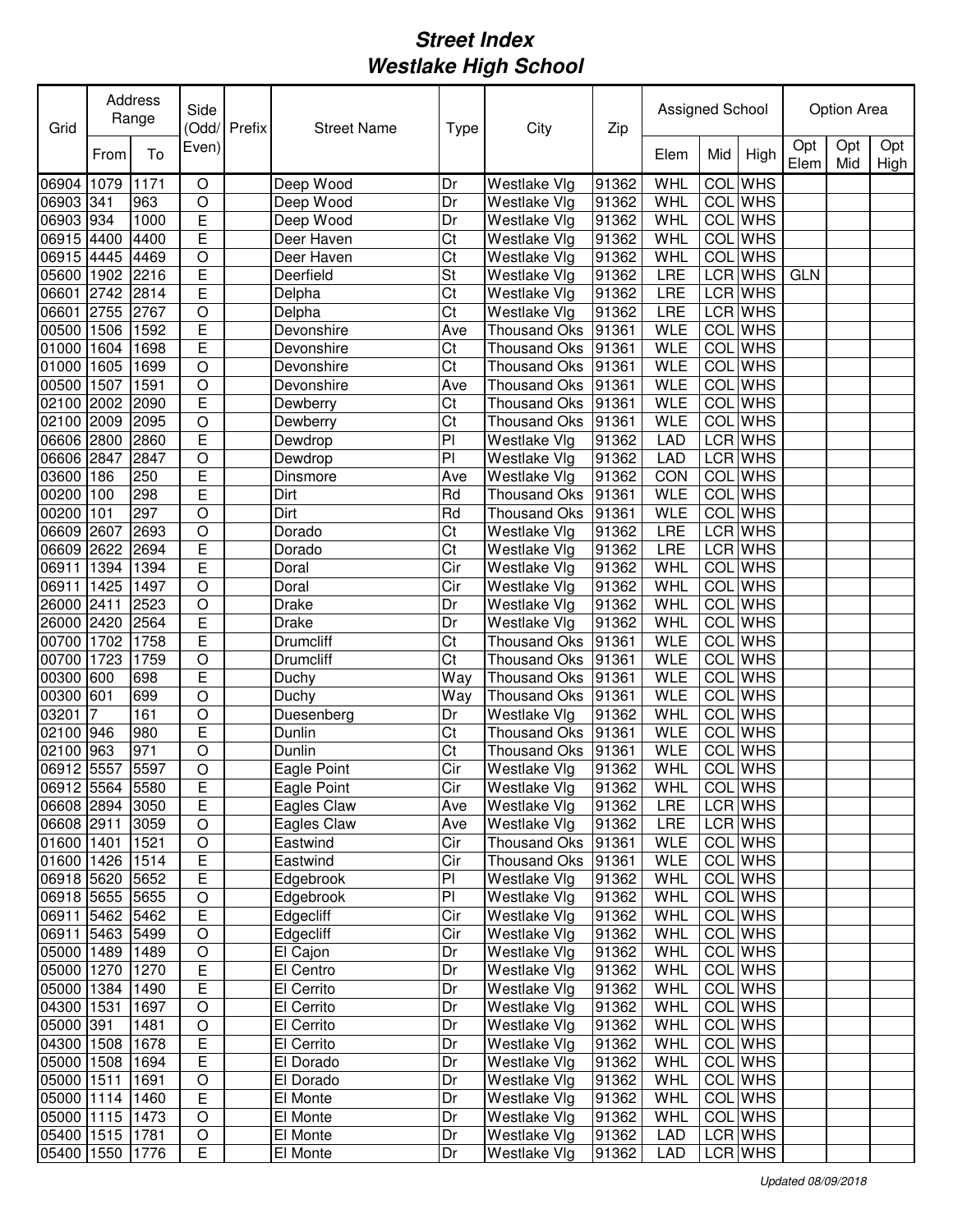| Grid            |      | Address<br>Range | Side           | Odd/Prefix | <b>Street Name</b> | <b>Type</b> | City                | Zip   | Assigned School |            |                |             | <b>Option Area</b> |             |
|-----------------|------|------------------|----------------|------------|--------------------|-------------|---------------------|-------|-----------------|------------|----------------|-------------|--------------------|-------------|
|                 | From | To               | Even)          |            |                    |             |                     |       | Elem            | Mid        | High           | Opt<br>Elem | Opt<br>Mid         | Opt<br>High |
| 06904           | 1079 | 1171             | O              |            | Deep Wood          | Dr          | Westlake Vlg        | 91362 | WHL             | <b>COL</b> | <b>WHS</b>     |             |                    |             |
| 06903 341       |      | 963              | O              |            | Deep Wood          | Dr          | Westlake Vlg        | 91362 | WHL             |            | <b>COL</b> WHS |             |                    |             |
| 06903 934       |      | 1000             | E              |            | Deep Wood          | Dr          | Westlake Vlg        | 91362 | WHL             |            | <b>COL</b> WHS |             |                    |             |
| 06915 4400      |      | 4400             | E              |            | Deer Haven         | Ct          | Westlake Vlg        | 91362 | WHL             |            | <b>COL</b> WHS |             |                    |             |
| 06915 4445      |      | 4469             | $\circ$        |            | Deer Haven         | Ct          | Westlake Vlg        | 91362 | WHL             |            | <b>COL</b> WHS |             |                    |             |
| 05600           | 1902 | 2216             | Ē              |            | Deerfield          | St          | Westlake Vlg        | 91362 | LRE             |            | <b>LCR WHS</b> | <b>GLN</b>  |                    |             |
| 06601           | 2742 | 2814             | Ē              |            | Delpha             | Ct          | Westlake Vlg        | 91362 | LRE             |            | LCR WHS        |             |                    |             |
| 06601           | 2755 | 2767             | $\overline{O}$ |            | Delpha             | Ct          | Westlake Vlg        | 91362 | LRE             |            | <b>LCR</b> WHS |             |                    |             |
| 00500           | 1506 | 1592             | Ē              |            | Devonshire         | Ave         | <b>Thousand Oks</b> | 91361 | <b>WLE</b>      | <b>COL</b> | <b>WHS</b>     |             |                    |             |
| 01000           | 1604 | 1698             | E              |            | Devonshire         | Ct          | <b>Thousand Oks</b> | 91361 | <b>WLE</b>      | COL        | <b>WHS</b>     |             |                    |             |
| 01000           | 1605 | 1699             | $\bigcirc$     |            | Devonshire         | Ct          | Thousand Oks        | 91361 | WLE             | <b>COL</b> | <b>WHS</b>     |             |                    |             |
| 00500           | 1507 | 1591             | $\overline{O}$ |            | Devonshire         | Ave         | <b>Thousand Oks</b> | 91361 | <b>WLE</b>      | <b>COL</b> | <b>WHS</b>     |             |                    |             |
| 02100 2002      |      | 2090             | Ē              |            | Dewberry           | Ct          | Thousand Oks        | 91361 | <b>WLE</b>      |            | <b>COL</b> WHS |             |                    |             |
| 02100 2009      |      | 2095             | $\circ$        |            | Dewberry           | Ct          | <b>Thousand Oks</b> | 91361 | <b>WLE</b>      |            | COL WHS        |             |                    |             |
| 06606 2800      |      | 2860             | E              |            | Dewdrop            | PI          | Westlake Vlg        | 91362 | <b>LAD</b>      |            | LCR WHS        |             |                    |             |
| 06606 2847      |      | 2847             | $\circ$        |            | Dewdrop            | PI          | Westlake Vlg        | 91362 | <b>LAD</b>      |            | <b>LCR</b> WHS |             |                    |             |
| 03600 186       |      | 250              | E              |            | Dinsmore           | Ave         | Westlake Vlg        | 91362 | CON             | <b>COL</b> | <b>WHS</b>     |             |                    |             |
| 00200           | 100  | 298              | E              |            | Dirt               | Rd          | <b>Thousand Oks</b> | 91361 | <b>WLE</b>      | <b>COL</b> | <b>WHS</b>     |             |                    |             |
| 00200           | 101  | 297              | $\circ$        |            | Dirt               | Rd          | Thousand Oks        | 91361 | <b>WLE</b>      | <b>COL</b> | <b>WHS</b>     |             |                    |             |
| 06609 2607      |      | 2693             | $\circ$        |            | Dorado             | Ct          | Westlake Vlg        | 91362 | LRE             |            | <b>LCR</b> WHS |             |                    |             |
| 06609 2622      |      | 2694             | E              |            | Dorado             | Ct          | Westlake Vlg        | 91362 | LRE             |            | LCR WHS        |             |                    |             |
| 06911           | 1394 | 1394             | E              |            | Doral              | Cir         | Westlake Vlg        | 91362 | <b>WHL</b>      | COL        | <b>WHS</b>     |             |                    |             |
| 06911           | 1425 | 1497             | $\circ$        |            | Doral              | Cir         | Westlake Vlg        | 91362 | WHL             | COL        | <b>WHS</b>     |             |                    |             |
| 26000 2411      |      | 2523             | $\bigcirc$     |            | Drake              | Dr          | Westlake Vlg        | 91362 | WHL             |            | COL WHS        |             |                    |             |
| 26000 2420      |      | 2564             | E              |            | Drake              | Dr          | Westlake Vlg        | 91362 | WHL             |            | COL WHS        |             |                    |             |
| 00700           | 1702 | 1758             | E              |            | Drumcliff          | Ct          | Thousand Oks        | 91361 | <b>WLE</b>      |            | <b>COL</b> WHS |             |                    |             |
| 00700           | 1723 | 1759             | O              |            | Drumcliff          | Ct          | <b>Thousand Oks</b> | 91361 | <b>WLE</b>      |            | <b>COL</b> WHS |             |                    |             |
| 00300           | 600  | 698              | E              |            | Duchy              | Way         | <b>Thousand Oks</b> | 91361 | <b>WLE</b>      |            | <b>COL</b> WHS |             |                    |             |
| 00300           | 601  | 699              | O              |            | Duchy              | Way         | <b>Thousand Oks</b> | 91361 | <b>WLE</b>      |            | <b>COL</b> WHS |             |                    |             |
| 03201           |      | 161              | $\circ$        |            | Duesenberg         | Dr          | Westlake Vlg        | 91362 | WHL             |            | COL WHS        |             |                    |             |
| 02100           | 946  | 980              | E              |            | Dunlin             | Ct          | Thousand Oks        | 91361 | <b>WLE</b>      |            | COL WHS        |             |                    |             |
| 02100           | 963  | 971              | $\circ$        |            | Dunlin             | Ct          | Thousand Oks        | 91361 | <b>WLE</b>      | COL        | <b>WHS</b>     |             |                    |             |
| 06912 5557      |      | 5597             | $\circ$        |            | Eagle Point        | Cir         | Westlake Vlg        | 91362 | WHL             |            | <b>COL</b> WHS |             |                    |             |
| 06912 5564 5580 |      |                  | E              |            | Eagle Point        | Cır         | Westlake Vlg        | 91362 | <b>WHL</b>      |            | <b>COL</b> WHS |             |                    |             |
| 06608 2894 3050 |      |                  | E              |            | Eagles Claw        | Ave         | Westlake Vlg        | 91362 | LRE             |            | LCR WHS        |             |                    |             |
| 06608 2911      |      | 3059             | $\mathsf O$    |            | Eagles Claw        | Ave         | Westlake Vlg        | 91362 | LRE             |            | LCR WHS        |             |                    |             |
| 01600 1401      |      | 1521             | $\hbox{O}$     |            | Eastwind           | Cir         | Thousand Oks        | 91361 | WLE             |            | COL WHS        |             |                    |             |
| 01600 1426 1514 |      |                  | E              |            | Eastwind           | Cir         | Thousand Oks        | 91361 | <b>WLE</b>      |            | COL WHS        |             |                    |             |
| 06918 5620 5652 |      |                  | E              |            | Edgebrook          | PI          | Westlake Vlg        | 91362 | WHL             |            | COL WHS        |             |                    |             |
| 06918 5655 5655 |      |                  | $\mathsf O$    |            | Edgebrook          | PI          | Westlake Vlg        | 91362 | WHL             |            | COL WHS        |             |                    |             |
| 06911 5462 5462 |      |                  | E              |            | Edgecliff          | Cir         | Westlake Vlg        | 91362 | WHL             |            | COL WHS        |             |                    |             |
| 06911 5463 5499 |      |                  | $\circ$        |            | Edgecliff          | Cir         | Westlake Vlg        | 91362 | WHL             |            | COL WHS        |             |                    |             |
| 05000 1489 1489 |      |                  | $\circ$        |            | El Cajon           | Dr          | Westlake Vlg        | 91362 | WHL             |            | COL WHS        |             |                    |             |
| 05000 1270      |      | 1270             | E              |            | El Centro          | Dr          | Westlake Vlg        | 91362 | WHL             |            | COL WHS        |             |                    |             |
| 05000 1384 1490 |      |                  | E              |            | El Cerrito         | Dr          | Westlake Vlg        | 91362 | WHL             |            | COL WHS        |             |                    |             |
| 04300 1531      |      | 1697             | $\circ$        |            | El Cerrito         | Dr          | Westlake Vlg        | 91362 | WHL             |            | COL WHS        |             |                    |             |
| 05000 391       |      | 1481             | $\mathsf O$    |            | El Cerrito         | Dr          | Westlake Vlg        | 91362 | WHL             |            | COL WHS        |             |                    |             |
| 04300 1508      |      | 1678             | Е              |            | El Cerrito         | Dr          | Westlake Vlg        | 91362 | WHL             |            | COL WHS        |             |                    |             |
| 05000 1508 1694 |      |                  | Е              |            | El Dorado          | Dr          | Westlake Vlg        | 91362 | WHL             |            | COL WHS        |             |                    |             |
| 05000 1511      |      | 1691             | O              |            | El Dorado          | Dr          | Westlake Vlg        | 91362 | WHL             |            | COL WHS        |             |                    |             |
| 05000 1114 1460 |      |                  | $\overline{E}$ |            | El Monte           | Dr          | Westlake Vlg        | 91362 | WHL             |            | COL WHS        |             |                    |             |
| 05000 1115 1473 |      |                  | O              |            | El Monte           | Dr          | Westlake Vlg        | 91362 | WHL             |            | COL WHS        |             |                    |             |
| 05400 1515 1781 |      |                  | $\mathsf O$    |            | El Monte           | Dr          | Westlake Vlg        | 91362 | <b>LAD</b>      |            | LCR WHS        |             |                    |             |
| 05400 1550 1776 |      |                  | E              |            | El Monte           | Dr          | Westlake Vlg        | 91362 | LAD             |            | LCR WHS        |             |                    |             |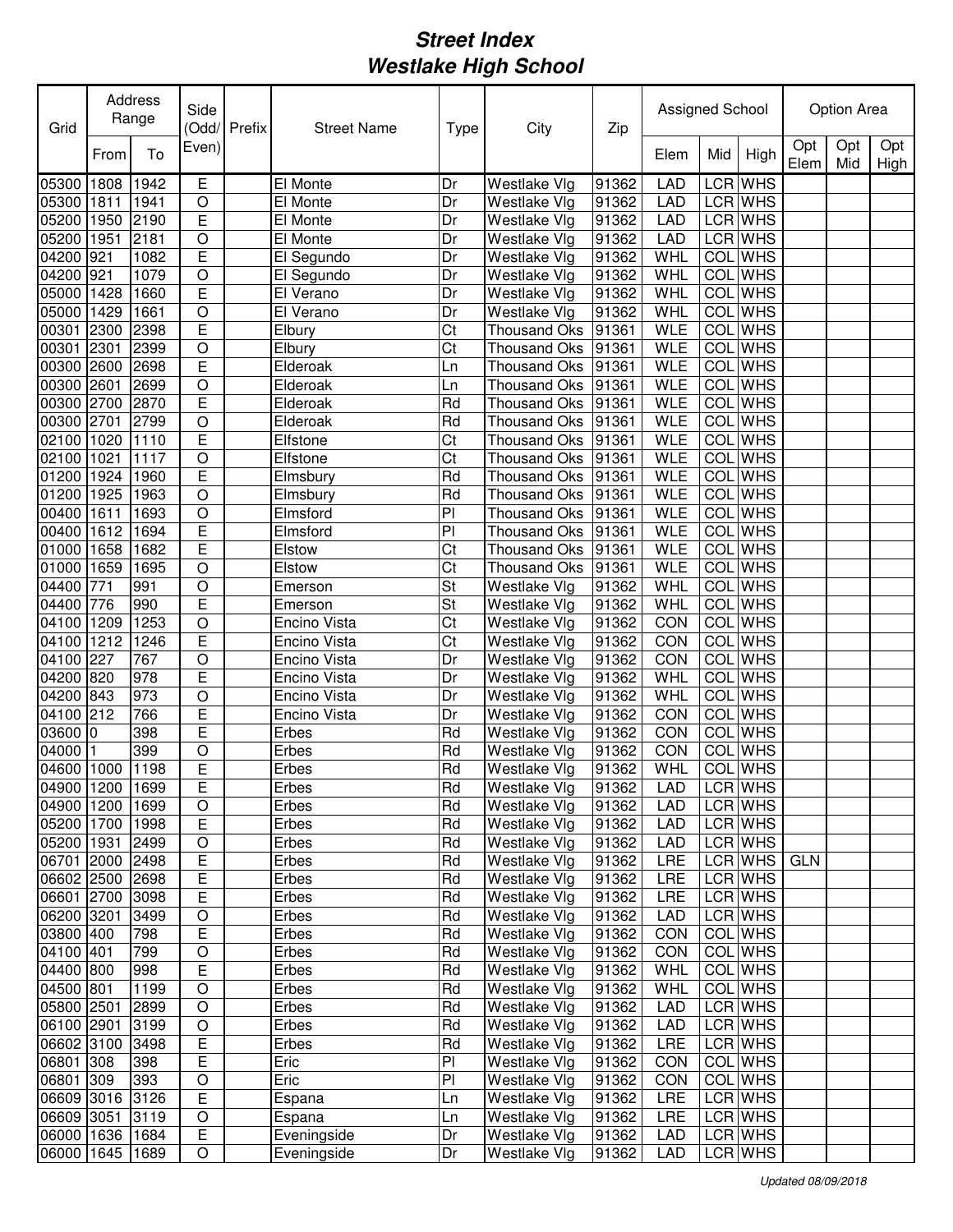| Grid            |      | Address<br>Range | Side           | Odd/Prefix | <b>Street Name</b> | Type | City                | Zip   | Assigned School |            |                |             | Option Area |             |
|-----------------|------|------------------|----------------|------------|--------------------|------|---------------------|-------|-----------------|------------|----------------|-------------|-------------|-------------|
|                 | From | To               | Even)          |            |                    |      |                     |       | Elem            | Mid        | High           | Opt<br>Elem | Opt<br>Mid  | Opt<br>High |
| 05300           | 1808 | 1942             | E              |            | El Monte           | Dr   | Westlake Vlg        | 91362 | <b>LAD</b>      |            | LCR WHS        |             |             |             |
| 05300           | 1811 | 1941             | O              |            | El Monte           | Dr   | Westlake Vlg        | 91362 | LAD             |            | LCR WHS        |             |             |             |
| 05200           | 1950 | 2190             | E              |            | El Monte           | Dr   | Westlake Vlg        | 91362 | <b>LAD</b>      |            | LCR WHS        |             |             |             |
| 05200           | 1951 | 2181             | $\circ$        |            | El Monte           | Dr   | Westlake Vlg        | 91362 | LAD             |            | LCR WHS        |             |             |             |
| 04200           | 921  | 1082             | E              |            | El Segundo         | Dr   | Westlake Vlg        | 91362 | WHL             |            | <b>COL</b> WHS |             |             |             |
| 04200           | 921  | 1079             | $\circ$        |            | El Segundo         | Dr   | Westlake Vlg        | 91362 | WHL             |            | <b>COL</b> WHS |             |             |             |
| 05000           | 1428 | 1660             | E              |            | El Verano          | Dr   | Westlake Vlg        | 91362 | WHL             | COL        | <b>WHS</b>     |             |             |             |
| 05000           | 1429 | 1661             | $\overline{O}$ |            | El Verano          | Dr   | Westlake Vlg        | 91362 | WHL             | <b>COL</b> | <b>WHS</b>     |             |             |             |
| 00301           | 2300 | 2398             | Ē              |            | Elbury             | Ct   | Thousand Oks        | 91361 | <b>WLE</b>      | <b>COL</b> | <b>WHS</b>     |             |             |             |
| 00301           | 2301 | 2399             | $\circ$        |            | Elbury             | Ct   | <b>Thousand Oks</b> | 91361 | <b>WLE</b>      | COL        | <b>WHS</b>     |             |             |             |
| 00300           | 2600 | 2698             | Ē              |            | Elderoak           | Ln   | Thousand Oks        | 91361 | <b>WLE</b>      | COL        | <b>WHS</b>     |             |             |             |
| 00300           | 2601 | 2699             | $\bigcirc$     |            | Elderoak           | Ln   | <b>Thousand Oks</b> | 91361 | <b>WLE</b>      | COL        | <b>WHS</b>     |             |             |             |
| 00300 2700      |      | 2870             | Ē              |            | Elderoak           | Rd   | Thousand Oks        | 91361 | <b>WLE</b>      | COL        | <b>WHS</b>     |             |             |             |
| 00300 2701      |      | 2799             | $\overline{O}$ |            | Elderoak           | Rd   | <b>Thousand Oks</b> | 91361 | <b>WLE</b>      | COL        | <b>WHS</b>     |             |             |             |
| 02100           | 1020 | 1110             | E              |            | Elfstone           | Ct   | <b>Thousand Oks</b> | 91361 | <b>WLE</b>      | <b>COL</b> | <b>WHS</b>     |             |             |             |
| 02100           | 1021 | 1117             | $\circ$        |            | Elfstone           | Ct   | Thousand Oks        | 91361 | <b>WLE</b>      | <b>COL</b> | <b>WHS</b>     |             |             |             |
| 01200           | 1924 | 1960             | E              |            | Elmsbury           | Rd   | <b>Thousand Oks</b> | 91361 | <b>WLE</b>      | <b>COL</b> | <b>WHS</b>     |             |             |             |
| 01200           | 1925 | 1963             | $\circ$        |            | Elmsbury           | Rd   | <b>Thousand Oks</b> | 91361 | <b>WLE</b>      | COL        | <b>WHS</b>     |             |             |             |
| 00400           | 1611 | 1693             | $\circ$        |            | Elmsford           | PI   | <b>Thousand Oks</b> | 91361 | <b>WLE</b>      | COL        | <b>WHS</b>     |             |             |             |
| 00400           | 1612 | 1694             | E              |            | Elmsford           | P    | <b>Thousand Oks</b> | 91361 | <b>WLE</b>      | COL        | <b>WHS</b>     |             |             |             |
| 01000           | 1658 | 1682             | E              |            | Elstow             | Ct   | <b>Thousand Oks</b> | 91361 | <b>WLE</b>      | COL        | <b>WHS</b>     |             |             |             |
| 01000           | 1659 | 1695             | $\circ$        |            | Elstow             | Ct   | Thousand Oks        | 91361 | <b>WLE</b>      | COL        | <b>WHS</b>     |             |             |             |
| 04400           | 771  | 991              | $\circ$        |            | Emerson            | St   | Westlake Vlg        | 91362 | <b>WHL</b>      | COL        | <b>WHS</b>     |             |             |             |
| 04400           | 776  | 990              | E              |            | Emerson            | St   | Westlake Vlg        | 91362 | WHL             | COL        | <b>WHS</b>     |             |             |             |
| 04100           | 1209 | 1253             | $\circ$        |            | Encino Vista       | Ct   | Westlake Vlg        | 91362 | CON             | COL        | <b>WHS</b>     |             |             |             |
| 04100           | 1212 | 1246             | E              |            | Encino Vista       | Ct   | Westlake Vlg        | 91362 | CON             | COL        | <b>WHS</b>     |             |             |             |
| 04100           | 227  | 767              | O              |            | Encino Vista       | Dr   | Westlake Vlg        | 91362 | CON             | COL        | <b>WHS</b>     |             |             |             |
| 04200 820       |      | 978              | E              |            | Encino Vista       | Dr   | Westlake Vlg        | 91362 | WHL             |            | <b>COL</b> WHS |             |             |             |
| 04200           | 843  | 973              | O              |            | Encino Vista       | Dr   | Westlake Vlg        | 91362 | WHL             |            | <b>COL</b> WHS |             |             |             |
| 04100           | 212  | 766              | E              |            | Encino Vista       | Dr   | Westlake Vlg        | 91362 | CON             |            | COL WHS        |             |             |             |
| 03600           | 0    | 398              | E              |            | Erbes              | Rd   | Westlake Vlg        | 91362 | CON             |            | <b>COL</b> WHS |             |             |             |
| 04000           |      | 399              | $\circ$        |            | Erbes              | Rd   | Westlake Vlg        | 91362 | CON             | COL        | <b>WHS</b>     |             |             |             |
| 04600           | 1000 | 1198             | E              |            | Erbes              | Rd   | Westlake Vlg        | 91362 | WHL             |            | <b>COL</b> WHS |             |             |             |
| 04900 1200 1699 |      |                  | E              |            | Erbes              | Rd   | Westlake Vlg        | 91362 | <b>LAD</b>      |            | LCR WHS        |             |             |             |
| 04900 1200      |      | 1699             | $\bigcirc$     |            | Erbes              | Rd   | Westlake Vlg        | 91362 | <b>LAD</b>      |            | LCR WHS        |             |             |             |
| 05200 1700      |      | 1998             | E              |            | Erbes              | Rd   | Westlake Vlg        | 91362 | <b>LAD</b>      |            | LCR WHS        |             |             |             |
| 05200 1931      |      | 2499             | $\mathsf O$    |            | Erbes              | Rd   | Westlake Vlg        | 91362 | LAD             |            | LCR WHS        |             |             |             |
| 06701 2000 2498 |      |                  | E              |            | Erbes              | Rd   | Westlake Vlg        | 91362 | LRE             |            | LCR WHS        | <b>GLN</b>  |             |             |
| 06602 2500 2698 |      |                  | E              |            | Erbes              | Rd   | Westlake Vlg        | 91362 | <b>LRE</b>      |            | LCR WHS        |             |             |             |
| 06601 2700 3098 |      |                  | E              |            | Erbes              | Rd   | Westlake Vlg        | 91362 | <b>LRE</b>      |            | LCR WHS        |             |             |             |
| 06200 3201      |      | 3499             | $\hbox{O}$     |            | Erbes              | Rd   | Westlake Vlg        | 91362 | <b>LAD</b>      |            | LCR WHS        |             |             |             |
| 03800 400       |      | 798              | E              |            | Erbes              | Rd   | Westlake Vlg        | 91362 | CON             |            | COL WHS        |             |             |             |
| 04100 401       |      | 799              | $\bigcirc$     |            | Erbes              | Rd   | Westlake Vlg        | 91362 | CON             |            | COL WHS        |             |             |             |
| 04400 800       |      | 998              | E              |            | Erbes              | Rd   | Westlake Vlg        | 91362 | WHL             |            | COL WHS        |             |             |             |
| 04500 801       |      | 1199             | $\circ$        |            | Erbes              | Rd   | Westlake Vlg        | 91362 | WHL             |            | COL WHS        |             |             |             |
| 05800 2501      |      | 2899             | $\circ$        |            | Erbes              | Rd   | Westlake Vlg        | 91362 | <b>LAD</b>      |            | LCR WHS        |             |             |             |
| 06100 2901      |      | 3199             | $\circ$        |            | Erbes              | Rd   | Westlake Vlg        | 91362 | <b>LAD</b>      |            | LCR WHS        |             |             |             |
| 06602 3100      |      | 3498             | Ε              |            | Erbes              | Rd   | Westlake Vlg        | 91362 | LRE             |            | LCR WHS        |             |             |             |
| 06801 308       |      | 398              | Е              |            | Eric               | PI   | Westlake Vlg        | 91362 | CON             |            | COL WHS        |             |             |             |
| 06801 309       |      | 393              | $\hbox{O}$     |            | Eric               | PI   | Westlake Vlg        | 91362 | CON             |            | COL WHS        |             |             |             |
| 06609 3016 3126 |      |                  | $\overline{E}$ |            | Espana             | Ln   | Westlake Vlg        | 91362 | LRE             |            | LCR WHS        |             |             |             |
| 06609 3051      |      | 3119             | O              |            | Espana             | Ln   | Westlake Vlg        | 91362 | LRE             |            | LCR WHS        |             |             |             |
| 06000 1636 1684 |      |                  | Ε              |            | Eveningside        | Dr   | Westlake Vlg        | 91362 | <b>LAD</b>      |            | LCR WHS        |             |             |             |
| 06000 1645 1689 |      |                  | O              |            | Eveningside        | Dr   | Westlake Vlg        | 91362 | <b>LAD</b>      |            | LCR WHS        |             |             |             |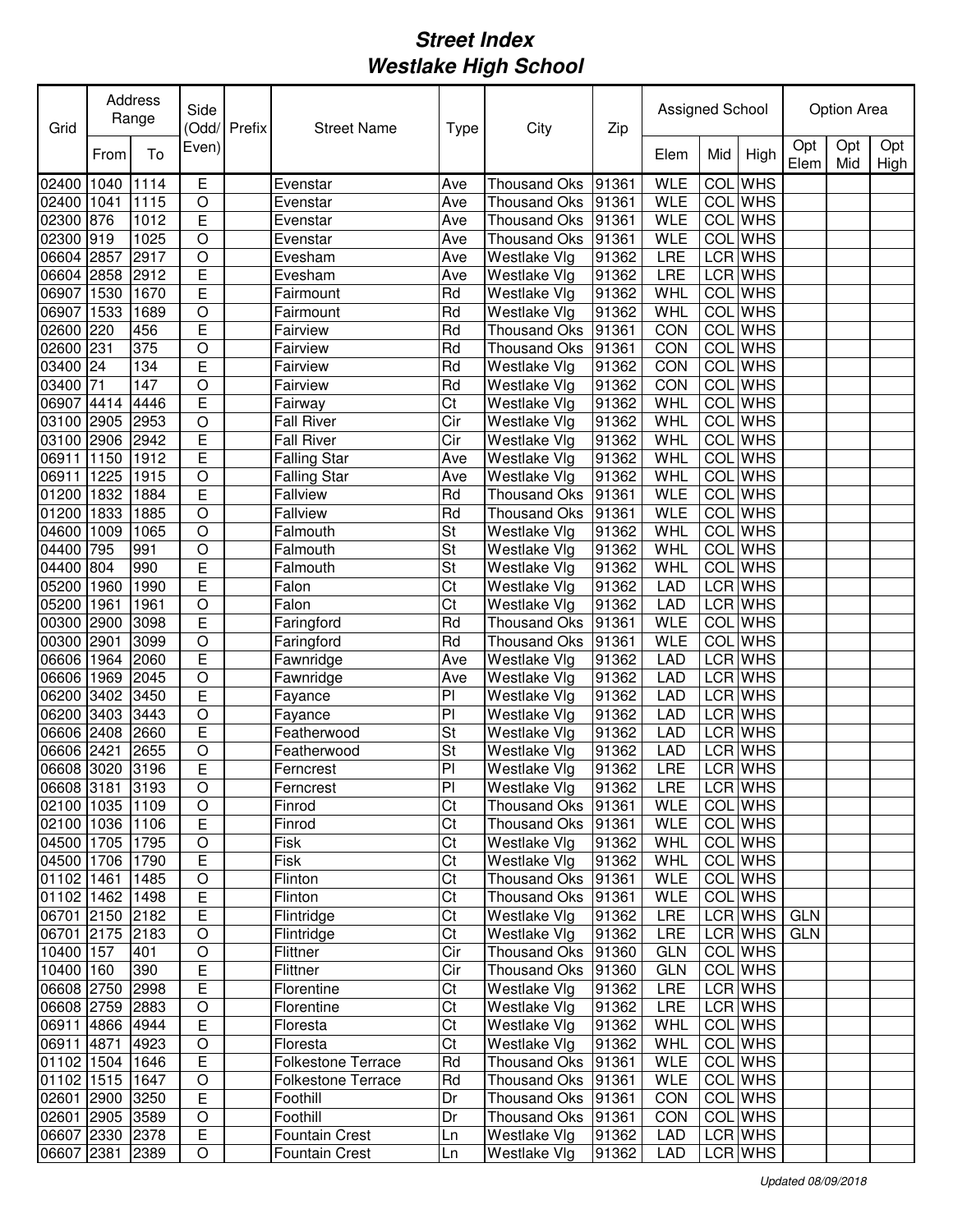| Grid                          |      | Address<br>Range | Side                | (Odd/ Prefix | <b>Street Name</b>        | <b>Type</b>             | City                               | Zip            | Assigned School |            |                    |             | Option Area |             |
|-------------------------------|------|------------------|---------------------|--------------|---------------------------|-------------------------|------------------------------------|----------------|-----------------|------------|--------------------|-------------|-------------|-------------|
|                               | From | To               | Even)               |              |                           |                         |                                    |                | Elem            | Mid        | High               | Opt<br>Elem | Opt<br>Mid  | Opt<br>High |
| 02400                         | 1040 | 1114             | E                   |              | Evenstar                  | Ave                     | <b>Thousand Oks</b>                | 91361          | <b>WLE</b>      | COL        | <b>WHS</b>         |             |             |             |
| 02400                         | 1041 | 1115             | O                   |              | Evenstar                  | Ave                     | <b>Thousand Oks</b>                | 91361          | <b>WLE</b>      | COL        | <b>WHS</b>         |             |             |             |
| 02300 876                     |      | 1012             | E                   |              | Evenstar                  | Ave                     | <b>Thousand Oks</b>                | 91361          | <b>WLE</b>      |            | <b>COL</b> WHS     |             |             |             |
| 02300                         | 919  | 1025             | O                   |              | Evenstar                  | Ave                     | <b>Thousand Oks</b>                | 91361          | <b>WLE</b>      |            | <b>COL</b> WHS     |             |             |             |
| 06604 2857                    |      | 2917             | $\circ$             |              | Evesham                   | Ave                     | Westlake Vlg                       | 91362          | LRE             |            | LCR WHS            |             |             |             |
| 06604 2858                    |      | 2912             | E                   |              | Evesham                   | Ave                     | Westlake Vlg                       | 91362          | LRE             |            | LCR WHS            |             |             |             |
| 06907                         | 1530 | 1670             | E                   |              | Fairmount                 | Rd                      | Westlake Vlg                       | 91362          | <b>WHL</b>      | <b>COL</b> | <b>WHS</b>         |             |             |             |
| 06907                         | 1533 | 1689             | $\overline{O}$      |              | Fairmount                 | Rd                      | Westlake Vlg                       | 91362          | <b>WHL</b>      | <b>COL</b> | <b>WHS</b>         |             |             |             |
| 02600                         | 220  | 456              | E                   |              | Fairview                  | Rd                      | <b>Thousand Oks</b>                | 91361          | CON             | COL        | <b>WHS</b>         |             |             |             |
| 02600                         | 231  | 375              | $\circ$             |              | Fairview                  | Rd                      | <b>Thousand Oks</b>                | 91361          | CON             | COL        | <b>WHS</b>         |             |             |             |
| 03400                         | 24   | 134              | E                   |              | Fairview                  | Rd                      | Westlake Vlg                       | 91362          | CON             | <b>COL</b> | <b>WHS</b>         |             |             |             |
| 03400                         | 71   | 147              | $\bigcirc$          |              | Fairview                  | Rd                      | Westlake Vlg                       | 91362          | CON             | COL        | <b>WHS</b>         |             |             |             |
| 06907                         | 4414 | 4446             | Ē                   |              | Fairway                   | $\overline{\text{Ct}}$  | Westlake Vlg                       | 91362          | WHL             | COL        | <b>WHS</b>         |             |             |             |
| 03100 2905                    |      | 2953             | $\overline{O}$      |              | <b>Fall River</b>         | $\overline{\text{Cir}}$ | Westlake Vlg                       | 91362          | <b>WHL</b>      | COL        | <b>WHS</b>         |             |             |             |
| 03100 2906                    |      | 2942             | E                   |              | Fall River                | Cir                     | Westlake Vlg                       | 91362          | WHL             | COL        | <b>WHS</b>         |             |             |             |
| 06911                         | 1150 | 1912             | Ē                   |              | <b>Falling Star</b>       | Ave                     | Westlake Vlg                       | 91362          | WHL             | COL        | <b>WHS</b>         |             |             |             |
| 06911                         | 1225 | 1915             | $\circ$             |              | <b>Falling Star</b>       | Ave                     | Westlake Vlg                       | 91362          | WHL             | <b>COL</b> | <b>WHS</b>         |             |             |             |
| 01200                         | 1832 | 1884             | E                   |              | <b>Fallview</b>           | Rd                      | <b>Thousand Oks</b>                | 91361          | <b>WLE</b>      | COL        | <b>WHS</b>         |             |             |             |
| 01200                         | 1833 | 1885             | $\circ$             |              | <b>Fallview</b>           | Rd                      | Thousand Oks                       | 91361          | <b>WLE</b>      | COL        | <b>WHS</b>         |             |             |             |
| 04600                         | 1009 | 1065             | $\circ$             |              | Falmouth                  | St                      | <b>Westlake Vlg</b>                | 91362          | <b>WHL</b>      | <b>COL</b> | <b>WHS</b>         |             |             |             |
| 04400                         | 795  | 991              | $\circ$             |              | Falmouth                  | St                      | Westlake Vlg                       | 91362          | WHL             | COL        | <b>WHS</b>         |             |             |             |
| 04400                         | 804  | 990              | E                   |              | Falmouth                  | St                      | Westlake Vlg                       | 91362          | <b>WHL</b>      | <b>COL</b> | <b>WHS</b>         |             |             |             |
| 05200                         | 1960 | 1990             | E                   |              | Falon                     | Ct                      | Westlake Vlg                       | 91362          | <b>LAD</b>      | <b>LCR</b> | <b>WHS</b>         |             |             |             |
| 05200                         | 1961 | 1961             | $\bigcirc$          |              | Falon                     | Ct                      | Westlake Vlg                       | 91362          | <b>LAD</b>      |            | LCR WHS            |             |             |             |
| 00300                         | 2900 | 3098             | E                   |              | Faringford                | Rd                      | <b>Thousand Oks</b>                | 91361          | <b>WLE</b>      | <b>COL</b> | <b>WHS</b>         |             |             |             |
| 00300 2901                    |      | 3099             | $\bigcirc$          |              | Faringford                | Rd                      | <b>Thousand Oks</b>                | 91361          | WLE             |            | <b>COL</b> WHS     |             |             |             |
| 06606                         | 1964 | 2060             | $\overline{E}$      |              | Fawnridge                 | Ave                     | Westlake Vlg                       | 91362          | <b>LAD</b>      |            | LCR WHS            |             |             |             |
| 06606                         | 1969 | 2045             | $\bigcirc$          |              | Fawnridge                 | Ave                     | Westlake Vlg                       | 91362          | LAD             |            | LCR WHS            |             |             |             |
| 06200                         | 3402 | 3450             | E                   |              | Fayance                   | PI                      | Westlake Vlg                       | 91362          | LAD             |            | LCR WHS            |             |             |             |
| 06200                         | 3403 | 3443             | $\circ$             |              | Fayance                   | PI                      | Westlake Vlg                       | 91362          | LAD             |            | LCR WHS            |             |             |             |
| 06606 2408                    |      | 2660             | E                   |              | Featherwood               | St                      | Westlake Vlg                       | 91362          | LAD             |            | LCR WHS            |             |             |             |
| 06606 2421                    |      | 2655             | O                   |              | Featherwood               | St                      | Westlake Vlg                       | 91362          | LAD             |            | LCR WHS            |             |             |             |
| 06608 3020                    |      | 3196             | E                   |              | Ferncrest                 | PI                      | Westlake Vlg                       | 91362          | LRE             |            | <b>LCR</b> WHS     |             |             |             |
| 06608 3181 3193               |      |                  | $\overline{O}$      |              | Ferncrest                 | PI                      | Westlake Vlg                       | 91362          | <b>LRE</b>      |            | LCR WHS            |             |             |             |
| 02100 1035 1109               |      |                  | $\mathsf O$         |              | Finrod                    | Ct                      | Thousand Oks                       | 91361          | <b>WLE</b>      |            | COL WHS            |             |             |             |
| 02100 1036 1106               |      |                  | E                   |              | Finrod                    | Ct                      | Thousand Oks                       | 91361          | <b>WLE</b>      |            | COL WHS            |             |             |             |
| 04500 1705 1795               |      |                  | $\mathsf O$         |              | Fisk                      | Ct                      | Westlake Vlg                       | 91362          | WHL             |            | COL WHS            |             |             |             |
| 04500 1706 1790               |      |                  | E                   |              | Fisk                      | Ct                      | Westlake Vlg                       | 91362          | <b>WHL</b>      |            | COL WHS            |             |             |             |
| 01102 1461                    |      | 1485             | $\mathsf O$         |              | Flinton                   | Ct                      | Thousand Oks 91361                 |                | <b>WLE</b>      |            | COL WHS            |             |             |             |
| 01102 1462 1498               |      |                  | E                   |              | Flinton                   | Ct                      | Thousand Oks 91361                 |                | <b>WLE</b>      |            | COL WHS            |             |             |             |
| 06701 2150 2182               |      |                  | $\overline{E}$      |              | Flintridge                | $\overline{\text{C}t}$  | Westlake Vlg                       | 91362          | LRE             |            | LCR WHS            | <b>GLN</b>  |             |             |
| 06701 2175 2183               |      |                  | $\mathsf O$         |              | Flintridge                | Ct                      | Westlake Vlg                       | 91362          | LRE             |            | LCR WHS            | <b>GLN</b>  |             |             |
| 10400 157                     |      | 401              | $\bigcirc$          |              | Flittner                  | Cir                     | Thousand Oks 91360                 |                | <b>GLN</b>      |            | COL WHS            |             |             |             |
| 10400 160                     |      | 390              | E                   |              | Flittner                  | Cir                     | Thousand Oks                       | 91360          | <b>GLN</b>      |            | COL WHS            |             |             |             |
| 06608 2750 2998               |      |                  | Ε                   |              | Florentine                | Ct                      | Westlake Vlg                       | 91362          | LRE             |            | LCR WHS            |             |             |             |
| 06608 2759                    |      | 2883             | $\bigcirc$<br>Ε     |              | Florentine                | Ct                      | Westlake Vlg                       | 91362          | LRE             |            | LCR WHS<br>COL WHS |             |             |             |
| 06911 4866 4944<br>06911 4871 |      | 4923             | $\bigcirc$          |              | Floresta<br>Floresta      | Ct<br>Ct                | Westlake Vlg<br>Westlake Vlg       | 91362<br>91362 | WHL<br>WHL      |            | COL WHS            |             |             |             |
| 01102 1504 1646               |      |                  | Ε                   |              | <b>Folkestone Terrace</b> | Rd                      | Thousand Oks 91361                 |                | WLE             |            | COL WHS            |             |             |             |
| 01102 1515 1647               |      |                  |                     |              | <b>Folkestone Terrace</b> | Rd                      |                                    | 91361          | <b>WLE</b>      |            | COL WHS            |             |             |             |
| 02601 2900 3250               |      |                  | O<br>$\overline{E}$ |              | Foothill                  | Dr                      | Thousand Oks<br>Thousand Oks 91361 |                | <b>CON</b>      |            | COL WHS            |             |             |             |
| 02601 2905 3589               |      |                  | O                   |              | Foothill                  | Dr                      | Thousand Oks 91361                 |                | CON             |            | COL WHS            |             |             |             |
| 06607 2330 2378               |      |                  | $\overline{E}$      |              | <b>Fountain Crest</b>     |                         | Westlake Vlg                       | 91362          | LAD             |            | LCR WHS            |             |             |             |
| 06607 2381 2389               |      |                  | O                   |              | Fountain Crest            | Ln<br>Ln                | Westlake Vlg                       | 91362          | LAD             |            | LCR WHS            |             |             |             |
|                               |      |                  |                     |              |                           |                         |                                    |                |                 |            |                    |             |             |             |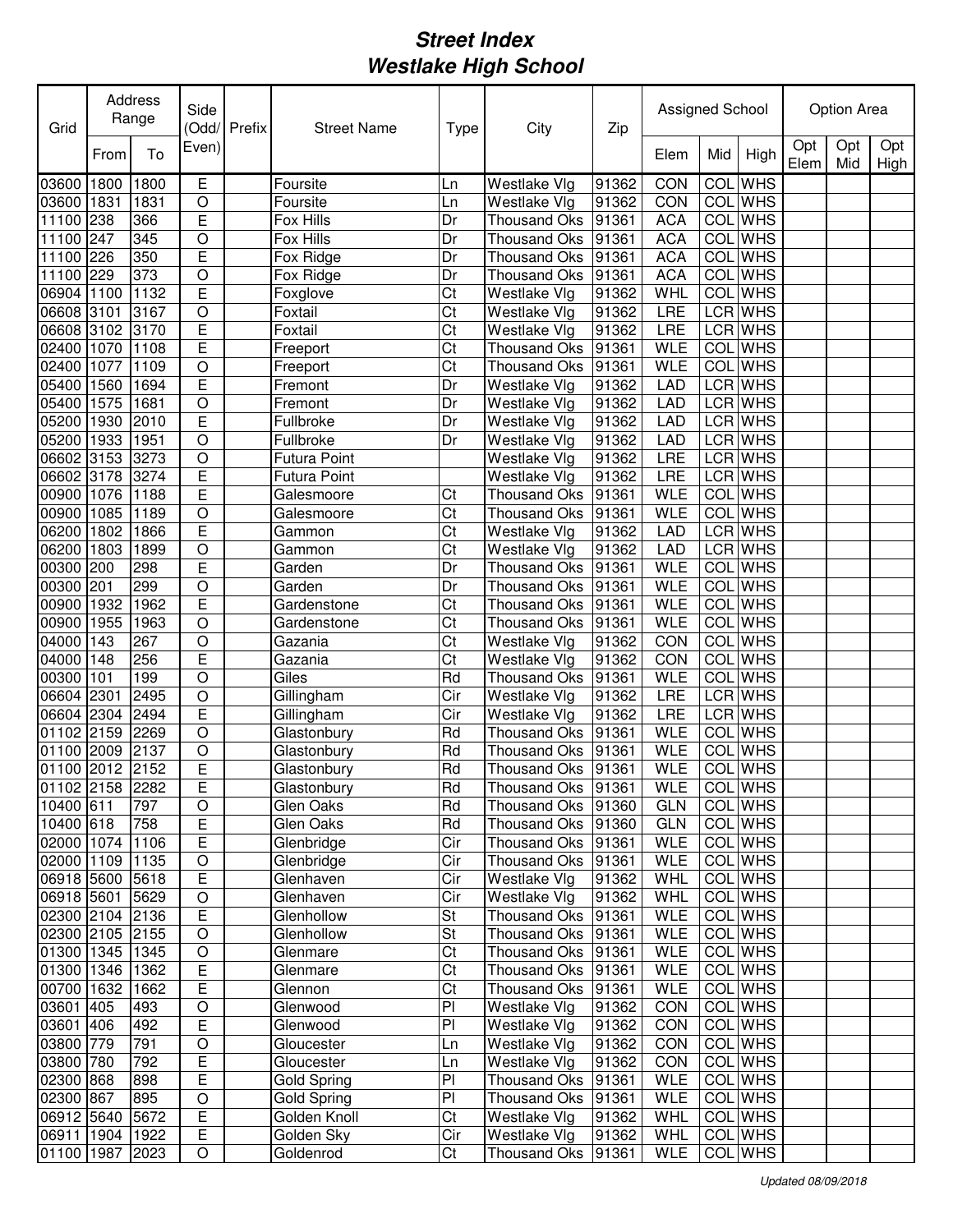| Grid              |      | Address<br>Range | Side           | Odd/Prefix | <b>Street Name</b>  | <b>Type</b> | City                | Zip   | Assigned School |            |                |             | Option Area |             |
|-------------------|------|------------------|----------------|------------|---------------------|-------------|---------------------|-------|-----------------|------------|----------------|-------------|-------------|-------------|
|                   | From | To               | Even)          |            |                     |             |                     |       | Elem            | Mid        | High           | Opt<br>Elem | Opt<br>Mid  | Opt<br>High |
| 03600             | 1800 | 1800             | Е              |            | Foursite            | Ln          | Westlake Vlg        | 91362 | CON             | COL        | <b>WHS</b>     |             |             |             |
| 03600             | 1831 | 1831             | $\circ$        |            | Foursite            | Ln          | <b>Westlake Vlg</b> | 91362 | CON             | COL        | <b>WHS</b>     |             |             |             |
| 11100             | 238  | 366              | E              |            | Fox Hills           | Dr          | Thousand Oks        | 91361 | <b>ACA</b>      | COL        | <b>WHS</b>     |             |             |             |
| 11100             | 247  | 345              | O              |            | Fox Hills           | Dr          | <b>Thousand Oks</b> | 91361 | <b>ACA</b>      | COL        | <b>WHS</b>     |             |             |             |
| 11100             | 226  | 350              | E              |            | Fox Ridge           | Dr          | <b>Thousand Oks</b> | 91361 | <b>ACA</b>      | COL        | <b>WHS</b>     |             |             |             |
| 11100             | 229  | 373              | $\circ$        |            | Fox Ridge           | Dr          | <b>Thousand Oks</b> | 91361 | <b>ACA</b>      |            | <b>COL</b> WHS |             |             |             |
| 06904             | 1100 | 1132             | E              |            | Foxglove            | Ct          | Westlake Vlg        | 91362 | WHL             |            | <b>COL</b> WHS |             |             |             |
| 06608 3101        |      | 3167             | $\circ$        |            | Foxtail             | Ct          | Westlake Vlg        | 91362 | LRE             |            | <b>LCR</b> WHS |             |             |             |
| 06608 3102        |      | 3170             | Ē              |            | Foxtail             | Ct          | Westlake Vlg        | 91362 | LRE             |            | LCR WHS        |             |             |             |
| 02400             | 1070 | 1108             | Ē              |            | Freeport            | Ct          | <b>Thousand Oks</b> | 91361 | <b>WLE</b>      |            | COL WHS        |             |             |             |
| 02400             | 1077 | 1109             | $\overline{O}$ |            | Freeport            | Ct          | <b>Thousand Oks</b> | 91361 | <b>WLE</b>      | COL        | <b>WHS</b>     |             |             |             |
| 05400             | 1560 | 1694             | Ē              |            | Fremont             | Dr          | Westlake Vlg        | 91362 | <b>LAD</b>      |            | LCR WHS        |             |             |             |
| 05400             | 1575 | 1681             | $\overline{O}$ |            | Fremont             | Dr          | Westlake Vlg        | 91362 | LAD             |            | <b>LCR</b> WHS |             |             |             |
| 05200             | 1930 | 2010             | Ē              |            | Fullbroke           | Dr          | Westlake Vlg        | 91362 | <b>LAD</b>      |            | LCR WHS        |             |             |             |
| 05200             | 1933 | 1951             | $\circ$        |            | Fullbroke           | Dr          | Westlake Vlg        | 91362 | <b>LAD</b>      |            | <b>LCR</b> WHS |             |             |             |
| 06602             | 3153 | 3273             | $\overline{O}$ |            | <b>Futura Point</b> |             | Westlake Vlg        | 91362 | <b>LRE</b>      |            | <b>LCR</b> WHS |             |             |             |
| 06602 3178        |      | 3274             | E              |            | <b>Futura Point</b> |             | Westlake Vlg        | 91362 | LRE             |            | <b>LCR</b> WHS |             |             |             |
| 00900             | 1076 | 1188             | E              |            | Galesmoore          | Ct          | <b>Thousand Oks</b> | 91361 | <b>WLE</b>      |            | COL WHS        |             |             |             |
| 00900             | 1085 | 1189             | $\circ$        |            | Galesmoore          | Ct          | <b>Thousand Oks</b> | 91361 | <b>WLE</b>      | <b>COL</b> | <b>WHS</b>     |             |             |             |
| 06200             | 1802 | 1866             | E              |            | Gammon              | Ct          | Westlake Vlg        | 91362 | <b>LAD</b>      |            | <b>LCR</b> WHS |             |             |             |
| 06200             | 1803 | 1899             | $\circ$        |            | Gammon              | Ct          | Westlake Vlg        | 91362 | <b>LAD</b>      |            | <b>LCR</b> WHS |             |             |             |
| 00300             | 200  | 298              | E              |            | Garden              | Dr          | Thousand Oks        | 91361 | <b>WLE</b>      | COL        | <b>WHS</b>     |             |             |             |
| 00300             | 201  | 299              | $\circ$        |            | Garden              | Dr          | <b>Thousand Oks</b> | 91361 | <b>WLE</b>      | COL        | <b>WHS</b>     |             |             |             |
| 00900             | 1932 | 1962             | E              |            | Gardenstone         | Ct          | <b>Thousand Oks</b> | 91361 | <b>WLE</b>      | COL        | <b>WHS</b>     |             |             |             |
| 00900             | 1955 | 1963             | $\circ$        |            | Gardenstone         | Ct          | <b>Thousand Oks</b> | 91361 | <b>WLE</b>      | COL        | <b>WHS</b>     |             |             |             |
| 04000             | 143  | 267              | $\circ$        |            | Gazania             | Ct          | Westlake Vlg        | 91362 | CON             | COL        | <b>WHS</b>     |             |             |             |
| 04000             | 148  | 256              | E              |            | Gazania             | Ct          | Westlake Vlg        | 91362 | CON             | COL        | <b>WHS</b>     |             |             |             |
| 00300             | 101  | 199              | O              |            | Giles               | Rd          | Thousand Oks        | 91361 | <b>WLE</b>      | COL        | <b>WHS</b>     |             |             |             |
| 06604             | 2301 | 2495             | $\circ$        |            | Gillingham          | Cir         | Westlake Vlg        | 91362 | LRE             |            | LCR WHS        |             |             |             |
| 06604             | 2304 | 2494             | E              |            | Gillingham          | Cir         | Westlake Vlg        | 91362 | LRE             |            | LCR WHS        |             |             |             |
| 01102             | 2159 | 2269             | O              |            | Glastonbury         | Rd          | <b>Thousand Oks</b> | 91361 | <b>WLE</b>      |            | COL WHS        |             |             |             |
| 01100             | 2009 | 2137             | O              |            | Glastonbury         | Rd          | <b>Thousand Oks</b> | 91361 | <b>WLE</b>      | COL        | <b>WHS</b>     |             |             |             |
| 01100 2012 2152   |      |                  | E              |            | Glastonbury         | Rd          | Thousand Oks        | 91361 | <b>WLE</b>      |            | COL WHS        |             |             |             |
| 01102  2158  2282 |      |                  | E              |            | Glastonbury         | Rd          | Thousand Oks  91361 |       | <b>WLE</b>      |            | COL WHS        |             |             |             |
| 10400 611         |      | 797              | O              |            | Glen Oaks           | Rd          | Thousand Oks 91360  |       | <b>GLN</b>      |            | COL WHS        |             |             |             |
| 10400 618         |      | 758              | E              |            | Glen Oaks           | Rd          | Thousand Oks 91360  |       | <b>GLN</b>      |            | COL WHS        |             |             |             |
| 02000 1074 1106   |      |                  | E              |            | Glenbridge          | Cir         | Thousand Oks 91361  |       | <b>WLE</b>      |            | COL WHS        |             |             |             |
| 02000 1109 1135   |      |                  | $\bigcirc$     |            | Glenbridge          | Cir         | Thousand Oks 91361  |       | <b>WLE</b>      |            | <b>COL</b> WHS |             |             |             |
| 06918 5600 5618   |      |                  | E              |            | Glenhaven           | Cir         | Westlake Vlg        | 91362 | WHL             |            | COL WHS        |             |             |             |
| 06918 5601        |      | 5629             | $\hbox{O}$     |            | Glenhaven           | Cir         | Westlake Vlg        | 91362 | <b>WHL</b>      |            | COL WHS        |             |             |             |
| 02300 2104 2136   |      |                  | E              |            | Glenhollow          | St          | Thousand Oks 91361  |       | <b>WLE</b>      |            | COL WHS        |             |             |             |
| 02300 2105 2155   |      |                  | $\mathsf O$    |            | Glenhollow          | St          | Thousand Oks 91361  |       | <b>WLE</b>      |            | COL WHS        |             |             |             |
| 01300 1345 1345   |      |                  | $\mathsf O$    |            | Glenmare            | Ct          | Thousand Oks 91361  |       | <b>WLE</b>      |            | COL WHS        |             |             |             |
| 01300 1346        |      | 1362             | E              |            | Glenmare            | Ct          | Thousand Oks 91361  |       | <b>WLE</b>      |            | COL WHS        |             |             |             |
| 00700 1632 1662   |      |                  | E              |            | Glennon             | Ct          | Thousand Oks 91361  |       | <b>WLE</b>      |            | COL WHS        |             |             |             |
| 03601 405         |      | 493              | O              |            | Glenwood            | PI          | Westlake Vlg        | 91362 | CON             |            | COL WHS        |             |             |             |
| 03601 406         |      | 492              | Е              |            | Glenwood            | PI          | Westlake Vlg        | 91362 | CON             |            | COL WHS        |             |             |             |
| 03800 779         |      | 791              | $\bigcirc$     |            | Gloucester          | Ln          | Westlake Vlg        | 91362 | CON             |            | COL WHS        |             |             |             |
| 03800 780         |      | 792              | E              |            | Gloucester          | Ln          | Westlake Vlg        | 91362 | CON             |            | COL WHS        |             |             |             |
| 02300 868         |      | 898              | Е              |            | Gold Spring         | PI          | Thousand Oks        | 91361 | <b>WLE</b>      |            | COL WHS        |             |             |             |
| 02300 867         |      | 895              | $\mathsf O$    |            | Gold Spring         | PI          | Thousand Oks        | 91361 | <b>WLE</b>      |            | COL WHS        |             |             |             |
| 06912 5640        |      | 5672             | Е              |            | Golden Knoll        | Ct          | Westlake Vlg        | 91362 | WHL             |            | COL WHS        |             |             |             |
| 06911 1904 1922   |      |                  | Ε              |            | Golden Sky          | Cir         | Westlake Vlg        | 91362 | WHL             |            | COL WHS        |             |             |             |
| 01100 1987 2023   |      |                  | O              |            | Goldenrod           | Ct          | Thousand Oks 91361  |       | WLE             |            | COL WHS        |             |             |             |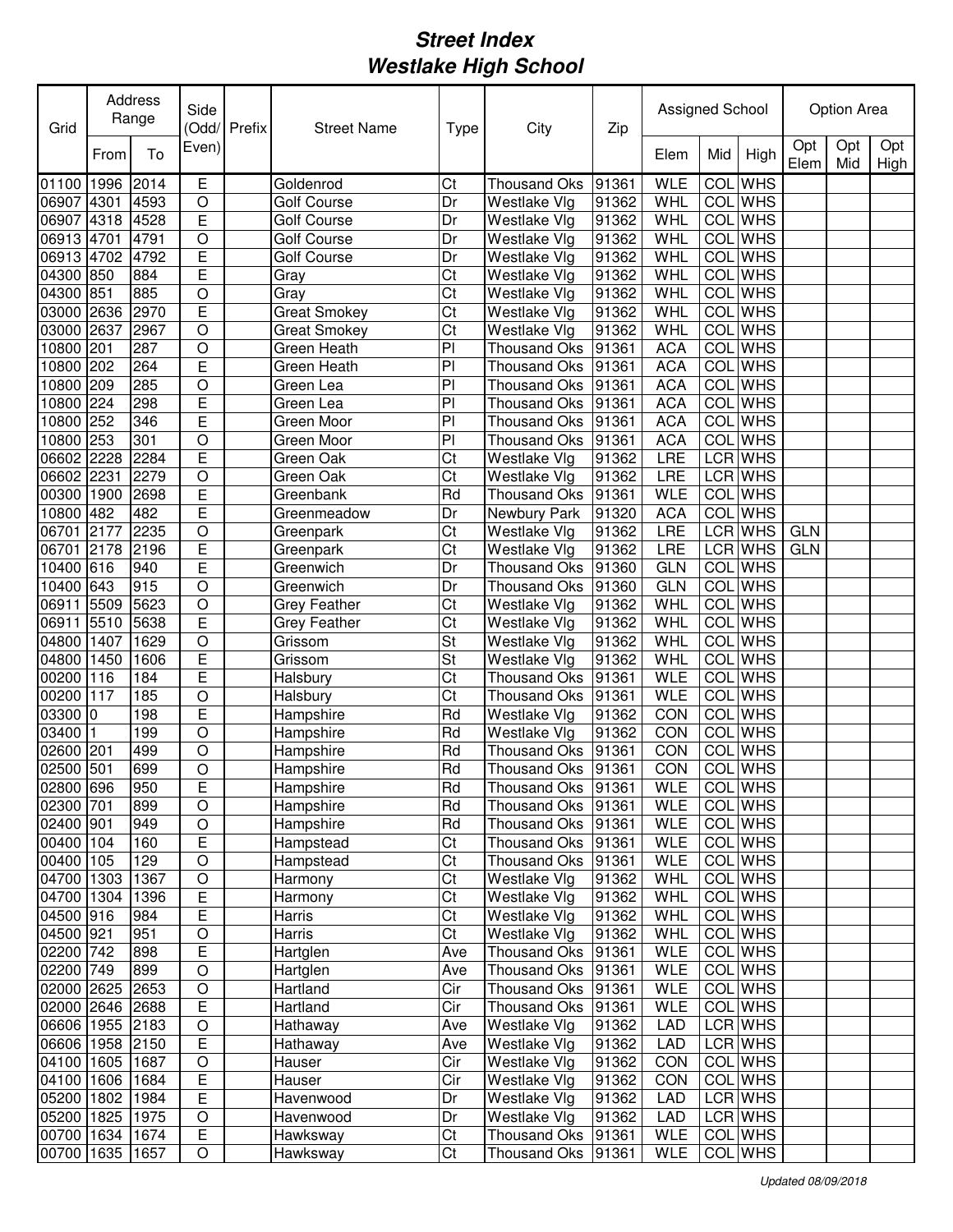| Grid            |           | Address<br>Range | Side           | Odd/Prefix | <b>Street Name</b>  | <b>Type</b>            | City                | Zip   | Assigned School |            |                |             | <b>Option Area</b> |             |
|-----------------|-----------|------------------|----------------|------------|---------------------|------------------------|---------------------|-------|-----------------|------------|----------------|-------------|--------------------|-------------|
|                 | From      | To               | Even)          |            |                     |                        |                     |       | Elem            | Mid        | High           | Opt<br>Elem | Opt<br>Mid         | Opt<br>High |
| 01100           | 1996      | 2014             | Е              |            | Goldenrod           | Ct                     | <b>Thousand Oks</b> | 91361 | <b>WLE</b>      | <b>COL</b> | <b>WHS</b>     |             |                    |             |
| 06907           | 4301      | 4593             | O              |            | <b>Golf Course</b>  | Dr                     | Westlake Vlg        | 91362 | WHL             |            | <b>COL</b> WHS |             |                    |             |
| 06907           | 4318      | 4528             | E              |            | Golf Course         | Dr                     | Westlake Vlg        | 91362 | WHL             |            | <b>COL</b> WHS |             |                    |             |
| 06913 4701      |           | 4791             | $\circ$        |            | Golf Course         | Dr                     | Westlake Vlg        | 91362 | WHL             | COL        | <b>WHS</b>     |             |                    |             |
| 06913 4702      |           | 4792             | E              |            | Golf Course         | Dr                     | Westlake Vlg        | 91362 | WHL             | COL        | <b>WHS</b>     |             |                    |             |
| 04300           | 850       | 884              | Ē              |            | Gray                | Ct                     | Westlake Vlg        | 91362 | <b>WHL</b>      | COL        | <b>WHS</b>     |             |                    |             |
| 04300           | 851       | 885              | O              |            | Gray                | Ct                     | Westlake Vlg        | 91362 | WHL             | <b>COL</b> | <b>WHS</b>     |             |                    |             |
| 03000           | 2636      | 2970             | E              |            | <b>Great Smokey</b> | Ct                     | Westlake Vlg        | 91362 | WHL             | COL        | <b>WHS</b>     |             |                    |             |
| 03000           | 2637      | 2967             | $\circ$        |            | Great Smokey        | Ct                     | Westlake Vlg        | 91362 | WHL             | COL        | <b>WHS</b>     |             |                    |             |
| 10800           | 201       | 287              | $\circ$        |            | Green Heath         | P                      | <b>Thousand Oks</b> | 91361 | <b>ACA</b>      | COL        | <b>WHS</b>     |             |                    |             |
| 10800           | 202       | 264              | Ē              |            | Green Heath         | P                      | <b>Thousand Oks</b> | 91361 | <b>ACA</b>      | COL        | <b>WHS</b>     |             |                    |             |
| 10800 209       |           | 285              | $\circ$        |            | Green Lea           | P <sub>1</sub>         | <b>Thousand Oks</b> | 91361 | <b>ACA</b>      | COL        | <b>WHS</b>     |             |                    |             |
| 10800 224       |           | 298              | Ē              |            | Green Lea           | P                      | Thousand Oks        | 91361 | <b>ACA</b>      | COL        | <b>WHS</b>     |             |                    |             |
| 10800 252       |           | 346              | Ē              |            | Green Moor          | PI                     | <b>Thousand Oks</b> | 91361 | <b>ACA</b>      | <b>COL</b> | <b>WHS</b>     |             |                    |             |
| 10800 253       |           | 301              | $\circ$        |            | Green Moor          | P                      | <b>Thousand Oks</b> | 91361 | <b>ACA</b>      | COL        | <b>WHS</b>     |             |                    |             |
| 06602 2228      |           | 2284             | E              |            | Green Oak           | Ct                     | Westlake Vlg        | 91362 | LRE             |            | <b>LCR</b> WHS |             |                    |             |
| 06602 2231      |           | 2279             | $\circ$        |            | Green Oak           | Ct                     | Westlake Vlg        | 91362 | LRE             |            | <b>LCR</b> WHS |             |                    |             |
| 00300 1900      |           | 2698             | E              |            | Greenbank           | Rd                     | <b>Thousand Oks</b> | 91361 | <b>WLE</b>      | <b>COL</b> | <b>WHS</b>     |             |                    |             |
| 10800 482       |           | 482              | E              |            | Greenmeadow         | Dr                     | Newbury Park        | 91320 | <b>ACA</b>      | COL        | <b>WHS</b>     |             |                    |             |
| 06701           | 2177      | 2235             | $\circ$        |            | Greenpark           | Ct                     | Westlake Vlg        | 91362 | LRE             |            | <b>LCR</b> WHS | <b>GLN</b>  |                    |             |
| 06701           | 2178      | 2196             | E              |            | Greenpark           | Ct                     | Westlake Vlg        | 91362 | LRE             |            | LCR WHS        | <b>GLN</b>  |                    |             |
| 10400           | 616       | 940              | E              |            | Greenwich           | Dr                     | <b>Thousand Oks</b> | 91360 | <b>GLN</b>      | COL        | <b>WHS</b>     |             |                    |             |
| 10400           | 643       | 915              | $\circ$        |            | Greenwich           | Dr                     | <b>Thousand Oks</b> | 91360 | <b>GLN</b>      | COL        | <b>WHS</b>     |             |                    |             |
| 06911           | 5509      | 5623             | $\circ$        |            | <b>Grey Feather</b> | Ct                     | Westlake Vlg        | 91362 | WHL             | COL        | <b>WHS</b>     |             |                    |             |
| 06911           | 5510      | 5638             | E              |            | <b>Grey Feather</b> | Ct                     | Westlake Vlg        | 91362 | <b>WHL</b>      | COL        | <b>WHS</b>     |             |                    |             |
| 04800           | 1407      | 1629             | O              |            | Grissom             | St                     | Westlake Vlg        | 91362 | WHL             |            | <b>COL</b> WHS |             |                    |             |
| 04800           | 1450      | 1606             | E              |            | Grissom             | St                     | Westlake Vlg        | 91362 | WHL             |            | <b>COL</b> WHS |             |                    |             |
| 00200           | 116       | 184              | E              |            | Halsbury            | Ct                     | <b>Thousand Oks</b> | 91361 | <b>WLE</b>      |            | <b>COL</b> WHS |             |                    |             |
| 00200           | 117       | 185              | O              |            | Halsbury            | Ct                     | <b>Thousand Oks</b> | 91361 | <b>WLE</b>      | COL        | <b>WHS</b>     |             |                    |             |
| 03300           | 0         | 198              | E              |            | Hampshire           | Rd                     | Westlake Vlg        | 91362 | CON             | COL        | <b>WHS</b>     |             |                    |             |
| 03400           |           | 199              | $\circ$        |            | Hampshire           | Rd                     | Westlake Vlg        | 91362 | CON             | <b>COL</b> | <b>WHS</b>     |             |                    |             |
| 02600           | 201       | 499              | O              |            | Hampshire           | Rd                     | <b>Thousand Oks</b> | 91361 | CON             | COL        | <b>WHS</b>     |             |                    |             |
| 02500 501       |           | 699              | O              |            | Hampshire           | Rd                     | Thousand Oks        | 91361 | CON             | COL        | <b>WHS</b>     |             |                    |             |
| 02800 696       |           | 950              | E              |            | Hampshire           | Rd                     | Thousand Oks        | 91361 | <b>WLE</b>      |            | <b>COL</b> WHS |             |                    |             |
| 02300 701       |           | 899              | $\bigcirc$     |            | Hampshire           | Rd                     | Thousand Oks        | 91361 | WLE             |            | COL WHS        |             |                    |             |
| 02400 901       |           | 949              | $\hbox{O}$     |            | Hampshire           | Rd                     | Thousand Oks        | 91361 | <b>WLE</b>      |            | COL WHS        |             |                    |             |
| 00400 104       |           | 160              | E              |            | Hampstead           | Ct                     | Thousand Oks        | 91361 | <b>WLE</b>      |            | COL WHS        |             |                    |             |
| 00400 105       |           | 129              | $\mathsf O$    |            | Hampstead           | $\overline{\text{Ct}}$ | Thousand Oks 91361  |       | <b>WLE</b>      |            | COL WHS        |             |                    |             |
| 04700 1303      |           | 1367             | $\bigcirc$     |            | Harmony             | Ct                     | Westlake Vlg        | 91362 | WHL             |            | COL WHS        |             |                    |             |
| 04700 1304      |           | 1396             | E              |            | Harmony             | Ct                     | Westlake Vlg        | 91362 | WHL             |            | COL WHS        |             |                    |             |
| 04500 916       |           | 984              | E              |            | Harris              | Ct                     | Westlake Vlg        | 91362 | WHL             |            | COL WHS        |             |                    |             |
| 04500 921       |           | 951              | $\circ$        |            | Harris              | Ct                     | Westlake Vlg        | 91362 | WHL             |            | COL WHS        |             |                    |             |
| 02200 742       |           | 898              | E              |            | Hartglen            | Ave                    | Thousand Oks 91361  |       | <b>WLE</b>      |            | COL WHS        |             |                    |             |
| 02200 749       |           | 899              | $\circ$        |            | Hartglen            | Ave                    | Thousand Oks        | 91361 | <b>WLE</b>      |            | COL WHS        |             |                    |             |
| 02000 2625      |           | 2653             | $\circ$        |            | Hartland            | Cir                    | Thousand Oks        | 91361 | <b>WLE</b>      |            | COL WHS        |             |                    |             |
| 02000 2646 2688 |           |                  | E              |            | Hartland            | Cir                    | Thousand Oks        | 91361 | <b>WLE</b>      |            | COL WHS        |             |                    |             |
| 06606 1955 2183 |           |                  | $\circ$        |            | Hathaway            | Ave                    | Westlake Vlg        | 91362 | <b>LAD</b>      |            | LCR WHS        |             |                    |             |
| 06606 1958 2150 |           |                  | Ε              |            | Hathaway            | Ave                    | Westlake Vlg        | 91362 | LAD             |            | LCR WHS        |             |                    |             |
| 04100 1605 1687 |           |                  | $\mathsf O$    |            | Hauser              | Cir                    | Westlake Vlg        | 91362 | CON             |            | COL WHS        |             |                    |             |
| 04100 1606 1684 |           |                  | $\overline{E}$ |            | Hauser              | Cir                    | Westlake Vlg        | 91362 | CON             |            | COL WHS        |             |                    |             |
| 05200           | 1802 1984 |                  | $\overline{E}$ |            | Havenwood           | Dr                     | Westlake Vlg        | 91362 | LAD             |            | LCR WHS        |             |                    |             |
| 05200           | 1825      | 1975             | O              |            | Havenwood           | Dr                     | Westlake Vlg        | 91362 | <b>LAD</b>      |            | LCR WHS        |             |                    |             |
| 00700 1634 1674 |           |                  | $\overline{E}$ |            | Hawksway            | Ct                     | Thousand Oks 91361  |       | <b>WLE</b>      |            | COL WHS        |             |                    |             |
| 00700 1635 1657 |           |                  | O              |            | Hawksway            | Ct                     | Thousand Oks 91361  |       | WLE             |            | COL WHS        |             |                    |             |
|                 |           |                  |                |            |                     |                        |                     |       |                 |            |                |             |                    |             |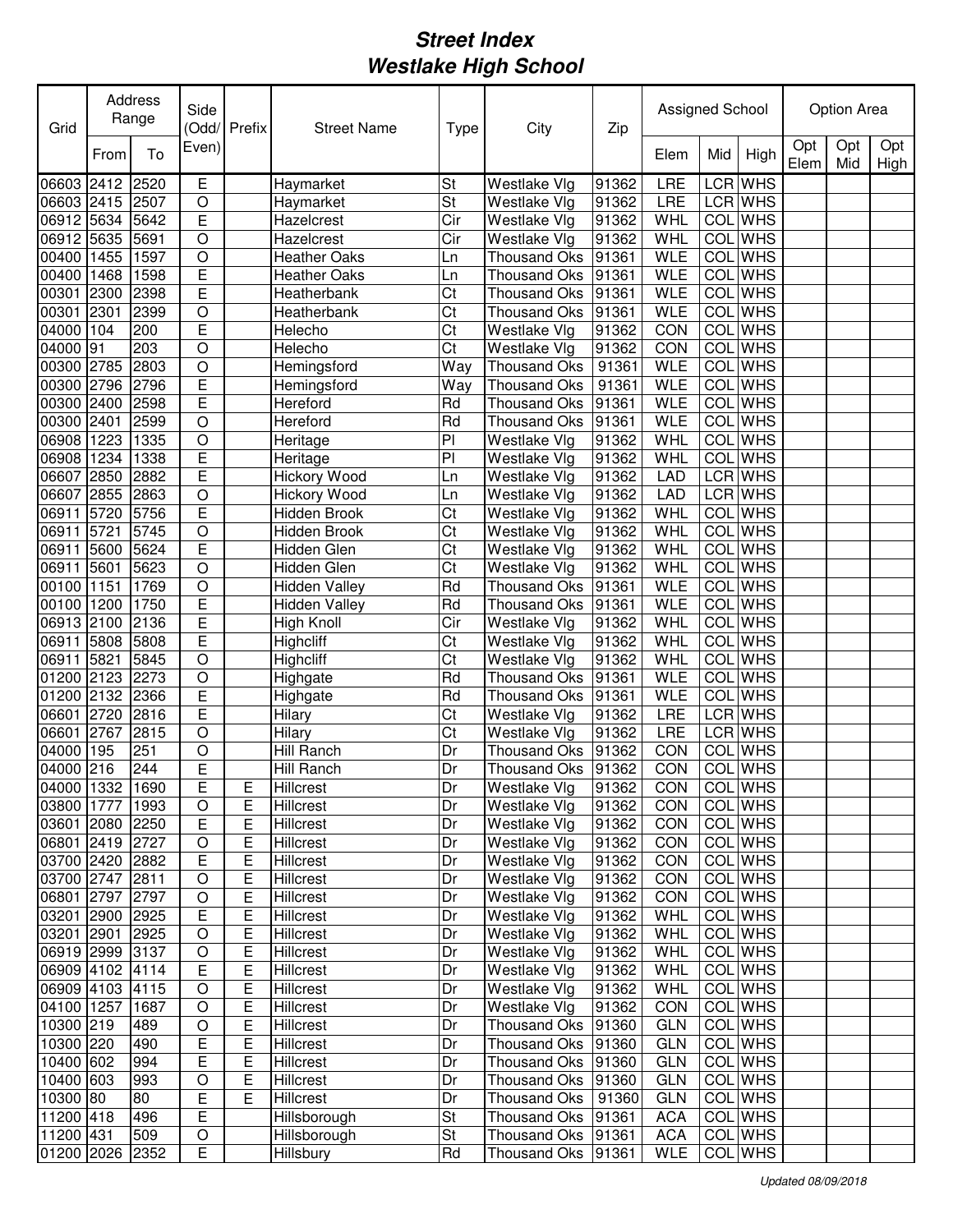| Grid                |              | <b>Address</b><br>Range | Side           | (Odd/Prefix | <b>Street Name</b>   | <b>Type</b> | City                | Zip   | Assigned School |                  |                |             | Option Area |             |
|---------------------|--------------|-------------------------|----------------|-------------|----------------------|-------------|---------------------|-------|-----------------|------------------|----------------|-------------|-------------|-------------|
|                     | From         | To                      | Even)          |             |                      |             |                     |       | Elem            | Mid              | High           | Opt<br>Elem | Opt<br>Mid  | Opt<br>High |
| 06603               | 2412         | 2520                    | Е              |             | Haymarket            | St          | Westlake Vlg        | 91362 | <b>LRE</b>      | LCR              | <b>WHS</b>     |             |             |             |
| 06603 2415          |              | 2507                    | $\circ$        |             | Haymarket            | St          | Westlake Vlg        | 91362 | LRE             |                  | LCR WHS        |             |             |             |
| 06912               | 5634         | 5642                    | E              |             | Hazelcrest           | Cir         | Westlake Vlg        | 91362 | WHL             | COL              | <b>WHS</b>     |             |             |             |
| 06912 5635          |              | 5691                    | O              |             | Hazelcrest           | Cir         | Westlake Vlg        | 91362 | WHL             |                  | <b>COL</b> WHS |             |             |             |
| 00400               | 1455         | 1597                    | $\circ$        |             | <b>Heather Oaks</b>  | Ln          | <b>Thousand Oks</b> | 91361 | <b>WLE</b>      | COL              | <b>WHS</b>     |             |             |             |
| 00400               | 1468         | 1598                    | E              |             | <b>Heather Oaks</b>  | Ln          | <b>Thousand Oks</b> | 91361 | <b>WLE</b>      | COL              | <b>WHS</b>     |             |             |             |
| 00301               | 2300         | 2398                    | E              |             | Heatherbank          | Ct          | <b>Thousand Oks</b> | 91361 | <b>WLE</b>      | COL              | <b>WHS</b>     |             |             |             |
| 00301               | 2301         | 2399                    | $\circ$        |             | Heatherbank          | Ct          | <b>Thousand Oks</b> | 91361 | <b>WLE</b>      | COL              | <b>WHS</b>     |             |             |             |
| 04000               | 104          | 200                     | E              |             | Helecho              | Ct          | Westlake Vlg        | 91362 | CON             | COL              | <b>WHS</b>     |             |             |             |
| 04000               | 91           | 203                     | O              |             | Helecho              | Ct          | Westlake Vlg        | 91362 | CON             | COL              | <b>WHS</b>     |             |             |             |
| 00300               | 2785         | 2803                    | $\overline{O}$ |             | Hemingsford          | Way         | <b>Thousand Oks</b> | 91361 | <b>WLE</b>      | COL              | <b>WHS</b>     |             |             |             |
| 00300               | 2796         | 2796                    | E              |             | Hemingsford          | Way         | <b>Thousand Oks</b> | 91361 | <b>WLE</b>      | COL              | <b>WHS</b>     |             |             |             |
| 00300               | 2400         | 2598                    | E              |             | Hereford             | Rd          | <b>Thousand Oks</b> | 91361 | <b>WLE</b>      | $\overline{COL}$ | <b>WHS</b>     |             |             |             |
| 00300               | 2401         | 2599                    | $\circ$        |             | Hereford             | Rd          | <b>Thousand Oks</b> | 91361 | <b>WLE</b>      | COL              | <b>WHS</b>     |             |             |             |
| 06908               | 1223         | 1335                    | $\circ$        |             | Heritage             | PI          | Westlake Vlg        | 91362 | <b>WHL</b>      | COL              | <b>WHS</b>     |             |             |             |
| 06908               | 1234         | 1338                    | Ē              |             | Heritage             | PI          | Westlake Vlg        | 91362 | WHL             | <b>COL</b>       | <b>WHS</b>     |             |             |             |
| 06607               | 2850         | 2882                    | Ē              |             |                      |             |                     | 91362 | <b>LAD</b>      | <b>LCR</b>       | <b>WHS</b>     |             |             |             |
|                     | <b>72855</b> |                         |                |             | <b>Hickory Wood</b>  | Ln          | Westlake Vlg        |       |                 |                  | <b>LCR</b> WHS |             |             |             |
| 06607               |              | 2863                    | $\circ$        |             | <b>Hickory Wood</b>  | Ln          | Westlake Vlg        | 91362 | <b>LAD</b>      |                  |                |             |             |             |
| 06911               | 5720         | 5756                    | E              |             | Hidden Brook         | Ct          | Westlake Vlg        | 91362 | WHL             | <b>COL</b>       | <b>WHS</b>     |             |             |             |
| 06911               | 5721         | 5745                    | $\overline{O}$ |             | Hidden Brook         | Ct          | Westlake Vlg        | 91362 | WHL             | COL              | <b>WHS</b>     |             |             |             |
| 06911               | 5600         | 5624                    | E              |             | Hidden Glen          | Ct          | Westlake Vlg        | 91362 | WHL             | COL              | <b>WHS</b>     |             |             |             |
| 06911               | 5601         | 5623                    | $\circ$        |             | Hidden Glen          | Ct          | Westlake Vlg        | 91362 | <b>WHL</b>      | COL              | <b>WHS</b>     |             |             |             |
| 00100               | 1151         | 1769                    | $\overline{O}$ |             | <b>Hidden Valley</b> | Rd          | <b>Thousand Oks</b> | 91361 | <b>WLE</b>      | COL              | <b>WHS</b>     |             |             |             |
| 00100               | 1200         | 1750                    | E              |             | <b>Hidden Valley</b> | Rd          | <b>Thousand Oks</b> | 91361 | <b>WLE</b>      | COL              | <b>WHS</b>     |             |             |             |
| 06913               | 2100         | 2136                    | E              |             | <b>High Knoll</b>    | Cir         | Westlake Vlg        | 91362 | <b>WHL</b>      | COL              | <b>WHS</b>     |             |             |             |
| 06911               | 5808         | 5808                    | E              |             | Highcliff            | Ct          | Westlake Vlg        | 91362 | WHL             | COL              | <b>WHS</b>     |             |             |             |
| 06911               | 5821         | 5845                    | $\circ$        |             | Highcliff            | Ct          | Westlake Vlg        | 91362 | WHL             | COL              | <b>WHS</b>     |             |             |             |
| 01200               | 2123         | 2273                    | $\circ$        |             | Highgate             | Rd          | <b>Thousand Oks</b> | 91361 | <b>WLE</b>      | COL              | <b>WHS</b>     |             |             |             |
| 01200               | 2132         | 2366                    | E              |             | Highgate             | Rd          | Thousand Oks        | 91361 | <b>WLE</b>      |                  | <b>COL</b> WHS |             |             |             |
| 06601               | 2720         | 2816                    | E              |             | Hilary               | Ct          | Westlake Vlg        | 91362 | LRE             |                  | <b>LCR WHS</b> |             |             |             |
| 06601               | 2767         | 2815                    | O              |             | Hilary               | Ct          | Westlake Vlg        | 91362 | LRE             |                  | LCR WHS        |             |             |             |
| 04000               | 195          | 251                     | O              |             | Hill Ranch           | Dr          | <b>Thousand Oks</b> | 91362 | CON             | COL              | <b>WHS</b>     |             |             |             |
| 04000 216           |              | 244                     | E              |             | Hill Ranch           | Dr          | Thousand Oks        | 91362 | CON             |                  | COL WHS        |             |             |             |
| 04000   1332   1690 |              |                         | E              | ᄂ           | Hillcrest            | Dr          | Westlake Vlg        | 91362 | <b>CON</b>      |                  | COL WHS        |             |             |             |
| 03800 1777 1993     |              |                         | O              | Е           | Hillcrest            | Dr          | Westlake Vlg        | 91362 | CON             |                  | COL WHS        |             |             |             |
| 03601 2080 2250     |              |                         | E              | E           | Hillcrest            | Dr          | Westlake Vlg        | 91362 | CON             |                  | COL WHS        |             |             |             |
| 06801 2419 2727     |              |                         | $\mathsf O$    | Е           | Hillcrest            | Dr          | Westlake Vlg        | 91362 | CON             |                  | COL WHS        |             |             |             |
| 03700 2420 2882     |              |                         | E              | Ε           | Hillcrest            | Dr          | Westlake Vlg        | 91362 | CON             |                  | COL WHS        |             |             |             |
| 03700 2747 2811     |              |                         | $\mathsf O$    | Е           | Hillcrest            | Dr          | Westlake Vlg        | 91362 | CON             |                  | COL WHS        |             |             |             |
| 06801 2797 2797     |              |                         | $\mathsf O$    | Ε           | Hillcrest            | Dr          | Westlake Vlg        | 91362 | CON             |                  | COL WHS        |             |             |             |
| 03201 2900 2925     |              |                         | E              | Е           | Hillcrest            | Dr          | Westlake Vlg        | 91362 | WHL             |                  | COL WHS        |             |             |             |
| 03201 2901          |              | 2925                    | $\mathsf O$    | Е           | Hillcrest            | Dr          | Westlake Vlg        | 91362 | WHL             |                  | COL WHS        |             |             |             |
| 06919 2999 3137     |              |                         |                | E           | <b>Hillcrest</b>     | Dr          | Westlake Vlg        | 91362 | WHL             |                  | COL WHS        |             |             |             |
|                     |              |                         | $\mathsf O$    |             |                      |             |                     |       |                 |                  |                |             |             |             |
| 06909 4102 4114     |              |                         | Е              | Ε           | <b>Hillcrest</b>     | Dr          | Westlake Vlg        | 91362 | WHL             |                  | COL WHS        |             |             |             |
| 06909 4103 4115     |              |                         | O              | Е           | Hillcrest            | Dr          | Westlake Vlg        | 91362 | WHL             |                  | COL WHS        |             |             |             |
| 04100 1257          |              | 1687                    | $\circ$        | Е           | Hillcrest            | Dr          | Westlake Vlg        | 91362 | CON             |                  | COL WHS        |             |             |             |
| 10300 219           |              | 489                     | $\circ$        | Е           | Hillcrest            | Dr          | Thousand Oks 91360  |       | <b>GLN</b>      |                  | COL WHS        |             |             |             |
| 10300 220           |              | 490                     | E              | E           | Hillcrest            | Dr          | Thousand Oks 91360  |       | <b>GLN</b>      |                  | COL WHS        |             |             |             |
| 10400 602           |              | 994                     | Е              | Е           | Hillcrest            | Dr          | Thousand Oks 91360  |       | <b>GLN</b>      |                  | COL WHS        |             |             |             |
| 10400 603           |              | 993                     | $\mathsf O$    | Е           | Hillcrest            | Dr          | Thousand Oks 91360  |       | <b>GLN</b>      |                  | COL WHS        |             |             |             |
| 10300 80            |              | 80                      | Е              | Е           | Hillcrest            | Dr          | Thousand Oks        | 91360 | <b>GLN</b>      |                  | COL WHS        |             |             |             |
| 11200 418           |              | 496                     | Е              |             | Hillsborough         | St          | Thousand Oks 91361  |       | <b>ACA</b>      |                  | COL WHS        |             |             |             |
| 11200 431           |              | 509                     | O              |             | Hillsborough         | <b>St</b>   | Thousand Oks 91361  |       | <b>ACA</b>      |                  | COL WHS        |             |             |             |
| 01200 2026 2352     |              |                         | E              |             | Hillsbury            | Rd          | Thousand Oks 91361  |       | WLE             |                  | COL WHS        |             |             |             |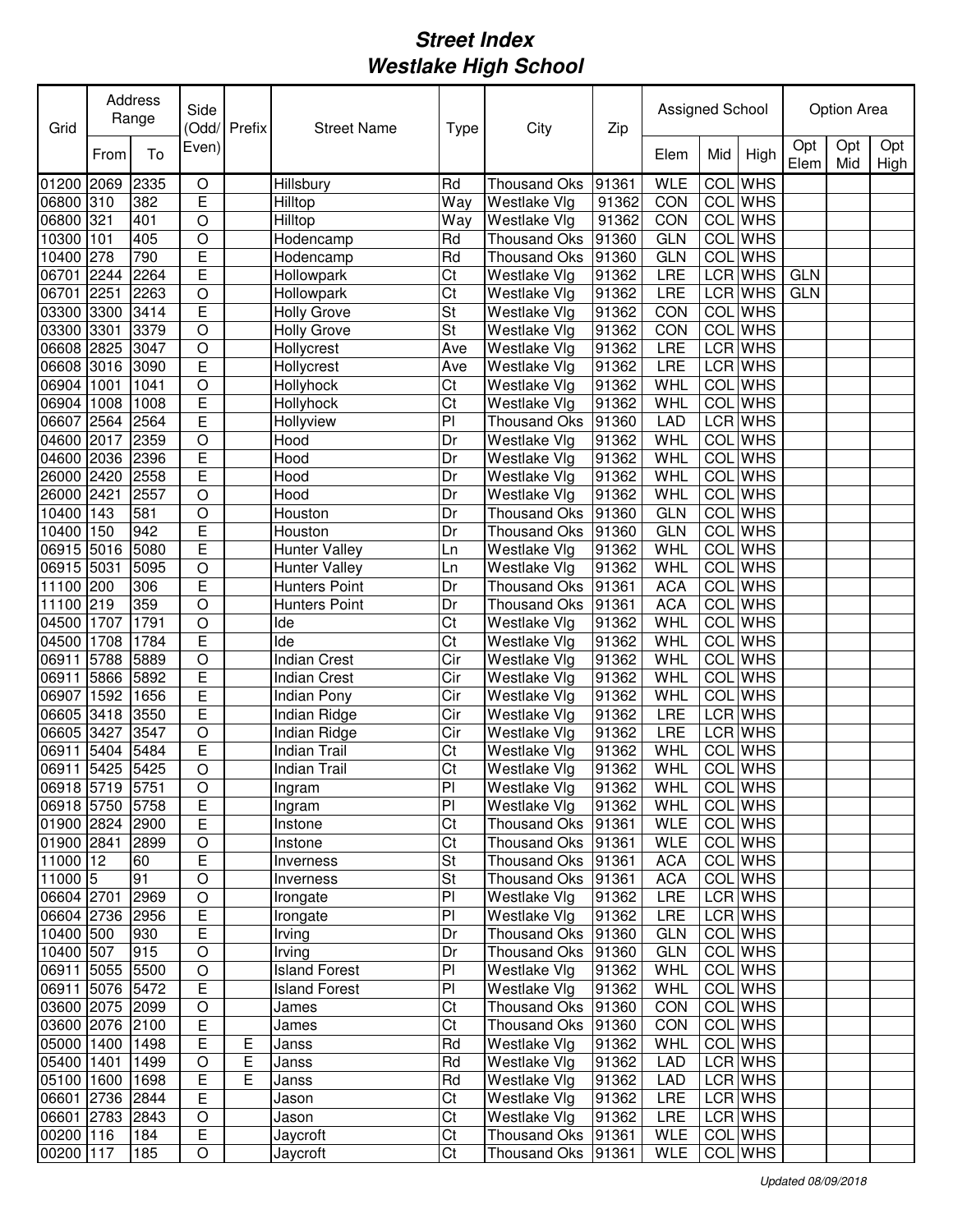| Grid            |      | Address<br>Range | Side           | Odd/Prefix | <b>Street Name</b>   | <b>Type</b>            | City                | Zip   | Assigned School |            |                |             | <b>Option Area</b> |             |
|-----------------|------|------------------|----------------|------------|----------------------|------------------------|---------------------|-------|-----------------|------------|----------------|-------------|--------------------|-------------|
|                 | From | To               | Even)          |            |                      |                        |                     |       | Elem            | Mid        | High           | Opt<br>Elem | Opt<br>Mid         | Opt<br>High |
| 01200 2069      |      | 2335             | $\circ$        |            | Hillsbury            | Rd                     | <b>Thousand Oks</b> | 91361 | <b>WLE</b>      | <b>COL</b> | <b>WHS</b>     |             |                    |             |
| 06800 310       |      | 382              | E              |            | Hilltop              | Way                    | Westlake Vlg        | 91362 | CON             |            | <b>COL</b> WHS |             |                    |             |
| 06800 321       |      | 401              | O              |            | Hilltop              | Way                    | Westlake Vlg        | 91362 | CON             |            | <b>COL</b> WHS |             |                    |             |
| 10300           | 101  | 405              | $\circ$        |            | Hodencamp            | Rd                     | <b>Thousand Oks</b> | 91360 | <b>GLN</b>      |            | <b>COL</b> WHS |             |                    |             |
| 10400           | 278  | 790              | E              |            | Hodencamp            | Rd                     | <b>Thousand Oks</b> | 91360 | <b>GLN</b>      |            | <b>COL</b> WHS |             |                    |             |
| 06701           | 2244 | 2264             | Ē              |            | Hollowpark           | Ct                     | Westlake Vlg        | 91362 | LRE             |            | LCR WHS        | <b>GLN</b>  |                    |             |
| 06701           | 2251 | 2263             | $\circ$        |            | Hollowpark           | Ct                     | Westlake Vlg        | 91362 | LRE             |            | LCR WHS        | <b>GLN</b>  |                    |             |
| 03300           | 3300 | 3414             | Ē              |            | <b>Holly Grove</b>   | St                     | Westlake Vlg        | 91362 | CON             | <b>COL</b> | <b>WHS</b>     |             |                    |             |
| 03300           | 3301 | 3379             | $\overline{O}$ |            | <b>Holly Grove</b>   | St                     | Westlake Vlg        | 91362 | CON             | <b>COL</b> | <b>WHS</b>     |             |                    |             |
| 06608 2825      |      | 3047             | $\circ$        |            | Hollycrest           | Ave                    | Westlake Vlg        | 91362 | LRE             |            | LCR WHS        |             |                    |             |
| 06608 3016      |      | 3090             | Ē              |            | Hollycrest           | Ave                    | Westlake Vlg        | 91362 | LRE             |            | LCR WHS        |             |                    |             |
| 06904           | 1001 | 1041             | $\overline{O}$ |            | Hollyhock            | Ct                     | Westlake Vlg        | 91362 | WHL             | <b>COL</b> | <b>WHS</b>     |             |                    |             |
| 06904           | 1008 | 1008             | Ē              |            | Hollyhock            | $\overline{\text{Ct}}$ | Westlake Vlg        | 91362 | WHL             |            | <b>COL</b> WHS |             |                    |             |
| 06607           | 2564 | 2564             | Ē              |            | Hollyview            | PI                     | <b>Thousand Oks</b> | 91360 | <b>LAD</b>      |            | <b>LCR</b> WHS |             |                    |             |
| 04600 2017      |      | 2359             | $\circ$        |            | Hood                 | Dr                     | Westlake Vlg        | 91362 | WHL             | COL        | <b>WHS</b>     |             |                    |             |
| 04600 2036      |      | 2396             | E              |            | Hood                 | Dr                     | Westlake Vlg        | 91362 | WHL             | <b>COL</b> | <b>WHS</b>     |             |                    |             |
| 26000 2420      |      | 2558             | E              |            | Hood                 | Dr                     | Westlake Vlg        | 91362 | WHL             | COL        | <b>WHS</b>     |             |                    |             |
| 26000 2421      |      | 2557             | $\circ$        |            | Hood                 | Dr                     | Westlake Vlg        | 91362 | WHL             | COL        | <b>WHS</b>     |             |                    |             |
| 10400           | 143  | 581              | O              |            | Houston              | Dr                     | Thousand Oks        | 91360 | <b>GLN</b>      | COL        | <b>WHS</b>     |             |                    |             |
| 10400           | 150  | 942              | E              |            | Houston              | Dr                     | Thousand Oks        | 91360 | <b>GLN</b>      | COL        | <b>WHS</b>     |             |                    |             |
| 06915 5016      |      | 5080             | E              |            | <b>Hunter Valley</b> | Ln                     | Westlake Vlg        | 91362 | <b>WHL</b>      | <b>COL</b> | <b>WHS</b>     |             |                    |             |
| 06915           | 5031 | 5095             | $\circ$        |            | <b>Hunter Valley</b> | Ln                     | Westlake Vlg        | 91362 | <b>WHL</b>      | COL        | <b>WHS</b>     |             |                    |             |
| 11100 200       |      | 306              | E              |            | <b>Hunters Point</b> | Dr                     | <b>Thousand Oks</b> | 91361 | <b>ACA</b>      | COL        | <b>WHS</b>     |             |                    |             |
| 11100 219       |      | 359              | O              |            | <b>Hunters Point</b> | Dr                     | Thousand Oks        | 91361 | <b>ACA</b>      |            | COL WHS        |             |                    |             |
| 04500           | 1707 | 1791             | $\bigcirc$     |            | Ide                  | Ct                     | Westlake Vlg        | 91362 | <b>WHL</b>      | <b>COL</b> | <b>WHS</b>     |             |                    |             |
| 04500           | 1708 | 1784             | E              |            | Ide                  | Ct                     | Westlake Vlg        | 91362 | WHL             |            | <b>COL</b> WHS |             |                    |             |
| 06911           | 5788 | 5889             | $\circ$        |            | <b>Indian Crest</b>  | Cir                    | Westlake Vlg        | 91362 | WHL             |            | <b>COL</b> WHS |             |                    |             |
| 06911           | 5866 | 5892             | E              |            | <b>Indian Crest</b>  | Cir                    | Westlake Vlg        | 91362 | WHL             |            | <b>COL</b> WHS |             |                    |             |
| 06907           | 1592 | 1656             | E              |            | <b>Indian Pony</b>   | Cir                    | Westlake Vlg        | 91362 | WHL             |            | <b>COL</b> WHS |             |                    |             |
| 06605 3418      |      | 3550             | E              |            | Indian Ridge         | Cir                    | Westlake Vlg        | 91362 | LRE             |            | LCR WHS        |             |                    |             |
| 06605 3427      |      | 3547             | $\circ$        |            | Indian Ridge         | Cir                    | Westlake Vlg        | 91362 | LRE             |            | LCR WHS        |             |                    |             |
| 06911           | 5404 | 5484             | E              |            | <b>Indian Trail</b>  | Ct                     | Westlake Vlg        | 91362 | WHL             | COL        | <b>WHS</b>     |             |                    |             |
| 06911 5425      |      | 5425             | $\overline{O}$ |            | <b>Indian Trail</b>  | Ct                     | Westlake Vlg        | 91362 | WHL             |            | <b>COL</b> WHS |             |                    |             |
| 06918 5719 5751 |      |                  | $\overline{O}$ |            | Ingram               | $\mathsf{Pl}$          | Westlake Vlg        | 91362 | <b>WHL</b>      |            | <b>COL</b> WHS |             |                    |             |
| 06918 5750 5758 |      |                  | E              |            | Ingram               | PI                     | Westlake Vlg        | 91362 | WHL             |            | COL WHS        |             |                    |             |
| 01900 2824 2900 |      |                  | E              |            | Instone              | Ct                     | Thousand Oks 91361  |       | <b>WLE</b>      |            | COL WHS        |             |                    |             |
| 01900 2841      |      | 2899             | $\mathsf O$    |            | Instone              | Ct                     | Thousand Oks 91361  |       | <b>WLE</b>      |            | COL WHS        |             |                    |             |
| $11000$ $12$    |      | 60               | E              |            | Inverness            | <b>St</b>              | Thousand Oks 91361  |       | <b>ACA</b>      |            | COL WHS        |             |                    |             |
| 11000 5         |      | 91               | $\hbox{O}$     |            | Inverness            | <b>St</b>              | Thousand Oks 91361  |       | <b>ACA</b>      |            | COL WHS        |             |                    |             |
| 06604 2701      |      | 2969             | $\bigcirc$     |            | Irongate             | PI                     | Westlake Vlg        | 91362 | LRE             |            | LCR WHS        |             |                    |             |
| 06604 2736 2956 |      |                  | E              |            | Irongate             | PI                     | Westlake Vlg        | 91362 | LRE             |            | LCR WHS        |             |                    |             |
| 10400 500       |      | 930              | E              |            | Irving               | Dr                     | Thousand Oks 91360  |       | <b>GLN</b>      |            | COL WHS        |             |                    |             |
| 10400 507       |      | 915              | $\bigcirc$     |            | Irving               | Dr                     | Thousand Oks 91360  |       | <b>GLN</b>      |            | COL WHS        |             |                    |             |
| 06911 5055 5500 |      |                  | $\circ$        |            | <b>Island Forest</b> | PI                     | Westlake Vlg        | 91362 | WHL             |            | COL WHS        |             |                    |             |
| 06911 5076 5472 |      |                  | $\overline{E}$ |            | <b>Island Forest</b> | PI                     | Westlake Vlg        | 91362 | WHL             |            | COL WHS        |             |                    |             |
| 03600 2075 2099 |      |                  | $\circ$        |            | James                | Ct                     | Thousand Oks 91360  |       | CON             |            | COL WHS        |             |                    |             |
| 03600 2076 2100 |      |                  | Е              |            | James                | Ct                     | Thousand Oks 91360  |       | CON             |            | COL WHS        |             |                    |             |
| 05000 1400 1498 |      |                  | Е              | Е          | Janss                | Rd                     | Westlake Vlg        | 91362 | WHL             |            | COL WHS        |             |                    |             |
| 05400 1401      |      | 1499             | $\mathsf O$    | Ε          | Janss                | Rd                     | Westlake Vlg        | 91362 | LAD             |            | LCR WHS        |             |                    |             |
| 05100 1600 1698 |      |                  | $\overline{E}$ | Е          | Janss                | Rd                     | Westlake Vlg        | 91362 | LAD             |            | LCR WHS        |             |                    |             |
| 06601 2736 2844 |      |                  | E              |            | Jason                | Ct                     | Westlake Vlg        | 91362 | <b>LRE</b>      |            | LCR WHS        |             |                    |             |
| 06601 2783 2843 |      |                  | O              |            | Jason                | Ct                     | Westlake Vlg        | 91362 | <b>LRE</b>      |            | LCR WHS        |             |                    |             |
| 00200 116       |      | 184              | $\overline{E}$ |            | Jaycroft             | Ct                     | Thousand Oks 91361  |       | <b>WLE</b>      |            | COL WHS        |             |                    |             |
| 00200 117       |      | 185              | O              |            | Jaycroft             | Ct                     | Thousand Oks 91361  |       | WLE             |            | COL WHS        |             |                    |             |
|                 |      |                  |                |            |                      |                        |                     |       |                 |            |                |             |                    |             |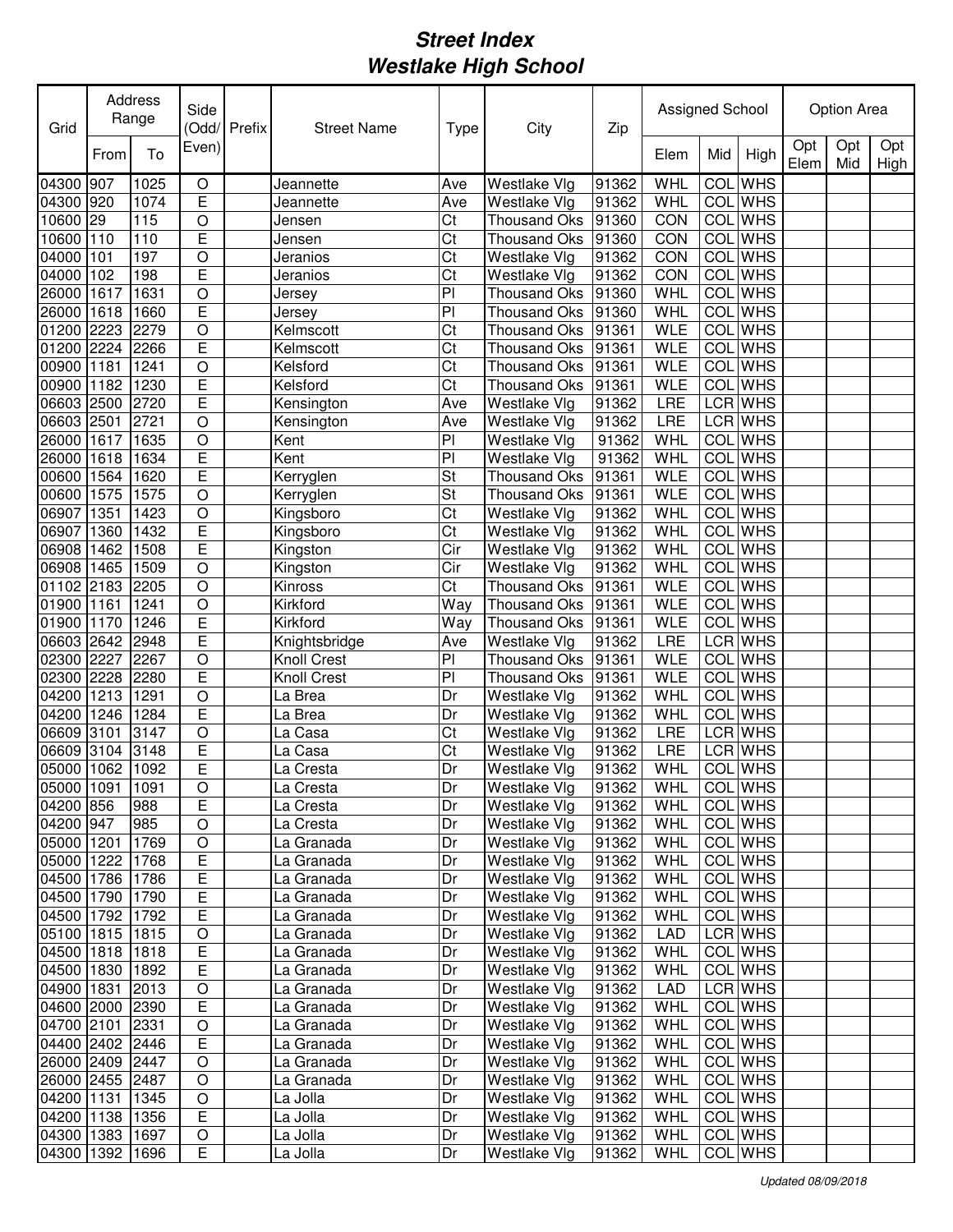| Grid            |      | Address<br>Range | Side           | Odd/Prefix | <b>Street Name</b> | <b>Type</b> | City                | Zip   | Assigned School |            |                |             | <b>Option Area</b> |             |
|-----------------|------|------------------|----------------|------------|--------------------|-------------|---------------------|-------|-----------------|------------|----------------|-------------|--------------------|-------------|
|                 | From | To               | Even)          |            |                    |             |                     |       | Elem            | Mid        | High           | Opt<br>Elem | Opt<br>Mid         | Opt<br>High |
| 04300 907       |      | 1025             | O              |            | Jeannette          | Ave         | Westlake Vlg        | 91362 | <b>WHL</b>      | <b>COL</b> | <b>WHS</b>     |             |                    |             |
| 04300 920       |      | 1074             | E              |            | Jeannette          | Ave         | Westlake Vlg        | 91362 | WHL             |            | <b>COL</b> WHS |             |                    |             |
| 10600           | 29   | 115              | O              |            | Jensen             | Ct          | <b>Thousand Oks</b> | 91360 | CON             |            | <b>COL</b> WHS |             |                    |             |
| 10600           | 110  | 110              | E              |            | Jensen             | Ct          | <b>Thousand Oks</b> | 91360 | CON             | COL        | <b>WHS</b>     |             |                    |             |
| 04000           | 101  | 197              | O              |            | Jeranios           | Ct          | Westlake Vlg        | 91362 | CON             | COL        | <b>WHS</b>     |             |                    |             |
| 04000           | 102  | 198              | Ē              |            | Jeranios           | Ct          | Westlake Vlg        | 91362 | CON             | COL        | <b>WHS</b>     |             |                    |             |
| 26000           | 1617 | 1631             | $\circ$        |            | Jersey             | PI          | Thousand Oks        | 91360 | WHL             | <b>COL</b> | <b>WHS</b>     |             |                    |             |
| 26000           | 1618 | 1660             | E              |            | Jersey             | PI          | <b>Thousand Oks</b> | 91360 | WHL             | COL        | <b>WHS</b>     |             |                    |             |
| 01200           | 2223 | 2279             | $\circ$        |            | Kelmscott          | Ct          | <b>Thousand Oks</b> | 91361 | <b>WLE</b>      | COL        | <b>WHS</b>     |             |                    |             |
| 01200           | 2224 | 2266             | E              |            | Kelmscott          | Ct          | <b>Thousand Oks</b> | 91361 | <b>WLE</b>      | COL        | <b>WHS</b>     |             |                    |             |
| 00900 1181      |      | 1241             | $\bigcirc$     |            | Kelsford           | Ct          | <b>Thousand Oks</b> | 91361 | <b>WLE</b>      | <b>COL</b> | <b>WHS</b>     |             |                    |             |
| 00900           | 1182 | 1230             | E              |            | Kelsford           | Ct          | <b>Thousand Oks</b> | 91361 | <b>WLE</b>      | <b>COL</b> | <b>WHS</b>     |             |                    |             |
| 06603 2500      |      | 2720             | Ē              |            | Kensington         | Ave         | Westlake Vlg        | 91362 | LRE             |            | <b>LCR WHS</b> |             |                    |             |
| 06603 2501      |      | 2721             | $\circ$        |            | Kensington         | Ave         | Westlake Vlg        | 91362 | LRE             |            | LCR WHS        |             |                    |             |
| 26000           | 1617 | 1635             | $\circ$        |            | Kent               | PI          | Westlake Vlg        | 91362 | WHL             | COL        | <b>WHS</b>     |             |                    |             |
| 26000           | 1618 | 1634             | E              |            | Kent               | PI          | Westlake Vlg        | 91362 | WHL             | <b>COL</b> | <b>WHS</b>     |             |                    |             |
| 00600           | 1564 | 1620             | E              |            | Kerryglen          | St          | <b>Thousand Oks</b> | 91361 | <b>WLE</b>      | COL        | <b>WHS</b>     |             |                    |             |
| 00600           | 1575 | 1575             | $\circ$        |            | Kerryglen          | St          | <b>Thousand Oks</b> | 91361 | <b>WLE</b>      | COL        | <b>WHS</b>     |             |                    |             |
| 06907           | 1351 | 1423             | $\circ$        |            | Kingsboro          | Ct          | Westlake Vlg        | 91362 | WHL             | <b>COL</b> | <b>WHS</b>     |             |                    |             |
| 06907           | 1360 | 1432             | E              |            | Kingsboro          | Ct          | Westlake Vlg        | 91362 | WHL             | <b>COL</b> | <b>WHS</b>     |             |                    |             |
| 06908           | 1462 | 1508             | E              |            | Kingston           | Cir         | Westlake Vlg        | 91362 | <b>WHL</b>      | <b>COL</b> | <b>WHS</b>     |             |                    |             |
| 06908           | 1465 | 1509             | $\circ$        |            | Kingston           | Cir         | Westlake Vlg        | 91362 | <b>WHL</b>      | COL        | <b>WHS</b>     |             |                    |             |
| 01102 2183      |      | 2205             | $\circ$        |            | Kinross            | Ct          | <b>Thousand Oks</b> | 91361 | <b>WLE</b>      | COL        | <b>WHS</b>     |             |                    |             |
| 01900 1161      |      | 1241             | $\bigcirc$     |            | Kirkford           | Way         | Thousand Oks        | 91361 | <b>WLE</b>      |            | COL WHS        |             |                    |             |
| 01900 1170      |      | 1246             | E              |            | Kirkford           | Way         | Thousand Oks        | 91361 | <b>WLE</b>      |            | <b>COL</b> WHS |             |                    |             |
| 06603 2642      |      | 2948             | E              |            | Knightsbridge      | Ave         | Westlake Vlg        | 91362 | LRE             |            | LCR WHS        |             |                    |             |
| 02300 2227      |      | 2267             | O              |            | Knoll Crest        | PI          | <b>Thousand Oks</b> | 91361 | <b>WLE</b>      |            | <b>COL</b> WHS |             |                    |             |
| 02300           | 2228 | 2280             | E              |            | Knoll Crest        | PI          | Thousand Oks        | 91361 | <b>WLE</b>      |            | <b>COL</b> WHS |             |                    |             |
| 04200           | 1213 | 1291             | O              |            | La Brea            | Dr          | Westlake Vlg        | 91362 | WHL             |            | <b>COL</b> WHS |             |                    |             |
| 04200           | 1246 | 1284             | E              |            | La Brea            | Dr          | Westlake Vlg        | 91362 | WHL             |            | COL WHS        |             |                    |             |
| 06609           | 3101 | 3147             | $\circ$        |            | La Casa            | Ct          | Westlake Vlg        | 91362 | LRE             |            | LCR WHS        |             |                    |             |
| 06609           | 3104 | 3148             | E              |            | La Casa            | Ct          | Westlake Vlg        | 91362 | LRE             |            | LCR WHS        |             |                    |             |
| 05000           | 1062 | 1092             | Ē              |            | La Cresta          | Dr          | Westlake Vlg        | 91362 | WHL             |            | <b>COL</b> WHS |             |                    |             |
| 05000 1091      |      | 1091             | $\overline{O}$ |            | La Cresta          | Dr          | <b>Westlake Vlg</b> | 91362 | <b>WHL</b>      |            | <b>COL</b> WHS |             |                    |             |
| 04200 856       |      | 988              | E              |            | La Cresta          | Dr          | Westlake Vlg        | 91362 | WHL             |            | COL WHS        |             |                    |             |
| 04200 947       |      | 985              | $\mathsf O$    |            | La Cresta          | Dr          | Westlake Vlg        | 91362 | WHL             |            | COL WHS        |             |                    |             |
| 05000 1201      |      | 1769             | $\mathsf O$    |            | La Granada         | Dr          | Westlake Vlg        | 91362 | <b>WHL</b>      |            | COL WHS        |             |                    |             |
| 05000 1222      |      | 1768             | E              |            | La Granada         | Dr          | Westlake Vlg        | 91362 | WHL             |            | COL WHS        |             |                    |             |
| 04500 1786      |      | 1786             | E              |            | La Granada         | Dr          | Westlake Vlg        | 91362 | WHL             |            | COL WHS        |             |                    |             |
| 04500 1790      |      | 1790             | E              |            | La Granada         | Dr          | Westlake Vlg        | 91362 | WHL             |            | COL WHS        |             |                    |             |
| 04500 1792 1792 |      |                  | E              |            | La Granada         | Dr          | Westlake Vlg        | 91362 | WHL             |            | COL WHS        |             |                    |             |
| 05100 1815 1815 |      |                  | O              |            | La Granada         | Dr          | Westlake Vlg        | 91362 | <b>LAD</b>      |            | LCR WHS        |             |                    |             |
| 04500 1818 1818 |      |                  | E              |            | La Granada         | Dr          | Westlake Vlg        | 91362 | WHL             |            | COL WHS        |             |                    |             |
| 04500 1830 1892 |      |                  | Е              |            | La Granada         | Dr          | Westlake Vlg        | 91362 | WHL             |            | COL WHS        |             |                    |             |
| 04900 1831      |      | 2013             | $\circ$        |            | La Granada         | Dr          | Westlake Vlg        | 91362 | <b>LAD</b>      |            | LCR WHS        |             |                    |             |
| 04600 2000 2390 |      |                  | Е              |            | La Granada         | Dr          | Westlake Vlg        | 91362 | WHL             |            | COL WHS        |             |                    |             |
| 04700 2101      |      | 2331             | O              |            | La Granada         | Dr          | Westlake Vlg        | 91362 | WHL             |            | COL WHS        |             |                    |             |
| 04400 2402 2446 |      |                  | Е              |            | La Granada         | Dr          | Westlake Vlg        | 91362 | WHL             |            | COL WHS        |             |                    |             |
| 26000 2409 2447 |      |                  | $\mathsf O$    |            | La Granada         | Dr          | Westlake Vlg        | 91362 | WHL             |            | COL WHS        |             |                    |             |
| 26000 2455 2487 |      |                  | O              |            | La Granada         | Dr          | Westlake Vlg        | 91362 | WHL             |            | COL WHS        |             |                    |             |
| 04200 1131      |      | 1345             | O              |            | La Jolla           | Dr          | Westlake Vlg        | 91362 | WHL             |            | COL WHS        |             |                    |             |
| 04200 1138 1356 |      |                  | E              |            | La Jolla           | Dr          | Westlake Vlg        | 91362 | WHL             |            | COL WHS        |             |                    |             |
| 04300 1383 1697 |      |                  | O              |            | La Jolla           | Dr          | Westlake Vlg        | 91362 | WHL             |            | COL WHS        |             |                    |             |
| 04300 1392 1696 |      |                  | E              |            | La Jolla           | Dr          | Westlake Vlg        | 91362 | <b>WHL</b>      |            | COL WHS        |             |                    |             |
|                 |      |                  |                |            |                    |             |                     |       |                 |            |                |             |                    |             |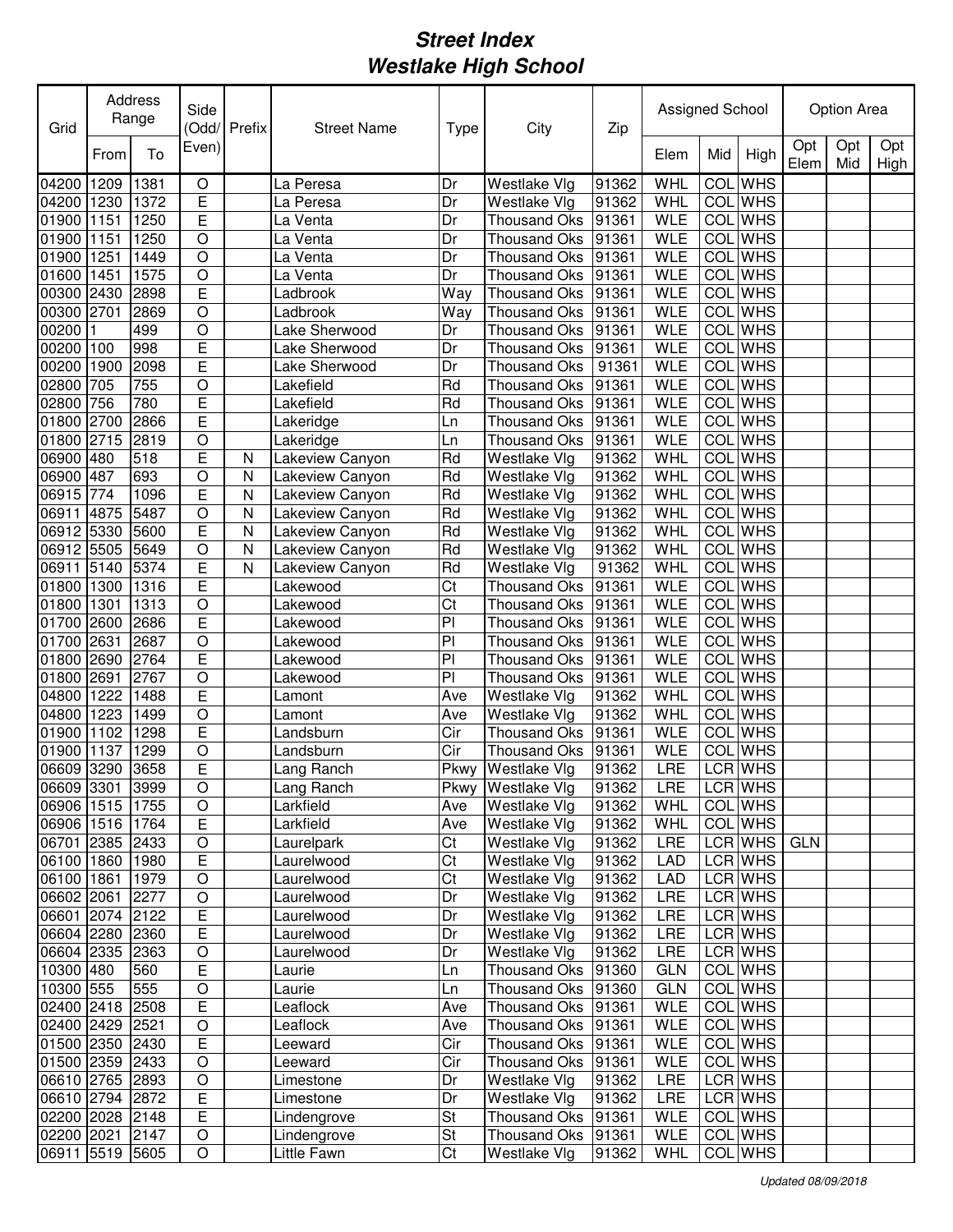| Grid            |      | Address<br>Range | Side             | (Odd/Prefix | <b>Street Name</b>      | <b>Type</b>    | City                               | Zip   | Assigned School |                  |            |             | Option Area |             |
|-----------------|------|------------------|------------------|-------------|-------------------------|----------------|------------------------------------|-------|-----------------|------------------|------------|-------------|-------------|-------------|
|                 | From | To               | Even)            |             |                         |                |                                    |       | Elem            | Mid              | High       | Opt<br>Elem | Opt<br>Mid  | Opt<br>High |
| 04200           | 1209 | 1381             | $\circ$          |             | La Peresa               | Dr             | Westlake Vlg                       | 91362 | <b>WHL</b>      | COL              | <b>WHS</b> |             |             |             |
| 04200           | 1230 | 1372             | E                |             | La Peresa               | Dr             | Westlake Vlg                       | 91362 | WHL             | COL              | <b>WHS</b> |             |             |             |
| 01900           | 1151 | 1250             | E                |             | La Venta                | Dr             | Thousand Oks                       | 91361 | <b>WLE</b>      | COL              | <b>WHS</b> |             |             |             |
| 01900           | 1151 | 1250             | O                |             | La Venta                | Dr             | <b>Thousand Oks</b>                | 91361 | <b>WLE</b>      | COL              | <b>WHS</b> |             |             |             |
| 01900           | 1251 | 1449             | $\circ$          |             | La Venta                | Dr             | <b>Thousand Oks</b>                | 91361 | <b>WLE</b>      | COL              | <b>WHS</b> |             |             |             |
| 01600           | 1451 | 1575             | $\circ$          |             | La Venta                | Dr             | <b>Thousand Oks</b>                | 91361 | <b>WLE</b>      | COL              | <b>WHS</b> |             |             |             |
| 00300           | 2430 | 2898             | E                |             | Ladbrook                | Way            | <b>Thousand Oks</b>                | 91361 | <b>WLE</b>      | COL              | <b>WHS</b> |             |             |             |
| 00300           | 2701 | 2869             | $\circ$          |             | Ladbrook                | Way            | <b>Thousand Oks</b>                | 91361 | <b>WLE</b>      | COL              | <b>WHS</b> |             |             |             |
| 00200           |      | 499              | $\circ$          |             | Lake Sherwood           | Dr             | <b>Thousand Oks</b>                | 91361 | <b>WLE</b>      | COL              | <b>WHS</b> |             |             |             |
| 00200           | 100  | 998              | E                |             | Lake Sherwood           | Dr             | <b>Thousand Oks</b>                | 91361 | <b>WLE</b>      | COL              | <b>WHS</b> |             |             |             |
| 00200           | 1900 | 2098             | Ē                |             | Lake Sherwood           | Dr             | Thousand Oks                       | 91361 | <b>WLE</b>      | COL              | <b>WHS</b> |             |             |             |
| 02800           | 705  | 755              | $\circ$          |             | Lakefield               | Rd             | <b>Thousand Oks</b>                | 91361 | <b>WLE</b>      | COL              | <b>WHS</b> |             |             |             |
| 02800           | 756  | 780              | E                |             | Lakefield               | Rd             | <b>Thousand Oks</b>                | 91361 | <b>WLE</b>      | $\overline{COL}$ | <b>WHS</b> |             |             |             |
| 01800           | 2700 | 2866             | Ē                |             | Lakeridge               | Ln             | <b>Thousand Oks</b>                | 91361 | <b>WLE</b>      | COL              | <b>WHS</b> |             |             |             |
| 01800           | 2715 | 2819             | $\circ$          |             | Lakeridge               | Ln             | <b>Thousand Oks</b>                | 91361 | <b>WLE</b>      | COL              | <b>WHS</b> |             |             |             |
| 06900 480       |      | 518              | Ē                | N           | Lakeview Canyon         | Rd             | Westlake Vlg                       | 91362 | WHL             | COL              | <b>WHS</b> |             |             |             |
| 06900 487       |      | 693              | $\circ$          | N           | Lakeview Canyon         | Rd             | Westlake Vlg                       | 91362 | WHL             | COL              | <b>WHS</b> |             |             |             |
| 06915           | 774  | 1096             | E                | N           | Lakeview Canyon         | Rd             | Westlake Vlg                       | 91362 | WHL             | <b>COL</b>       | <b>WHS</b> |             |             |             |
| 06911           | 4875 | 5487             | $\circ$          | Ν           | Lakeview Canyon         | Rd             | Westlake Vlg                       | 91362 | <b>WHL</b>      | <b>COL</b>       | <b>WHS</b> |             |             |             |
| 06912 5330      |      | 5600             | E                | N           | Lakeview Canyon         | Rd             | Westlake Vlg                       | 91362 | WHL             | COL              | <b>WHS</b> |             |             |             |
| 06912 5505      |      | 5649             | $\circ$          | Ν           | Lakeview Canyon         | Rd             | Westlake Vlg                       | 91362 | <b>WHL</b>      | COL              | <b>WHS</b> |             |             |             |
| 06911           | 5140 | 5374             | E                | Ν           | Lakeview Canyon         | Rd             | Westlake Vlg                       | 91362 | <b>WHL</b>      | COL              | <b>WHS</b> |             |             |             |
| 01800           | 1300 | 1316             | E                |             | Lakewood                | Ct             | <b>Thousand Oks</b>                | 91361 | <b>WLE</b>      | COL              | <b>WHS</b> |             |             |             |
| 01800           | 1301 | 1313             | $\circ$          |             | Lakewood                | Ct             | <b>Thousand Oks</b>                | 91361 | <b>WLE</b>      | COL              | <b>WHS</b> |             |             |             |
| 01700           | 2600 | 2686             | E                |             | Lakewood                | P <sub>1</sub> | <b>Thousand Oks</b>                | 91361 | <b>WLE</b>      | COL              | <b>WHS</b> |             |             |             |
| 01700           | 2631 | 2687             | $\circ$          |             | Lakewood                | P <sub>1</sub> | <b>Thousand Oks</b>                | 91361 | <b>WLE</b>      | COL              | <b>WHS</b> |             |             |             |
| 01800           | 2690 | 2764             | E                |             | Lakewood                | P              | <b>Thousand Oks</b>                | 91361 | <b>WLE</b>      | COL              | <b>WHS</b> |             |             |             |
| 01800           | 2691 | 2767             | $\circ$          |             | Lakewood                | PI             | Thousand Oks                       | 91361 | <b>WLE</b>      | COL              | <b>WHS</b> |             |             |             |
| 04800           | 1222 | 1488             | E                |             | Lamont                  | Ave            | Westlake Vlg                       | 91362 | WHL             | <b>COL</b>       | <b>WHS</b> |             |             |             |
| 04800           | 1223 | 1499             | O                |             | Lamont                  | Ave            | Westlake Vlg                       | 91362 | WHL             | COL              | <b>WHS</b> |             |             |             |
| 01900           | 1102 | 1298             | E                |             | Landsburn               | Cir            | <b>Thousand Oks</b>                | 91361 | <b>WLE</b>      |                  | COL WHS    |             |             |             |
| 01900           | 1137 | 1299             | O                |             | Landsburn               | Cir            | <b>Thousand Oks</b>                | 91361 | <b>WLE</b>      | COL              | <b>WHS</b> |             |             |             |
| 06609 3290      |      | 3658             | E                |             | Lang Ranch              | Pkwy           | Westlake Vlg                       | 91362 | LRE             |                  | LCR WHS    |             |             |             |
| 06609 3301 3999 |      |                  | $\bigcirc$       |             |                         | Pkwy           |                                    | 91362 |                 |                  | LCR WHS    |             |             |             |
| 06906 1515 1755 |      |                  | O                |             | Lang Ranch<br>Larkfield | Ave            | Westlake Vlg<br>Westlake Vlg       | 91362 | LRE<br>WHL      |                  | COL WHS    |             |             |             |
| 06906 1516 1764 |      |                  | E                |             | Larkfield               | Ave            | Westlake Vlg                       | 91362 | WHL             |                  | COL WHS    |             |             |             |
| 06701 2385 2433 |      |                  | $\mathsf O$      |             | Laurelpark              | Ct             | Westlake Vlg                       | 91362 | LRE             |                  | LCR WHS    | <b>GLN</b>  |             |             |
| 06100 1860 1980 |      |                  | E                |             | Laurelwood              | Ct             | Westlake Vlg                       | 91362 | LAD             |                  | LCR WHS    |             |             |             |
| 06100 1861      |      | 1979             | $\mathsf O$      |             | Laurelwood              | Ct             | Westlake Vlg                       | 91362 | LAD             |                  | LCR WHS    |             |             |             |
| 06602 2061      |      | 2277             | $\hbox{O}$       |             | Laurelwood              | Dr             | Westlake Vlg                       | 91362 | LRE             |                  | LCR WHS    |             |             |             |
| 06601 2074 2122 |      |                  | E                |             | Laurelwood              |                | Westlake Vlg                       |       |                 |                  | LCR WHS    |             |             |             |
| 06604 2280 2360 |      |                  | E                |             | Laurelwood              | Dr             |                                    | 91362 | LRE             |                  | LCR WHS    |             |             |             |
| 06604 2335 2363 |      |                  |                  |             | Laurelwood              | Dr<br>Dr       | Westlake Vlg                       | 91362 | LRE<br>LRE      |                  | LCR WHS    |             |             |             |
|                 |      | 560              | $\mathsf O$<br>E |             |                         |                | Westlake Vlg<br>Thousand Oks 91360 | 91362 |                 |                  | COL WHS    |             |             |             |
| 10300 480       |      | 555              | $\circ$          |             | Laurie                  | Ln             |                                    |       | <b>GLN</b>      |                  | COL WHS    |             |             |             |
| 10300 555       |      |                  |                  |             | Laurie                  | Ln             | Thousand Oks 91360                 |       | <b>GLN</b>      |                  |            |             |             |             |
| 02400 2418 2508 |      |                  | E                |             | Leaflock                | Ave            | Thousand Oks 91361                 |       | <b>WLE</b>      |                  | COL WHS    |             |             |             |
| 02400 2429 2521 |      |                  | $\circ$          |             | Leaflock                | Ave            | Thousand Oks 91361                 |       | <b>WLE</b>      |                  | COL WHS    |             |             |             |
| 01500 2350 2430 |      |                  | E                |             | Leeward                 | Cir            | Thousand Oks 91361                 |       | <b>WLE</b>      |                  | COL WHS    |             |             |             |
| 01500 2359 2433 |      |                  | $\circ$          |             | Leeward                 | Cir            | Thousand Oks 91361                 |       | <b>WLE</b>      |                  | COL WHS    |             |             |             |
| 06610 2765 2893 |      |                  | $\mathsf O$      |             | Limestone               | Dr             | Westlake Vlg                       | 91362 | LRE             |                  | LCR WHS    |             |             |             |
| 06610 2794 2872 |      |                  | Е                |             | Limestone               | Dr             | Westlake Vlg                       | 91362 | LRE             |                  | LCR WHS    |             |             |             |
| 02200 2028 2148 |      |                  | Е                |             | Lindengrove             | St             | Thousand Oks 91361                 |       | <b>WLE</b>      |                  | COL WHS    |             |             |             |
| 02200 2021 2147 |      |                  | O                |             | Lindengrove             | St             | Thousand Oks 91361                 |       | <b>WLE</b>      |                  | COL WHS    |             |             |             |
| 06911 5519 5605 |      |                  | O                |             | Little Fawn             | Ct             | Westlake Vlg                       | 91362 | WHL             |                  | COL WHS    |             |             |             |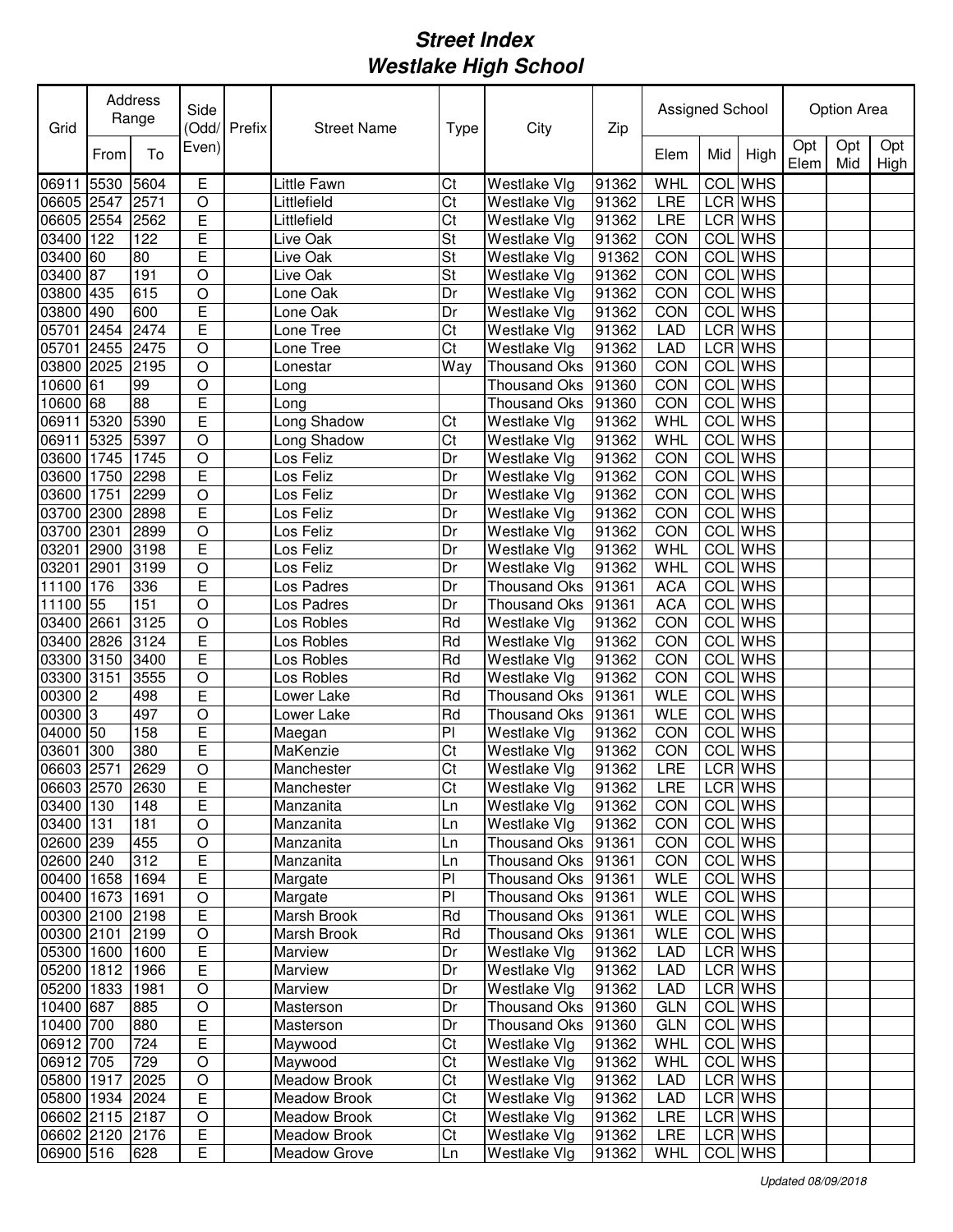| Grid            |      | Address<br>Range | Side           | Odd/Prefix | <b>Street Name</b> | <b>Type</b> | City                | Zip   | Assigned School |            |                |             | <b>Option Area</b> |             |
|-----------------|------|------------------|----------------|------------|--------------------|-------------|---------------------|-------|-----------------|------------|----------------|-------------|--------------------|-------------|
|                 | From | To               | Even)          |            |                    |             |                     |       | Elem            | Mid        | High           | Opt<br>Elem | Opt<br>Mid         | Opt<br>High |
| 06911           | 5530 | 5604             | E              |            | <b>Little Fawn</b> | Ct          | Westlake Vlg        | 91362 | <b>WHL</b>      |            | <b>COL</b> WHS |             |                    |             |
| 06605 2547      |      | 2571             | O              |            | Littlefield        | Ct          | Westlake Vlg        | 91362 | LRE             |            | LCR WHS        |             |                    |             |
| 06605 2554      |      | 2562             | E              |            | Littlefield        | Ct          | Westlake Vlg        | 91362 | LRE             |            | LCR WHS        |             |                    |             |
| 03400           | 122  | 122              | E              |            | Live Oak           | St          | Westlake Vlg        | 91362 | CON             |            | <b>COL</b> WHS |             |                    |             |
| 03400           | 60   | 80               | E              |            | Live Oak           | St          | Westlake Vlg        | 91362 | CON             |            | COL WHS        |             |                    |             |
| 03400           | 87   | 191              | $\overline{O}$ |            | Live Oak           | St          | Westlake Vlg        | 91362 | CON             | COL        | <b>WHS</b>     |             |                    |             |
| 03800           | 435  | 615              | O              |            | Lone Oak           | Dr          | Westlake Vlg        | 91362 | CON             | <b>COL</b> | <b>WHS</b>     |             |                    |             |
| 03800           | 490  | 600              | E              |            | Lone Oak           | Dr          | Westlake Vlg        | 91362 | CON             | COL        | <b>WHS</b>     |             |                    |             |
| 05701           | 2454 | 2474             | Ē              |            | Lone Tree          | Ct          | Westlake Vlg        | 91362 | <b>LAD</b>      |            | LCR WHS        |             |                    |             |
| 05701           | 2455 | 2475             | $\bigcirc$     |            | Lone Tree          | Ct          | Westlake Vlg        | 91362 | <b>LAD</b>      |            | LCR WHS        |             |                    |             |
| 03800 2025      |      | 2195             | $\bigcirc$     |            | Lonestar           | Way         | <b>Thousand Oks</b> | 91360 | CON             | <b>COL</b> | <b>WHS</b>     |             |                    |             |
| 10600 61        |      | 99               | $\circ$        |            | Long               |             | <b>Thousand Oks</b> | 91360 | CON             | COL        | <b>WHS</b>     |             |                    |             |
| 10600 68        |      | 88               | Ē              |            | Long               |             | <b>Thousand Oks</b> | 91360 | CON             |            | <b>COL</b> WHS |             |                    |             |
| 06911           | 5320 | 5390             | Ē              |            | Long Shadow        | Ct          | Westlake Vlg        | 91362 | <b>WHL</b>      | <b>COL</b> | <b>WHS</b>     |             |                    |             |
| 06911 5325      |      | 5397             | $\circ$        |            | Long Shadow        | Ct          | Westlake Vlg        | 91362 | WHL             | COL        | <b>WHS</b>     |             |                    |             |
| 03600 1745      |      | 1745             | $\circ$        |            | Los Feliz          | Dr          | Westlake Vlg        | 91362 | CON             | <b>COL</b> | <b>WHS</b>     |             |                    |             |
| 03600           | 1750 | 2298             | E              |            | Los Feliz          | Dr          | Westlake Vlg        | 91362 | CON             | COL        | <b>WHS</b>     |             |                    |             |
| 03600           | 1751 | 2299             | $\circ$        |            | Los Feliz          | Dr          | Westlake Vlg        | 91362 | CON             | COL        | <b>WHS</b>     |             |                    |             |
| 03700 2300      |      | 2898             | E              |            | Los Feliz          | Dr          | Westlake Vlg        | 91362 | CON             | COL        | <b>WHS</b>     |             |                    |             |
| 03700 2301      |      | 2899             | $\circ$        |            | Los Feliz          | Dr          | Westlake Vlg        | 91362 | CON             | <b>COL</b> | <b>WHS</b>     |             |                    |             |
| 03201           | 2900 | 3198             | E              |            | Los Feliz          | Dr          | Westlake Vlg        | 91362 | <b>WHL</b>      | <b>COL</b> | <b>WHS</b>     |             |                    |             |
| 03201           | 2901 | 3199             | $\circ$        |            | Los Feliz          | Dr          | Westlake Vlg        | 91362 | <b>WHL</b>      | COL        | <b>WHS</b>     |             |                    |             |
| 11100 176       |      | 336              | E              |            | Los Padres         | Dr          | <b>Thousand Oks</b> | 91361 | <b>ACA</b>      | COL        | <b>WHS</b>     |             |                    |             |
| 11100           | 55   | 151              | $\circ$        |            | Los Padres         | Dr          | Thousand Oks        | 91361 | <b>ACA</b>      |            | COL WHS        |             |                    |             |
| 03400 2661      |      | 3125             | $\bigcirc$     |            | Los Robles         | Rd          | Westlake Vlg        | 91362 | CON             | COL        | <b>WHS</b>     |             |                    |             |
| 03400 2826      |      | 3124             | E              |            | Los Robles         | Rd          | Westlake Vlg        | 91362 | CON             |            | <b>COL</b> WHS |             |                    |             |
| 03300 3150      |      | 3400             | E              |            | Los Robles         | Rd          | Westlake Vlg        | 91362 | CON             |            | <b>COL</b> WHS |             |                    |             |
| 03300 3151      |      | 3555             | O              |            | Los Robles         | Rd          | Westlake Vlg        | 91362 | CON             |            | <b>COL</b> WHS |             |                    |             |
| 00300           | 2    | 498              | E              |            | Lower Lake         | Rd          | <b>Thousand Oks</b> | 91361 | <b>WLE</b>      |            | <b>COL</b> WHS |             |                    |             |
| 00300 3         |      | 497              | $\circ$        |            | Lower Lake         | Rd          | Thousand Oks        | 91361 | <b>WLE</b>      |            | COL WHS        |             |                    |             |
| 04000 50        |      | 158              | E              |            | Maegan             | PI          | Westlake Vlg        | 91362 | CON             | COL        | <b>WHS</b>     |             |                    |             |
| 03601           | 300  | 380              | Ē              |            | MaKenzie           | Ct          | Westlake Vlg        | 91362 | CON             | COL        | <b>WHS</b>     |             |                    |             |
| 06603 2571      |      | 2629             | $\overline{O}$ |            | Manchester         | Ct          | Westlake Vlg        | 91362 | LRE             |            | LCR WHS        |             |                    |             |
| 06603 2570 2630 |      |                  | E              |            | Manchester         | Ct          | Westlake Vlg        | 91362 | <b>LRE</b>      |            | <b>LCR WHS</b> |             |                    |             |
| 03400 130       |      | 148              | E              |            | Manzanita          | Ln          | Westlake Vlg        | 91362 | <b>CON</b>      |            | COL WHS        |             |                    |             |
| 03400 131       |      | 181              | $\mathsf O$    |            | Manzanita          | Ln          | Westlake Vlg        | 91362 | <b>CON</b>      |            | COL WHS        |             |                    |             |
| 02600 239       |      | 455              | $\hbox{O}$     |            | Manzanita          | Ln          | Thousand Oks 91361  |       | <b>CON</b>      |            | COL WHS        |             |                    |             |
| 02600 240       |      | 312              | E              |            | Manzanita          | Ln          | Thousand Oks        | 91361 | CON             |            | COL WHS        |             |                    |             |
| 00400 1658      |      | 1694             | E              |            | Margate            | PI          | Thousand Oks        | 91361 | <b>WLE</b>      |            | COL WHS        |             |                    |             |
| 00400 1673 1691 |      |                  | $\mathsf O$    |            | Margate            | PI          | Thousand Oks 91361  |       | <b>WLE</b>      |            | COL WHS        |             |                    |             |
| 00300 2100 2198 |      |                  | E              |            | Marsh Brook        | Rd          | Thousand Oks 91361  |       | <b>WLE</b>      |            | COL WHS        |             |                    |             |
| 00300 2101      |      | 2199             | $\circ$        |            | Marsh Brook        | Rd          | Thousand Oks        | 91361 | <b>WLE</b>      |            | COL WHS        |             |                    |             |
| 05300 1600      |      | 1600             | E              |            | Marview            | Dr          | Westlake Vlg        | 91362 | <b>LAD</b>      |            | LCR WHS        |             |                    |             |
| 05200 1812 1966 |      |                  | Е              |            | Marview            | Dr          | Westlake Vlg        | 91362 | <b>LAD</b>      |            | LCR WHS        |             |                    |             |
| 05200 1833 1981 |      |                  | $\circ$        |            | Marview            | Dr          | Westlake Vlg        | 91362 | <b>LAD</b>      |            | LCR WHS        |             |                    |             |
| 10400 687       |      | 885              | $\circ$        |            | Masterson          | Dr          | Thousand Oks        | 91360 | <b>GLN</b>      |            | COL WHS        |             |                    |             |
| 10400 700       |      | 880              | Ε              |            | Masterson          | Dr          | Thousand Oks        | 91360 | <b>GLN</b>      |            | COL WHS        |             |                    |             |
| 06912 700       |      | 724              | Е              |            | Maywood            | Ct          | Westlake Vlg        | 91362 | WHL             |            | COL WHS        |             |                    |             |
| 06912 705       |      | 729              | $\mathsf O$    |            | Maywood            | Ct          | Westlake Vlg        | 91362 | WHL             |            | COL WHS        |             |                    |             |
| 05800 1917      |      | 2025             | $\mathsf O$    |            | Meadow Brook       | Ct          | Westlake Vlg        | 91362 | LAD             |            | LCR WHS        |             |                    |             |
| 05800 1934 2024 |      |                  | $\overline{E}$ |            | Meadow Brook       | Ct          | Westlake Vlg        | 91362 | <b>LAD</b>      |            | LCR WHS        |             |                    |             |
| 06602 2115 2187 |      |                  | O              |            | Meadow Brook       | Ct          | Westlake Vlg        | 91362 | <b>LRE</b>      |            | LCR WHS        |             |                    |             |
| 06602 2120 2176 |      |                  | $\overline{E}$ |            | Meadow Brook       | Ct          | Westlake Vlg        | 91362 | <b>LRE</b>      |            | LCR WHS        |             |                    |             |
| 06900 516       |      | 628              | E              |            | Meadow Grove       | Ln          | Westlake Vlg        | 91362 | <b>WHL</b>      |            | COL WHS        |             |                    |             |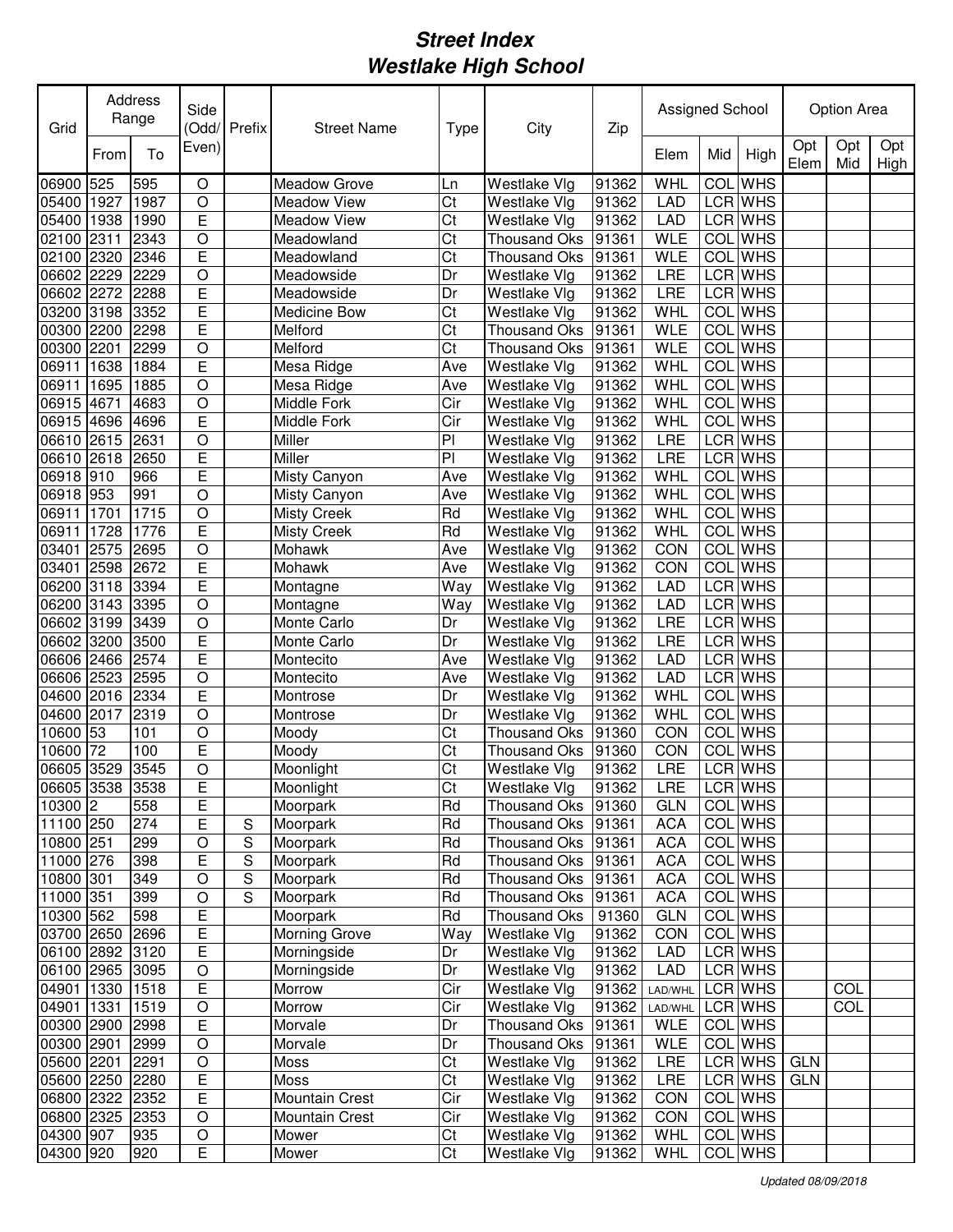| Grid                          |      | Address<br>Range | Side             | (Odd/ Prefix   | <b>Street Name</b>           | <b>Type</b>             | City                         | Zip            | Assigned School   |            |                |             | Option Area       |             |
|-------------------------------|------|------------------|------------------|----------------|------------------------------|-------------------------|------------------------------|----------------|-------------------|------------|----------------|-------------|-------------------|-------------|
|                               | From | To               | Even)            |                |                              |                         |                              |                | Elem              | Mid        | High           | Opt<br>Elem | Opt<br>Mid        | Opt<br>High |
| 06900                         | 525  | 595              | $\circ$          |                | <b>Meadow Grove</b>          | Ln                      | Westlake Vlg                 | 91362          | <b>WHL</b>        | COL        | <b>WHS</b>     |             |                   |             |
| 05400                         | 1927 | 1987             | $\bigcirc$       |                | <b>Meadow View</b>           | Ct                      | Westlake Vlg                 | 91362          | <b>LAD</b>        |            | <b>LCR WHS</b> |             |                   |             |
| 05400                         | 1938 | 1990             | $\overline{E}$   |                | <b>Meadow View</b>           | Ct                      | Westlake Vlg                 | 91362          | <b>LAD</b>        |            | LCR WHS        |             |                   |             |
| 02100                         | 2311 | 2343             | $\bigcirc$       |                | Meadowland                   | Ct                      | <b>Thousand Oks</b>          | 91361          | WLE               |            | COL WHS        |             |                   |             |
| 02100 2320                    |      | 2346             | E                |                | Meadowland                   | Ct                      | <b>Thousand Oks</b>          | 91361          | <b>WLE</b>        | COL        | <b>WHS</b>     |             |                   |             |
| 06602 2229                    |      | 2229             | $\circ$          |                | Meadowside                   | Dr                      | Westlake Vlg                 | 91362          | LRE               |            | LCR WHS        |             |                   |             |
| 06602 2272                    |      | 2288             | E                |                | Meadowside                   | Dr                      | Westlake Vlg                 | 91362          | LRE               |            | LCR WHS        |             |                   |             |
| 03200                         | 3198 | 3352             | E                |                | Medicine Bow                 | Ct                      | Westlake Vlg                 | 91362          | WHL               | COL        | <b>WHS</b>     |             |                   |             |
| 00300                         | 2200 | 2298             | Ē                |                | Melford                      | Ct                      | <b>Thousand Oks</b>          | 91361          | <b>WLE</b>        | <b>COL</b> | <b>WHS</b>     |             |                   |             |
| 00300                         | 2201 | 2299             | O                |                | Melford                      | Ct                      | <b>Thousand Oks</b>          | 91361          | <b>WLE</b>        | COL        | <b>WHS</b>     |             |                   |             |
| 06911                         | 1638 | 1884             | Ē                |                | Mesa Ridge                   | Ave                     | Westlake Vlg                 | 91362          | WHL               | COL        | <b>WHS</b>     |             |                   |             |
| 06911                         | 1695 | 1885             | $\circ$          |                | Mesa Ridge                   | Ave                     | Westlake Vlg                 | 91362          | WHL               | <b>COL</b> | <b>WHS</b>     |             |                   |             |
| 06915 4671                    |      | 4683             | $\overline{O}$   |                | Middle Fork                  | $\overline{\text{Cir}}$ | Westlake Vlg                 | 91362          | <b>WHL</b>        | COL        | <b>WHS</b>     |             |                   |             |
| 06915 4696                    |      | 4696             | Ē                |                | Middle Fork                  | Cir                     | Westlake Vlg                 | 91362          | <b>WHL</b>        | COL        | <b>WHS</b>     |             |                   |             |
| 06610 2615                    |      | 2631             | $\circ$          |                | Miller                       | PI                      | Westlake Vlg                 | 91362          | LRE               |            | <b>LCR WHS</b> |             |                   |             |
| 06610 2618                    |      | 2650             | E                |                | Miller                       | $\overline{P}$          | Westlake Vlg                 | 91362          | <b>LRE</b>        | <b>LCR</b> | <b>WHS</b>     |             |                   |             |
| 06918 910                     |      | 966              | Ē                |                | Misty Canyon                 | Ave                     | Westlake Vlg                 | 91362          | WHL               | <b>COL</b> | <b>WHS</b>     |             |                   |             |
| 06918 953                     |      | 991              | $\circ$          |                | Misty Canyon                 | Ave                     | Westlake Vlg                 | 91362          | WHL               | COL        | <b>WHS</b>     |             |                   |             |
| 06911                         | 1701 | 1715             | $\circ$          |                | <b>Misty Creek</b>           | Rd                      | Westlake Vlg                 | 91362          | WHL               | COL        | <b>WHS</b>     |             |                   |             |
| 06911                         | 1728 | 1776             | E                |                | <b>Misty Creek</b>           | Rd                      | Westlake Vlg                 | 91362          | WHL               | COL        | <b>WHS</b>     |             |                   |             |
| 03401                         | 2575 | 2695             | $\circ$          |                | Mohawk                       | Ave                     | Westlake Vlg                 | 91362          | CON               | COL        | <b>WHS</b>     |             |                   |             |
| 03401                         | 2598 | 2672             | E                |                | Mohawk                       | Ave                     | <b>Westlake Vlg</b>          | 91362          | CON               | <b>COL</b> | <b>WHS</b>     |             |                   |             |
| 06200 3118                    |      | 3394             | E                |                | Montagne                     | Way                     | Westlake Vlg                 | 91362          | <b>LAD</b>        | LCR        | <b>WHS</b>     |             |                   |             |
| 06200 3143                    |      | 3395             | $\circ$          |                | Montagne                     | Way                     | <b>Westlake Vlg</b>          | 91362          | LAD               | <b>LCR</b> | <b>WHS</b>     |             |                   |             |
| 06602                         | 3199 | 3439             | $\circ$          |                | Monte Carlo                  | Dr                      | Westlake Vlg                 | 91362          | <b>LRE</b>        | <b>LCR</b> | <b>WHS</b>     |             |                   |             |
| 06602 3200                    |      | 3500             | E                |                | Monte Carlo                  | Dr                      | Westlake Vlg                 | 91362          | <b>LRE</b>        |            | LCR WHS        |             |                   |             |
| 06606 2466                    |      | 2574             | E                |                | Montecito                    | Ave                     | Westlake Vlg                 | 91362          | <b>LAD</b>        |            | LCR WHS        |             |                   |             |
| 06606 2523                    |      | 2595             | O                |                | Montecito                    | Ave                     | Westlake Vlg                 | 91362          | LAD               |            | LCR WHS        |             |                   |             |
| 04600 2016                    |      | 2334             | E                |                | Montrose                     | Dr                      | Westlake Vlg                 | 91362          | WHL               |            | COL WHS        |             |                   |             |
| 04600 2017                    |      | 2319             | O                |                | Montrose                     | Dr                      | Westlake Vlg                 | 91362          | WHL               |            | <b>COL</b> WHS |             |                   |             |
| 10600                         | 53   | 101              | O                |                | Moody                        | Ct                      | <b>Thousand Oks</b>          | 91360          | CON               |            | COL WHS        |             |                   |             |
| 10600                         | 72   | 100              | E                |                | Moody                        | Ct                      | <b>Thousand Oks</b>          | 91360          | CON               | COL        | <b>WHS</b>     |             |                   |             |
| 06605 3529                    |      | 3545             | O                |                | Moonlight                    | Ct                      | Westlake Vlg                 | 91362          | LRE               |            | LCR WHS        |             |                   |             |
|                               |      |                  | Е                |                |                              |                         |                              |                |                   |            | LCR WHS        |             |                   |             |
| 06605 3538 3538<br>10300 2    |      | 558              | E                |                | Moonlight<br>Moorpark        | Ct<br>Rd                | Westlake Vlg<br>Thousand Oks | 91362<br>91360 | LRE<br><b>GLN</b> |            | COL WHS        |             |                   |             |
| 11100 250                     |      | 274              | E                | S              | Moorpark                     | Rd                      | Thousand Oks                 | 91361          | <b>ACA</b>        |            | COL WHS        |             |                   |             |
| 10800 251                     |      | 299              | $\mathsf O$      | ${\mathsf S}$  | Moorpark                     | Rd                      | <b>Thousand Oks</b>          | 91361          | <b>ACA</b>        |            | COL WHS        |             |                   |             |
| 11000 276                     |      | 398              | E                | S              | Moorpark                     | Rd                      | Thousand Oks                 | 91361          | <b>ACA</b>        |            | <b>COL</b> WHS |             |                   |             |
|                               |      | 349              | $\bigcirc$       | $\overline{S}$ | Moorpark                     | Rd                      |                              |                |                   |            | COL WHS        |             |                   |             |
| 10800 301<br>11000 351        |      | 399              |                  | S              | Moorpark                     | Rd                      | Thousand Oks                 | 91361          | <b>ACA</b>        |            | COL WHS        |             |                   |             |
|                               |      | 598              | $\mathsf O$<br>E |                | Moorpark                     | Rd                      | Thousand Oks                 | 91361          | <b>ACA</b>        |            | COL WHS        |             |                   |             |
| 10300 562                     |      | 2696             | E                |                |                              |                         | Thousand Oks<br>Westlake Vlg | 91360          | <b>GLN</b>        |            | COL WHS        |             |                   |             |
| 03700 2650<br>06100 2892 3120 |      |                  | E                |                | Morning Grove<br>Morningside | Way                     | Westlake Vlg                 | 91362          | <b>CON</b>        |            | LCR WHS        |             |                   |             |
|                               |      |                  |                  |                |                              | Dr                      |                              | 91362          | LAD               |            |                |             |                   |             |
| 06100 2965                    |      | 3095             | O                |                | Morningside                  | Dr                      | Westlake Vlg                 | 91362          | <b>LAD</b>        |            | LCR WHS        |             |                   |             |
| 04901 1330 1518               |      |                  | Ε                |                | Morrow                       | Cir                     | Westlake Vlg                 | 91362          | LAD/WHL           |            | LCR WHS        |             | COL<br><b>COL</b> |             |
| 04901 1331                    |      | 1519             | $\circ$          |                | Morrow                       | Cir                     | Westlake Vlg                 | 91362          | LAD/WHL           |            | LCR WHS        |             |                   |             |
| 00300 2900                    |      | 2998             | Ε                |                | Morvale                      | Dr                      | Thousand Oks                 | 91361          | <b>WLE</b>        |            | COL WHS        |             |                   |             |
| 00300 2901                    |      | 2999             | $\circ$          |                | Morvale                      | Dr                      | Thousand Oks                 | 91361          | WLE               |            | COL WHS        |             |                   |             |
| 05600 2201                    |      | 2291             | $\circ$          |                | Moss                         | Ct                      | Westlake Vlg                 | 91362          | <b>LRE</b>        |            | LCR WHS        | <b>GLN</b>  |                   |             |
| 05600 2250                    |      | 2280             | Ε                |                | Moss                         | Ct                      | Westlake Vlg                 | 91362          | LRE               |            | LCR WHS        | <b>GLN</b>  |                   |             |
| 06800 2322                    |      | 2352             | Ε                |                | Mountain Crest               | Cir                     | <b>Westlake Vlg</b>          | 91362          | CON               |            | <b>COL</b> WHS |             |                   |             |
| 06800 2325 2353               |      |                  | O                |                | Mountain Crest               | Cir                     | Westlake Vlg                 | 91362          | <b>CON</b>        |            | COL WHS        |             |                   |             |
| 04300 907                     |      | 935              | O                |                | Mower                        | Ct                      | Westlake Vlg                 | 91362          | WHL               |            | COL WHS        |             |                   |             |
| 04300 920                     |      | 920              | E                |                | Mower                        | Ct                      | Westlake Vlg                 | 91362          | WHL               |            | COL WHS        |             |                   |             |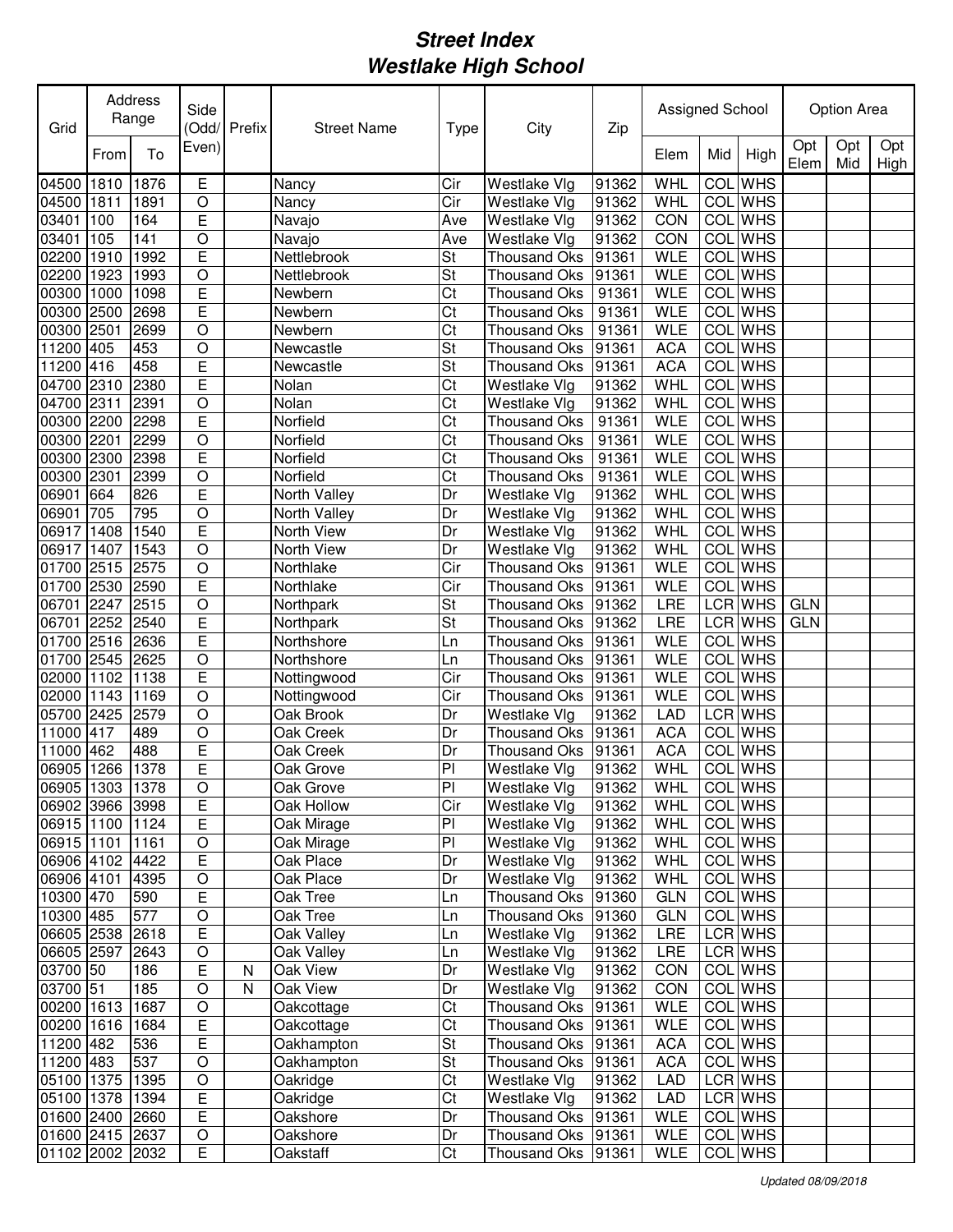| Grid            |      | Address<br>Range | Side           | Odd/Prefix | <b>Street Name</b> | <b>Type</b> | City                | Zip   | Assigned School |            |                |             | <b>Option Area</b> |             |
|-----------------|------|------------------|----------------|------------|--------------------|-------------|---------------------|-------|-----------------|------------|----------------|-------------|--------------------|-------------|
|                 | From | To               | Even)          |            |                    |             |                     |       | Elem            | Mid        | High           | Opt<br>Elem | Opt<br>Mid         | Opt<br>High |
| 04500           | 1810 | 1876             | E              |            | Nancy              | Cir         | Westlake Vlg        | 91362 | WHL             | COL        | <b>WHS</b>     |             |                    |             |
| 04500           | 1811 | 1891             | O              |            | Nancy              | Cir         | Westlake Vlg        | 91362 | <b>WHL</b>      |            | <b>COL</b> WHS |             |                    |             |
| 03401           | 100  | 164              | E              |            | Navajo             | Ave         | Westlake Vlg        | 91362 | CON             |            | <b>COL</b> WHS |             |                    |             |
| 03401           | 105  | 141              | $\circ$        |            | Navajo             | Ave         | Westlake Vlg        | 91362 | CON             | COL        | <b>WHS</b>     |             |                    |             |
| 02200           | 1910 | 1992             | E              |            | Nettlebrook        | St          | <b>Thousand Oks</b> | 91361 | <b>WLE</b>      | COL        | <b>WHS</b>     |             |                    |             |
| 02200           | 1923 | 1993             | $\circ$        |            | Nettlebrook        | St          | <b>Thousand Oks</b> | 91361 | <b>WLE</b>      | COL        | <b>WHS</b>     |             |                    |             |
| 00300           | 1000 | 1098             | E              |            | Newbern            | Ct          | <b>Thousand Oks</b> | 91361 | <b>WLE</b>      | COL        | <b>WHS</b>     |             |                    |             |
| 00300           | 2500 | 2698             | Ē              |            | Newbern            | Ct          | <b>Thousand Oks</b> | 91361 | <b>WLE</b>      | <b>COL</b> | <b>WHS</b>     |             |                    |             |
| 00300           | 2501 | 2699             | $\overline{O}$ |            | Newbern            | Ct          | <b>Thousand Oks</b> | 91361 | <b>WLE</b>      | <b>COL</b> | <b>WHS</b>     |             |                    |             |
| 11200           | 405  | 453              | $\circ$        |            | Newcastle          | St          | <b>Thousand Oks</b> | 91361 | <b>ACA</b>      | COL        | <b>WHS</b>     |             |                    |             |
| 11200 416       |      | 458              | Ē              |            | Newcastle          | St          | <b>Thousand Oks</b> | 91361 | <b>ACA</b>      | COL        | <b>WHS</b>     |             |                    |             |
| 04700 2310      |      | 2380             | E              |            | Nolan              | Ct          | Westlake Vlg        | 91362 | <b>WHL</b>      | COL        | <b>WHS</b>     |             |                    |             |
| 04700 2311      |      | 2391             | $\overline{O}$ |            | Nolan              | Ct          | Westlake Vlg        | 91362 | WHL             | COL        | <b>WHS</b>     |             |                    |             |
| 00300 2200      |      | 2298             | Ē              |            | Norfield           | Ct          | <b>Thousand Oks</b> | 91361 | <b>WLE</b>      | COL        | <b>WHS</b>     |             |                    |             |
| 00300 2201      |      | 2299             | $\circ$        |            | Norfield           | Ct          | <b>Thousand Oks</b> | 91361 | <b>WLE</b>      | <b>COL</b> | <b>WHS</b>     |             |                    |             |
| 00300 2300      |      | 2398             | E              |            | Norfield           | Ct          | <b>Thousand Oks</b> | 91361 | <b>WLE</b>      | <b>COL</b> | <b>WHS</b>     |             |                    |             |
| 00300 2301      |      | 2399             | $\circ$        |            | Norfield           | Ct          | <b>Thousand Oks</b> | 91361 | <b>WLE</b>      | <b>COL</b> | <b>WHS</b>     |             |                    |             |
| 06901           | 664  | 826              | E              |            | North Valley       | Dr          | Westlake Vlg        | 91362 | WHL             | <b>COL</b> | <b>WHS</b>     |             |                    |             |
| 06901           | 705  | 795              | $\circ$        |            | North Valley       | Dr          | Westlake Vlg        | 91362 | WHL             | COL        | <b>WHS</b>     |             |                    |             |
| 06917           | 1408 | 1540             | E              |            | North View         | Dr          | Westlake Vlg        | 91362 | <b>WHL</b>      | COL        | <b>WHS</b>     |             |                    |             |
| 06917           | 1407 | 1543             | $\circ$        |            | North View         | Dr          | Westlake Vlg        | 91362 | WHL             | COL        | <b>WHS</b>     |             |                    |             |
| 01700           | 2515 | 2575             | $\circ$        |            | Northlake          | Cir         | Thousand Oks        | 91361 | <b>WLE</b>      | COL        | <b>WHS</b>     |             |                    |             |
| 01700           | 2530 | 2590             | E              |            | Northlake          | Cir         | <b>Thousand Oks</b> | 91361 | <b>WLE</b>      | COL        | <b>WHS</b>     |             |                    |             |
| 06701           | 2247 | 2515             | $\circ$        |            | Northpark          | St          | <b>Thousand Oks</b> | 91362 | LRE             |            | <b>LCR</b> WHS | <b>GLN</b>  |                    |             |
| 06701           | 2252 | 2540             | Ε              |            | Northpark          | St          | <b>Thousand Oks</b> | 91362 | LRE             |            | LCR WHS        | <b>GLN</b>  |                    |             |
| 01700 2516      |      | 2636             | E              |            | Northshore         | Ln          | <b>Thousand Oks</b> | 91361 | <b>WLE</b>      | COL        | <b>WHS</b>     |             |                    |             |
| 01700           | 2545 | 2625             | O              |            | Northshore         | Ln          | <b>Thousand Oks</b> | 91361 | <b>WLE</b>      | COL        | <b>WHS</b>     |             |                    |             |
| 02000           | 1102 | 1138             | E              |            | Nottingwood        | Cir         | Thousand Oks        | 91361 | <b>WLE</b>      |            | <b>COL</b> WHS |             |                    |             |
| 02000           | 1143 | 1169             | O              |            | Nottingwood        | Cir         | Thousand Oks        | 91361 | <b>WLE</b>      |            | <b>COL</b> WHS |             |                    |             |
| 05700           | 2425 | 2579             | $\circ$        |            | Oak Brook          | Dr          | Westlake Vlg        | 91362 | LAD             |            | LCR WHS        |             |                    |             |
| 11000           | 417  | 489              | O              |            | Oak Creek          | Dr          | Thousand Oks        | 91361 | <b>ACA</b>      |            | <b>COL</b> WHS |             |                    |             |
| 11000           | 462  | 488              | E              |            | Oak Creek          | Dr          | <b>Thousand Oks</b> | 91361 | <b>ACA</b>      | COL        | <b>WHS</b>     |             |                    |             |
| 06905           | 1266 | 1378             | Ē              |            | Oak Grove          | PI          | Westlake Vlg        | 91362 | WHL             |            | <b>COL</b> WHS |             |                    |             |
| 06905 1303 1378 |      |                  | $\overline{O}$ |            | Oak Grove          | ΡI          | Westlake Vlg        | 91362 | WHL             |            | <b>COL</b> WHS |             |                    |             |
| 06902 3966 3998 |      |                  | E              |            | Oak Hollow         | Cir         | Westlake Vlg        | 91362 | WHL             |            | COL WHS        |             |                    |             |
| 06915 1100 1124 |      |                  | E              |            | Oak Mirage         | PI          | Westlake Vlg        | 91362 | WHL             |            | COL WHS        |             |                    |             |
| 06915 1101      |      | 1161             | $\mathsf O$    |            | Oak Mirage         | PI          | Westlake Vlg        | 91362 | WHL             |            | COL WHS        |             |                    |             |
| 06906 4102 4422 |      |                  | E              |            | Oak Place          | Dr          | Westlake Vlg        | 91362 | WHL             |            | COL WHS        |             |                    |             |
| 06906 4101      |      | 4395             | $\mathsf O$    |            | Oak Place          | Dr          | Westlake Vlg        | 91362 | WHL             |            | COL WHS        |             |                    |             |
| 10300 470       |      | 590              | E              |            | Oak Tree           | Ln          | Thousand Oks        | 91360 | <b>GLN</b>      |            | COL WHS        |             |                    |             |
| 10300 485       |      | 577              | $\hbox{O}$     |            | Oak Tree           | Ln          | Thousand Oks        | 91360 | <b>GLN</b>      |            | COL WHS        |             |                    |             |
| 06605 2538      |      | 2618             | E              |            | Oak Valley         | Ln          | Westlake Vlg        | 91362 | LRE             |            | LCR WHS        |             |                    |             |
| 06605 2597      |      | 2643             | $\circ$        |            | Oak Valley         | Ln          | Westlake Vlg        | 91362 | LRE             |            | LCR WHS        |             |                    |             |
| 03700 50        |      | 186              | E              | N          | Oak View           | Dr          | Westlake Vlg        | 91362 | CON             |            | COL WHS        |             |                    |             |
| 03700 51        |      | 185              | $\circ$        | N          | Oak View           | Dr          | Westlake Vlg        | 91362 | CON             |            | COL WHS        |             |                    |             |
| 00200 1613 1687 |      |                  | $\circ$        |            | Oakcottage         | Ct          | Thousand Oks 91361  |       | <b>WLE</b>      |            | COL WHS        |             |                    |             |
| 00200 1616 1684 |      |                  | E              |            | Oakcottage         | Ct          | Thousand Oks 91361  |       | <b>WLE</b>      |            | COL WHS        |             |                    |             |
| 11200 482       |      | 536              | Ε              |            | Oakhampton         | St          | Thousand Oks        | 91361 | <b>ACA</b>      |            | COL WHS        |             |                    |             |
| 11200 483       |      | 537              | $\mathsf O$    |            | Oakhampton         | St          | Thousand Oks        | 91361 | <b>ACA</b>      |            | COL WHS        |             |                    |             |
| 05100 1375 1395 |      |                  | $\mathsf O$    |            | Oakridge           | Ct          | Westlake Vlg        | 91362 | LAD             |            | LCR WHS        |             |                    |             |
| 05100 1378 1394 |      |                  | Ε              |            | Oakridge           | Ct          | Westlake Vlg        | 91362 | LAD             |            | LCR WHS        |             |                    |             |
| 01600 2400 2660 |      |                  | E              |            | Oakshore           | Dr          | Thousand Oks 91361  |       | <b>WLE</b>      |            | COL WHS        |             |                    |             |
| 01600 2415 2637 |      |                  | O              |            | <b>Oakshore</b>    | Dr          | Thousand Oks 91361  |       | <b>WLE</b>      |            | COL WHS        |             |                    |             |
| 01102 2002 2032 |      |                  | E              |            | Oakstaff           | Ct          | Thousand Oks 91361  |       | WLE             |            | COL WHS        |             |                    |             |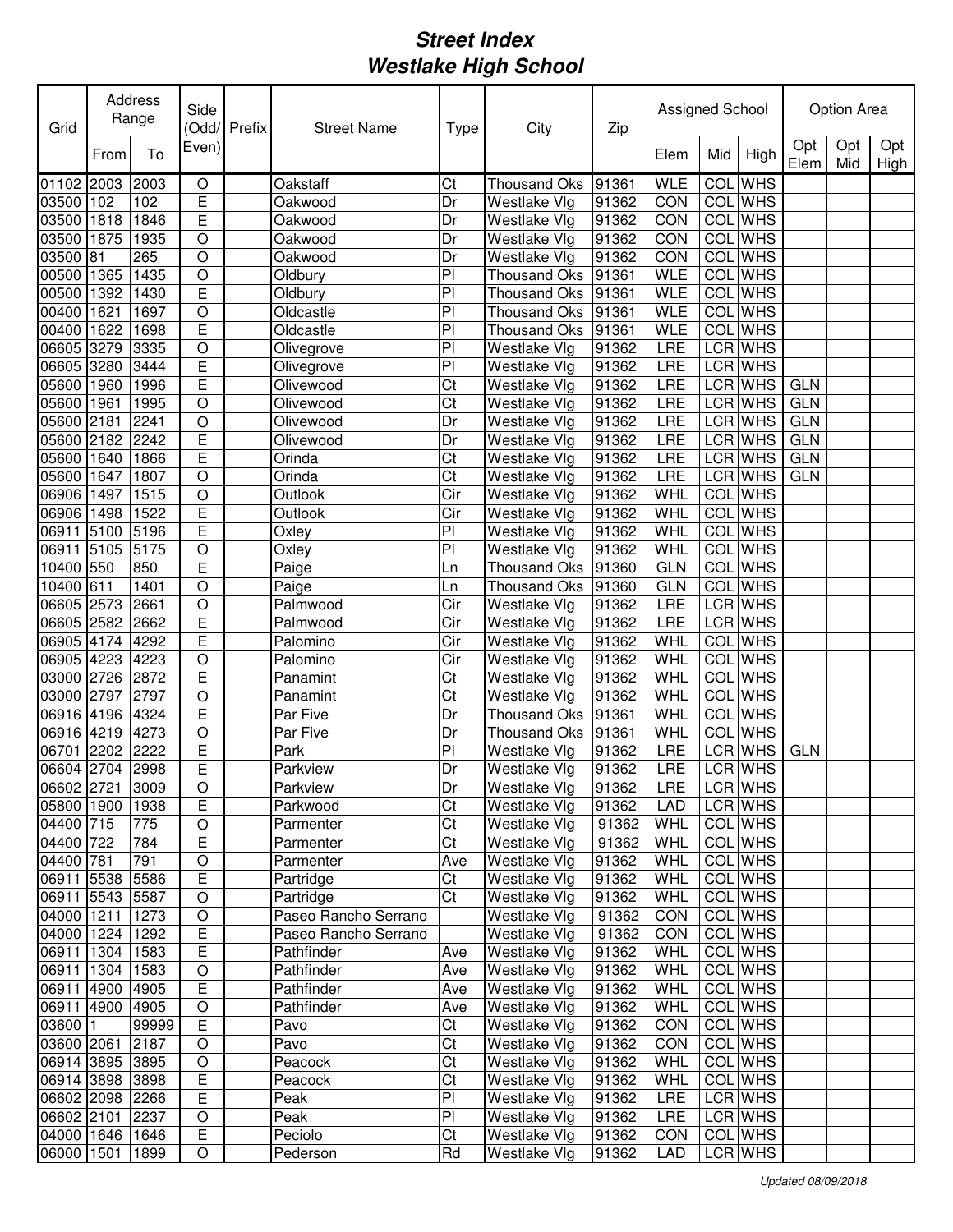| Grid                               |      | Address<br>Range | Side                | Odd/Prefix | <b>Street Name</b>   | <b>Type</b>            | City                         | Zip            | Assigned School |            |                    |             | <b>Option Area</b> |             |
|------------------------------------|------|------------------|---------------------|------------|----------------------|------------------------|------------------------------|----------------|-----------------|------------|--------------------|-------------|--------------------|-------------|
|                                    | From | To               | Even)               |            |                      |                        |                              |                | Elem            | Mid        | High               | Opt<br>Elem | Opt<br>Mid         | Opt<br>High |
| 01102 2003                         |      | 2003             | O                   |            | Oakstaff             | Ct                     | <b>Thousand Oks</b>          | 91361          | <b>WLE</b>      | <b>COL</b> | <b>WHS</b>         |             |                    |             |
| 03500                              | 102  | 102              | E                   |            | Oakwood              | Dr                     | Westlake Vlg                 | 91362          | CON             |            | <b>COL</b> WHS     |             |                    |             |
| 03500                              | 1818 | 1846             | E                   |            | Oakwood              | Dr                     | Westlake Vlg                 | 91362          | CON             |            | <b>COL</b> WHS     |             |                    |             |
| 03500                              | 1875 | 1935             | $\circ$             |            | Oakwood              | Dr                     | Westlake Vlg                 | 91362          | CON             |            | <b>COL</b> WHS     |             |                    |             |
| 03500                              | 81   | 265              | $\circ$             |            | Oakwood              | Dr                     | Westlake Vlg                 | 91362          | CON             | COL        | <b>WHS</b>         |             |                    |             |
| 00500                              | 1365 | 1435             | $\overline{O}$      |            | Oldbury              | P                      | Thousand Oks                 | 91361          | <b>WLE</b>      | <b>COL</b> | <b>WHS</b>         |             |                    |             |
| 00500                              | 1392 | 1430             | E                   |            | Oldbury              | P <sub>1</sub>         | <b>Thousand Oks</b>          | 91361          | <b>WLE</b>      | <b>COL</b> | <b>WHS</b>         |             |                    |             |
| 00400                              | 1621 | 1697             | $\overline{O}$      |            | Oldcastle            | P <sub>1</sub>         | <b>Thousand Oks</b>          | 91361          | <b>WLE</b>      | <b>COL</b> | <b>WHS</b>         |             |                    |             |
| 00400                              | 1622 | 1698             | Ē                   |            | Oldcastle            | P                      | <b>Thousand Oks</b>          | 91361          | <b>WLE</b>      | <b>COL</b> | <b>WHS</b>         |             |                    |             |
| 06605 3279                         |      | 3335             | $\bigcirc$          |            | Olivegrove           | P                      | Westlake Vlg                 | 91362          | LRE             |            | LCR WHS            |             |                    |             |
| 06605 3280                         |      | 3444             | E                   |            | Olivegrove           | PI                     | Westlake Vlg                 | 91362          | LRE             |            | LCR WHS            |             |                    |             |
| 05600                              | 1960 | 1996             | Ē                   |            | Olivewood            | Ct                     | Westlake Vlg                 | 91362          | LRE             |            | LCR WHS            | <b>GLN</b>  |                    |             |
| 05600                              | 1961 | 1995             | $\overline{O}$      |            | Olivewood            | $\overline{\text{Ct}}$ | Westlake Vlg                 | 91362          | LRE             |            | <b>LCR</b> WHS     | <b>GLN</b>  |                    |             |
| 05600 2181                         |      | 2241             | $\circ$             |            | Olivewood            | Dr                     | Westlake Vlg                 | 91362          | LRE             |            | LCR WHS            | <b>GLN</b>  |                    |             |
| 05600 2182                         |      | 2242             | E                   |            | Olivewood            | Dr                     | Westlake Vlg                 | 91362          | LRE             |            | <b>LCR</b> WHS     | <b>GLN</b>  |                    |             |
| 05600                              | 1640 | 1866             | E                   |            | Orinda               | Ct                     | Westlake Vlg                 | 91362          | LRE             |            | LCR WHS            | <b>GLN</b>  |                    |             |
| 05600                              | 1647 | 1807             | $\circ$             |            | Orinda               | Ct                     | Westlake Vlg                 | 91362          | LRE             |            | LCR WHS            | <b>GLN</b>  |                    |             |
| 06906                              | 1497 | 1515             | $\circ$             |            | Outlook              | Cir                    | Westlake Vlg                 | 91362          | WHL             | <b>COL</b> | <b>WHS</b>         |             |                    |             |
| 06906 1498                         |      | 1522             | E                   |            | Outlook              | Cir                    | Westlake Vlg                 | 91362          | WHL             | COL        | <b>WHS</b>         |             |                    |             |
| 06911                              | 5100 | 5196             | E                   |            | Oxley                | P                      | Westlake Vlg                 | 91362          | WHL             | COL        | <b>WHS</b>         |             |                    |             |
| 06911                              | 5105 | 5175             | $\circ$             |            | Oxley                | PI                     | Westlake Vlg                 | 91362          | <b>WHL</b>      | COL        | <b>WHS</b>         |             |                    |             |
| 10400                              | 550  | 850              | E                   |            | Paige                | Ln                     | <b>Thousand Oks</b>          | 91360          | <b>GLN</b>      | COL        | <b>WHS</b>         |             |                    |             |
| 10400                              | 611  | 1401             | $\circ$             |            | Paige                | Ln                     | Thousand Oks                 | 91360          | <b>GLN</b>      | COL        | <b>WHS</b>         |             |                    |             |
| 06605 2573                         |      | 2661             | $\bigcirc$          |            | Palmwood             | Cir                    | Westlake Vlg                 | 91362          | LRE             |            | LCR WHS            |             |                    |             |
| 06605 2582                         |      | 2662             | E                   |            | Palmwood             | Cir                    | Westlake Vlg                 | 91362          | LRE             |            | LCR WHS            |             |                    |             |
| 06905 4174                         |      | 4292             | E                   |            | Palomino             | Cir                    | Westlake Vlg                 | 91362          | WHL             |            | COL WHS            |             |                    |             |
| 06905 4223                         |      | 4223             | O                   |            | Palomino             | Cir                    | Westlake Vlg                 | 91362          | <b>WHL</b>      |            | <b>COL</b> WHS     |             |                    |             |
| 03000 2726                         |      | 2872             | E                   |            | Panamint             | Ct                     | Westlake Vlg                 | 91362          | WHL             |            | <b>COL</b> WHS     |             |                    |             |
| 03000                              | 2797 | 2797             | O                   |            | Panamint             | Ct                     | Westlake Vlg                 | 91362          | WHL             |            | <b>COL</b> WHS     |             |                    |             |
| 06916 4196                         |      | 4324             | E                   |            | Par Five             | Dr                     | Thousand Oks                 | 91361          | WHL             |            | COL WHS            |             |                    |             |
| 06916 4219                         |      | 4273             | $\circ$             |            | Par Five             | Dr                     | Thousand Oks                 | 91361          | WHL             |            | <b>COL</b> WHS     |             |                    |             |
| 06701                              | 2202 | 2222             | E                   |            | Park                 | PI                     | Westlake Vlg                 | 91362          | LRE             |            | LCR WHS            | <b>GLN</b>  |                    |             |
| 06604 2704                         |      | 2998             | Ē                   |            | Parkview             | Dr                     | Westlake Vlg                 | 91362          | LRE             |            | LCR WHS            |             |                    |             |
| 06602 2721 3009                    |      |                  | $\overline{O}$      |            | Parkview             | Dr                     | <b>Westlake Vlg</b>          | 91362          | <b>LRE</b>      |            | LCR WHS            |             |                    |             |
| 05800 1900 1938                    |      |                  | E                   |            | Parkwood             | Ct                     | Westlake Vlg                 | 91362          | LAD             |            | LCR WHS            |             |                    |             |
| 04400 715                          |      | 775              | $\mathsf O$         |            | Parmenter            | Ct                     | Westlake Vlg                 | 91362          | WHL             |            | COL WHS            |             |                    |             |
| 04400 722                          |      | 784              | E                   |            | Parmenter            | Ct                     | Westlake Vlg                 | 91362          | WHL             |            | COL WHS            |             |                    |             |
| 04400 781                          |      | 791              | $\hbox{O}$          |            | Parmenter            | Ave                    | Westlake Vlg                 | 91362          | WHL             |            | COL WHS            |             |                    |             |
| 06911 5538                         |      | 5586             | E                   |            | Partridge            | Ct                     | Westlake Vlg                 | 91362          | WHL             |            | COL WHS            |             |                    |             |
| 06911 5543 5587                    |      |                  | $\mathsf O$         |            | Partridge            | Ct                     | Westlake Vlg                 | 91362          | WHL             |            | COL WHS            |             |                    |             |
| 04000 1211                         |      | 1273             | $\circ$             |            | Paseo Rancho Serrano |                        | Westlake Vlg                 | 91362          | CON             |            | COL WHS            |             |                    |             |
| 04000 1224                         |      | 1292             | E                   |            | Paseo Rancho Serrano |                        | Westlake Vlg                 | 91362          | CON             |            | COL WHS            |             |                    |             |
| 06911 1304 1583                    |      |                  | E                   |            | Pathfinder           | Ave                    | Westlake Vlg                 | 91362          | WHL             |            | COL WHS            |             |                    |             |
| 06911 1304 1583                    |      |                  | $\circ$             |            | Pathfinder           | Ave                    | Westlake Vlg                 | 91362          | WHL             |            | COL WHS            |             |                    |             |
| 06911 4900 4905                    |      |                  | E                   |            | Pathfinder           | Ave                    | Westlake Vlg                 | 91362          | WHL             |            | COL WHS            |             |                    |             |
| 06911 4900 4905                    |      |                  | $\circ$             |            | Pathfinder           | Ave                    | Westlake Vlg                 | 91362          | WHL             |            | COL WHS            |             |                    |             |
| 03600 1                            |      | 99999            | $\mathsf E$         |            | Pavo                 | Ct                     | Westlake Vlg                 | 91362          | CON             |            | COL WHS            |             |                    |             |
| 03600 2061                         |      | 2187             | O                   |            | Pavo                 | Ct                     | Westlake Vlg                 | 91362          | CON             |            | COL WHS            |             |                    |             |
| 06914 3895 3895                    |      |                  | $\mathsf O$         |            | Peacock              | Ct<br>Ct               | Westlake Vlg                 | 91362          | WHL             |            | COL WHS            |             |                    |             |
| 06914 3898 3898<br>06602 2098 2266 |      |                  | E<br>$\overline{E}$ |            | Peacock<br>Peak      | PI                     | Westlake Vlg                 | 91362<br>91362 | WHL<br>LRE      |            | COL WHS            |             |                    |             |
| 06602 2101                         |      | 2237             |                     |            | Peak                 | PI                     | Westlake Vlg                 |                |                 |            | LCR WHS<br>LCR WHS |             |                    |             |
| 04000 1646 1646                    |      |                  | O<br>$\overline{E}$ |            | Peciolo              | Ct                     | Westlake Vlg<br>Westlake Vlg | 91362<br>91362 | LRE<br>CON      |            | COL WHS            |             |                    |             |
|                                    |      |                  |                     |            |                      | Rd                     |                              |                |                 |            | LCR WHS            |             |                    |             |
| 06000 1501 1899                    |      |                  | O                   |            | Pederson             |                        | Westlake Vlg                 | 91362          | <b>LAD</b>      |            |                    |             |                    |             |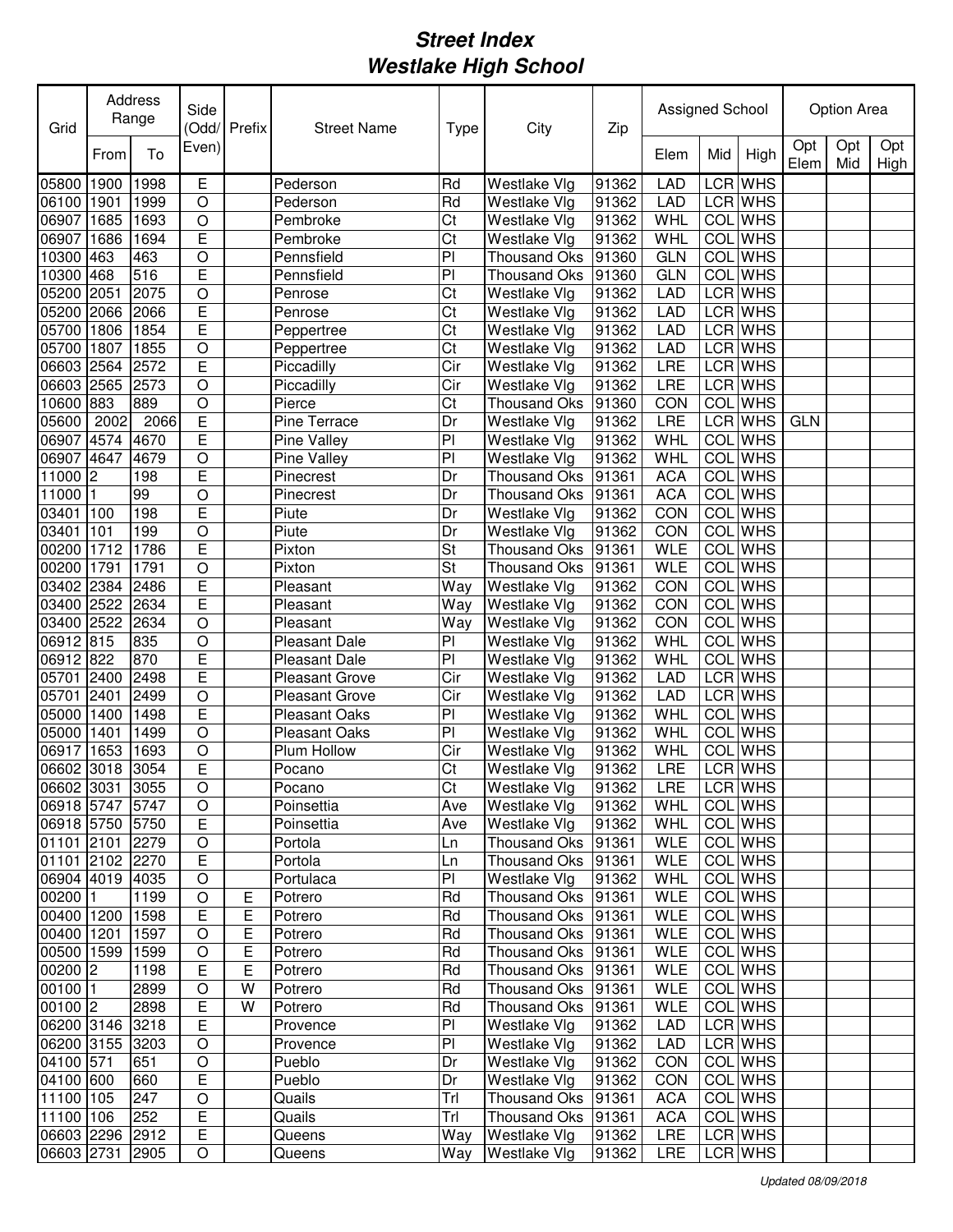| Grid            |      | Address<br>Range | Side           | Odd/Prefix | <b>Street Name</b>    | <b>Type</b>    | City                | Zip   | Assigned School |            |                |             | <b>Option Area</b> |             |
|-----------------|------|------------------|----------------|------------|-----------------------|----------------|---------------------|-------|-----------------|------------|----------------|-------------|--------------------|-------------|
|                 | From | To               | Even)          |            |                       |                |                     |       | Elem            | Mid        | High           | Opt<br>Elem | Opt<br>Mid         | Opt<br>High |
| 05800           | 1900 | 1998             | Е              |            | Pederson              | Rd             | Westlake Vlg        | 91362 | <b>LAD</b>      |            | LCR WHS        |             |                    |             |
| 06100           | 1901 | 1999             | O              |            | Pederson              | Rd             | Westlake Vlg        | 91362 | LAD             |            | LCR WHS        |             |                    |             |
| 06907           | 1685 | 1693             | O              |            | Pembroke              | Ct             | Westlake Vlg        | 91362 | WHL             |            | <b>COL</b> WHS |             |                    |             |
| 06907           | 1686 | 1694             | E              |            | Pembroke              | Ct             | Westlake Vlg        | 91362 | WHL             |            | <b>COL</b> WHS |             |                    |             |
| 10300           | 463  | 463              | O              |            | Pennsfield            | PI             | Thousand Oks        | 91360 | <b>GLN</b>      |            | <b>COL</b> WHS |             |                    |             |
| 10300           | 468  | 516              | Ē              |            | Pennsfield            | PI             | Thousand Oks        | 91360 | <b>GLN</b>      |            | <b>COL</b> WHS |             |                    |             |
| 05200           | 2051 | 2075             | $\circ$        |            | Penrose               | Ct             | Westlake Vlg        | 91362 | <b>LAD</b>      |            | LCR WHS        |             |                    |             |
| 05200           | 2066 | 2066             | E              |            | Penrose               | Ct             | Westlake Vlg        | 91362 | <b>LAD</b>      |            | LCR WHS        |             |                    |             |
| 05700           | 1806 | 1854             | E              |            | Peppertree            | Ct             | Westlake Vlg        | 91362 | <b>LAD</b>      |            | LCR WHS        |             |                    |             |
| 05700           | 1807 | 1855             | $\bigcirc$     |            | Peppertree            | Ct             | Westlake Vlg        | 91362 | <b>LAD</b>      |            | LCR WHS        |             |                    |             |
| 06603 2564      |      | 2572             | Ē              |            | Piccadilly            | Cir            | Westlake Vlg        | 91362 | LRE             |            | LCR WHS        |             |                    |             |
| 06603 2565      |      | 2573             | $\overline{O}$ |            | Piccadilly            | Cir            | Westlake Vlg        | 91362 | LRE             |            | LCR WHS        |             |                    |             |
| 10600 883       |      | 889              | $\overline{O}$ |            | Pierce                | Ct             | Thousand Oks        | 91360 | CON             |            | <b>COL</b> WHS |             |                    |             |
| 05600           | 2002 | 2066             | E              |            | Pine Terrace          | Dr             | Westlake Vlg        | 91362 | LRE             |            | LCR WHS        | <b>GLN</b>  |                    |             |
| 06907 4574      |      | 4670             | E              |            | Pine Valley           | P <sub>1</sub> | Westlake Vlg        | 91362 | WHL             |            | COL WHS        |             |                    |             |
| 06907 4647      |      | 4679             | $\circ$        |            | Pine Valley           | P              | Westlake Vlg        | 91362 | WHL             | <b>COL</b> | <b>WHS</b>     |             |                    |             |
| 11000 2         |      | 198              | E              |            | Pinecrest             | Dr             | <b>Thousand Oks</b> | 91361 | <b>ACA</b>      | <b>COL</b> | <b>WHS</b>     |             |                    |             |
| 11000 1         |      | 99               | $\circ$        |            | Pinecrest             | Dr             | Thousand Oks        | 91361 | <b>ACA</b>      | COL        | <b>WHS</b>     |             |                    |             |
| 03401           | 100  | 198              | E              |            | Piute                 | Dr             | Westlake Vlg        | 91362 | CON             | COL        | <b>WHS</b>     |             |                    |             |
| 03401           | 101  | 199              | $\circ$        |            | Piute                 | Dr             | Westlake Vlg        | 91362 | CON             | COL        | <b>WHS</b>     |             |                    |             |
| 00200 1712      |      | 1786             | E              |            | Pixton                | St             | <b>Thousand Oks</b> | 91361 | <b>WLE</b>      | COL        | <b>WHS</b>     |             |                    |             |
| 00200           | 1791 | 1791             | $\circ$        |            | Pixton                | St             | <b>Thousand Oks</b> | 91361 | <b>WLE</b>      | COL        | <b>WHS</b>     |             |                    |             |
| 03402           | 2384 | 2486             | E              |            | Pleasant              | Way            | Westlake Vlg        | 91362 | CON             | COL        | <b>WHS</b>     |             |                    |             |
| 03400 2522      |      | 2634             | E              |            | Pleasant              | Way            | Westlake Vlg        | 91362 | CON             |            | COL WHS        |             |                    |             |
| 03400 2522      |      | 2634             | O              |            | Pleasant              | Way            | Westlake Vlg        | 91362 | CON             |            | <b>COL</b> WHS |             |                    |             |
| 06912 815       |      | 835              | O              |            | <b>Pleasant Dale</b>  | PI             | Westlake Vlg        | 91362 | WHL             |            | <b>COL</b> WHS |             |                    |             |
| 06912 822       |      | 870              | E              |            | <b>Pleasant Dale</b>  | PI             | Westlake Vlg        | 91362 | <b>WHL</b>      |            | <b>COL</b> WHS |             |                    |             |
| 05701           | 2400 | 2498             | E              |            | <b>Pleasant Grove</b> | Cir            | Westlake Vlg        | 91362 | <b>LAD</b>      |            | LCR WHS        |             |                    |             |
| 05701           | 2401 | 2499             | O              |            | <b>Pleasant Grove</b> | Cir            | Westlake Vlg        | 91362 | <b>LAD</b>      |            | LCR WHS        |             |                    |             |
| 05000           | 1400 | 1498             | E              |            | <b>Pleasant Oaks</b>  | PI             | Westlake Vlg        | 91362 | WHL             |            | COL WHS        |             |                    |             |
| 05000           | 1401 | 1499             | O              |            | <b>Pleasant Oaks</b>  | PI             | Westlake Vlg        | 91362 | WHL             |            | <b>COL</b> WHS |             |                    |             |
| 06917           | 1653 | 1693             | $\circ$        |            | <b>Plum Hollow</b>    | Cir            | Westlake Vlg        | 91362 | WHL             | COL        | <b>WHS</b>     |             |                    |             |
| 06602 3018 3054 |      |                  | E              |            | Pocano                | Ct             | Westlake Vlg        | 91362 | LRE             |            | <b>LCR WHS</b> |             |                    |             |
| 06602 3031 3055 |      |                  | $\overline{O}$ |            | Pocano                | Ct             | Westlake Vlg        | 91362 | <b>LRE</b>      |            | LCR WHS        |             |                    |             |
| 06918 5747 5747 |      |                  | $\mathsf O$    |            | Poinsettia            | Ave            | Westlake Vlg        | 91362 | WHL             |            | COL WHS        |             |                    |             |
| 06918 5750 5750 |      |                  | E              |            | Poinsettia            | Ave            | Westlake Vlg        | 91362 | WHL             |            | COL WHS        |             |                    |             |
| 01101 2101 2279 |      |                  | $\mathsf O$    |            | Portola               | Ln             | Thousand Oks 91361  |       | <b>WLE</b>      |            | COL WHS        |             |                    |             |
| 01101 2102 2270 |      |                  | E              |            | Portola               | Ln             | Thousand Oks 91361  |       | <b>WLE</b>      |            | COL WHS        |             |                    |             |
| 06904 4019 4035 |      |                  | $\mathsf O$    |            | Portulaca             | PI             | Westlake Vlg        | 91362 | WHL             |            | COL WHS        |             |                    |             |
| 00200 1         |      | 1199             | $\mathsf O$    | Е          | Potrero               | Rd             | Thousand Oks 91361  |       | <b>WLE</b>      |            | COL WHS        |             |                    |             |
| 00400 1200      |      | 1598             | Е              | Е          | Potrero               | Rd             | Thousand Oks 91361  |       | <b>WLE</b>      |            | COL WHS        |             |                    |             |
| 00400 1201      |      | 1597             | O              | Е          | Potrero               | Rd             | Thousand Oks 91361  |       | <b>WLE</b>      |            | COL WHS        |             |                    |             |
| 00500 1599 1599 |      |                  | $\circ$        | Е          | Potrero               | Rd             | Thousand Oks 91361  |       | <b>WLE</b>      |            | COL WHS        |             |                    |             |
| $00200$ 2       |      | 1198             | E              | E          | Potrero               | Rd             | Thousand Oks 91361  |       | <b>WLE</b>      |            | COL WHS        |             |                    |             |
| 00100 1         |      | 2899             | $\circ$        | W          | Potrero               | Rd             | Thousand Oks 91361  |       | <b>WLE</b>      |            | COL WHS        |             |                    |             |
| $00100$ 2       |      | 2898             | Е              | W          | Potrero               | Rd             | Thousand Oks 91361  |       | <b>WLE</b>      |            | COL WHS        |             |                    |             |
| 06200 3146 3218 |      |                  | Е              |            | Provence              | PI             | Westlake Vlg        | 91362 | LAD             |            | LCR WHS        |             |                    |             |
| 06200 3155 3203 |      |                  | O              |            | Provence              | PI             | Westlake Vlg        | 91362 | LAD             |            | LCR WHS        |             |                    |             |
| 04100 571       |      | 651              | O              |            | Pueblo                | Dr             | Westlake Vlg        | 91362 | <b>CON</b>      |            | COL WHS        |             |                    |             |
| 04100 600       |      | 660              | $\overline{E}$ |            | Pueblo                | Dr             | Westlake Vlg        | 91362 | <b>CON</b>      |            | COL WHS        |             |                    |             |
| 11100 105       |      | 247              | O              |            | Quails                | Trl            | Thousand Oks 91361  |       | <b>ACA</b>      |            | COL WHS        |             |                    |             |
| 11100 106       |      | 252              | $\overline{E}$ |            | Quails                | Trl            | Thousand Oks 91361  |       | <b>ACA</b>      |            | COL WHS        |             |                    |             |
| 06603 2296 2912 |      |                  | $\overline{E}$ |            | Queens                | Way            | Westlake Vlg        | 91362 | LRE             |            | LCR WHS        |             |                    |             |
| 06603 2731 2905 |      |                  | O              |            | Queens                | Way            | Westlake Vlg        | 91362 | LRE             |            | LCR WHS        |             |                    |             |
|                 |      |                  |                |            |                       |                |                     |       |                 |            |                |             |                    |             |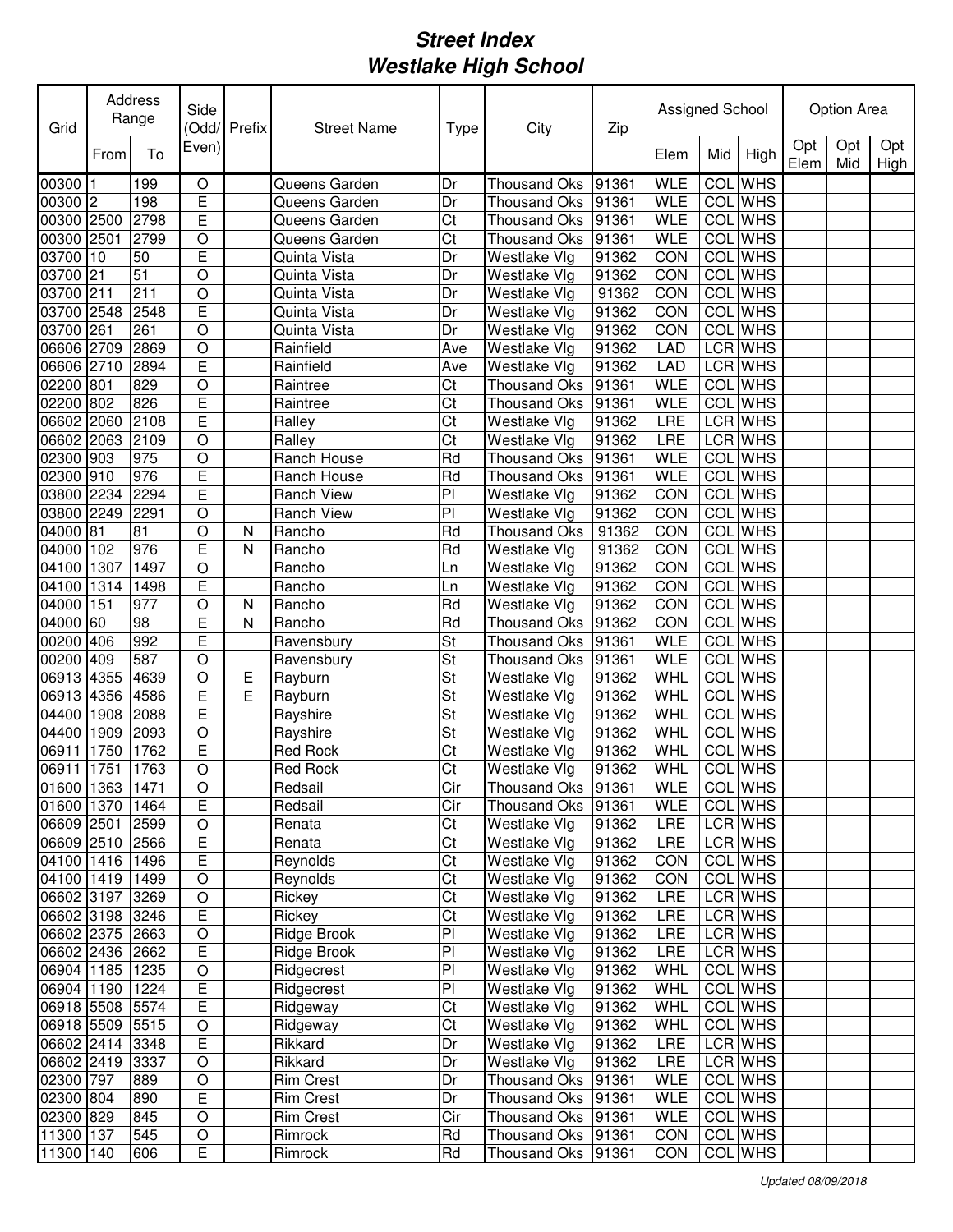| Grid                               |      | Address<br>Range | Side             | (Odd/Prefix | <b>Street Name</b> | <b>Type</b>            | City                                 | Zip   | Assigned School          |            |                    |             | Option Area |             |
|------------------------------------|------|------------------|------------------|-------------|--------------------|------------------------|--------------------------------------|-------|--------------------------|------------|--------------------|-------------|-------------|-------------|
|                                    | From | To               | Even)            |             |                    |                        |                                      |       | Elem                     | Mid        | High               | Opt<br>Elem | Opt<br>Mid  | Opt<br>High |
| 00300                              | 1    | 199              | $\circ$          |             | Queens Garden      | Dr                     | <b>Thousand Oks</b>                  | 91361 | <b>WLE</b>               | COL        | <b>WHS</b>         |             |             |             |
| 00300 2                            |      | 198              | E                |             | Queens Garden      | Dr                     | <b>Thousand Oks</b>                  | 91361 | <b>WLE</b>               | COL        | <b>WHS</b>         |             |             |             |
| 00300 2500                         |      | 2798             | E                |             | Queens Garden      | Ct                     | <b>Thousand Oks</b>                  | 91361 | <b>WLE</b>               |            | COL WHS            |             |             |             |
| 00300 2501                         |      | 2799             | O                |             | Queens Garden      | Ct                     | <b>Thousand Oks</b>                  | 91361 | <b>WLE</b>               |            | COL WHS            |             |             |             |
| 03700                              | 10   | 50               | E                |             | Quinta Vista       | Dr                     | Westlake Vlg                         | 91362 | CON                      |            | <b>COL</b> WHS     |             |             |             |
| 03700                              | 21   | $\overline{51}$  | O                |             | Quinta Vista       | Dr                     | Westlake Vlg                         | 91362 | CON                      |            | <b>COL</b> WHS     |             |             |             |
| 03700                              | 211  | 211              | O                |             | Quinta Vista       | Dr                     | Westlake Vlg                         | 91362 | CON                      |            | <b>COL</b> WHS     |             |             |             |
| 03700                              | 2548 | 2548             | E                |             | Quinta Vista       | Dr                     | Westlake Vlg                         | 91362 | CON                      |            | COL WHS            |             |             |             |
| 03700                              | 261  | 261              | O                |             | Quinta Vista       | Dr                     | Westlake Vlg                         | 91362 | CON                      |            | COL WHS            |             |             |             |
| 06606                              | 2709 | 2869             | O                |             | Rainfield          | Ave                    | Westlake Vlg                         | 91362 | LAD                      |            | LCR WHS            |             |             |             |
| 06606                              | 2710 | 2894             | E                |             | Rainfield          | Ave                    | Westlake Vlg                         | 91362 | LAD                      |            | LCR WHS            |             |             |             |
| 02200 801                          |      | 829              | $\circ$          |             | Raintree           | Ct                     | <b>Thousand Oks</b>                  | 91361 | <b>WLE</b>               |            | COL WHS            |             |             |             |
| 02200 802                          |      | 826              | E                |             | Raintree           | $\overline{\text{Ct}}$ | <b>Thousand Oks</b>                  | 91361 | <b>WLE</b>               | <b>COL</b> | <b>WHS</b>         |             |             |             |
| 06602 2060                         |      | 2108             | E                |             | Ralley             | Ct                     | Westlake Vlg                         | 91362 | LRE                      |            | <b>LCR</b> WHS     |             |             |             |
| 06602 2063                         |      | 2109             | $\circ$          |             | Ralley             | Ct                     | Westlake Vlg                         | 91362 | LRE                      |            | <b>LCR WHS</b>     |             |             |             |
| 02300 903                          |      | 975              | $\overline{O}$   |             | Ranch House        | Rd                     | Thousand Oks                         | 91361 | <b>WLE</b>               | <b>COL</b> | <b>WHS</b>         |             |             |             |
| 02300 910                          |      | 976              | E                |             | Ranch House        | Rd                     | <b>Thousand Oks</b>                  | 91361 | <b>WLE</b>               | <b>COL</b> | <b>WHS</b>         |             |             |             |
| 03800 2234                         |      | 2294             | E                |             | <b>Ranch View</b>  | PI                     | Westlake Vlg                         | 91362 | CON                      | COL        | <b>WHS</b>         |             |             |             |
| 03800 2249                         |      | 2291             | O                |             | <b>Ranch View</b>  | PI                     | Westlake Vlg                         | 91362 | CON                      | COL        | <b>WHS</b>         |             |             |             |
| 04000 81                           |      | 81               | O                | N           | Rancho             | Rd                     | <b>Thousand Oks</b>                  | 91362 | CON                      | <b>COL</b> | <b>WHS</b>         |             |             |             |
| 04000 102                          |      | 976              | E                | N           | Rancho             | Rd                     | Westlake Vlg                         | 91362 | CON                      | COL        | <b>WHS</b>         |             |             |             |
| 04100                              | 1307 | 1497             | $\circ$          |             | Rancho             | Ln                     | Westlake Vlg                         | 91362 | CON                      | COL        | <b>WHS</b>         |             |             |             |
| 04100                              | 1314 | 1498             | E                |             | Rancho             | Ln                     | Westlake Vlg                         | 91362 | CON                      | COL        | <b>WHS</b>         |             |             |             |
| 04000                              | 151  | 977              | O                | N           | Rancho             | Rd                     | Westlake Vlg                         | 91362 | CON                      | COL        | <b>WHS</b>         |             |             |             |
| 04000                              | 60   | 98               | E                | N           | Rancho             | Rd                     | <b>Thousand Oks</b>                  | 91362 | CON                      | COL        | <b>WHS</b>         |             |             |             |
| 00200 406                          |      | 992              | E                |             | Ravensbury         | St                     | <b>Thousand Oks</b>                  | 91361 | <b>WLE</b>               | COL        | <b>WHS</b>         |             |             |             |
| 00200                              | 409  | 587              | $\circ$          |             | Ravensbury         | St                     | <b>Thousand Oks</b>                  | 91361 | <b>WLE</b>               | COL        | <b>WHS</b>         |             |             |             |
| 06913 4355                         |      | 4639             | $\circ$          | Е           | Rayburn            | St                     | Westlake Vlg                         | 91362 | WHL                      | COL        | <b>WHS</b>         |             |             |             |
| 06913 4356                         |      | 4586             | E                | E           | Rayburn            | St                     | Westlake Vlg                         | 91362 | WHL                      |            | <b>COL</b> WHS     |             |             |             |
| 04400                              | 1908 | 2088             | E                |             | Rayshire           | St                     | Westlake Vlg                         | 91362 | WHL                      |            | <b>COL</b> WHS     |             |             |             |
| 04400                              | 1909 | 2093             | O                |             | Rayshire           | St                     | Westlake Vlg                         | 91362 | WHL                      |            | <b>COL</b> WHS     |             |             |             |
| 06911                              | 1750 | 1762             | E                |             | <b>Red Rock</b>    | Ct                     | Westlake Vlg                         | 91362 | WHL                      | COL        | <b>WHS</b>         |             |             |             |
| 06911                              | 1751 | 1763             | O                |             | <b>Red Rock</b>    | Ct                     | Westlake Vlg                         | 91362 | WHL                      |            | <b>COL</b> WHS     |             |             |             |
|                                    |      |                  |                  |             |                    |                        |                                      |       |                          |            | <b>COLIWHS</b>     |             |             |             |
| 01600 1363 1471<br>01600 1370 1464 |      |                  | O<br>E           |             | Redsail<br>Redsail | Cir<br>Cir             | Thousand Oks   91361<br>Thousand Oks | 91361 | <b>WLE</b><br><b>WLE</b> |            | COL WHS            |             |             |             |
| 06609 2501                         |      | 2599             | $\mathsf O$      |             | Renata             | Ct                     | Westlake Vlg                         | 91362 | <b>LRE</b>               |            | LCR WHS            |             |             |             |
| 06609 2510 2566                    |      |                  | E                |             | Renata             | Ct                     | Westlake Vlg                         | 91362 | LRE                      |            | LCR WHS            |             |             |             |
| 04100 1416                         |      | 1496             | E                |             | Reynolds           | Ct                     | Westlake Vlg                         | 91362 | CON                      |            | COL WHS            |             |             |             |
| 04100 1419                         |      | 1499             | $\mathsf O$      |             |                    | Ct                     |                                      |       |                          |            | COL WHS            |             |             |             |
|                                    |      |                  |                  |             | Reynolds           |                        | Westlake Vlg                         | 91362 | <b>CON</b>               |            |                    |             |             |             |
| 06602 3197 3269                    |      |                  | $\mathsf O$<br>E |             | Rickey             | Ct                     | Westlake Vlg                         | 91362 | LRE                      |            | LCR WHS<br>LCR WHS |             |             |             |
| 06602 3198 3246                    |      |                  |                  |             | Rickey             | Ct                     | Westlake Vlg                         | 91362 | LRE                      |            |                    |             |             |             |
| 06602 2375 2663                    |      |                  | $\mathsf O$      |             | Ridge Brook        | PI                     | Westlake Vlg                         | 91362 | LRE                      |            | LCR WHS            |             |             |             |
| 06602 2436 2662                    |      |                  | E                |             | Ridge Brook        | PI                     | Westlake Vlg                         | 91362 | LRE                      |            | LCR WHS            |             |             |             |
| 06904 1185                         |      | 1235             | $\bigcirc$       |             | Ridgecrest         | PI                     | Westlake Vlg                         | 91362 | WHL                      |            | COL WHS            |             |             |             |
| 06904 1190                         |      | 1224             | Е                |             | Ridgecrest         | PI                     | Westlake Vlg                         | 91362 | WHL                      |            | COL WHS            |             |             |             |
| 06918 5508 5574                    |      |                  | E                |             | Ridgeway           | Ct                     | Westlake Vlg                         | 91362 | WHL                      |            | COL WHS            |             |             |             |
| 06918 5509 5515                    |      |                  | $\bigcirc$       |             | Ridgeway           | Ct                     | Westlake Vlg                         | 91362 | WHL                      |            | COL WHS            |             |             |             |
| 06602 2414 3348                    |      |                  | E                |             | Rikkard            | Dr                     | Westlake Vlg                         | 91362 | LRE                      |            | LCR WHS            |             |             |             |
| 06602 2419                         |      | 3337             | $\bigcirc$       |             | Rikkard            | Dr                     | <b>Westlake Vlg</b>                  | 91362 | LRE                      |            | LCR WHS            |             |             |             |
| 02300 797                          |      | 889              | $\bigcirc$       |             | <b>Rim Crest</b>   | Dr                     | Thousand Oks                         | 91361 | <b>WLE</b>               |            | COL WHS            |             |             |             |
| 02300 804                          |      | 890              | Е                |             | <b>Rim Crest</b>   | Dr                     | Thousand Oks                         | 91361 | WLE                      |            | COL WHS            |             |             |             |
| 02300 829                          |      | 845              | $\mathsf O$      |             | <b>Rim Crest</b>   | Cir                    | Thousand Oks                         | 91361 | <b>WLE</b>               |            | COL WHS            |             |             |             |
| 11300 137                          |      | 545              | $\hbox{O}$       |             | Rimrock            | Rd                     | Thousand Oks                         | 91361 | CON                      |            | COL WHS            |             |             |             |
| 11300 140                          |      | 606              | E                |             | Rimrock            | Rd                     | Thousand Oks 91361                   |       | CON                      |            | COL WHS            |             |             |             |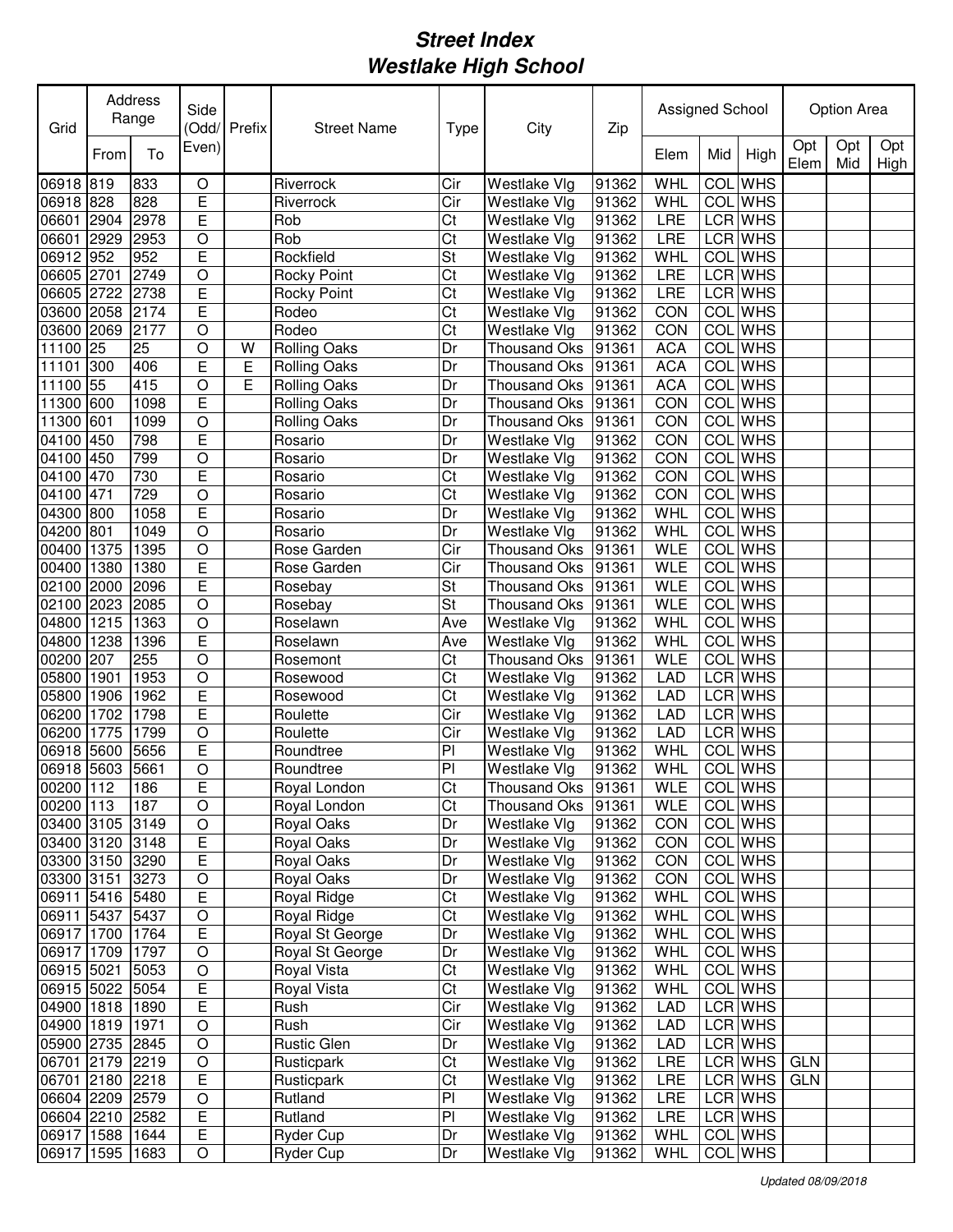| Opt<br>Opt<br>Opt<br>Even)<br>To<br>High<br>From<br>Elem<br>Mid<br>Elem<br>Mid<br>High<br><b>WHS</b><br>06918 819<br>833<br>WHL<br>COL<br>$\mathsf O$<br>Riverrock<br>Cir<br>Westlake Vlg<br>91362<br>E<br>828<br>Cir<br><b>WHL</b><br><b>COL</b> WHS<br>06918 828<br>Riverrock<br>Westlake Vlg<br>91362<br>E<br>LCR WHS<br>06601<br>2978<br>Rob<br>Ct<br>Westlake Vlg<br>91362<br>LRE<br>2904<br>Rob<br>LCR WHS<br>06601<br>2953<br>Ct<br>Westlake Vlg<br>91362<br>LRE<br>2929<br>O<br>E<br>06912 952<br>COL WHS<br>952<br>Rockfield<br>St<br>Westlake Vlg<br>91362<br>WHL<br>$\circ$<br>LCR WHS<br>06605 2701<br>2749<br>Ct<br>LRE<br>Rocky Point<br>Westlake Vlg<br>91362<br>E<br>LCR WHS<br>06605 2722<br>2738<br>Ct<br>91362<br>LRE<br>Westlake Vlg<br>Rocky Point<br>Ē<br><b>WHS</b><br>Rodeo<br>Ct<br>Westlake Vlg<br>91362<br>CON<br><b>COL</b><br>03600<br>2058<br>2174<br>$\overline{O}$<br>Rodeo<br>CON<br><b>WHS</b><br>03600<br>2069<br>2177<br>Ct<br>91362<br><b>COL</b><br>Westlake Vlg<br><b>WHS</b><br>11100 25<br>25<br>$\circ$<br><b>Rolling Oaks</b><br><b>ACA</b><br>COL<br><b>Thousand Oks</b><br>91361<br>W<br>Dr<br>E<br>Е<br>COL<br><b>WHS</b><br>11101<br>300<br>406<br><b>Rolling Oaks</b><br>91361<br><b>ACA</b><br>Dr<br><b>Thousand Oks</b><br>11100 55<br>415<br>$\circ$<br>E<br><b>ACA</b><br>COL<br><b>WHS</b><br><b>Rolling Oaks</b><br><b>Thousand Oks</b><br>91361<br>Dr<br>Ē<br>CON<br><b>COL</b><br><b>WHS</b><br>11300 600<br>1098<br><b>Rolling Oaks</b><br><b>Thousand Oks</b><br>91361<br>Dr<br>$\overline{O}$<br><b>WHS</b><br>11300 601<br><b>COL</b><br>1099<br>CON<br><b>Rolling Oaks</b><br>Thousand Oks<br>91361<br>Dr<br>E<br><b>WHS</b><br>04100 450<br>CON<br><b>COL</b><br>798<br>Westlake Vlg<br>91362<br>Rosario<br>Dr<br><b>WHS</b><br>04100 450<br>799<br>$\circ$<br>Westlake Vlg<br>91362<br>CON<br><b>COL</b><br>Rosario<br>Dr<br>E<br>730<br><b>WHS</b><br>Ct<br>91362<br>04100 470<br>Westlake Vlg<br>CON<br><b>COL</b><br>Rosario<br>$\overline{729}$<br><b>WHS</b><br>04100 471<br>$\circ$<br>Ct<br>Westlake Vlg<br>91362<br>CON<br>COL<br>Rosario<br>E<br><b>WHS</b><br>COL<br>Westlake Vlg<br>91362<br>WHL<br>04300 800<br>1058<br>Rosario<br>Dr<br><b>WHS</b><br>$\circ$<br><b>WHL</b><br>COL<br>04200 801<br>1049<br>Westlake Vlg<br>91362<br>Rosario<br>Dr<br><b>WHS</b><br><b>WLE</b><br>00400<br>1375<br>1395<br>$\circ$<br>Rose Garden<br>Cir<br>91361<br>COL<br><b>Thousand Oks</b><br>E<br><b>WHS</b><br>00400<br><b>WLE</b><br>COL<br>1380<br>1380<br>Rose Garden<br>Cir<br>91361<br><b>Thousand Oks</b><br>E<br><b>WHS</b><br>St<br><b>WLE</b><br>COL<br>2000<br>2096<br>91361<br>02100<br>Rosebay<br><b>Thousand Oks</b><br><b>WLE</b><br><b>WHS</b><br>02100<br>St<br><b>COL</b><br>2023<br>2085<br>$\circ$<br>Rosebay<br><b>Thousand Oks</b><br>91361<br>COL<br><b>WHS</b><br>04800<br>1215<br>$\circ$<br>Roselawn<br>Westlake Vlg<br>91362<br>WHL<br>1363<br>Ave<br>E<br>COL WHS<br>04800<br>1238<br>Westlake Vlg<br>91362<br>WHL<br>1396<br>Roselawn<br>Ave<br>00200<br>255<br>COL WHS<br>207<br>O<br>Ct<br>91361<br><b>WLE</b><br>Rosemont<br>Thousand Oks<br>05800<br>$\circ$<br>LCR WHS<br>1953<br>Ct<br>Westlake Vlg<br>91362<br><b>LAD</b><br>1901<br>Rosewood<br>E<br>05800<br>1962<br>Ct<br>91362<br>LCR WHS<br>1906<br>Rosewood<br>Westlake Vlg<br><b>LAD</b><br>Ē<br>LCR WHS<br>06200<br>1702<br>1798<br>Roulette<br>Cir<br>Westlake Vlg<br>91362<br><b>LAD</b><br>LCR WHS<br>06200<br>1775<br>1799<br>O<br>Cir<br><b>LAD</b><br>Roulette<br>Westlake Vlg<br>91362<br>E<br>06918<br>Roundtree<br><b>WHL</b><br>COL<br><b>WHS</b><br>5600<br>5656<br>PI<br>Westlake Vlg<br>91362<br>$\overline{O}$<br>06918 5603<br>5661<br>P<br>91362<br>WHL<br><b>COL</b> WHS<br>Roundtree<br>Westlake Vlg<br>E<br><b>WLE</b><br><b>COL</b> WHS<br>00200 112<br>91361<br> 186<br>Royal London<br>Ct<br>Thousand Oks<br>00200 113<br>187<br>$\bigcirc$<br>Ct<br>COL WHS<br>Royal London<br><b>WLE</b><br>Thousand Oks<br>91361<br>$\hbox{O}$<br>COL WHS<br>03400 3105 3149<br>Royal Oaks<br>Westlake Vlg<br>91362<br>CON<br>Dr<br>E<br>COL WHS<br>03400 3120 3148<br>Royal Oaks<br>Dr<br>Westlake Vlg<br>91362<br>CON<br>E<br>03300 3150 3290<br>COL WHS<br>Royal Oaks<br>Westlake Vlg<br>91362<br>CON<br>Dr<br>$\hbox{O}$<br>COL WHS<br>03300 3151<br>3273<br>Royal Oaks<br>Westlake Vlg<br>91362<br>CON<br>Dr<br>E<br>06911 5416 5480<br>Ct<br>91362<br>COL WHS<br>Royal Ridge<br>Westlake Vlg<br>WHL<br>$\hbox{O}$<br>Ct<br>COL WHS<br>Westlake Vlg<br>91362<br>06911 5437<br>5437<br>Royal Ridge<br>WHL<br>E<br>Westlake VIg<br>91362<br>COL WHS<br>06917 1700 1764<br>Royal St George<br>WHL<br>Dr<br>06917 1709 1797<br>$\bigcirc$<br>COL WHS<br>Royal St George<br>Westlake Vlg<br>91362<br>WHL<br>Dr<br>$\bigcirc$<br>COL WHS<br>Ct<br>Westlake Vlg<br>91362<br>06915 5021<br>5053<br>Royal Vista<br>WHL<br>E<br>COL WHS<br>Royal Vista<br>Ct<br>Westlake Vlg<br>06915 5022 5054<br>91362<br>WHL<br>E<br>LCR WHS<br>Rush<br>Cir<br>91362<br>04900 1818 1890<br>Westlake Vlg<br><b>LAD</b><br>$\bigcirc$<br>LCR WHS<br>Rush<br>Cir<br>91362<br>04900 1819 1971<br>Westlake Vlg<br><b>LAD</b><br>LCR WHS<br>$\mathsf O$<br>Rustic Glen<br>Westlake Vlg<br>91362<br>05900 2735 2845<br>Dr<br><b>LAD</b><br>LCR WHS<br><b>GLN</b><br>06701 2179 2219<br>$\mathsf O$<br>Rusticpark<br>Ct<br>Westlake Vlg<br>91362<br><b>LRE</b><br>Ε<br>LCR WHS<br><b>GLN</b><br>06701 2180 2218<br>Rusticpark<br>Ct<br>Westlake Vlg<br>91362<br><b>LRE</b><br>PI<br>Westlake Vlg<br>LCR WHS<br>06604 2209 2579<br>O<br>Rutland<br>91362<br>LRE<br>$\overline{E}$<br>PI<br>LCR WHS<br>06604 2210 2582<br>Rutland<br>Westlake Vlg<br>91362<br>LRE<br>Ε<br>06917<br>1588 1644<br>Ryder Cup<br>Westlake Vlg<br>91362<br>WHL<br>COL WHS<br>Dr<br>06917<br>1595 1683<br>Ryder Cup<br>Westlake Vlg<br>91362<br><b>WHL</b><br>COL WHS<br>O<br>Dr | Grid | Address<br>Range | Side | Odd/Prefix | <b>Street Name</b> | Type | City | Zip | Assigned School |  | Option Area |  |
|------------------------------------------------------------------------------------------------------------------------------------------------------------------------------------------------------------------------------------------------------------------------------------------------------------------------------------------------------------------------------------------------------------------------------------------------------------------------------------------------------------------------------------------------------------------------------------------------------------------------------------------------------------------------------------------------------------------------------------------------------------------------------------------------------------------------------------------------------------------------------------------------------------------------------------------------------------------------------------------------------------------------------------------------------------------------------------------------------------------------------------------------------------------------------------------------------------------------------------------------------------------------------------------------------------------------------------------------------------------------------------------------------------------------------------------------------------------------------------------------------------------------------------------------------------------------------------------------------------------------------------------------------------------------------------------------------------------------------------------------------------------------------------------------------------------------------------------------------------------------------------------------------------------------------------------------------------------------------------------------------------------------------------------------------------------------------------------------------------------------------------------------------------------------------------------------------------------------------------------------------------------------------------------------------------------------------------------------------------------------------------------------------------------------------------------------------------------------------------------------------------------------------------------------------------------------------------------------------------------------------------------------------------------------------------------------------------------------------------------------------------------------------------------------------------------------------------------------------------------------------------------------------------------------------------------------------------------------------------------------------------------------------------------------------------------------------------------------------------------------------------------------------------------------------------------------------------------------------------------------------------------------------------------------------------------------------------------------------------------------------------------------------------------------------------------------------------------------------------------------------------------------------------------------------------------------------------------------------------------------------------------------------------------------------------------------------------------------------------------------------------------------------------------------------------------------------------------------------------------------------------------------------------------------------------------------------------------------------------------------------------------------------------------------------------------------------------------------------------------------------------------------------------------------------------------------------------------------------------------------------------------------------------------------------------------------------------------------------------------------------------------------------------------------------------------------------------------------------------------------------------------------------------------------------------------------------------------------------------------------------------------------------------------------------------------------------------------------------------------------------------------------------------------------------------------------------------------------------------------------------------------------------------------------------------------------------------------------------------------------------------------------------------------------------------------------------------------------------------------------------------------------------------------------------------------------------------------------------------------------------------------------------------------------------------------------------------------------------------------------------------------------------------------------------------------------------------------------------------------------------------------------------------------------------------------------------------------------------------------------------------------------------------------------------------------------------------------------------------------------------------------------------------------------------------------------------------------------------------------------------------------------------|------|------------------|------|------------|--------------------|------|------|-----|-----------------|--|-------------|--|
|                                                                                                                                                                                                                                                                                                                                                                                                                                                                                                                                                                                                                                                                                                                                                                                                                                                                                                                                                                                                                                                                                                                                                                                                                                                                                                                                                                                                                                                                                                                                                                                                                                                                                                                                                                                                                                                                                                                                                                                                                                                                                                                                                                                                                                                                                                                                                                                                                                                                                                                                                                                                                                                                                                                                                                                                                                                                                                                                                                                                                                                                                                                                                                                                                                                                                                                                                                                                                                                                                                                                                                                                                                                                                                                                                                                                                                                                                                                                                                                                                                                                                                                                                                                                                                                                                                                                                                                                                                                                                                                                                                                                                                                                                                                                                                                                                                                                                                                                                                                                                                                                                                                                                                                                                                                                                                                                                                                                                                                                                                                                                                                                                                                                                                                                                                                                                                                                                                      |      |                  |      |            |                    |      |      |     |                 |  |             |  |
|                                                                                                                                                                                                                                                                                                                                                                                                                                                                                                                                                                                                                                                                                                                                                                                                                                                                                                                                                                                                                                                                                                                                                                                                                                                                                                                                                                                                                                                                                                                                                                                                                                                                                                                                                                                                                                                                                                                                                                                                                                                                                                                                                                                                                                                                                                                                                                                                                                                                                                                                                                                                                                                                                                                                                                                                                                                                                                                                                                                                                                                                                                                                                                                                                                                                                                                                                                                                                                                                                                                                                                                                                                                                                                                                                                                                                                                                                                                                                                                                                                                                                                                                                                                                                                                                                                                                                                                                                                                                                                                                                                                                                                                                                                                                                                                                                                                                                                                                                                                                                                                                                                                                                                                                                                                                                                                                                                                                                                                                                                                                                                                                                                                                                                                                                                                                                                                                                                      |      |                  |      |            |                    |      |      |     |                 |  |             |  |
|                                                                                                                                                                                                                                                                                                                                                                                                                                                                                                                                                                                                                                                                                                                                                                                                                                                                                                                                                                                                                                                                                                                                                                                                                                                                                                                                                                                                                                                                                                                                                                                                                                                                                                                                                                                                                                                                                                                                                                                                                                                                                                                                                                                                                                                                                                                                                                                                                                                                                                                                                                                                                                                                                                                                                                                                                                                                                                                                                                                                                                                                                                                                                                                                                                                                                                                                                                                                                                                                                                                                                                                                                                                                                                                                                                                                                                                                                                                                                                                                                                                                                                                                                                                                                                                                                                                                                                                                                                                                                                                                                                                                                                                                                                                                                                                                                                                                                                                                                                                                                                                                                                                                                                                                                                                                                                                                                                                                                                                                                                                                                                                                                                                                                                                                                                                                                                                                                                      |      |                  |      |            |                    |      |      |     |                 |  |             |  |
|                                                                                                                                                                                                                                                                                                                                                                                                                                                                                                                                                                                                                                                                                                                                                                                                                                                                                                                                                                                                                                                                                                                                                                                                                                                                                                                                                                                                                                                                                                                                                                                                                                                                                                                                                                                                                                                                                                                                                                                                                                                                                                                                                                                                                                                                                                                                                                                                                                                                                                                                                                                                                                                                                                                                                                                                                                                                                                                                                                                                                                                                                                                                                                                                                                                                                                                                                                                                                                                                                                                                                                                                                                                                                                                                                                                                                                                                                                                                                                                                                                                                                                                                                                                                                                                                                                                                                                                                                                                                                                                                                                                                                                                                                                                                                                                                                                                                                                                                                                                                                                                                                                                                                                                                                                                                                                                                                                                                                                                                                                                                                                                                                                                                                                                                                                                                                                                                                                      |      |                  |      |            |                    |      |      |     |                 |  |             |  |
|                                                                                                                                                                                                                                                                                                                                                                                                                                                                                                                                                                                                                                                                                                                                                                                                                                                                                                                                                                                                                                                                                                                                                                                                                                                                                                                                                                                                                                                                                                                                                                                                                                                                                                                                                                                                                                                                                                                                                                                                                                                                                                                                                                                                                                                                                                                                                                                                                                                                                                                                                                                                                                                                                                                                                                                                                                                                                                                                                                                                                                                                                                                                                                                                                                                                                                                                                                                                                                                                                                                                                                                                                                                                                                                                                                                                                                                                                                                                                                                                                                                                                                                                                                                                                                                                                                                                                                                                                                                                                                                                                                                                                                                                                                                                                                                                                                                                                                                                                                                                                                                                                                                                                                                                                                                                                                                                                                                                                                                                                                                                                                                                                                                                                                                                                                                                                                                                                                      |      |                  |      |            |                    |      |      |     |                 |  |             |  |
|                                                                                                                                                                                                                                                                                                                                                                                                                                                                                                                                                                                                                                                                                                                                                                                                                                                                                                                                                                                                                                                                                                                                                                                                                                                                                                                                                                                                                                                                                                                                                                                                                                                                                                                                                                                                                                                                                                                                                                                                                                                                                                                                                                                                                                                                                                                                                                                                                                                                                                                                                                                                                                                                                                                                                                                                                                                                                                                                                                                                                                                                                                                                                                                                                                                                                                                                                                                                                                                                                                                                                                                                                                                                                                                                                                                                                                                                                                                                                                                                                                                                                                                                                                                                                                                                                                                                                                                                                                                                                                                                                                                                                                                                                                                                                                                                                                                                                                                                                                                                                                                                                                                                                                                                                                                                                                                                                                                                                                                                                                                                                                                                                                                                                                                                                                                                                                                                                                      |      |                  |      |            |                    |      |      |     |                 |  |             |  |
|                                                                                                                                                                                                                                                                                                                                                                                                                                                                                                                                                                                                                                                                                                                                                                                                                                                                                                                                                                                                                                                                                                                                                                                                                                                                                                                                                                                                                                                                                                                                                                                                                                                                                                                                                                                                                                                                                                                                                                                                                                                                                                                                                                                                                                                                                                                                                                                                                                                                                                                                                                                                                                                                                                                                                                                                                                                                                                                                                                                                                                                                                                                                                                                                                                                                                                                                                                                                                                                                                                                                                                                                                                                                                                                                                                                                                                                                                                                                                                                                                                                                                                                                                                                                                                                                                                                                                                                                                                                                                                                                                                                                                                                                                                                                                                                                                                                                                                                                                                                                                                                                                                                                                                                                                                                                                                                                                                                                                                                                                                                                                                                                                                                                                                                                                                                                                                                                                                      |      |                  |      |            |                    |      |      |     |                 |  |             |  |
|                                                                                                                                                                                                                                                                                                                                                                                                                                                                                                                                                                                                                                                                                                                                                                                                                                                                                                                                                                                                                                                                                                                                                                                                                                                                                                                                                                                                                                                                                                                                                                                                                                                                                                                                                                                                                                                                                                                                                                                                                                                                                                                                                                                                                                                                                                                                                                                                                                                                                                                                                                                                                                                                                                                                                                                                                                                                                                                                                                                                                                                                                                                                                                                                                                                                                                                                                                                                                                                                                                                                                                                                                                                                                                                                                                                                                                                                                                                                                                                                                                                                                                                                                                                                                                                                                                                                                                                                                                                                                                                                                                                                                                                                                                                                                                                                                                                                                                                                                                                                                                                                                                                                                                                                                                                                                                                                                                                                                                                                                                                                                                                                                                                                                                                                                                                                                                                                                                      |      |                  |      |            |                    |      |      |     |                 |  |             |  |
|                                                                                                                                                                                                                                                                                                                                                                                                                                                                                                                                                                                                                                                                                                                                                                                                                                                                                                                                                                                                                                                                                                                                                                                                                                                                                                                                                                                                                                                                                                                                                                                                                                                                                                                                                                                                                                                                                                                                                                                                                                                                                                                                                                                                                                                                                                                                                                                                                                                                                                                                                                                                                                                                                                                                                                                                                                                                                                                                                                                                                                                                                                                                                                                                                                                                                                                                                                                                                                                                                                                                                                                                                                                                                                                                                                                                                                                                                                                                                                                                                                                                                                                                                                                                                                                                                                                                                                                                                                                                                                                                                                                                                                                                                                                                                                                                                                                                                                                                                                                                                                                                                                                                                                                                                                                                                                                                                                                                                                                                                                                                                                                                                                                                                                                                                                                                                                                                                                      |      |                  |      |            |                    |      |      |     |                 |  |             |  |
|                                                                                                                                                                                                                                                                                                                                                                                                                                                                                                                                                                                                                                                                                                                                                                                                                                                                                                                                                                                                                                                                                                                                                                                                                                                                                                                                                                                                                                                                                                                                                                                                                                                                                                                                                                                                                                                                                                                                                                                                                                                                                                                                                                                                                                                                                                                                                                                                                                                                                                                                                                                                                                                                                                                                                                                                                                                                                                                                                                                                                                                                                                                                                                                                                                                                                                                                                                                                                                                                                                                                                                                                                                                                                                                                                                                                                                                                                                                                                                                                                                                                                                                                                                                                                                                                                                                                                                                                                                                                                                                                                                                                                                                                                                                                                                                                                                                                                                                                                                                                                                                                                                                                                                                                                                                                                                                                                                                                                                                                                                                                                                                                                                                                                                                                                                                                                                                                                                      |      |                  |      |            |                    |      |      |     |                 |  |             |  |
|                                                                                                                                                                                                                                                                                                                                                                                                                                                                                                                                                                                                                                                                                                                                                                                                                                                                                                                                                                                                                                                                                                                                                                                                                                                                                                                                                                                                                                                                                                                                                                                                                                                                                                                                                                                                                                                                                                                                                                                                                                                                                                                                                                                                                                                                                                                                                                                                                                                                                                                                                                                                                                                                                                                                                                                                                                                                                                                                                                                                                                                                                                                                                                                                                                                                                                                                                                                                                                                                                                                                                                                                                                                                                                                                                                                                                                                                                                                                                                                                                                                                                                                                                                                                                                                                                                                                                                                                                                                                                                                                                                                                                                                                                                                                                                                                                                                                                                                                                                                                                                                                                                                                                                                                                                                                                                                                                                                                                                                                                                                                                                                                                                                                                                                                                                                                                                                                                                      |      |                  |      |            |                    |      |      |     |                 |  |             |  |
|                                                                                                                                                                                                                                                                                                                                                                                                                                                                                                                                                                                                                                                                                                                                                                                                                                                                                                                                                                                                                                                                                                                                                                                                                                                                                                                                                                                                                                                                                                                                                                                                                                                                                                                                                                                                                                                                                                                                                                                                                                                                                                                                                                                                                                                                                                                                                                                                                                                                                                                                                                                                                                                                                                                                                                                                                                                                                                                                                                                                                                                                                                                                                                                                                                                                                                                                                                                                                                                                                                                                                                                                                                                                                                                                                                                                                                                                                                                                                                                                                                                                                                                                                                                                                                                                                                                                                                                                                                                                                                                                                                                                                                                                                                                                                                                                                                                                                                                                                                                                                                                                                                                                                                                                                                                                                                                                                                                                                                                                                                                                                                                                                                                                                                                                                                                                                                                                                                      |      |                  |      |            |                    |      |      |     |                 |  |             |  |
|                                                                                                                                                                                                                                                                                                                                                                                                                                                                                                                                                                                                                                                                                                                                                                                                                                                                                                                                                                                                                                                                                                                                                                                                                                                                                                                                                                                                                                                                                                                                                                                                                                                                                                                                                                                                                                                                                                                                                                                                                                                                                                                                                                                                                                                                                                                                                                                                                                                                                                                                                                                                                                                                                                                                                                                                                                                                                                                                                                                                                                                                                                                                                                                                                                                                                                                                                                                                                                                                                                                                                                                                                                                                                                                                                                                                                                                                                                                                                                                                                                                                                                                                                                                                                                                                                                                                                                                                                                                                                                                                                                                                                                                                                                                                                                                                                                                                                                                                                                                                                                                                                                                                                                                                                                                                                                                                                                                                                                                                                                                                                                                                                                                                                                                                                                                                                                                                                                      |      |                  |      |            |                    |      |      |     |                 |  |             |  |
|                                                                                                                                                                                                                                                                                                                                                                                                                                                                                                                                                                                                                                                                                                                                                                                                                                                                                                                                                                                                                                                                                                                                                                                                                                                                                                                                                                                                                                                                                                                                                                                                                                                                                                                                                                                                                                                                                                                                                                                                                                                                                                                                                                                                                                                                                                                                                                                                                                                                                                                                                                                                                                                                                                                                                                                                                                                                                                                                                                                                                                                                                                                                                                                                                                                                                                                                                                                                                                                                                                                                                                                                                                                                                                                                                                                                                                                                                                                                                                                                                                                                                                                                                                                                                                                                                                                                                                                                                                                                                                                                                                                                                                                                                                                                                                                                                                                                                                                                                                                                                                                                                                                                                                                                                                                                                                                                                                                                                                                                                                                                                                                                                                                                                                                                                                                                                                                                                                      |      |                  |      |            |                    |      |      |     |                 |  |             |  |
|                                                                                                                                                                                                                                                                                                                                                                                                                                                                                                                                                                                                                                                                                                                                                                                                                                                                                                                                                                                                                                                                                                                                                                                                                                                                                                                                                                                                                                                                                                                                                                                                                                                                                                                                                                                                                                                                                                                                                                                                                                                                                                                                                                                                                                                                                                                                                                                                                                                                                                                                                                                                                                                                                                                                                                                                                                                                                                                                                                                                                                                                                                                                                                                                                                                                                                                                                                                                                                                                                                                                                                                                                                                                                                                                                                                                                                                                                                                                                                                                                                                                                                                                                                                                                                                                                                                                                                                                                                                                                                                                                                                                                                                                                                                                                                                                                                                                                                                                                                                                                                                                                                                                                                                                                                                                                                                                                                                                                                                                                                                                                                                                                                                                                                                                                                                                                                                                                                      |      |                  |      |            |                    |      |      |     |                 |  |             |  |
|                                                                                                                                                                                                                                                                                                                                                                                                                                                                                                                                                                                                                                                                                                                                                                                                                                                                                                                                                                                                                                                                                                                                                                                                                                                                                                                                                                                                                                                                                                                                                                                                                                                                                                                                                                                                                                                                                                                                                                                                                                                                                                                                                                                                                                                                                                                                                                                                                                                                                                                                                                                                                                                                                                                                                                                                                                                                                                                                                                                                                                                                                                                                                                                                                                                                                                                                                                                                                                                                                                                                                                                                                                                                                                                                                                                                                                                                                                                                                                                                                                                                                                                                                                                                                                                                                                                                                                                                                                                                                                                                                                                                                                                                                                                                                                                                                                                                                                                                                                                                                                                                                                                                                                                                                                                                                                                                                                                                                                                                                                                                                                                                                                                                                                                                                                                                                                                                                                      |      |                  |      |            |                    |      |      |     |                 |  |             |  |
|                                                                                                                                                                                                                                                                                                                                                                                                                                                                                                                                                                                                                                                                                                                                                                                                                                                                                                                                                                                                                                                                                                                                                                                                                                                                                                                                                                                                                                                                                                                                                                                                                                                                                                                                                                                                                                                                                                                                                                                                                                                                                                                                                                                                                                                                                                                                                                                                                                                                                                                                                                                                                                                                                                                                                                                                                                                                                                                                                                                                                                                                                                                                                                                                                                                                                                                                                                                                                                                                                                                                                                                                                                                                                                                                                                                                                                                                                                                                                                                                                                                                                                                                                                                                                                                                                                                                                                                                                                                                                                                                                                                                                                                                                                                                                                                                                                                                                                                                                                                                                                                                                                                                                                                                                                                                                                                                                                                                                                                                                                                                                                                                                                                                                                                                                                                                                                                                                                      |      |                  |      |            |                    |      |      |     |                 |  |             |  |
|                                                                                                                                                                                                                                                                                                                                                                                                                                                                                                                                                                                                                                                                                                                                                                                                                                                                                                                                                                                                                                                                                                                                                                                                                                                                                                                                                                                                                                                                                                                                                                                                                                                                                                                                                                                                                                                                                                                                                                                                                                                                                                                                                                                                                                                                                                                                                                                                                                                                                                                                                                                                                                                                                                                                                                                                                                                                                                                                                                                                                                                                                                                                                                                                                                                                                                                                                                                                                                                                                                                                                                                                                                                                                                                                                                                                                                                                                                                                                                                                                                                                                                                                                                                                                                                                                                                                                                                                                                                                                                                                                                                                                                                                                                                                                                                                                                                                                                                                                                                                                                                                                                                                                                                                                                                                                                                                                                                                                                                                                                                                                                                                                                                                                                                                                                                                                                                                                                      |      |                  |      |            |                    |      |      |     |                 |  |             |  |
|                                                                                                                                                                                                                                                                                                                                                                                                                                                                                                                                                                                                                                                                                                                                                                                                                                                                                                                                                                                                                                                                                                                                                                                                                                                                                                                                                                                                                                                                                                                                                                                                                                                                                                                                                                                                                                                                                                                                                                                                                                                                                                                                                                                                                                                                                                                                                                                                                                                                                                                                                                                                                                                                                                                                                                                                                                                                                                                                                                                                                                                                                                                                                                                                                                                                                                                                                                                                                                                                                                                                                                                                                                                                                                                                                                                                                                                                                                                                                                                                                                                                                                                                                                                                                                                                                                                                                                                                                                                                                                                                                                                                                                                                                                                                                                                                                                                                                                                                                                                                                                                                                                                                                                                                                                                                                                                                                                                                                                                                                                                                                                                                                                                                                                                                                                                                                                                                                                      |      |                  |      |            |                    |      |      |     |                 |  |             |  |
|                                                                                                                                                                                                                                                                                                                                                                                                                                                                                                                                                                                                                                                                                                                                                                                                                                                                                                                                                                                                                                                                                                                                                                                                                                                                                                                                                                                                                                                                                                                                                                                                                                                                                                                                                                                                                                                                                                                                                                                                                                                                                                                                                                                                                                                                                                                                                                                                                                                                                                                                                                                                                                                                                                                                                                                                                                                                                                                                                                                                                                                                                                                                                                                                                                                                                                                                                                                                                                                                                                                                                                                                                                                                                                                                                                                                                                                                                                                                                                                                                                                                                                                                                                                                                                                                                                                                                                                                                                                                                                                                                                                                                                                                                                                                                                                                                                                                                                                                                                                                                                                                                                                                                                                                                                                                                                                                                                                                                                                                                                                                                                                                                                                                                                                                                                                                                                                                                                      |      |                  |      |            |                    |      |      |     |                 |  |             |  |
|                                                                                                                                                                                                                                                                                                                                                                                                                                                                                                                                                                                                                                                                                                                                                                                                                                                                                                                                                                                                                                                                                                                                                                                                                                                                                                                                                                                                                                                                                                                                                                                                                                                                                                                                                                                                                                                                                                                                                                                                                                                                                                                                                                                                                                                                                                                                                                                                                                                                                                                                                                                                                                                                                                                                                                                                                                                                                                                                                                                                                                                                                                                                                                                                                                                                                                                                                                                                                                                                                                                                                                                                                                                                                                                                                                                                                                                                                                                                                                                                                                                                                                                                                                                                                                                                                                                                                                                                                                                                                                                                                                                                                                                                                                                                                                                                                                                                                                                                                                                                                                                                                                                                                                                                                                                                                                                                                                                                                                                                                                                                                                                                                                                                                                                                                                                                                                                                                                      |      |                  |      |            |                    |      |      |     |                 |  |             |  |
|                                                                                                                                                                                                                                                                                                                                                                                                                                                                                                                                                                                                                                                                                                                                                                                                                                                                                                                                                                                                                                                                                                                                                                                                                                                                                                                                                                                                                                                                                                                                                                                                                                                                                                                                                                                                                                                                                                                                                                                                                                                                                                                                                                                                                                                                                                                                                                                                                                                                                                                                                                                                                                                                                                                                                                                                                                                                                                                                                                                                                                                                                                                                                                                                                                                                                                                                                                                                                                                                                                                                                                                                                                                                                                                                                                                                                                                                                                                                                                                                                                                                                                                                                                                                                                                                                                                                                                                                                                                                                                                                                                                                                                                                                                                                                                                                                                                                                                                                                                                                                                                                                                                                                                                                                                                                                                                                                                                                                                                                                                                                                                                                                                                                                                                                                                                                                                                                                                      |      |                  |      |            |                    |      |      |     |                 |  |             |  |
|                                                                                                                                                                                                                                                                                                                                                                                                                                                                                                                                                                                                                                                                                                                                                                                                                                                                                                                                                                                                                                                                                                                                                                                                                                                                                                                                                                                                                                                                                                                                                                                                                                                                                                                                                                                                                                                                                                                                                                                                                                                                                                                                                                                                                                                                                                                                                                                                                                                                                                                                                                                                                                                                                                                                                                                                                                                                                                                                                                                                                                                                                                                                                                                                                                                                                                                                                                                                                                                                                                                                                                                                                                                                                                                                                                                                                                                                                                                                                                                                                                                                                                                                                                                                                                                                                                                                                                                                                                                                                                                                                                                                                                                                                                                                                                                                                                                                                                                                                                                                                                                                                                                                                                                                                                                                                                                                                                                                                                                                                                                                                                                                                                                                                                                                                                                                                                                                                                      |      |                  |      |            |                    |      |      |     |                 |  |             |  |
|                                                                                                                                                                                                                                                                                                                                                                                                                                                                                                                                                                                                                                                                                                                                                                                                                                                                                                                                                                                                                                                                                                                                                                                                                                                                                                                                                                                                                                                                                                                                                                                                                                                                                                                                                                                                                                                                                                                                                                                                                                                                                                                                                                                                                                                                                                                                                                                                                                                                                                                                                                                                                                                                                                                                                                                                                                                                                                                                                                                                                                                                                                                                                                                                                                                                                                                                                                                                                                                                                                                                                                                                                                                                                                                                                                                                                                                                                                                                                                                                                                                                                                                                                                                                                                                                                                                                                                                                                                                                                                                                                                                                                                                                                                                                                                                                                                                                                                                                                                                                                                                                                                                                                                                                                                                                                                                                                                                                                                                                                                                                                                                                                                                                                                                                                                                                                                                                                                      |      |                  |      |            |                    |      |      |     |                 |  |             |  |
|                                                                                                                                                                                                                                                                                                                                                                                                                                                                                                                                                                                                                                                                                                                                                                                                                                                                                                                                                                                                                                                                                                                                                                                                                                                                                                                                                                                                                                                                                                                                                                                                                                                                                                                                                                                                                                                                                                                                                                                                                                                                                                                                                                                                                                                                                                                                                                                                                                                                                                                                                                                                                                                                                                                                                                                                                                                                                                                                                                                                                                                                                                                                                                                                                                                                                                                                                                                                                                                                                                                                                                                                                                                                                                                                                                                                                                                                                                                                                                                                                                                                                                                                                                                                                                                                                                                                                                                                                                                                                                                                                                                                                                                                                                                                                                                                                                                                                                                                                                                                                                                                                                                                                                                                                                                                                                                                                                                                                                                                                                                                                                                                                                                                                                                                                                                                                                                                                                      |      |                  |      |            |                    |      |      |     |                 |  |             |  |
|                                                                                                                                                                                                                                                                                                                                                                                                                                                                                                                                                                                                                                                                                                                                                                                                                                                                                                                                                                                                                                                                                                                                                                                                                                                                                                                                                                                                                                                                                                                                                                                                                                                                                                                                                                                                                                                                                                                                                                                                                                                                                                                                                                                                                                                                                                                                                                                                                                                                                                                                                                                                                                                                                                                                                                                                                                                                                                                                                                                                                                                                                                                                                                                                                                                                                                                                                                                                                                                                                                                                                                                                                                                                                                                                                                                                                                                                                                                                                                                                                                                                                                                                                                                                                                                                                                                                                                                                                                                                                                                                                                                                                                                                                                                                                                                                                                                                                                                                                                                                                                                                                                                                                                                                                                                                                                                                                                                                                                                                                                                                                                                                                                                                                                                                                                                                                                                                                                      |      |                  |      |            |                    |      |      |     |                 |  |             |  |
|                                                                                                                                                                                                                                                                                                                                                                                                                                                                                                                                                                                                                                                                                                                                                                                                                                                                                                                                                                                                                                                                                                                                                                                                                                                                                                                                                                                                                                                                                                                                                                                                                                                                                                                                                                                                                                                                                                                                                                                                                                                                                                                                                                                                                                                                                                                                                                                                                                                                                                                                                                                                                                                                                                                                                                                                                                                                                                                                                                                                                                                                                                                                                                                                                                                                                                                                                                                                                                                                                                                                                                                                                                                                                                                                                                                                                                                                                                                                                                                                                                                                                                                                                                                                                                                                                                                                                                                                                                                                                                                                                                                                                                                                                                                                                                                                                                                                                                                                                                                                                                                                                                                                                                                                                                                                                                                                                                                                                                                                                                                                                                                                                                                                                                                                                                                                                                                                                                      |      |                  |      |            |                    |      |      |     |                 |  |             |  |
|                                                                                                                                                                                                                                                                                                                                                                                                                                                                                                                                                                                                                                                                                                                                                                                                                                                                                                                                                                                                                                                                                                                                                                                                                                                                                                                                                                                                                                                                                                                                                                                                                                                                                                                                                                                                                                                                                                                                                                                                                                                                                                                                                                                                                                                                                                                                                                                                                                                                                                                                                                                                                                                                                                                                                                                                                                                                                                                                                                                                                                                                                                                                                                                                                                                                                                                                                                                                                                                                                                                                                                                                                                                                                                                                                                                                                                                                                                                                                                                                                                                                                                                                                                                                                                                                                                                                                                                                                                                                                                                                                                                                                                                                                                                                                                                                                                                                                                                                                                                                                                                                                                                                                                                                                                                                                                                                                                                                                                                                                                                                                                                                                                                                                                                                                                                                                                                                                                      |      |                  |      |            |                    |      |      |     |                 |  |             |  |
|                                                                                                                                                                                                                                                                                                                                                                                                                                                                                                                                                                                                                                                                                                                                                                                                                                                                                                                                                                                                                                                                                                                                                                                                                                                                                                                                                                                                                                                                                                                                                                                                                                                                                                                                                                                                                                                                                                                                                                                                                                                                                                                                                                                                                                                                                                                                                                                                                                                                                                                                                                                                                                                                                                                                                                                                                                                                                                                                                                                                                                                                                                                                                                                                                                                                                                                                                                                                                                                                                                                                                                                                                                                                                                                                                                                                                                                                                                                                                                                                                                                                                                                                                                                                                                                                                                                                                                                                                                                                                                                                                                                                                                                                                                                                                                                                                                                                                                                                                                                                                                                                                                                                                                                                                                                                                                                                                                                                                                                                                                                                                                                                                                                                                                                                                                                                                                                                                                      |      |                  |      |            |                    |      |      |     |                 |  |             |  |
|                                                                                                                                                                                                                                                                                                                                                                                                                                                                                                                                                                                                                                                                                                                                                                                                                                                                                                                                                                                                                                                                                                                                                                                                                                                                                                                                                                                                                                                                                                                                                                                                                                                                                                                                                                                                                                                                                                                                                                                                                                                                                                                                                                                                                                                                                                                                                                                                                                                                                                                                                                                                                                                                                                                                                                                                                                                                                                                                                                                                                                                                                                                                                                                                                                                                                                                                                                                                                                                                                                                                                                                                                                                                                                                                                                                                                                                                                                                                                                                                                                                                                                                                                                                                                                                                                                                                                                                                                                                                                                                                                                                                                                                                                                                                                                                                                                                                                                                                                                                                                                                                                                                                                                                                                                                                                                                                                                                                                                                                                                                                                                                                                                                                                                                                                                                                                                                                                                      |      |                  |      |            |                    |      |      |     |                 |  |             |  |
|                                                                                                                                                                                                                                                                                                                                                                                                                                                                                                                                                                                                                                                                                                                                                                                                                                                                                                                                                                                                                                                                                                                                                                                                                                                                                                                                                                                                                                                                                                                                                                                                                                                                                                                                                                                                                                                                                                                                                                                                                                                                                                                                                                                                                                                                                                                                                                                                                                                                                                                                                                                                                                                                                                                                                                                                                                                                                                                                                                                                                                                                                                                                                                                                                                                                                                                                                                                                                                                                                                                                                                                                                                                                                                                                                                                                                                                                                                                                                                                                                                                                                                                                                                                                                                                                                                                                                                                                                                                                                                                                                                                                                                                                                                                                                                                                                                                                                                                                                                                                                                                                                                                                                                                                                                                                                                                                                                                                                                                                                                                                                                                                                                                                                                                                                                                                                                                                                                      |      |                  |      |            |                    |      |      |     |                 |  |             |  |
|                                                                                                                                                                                                                                                                                                                                                                                                                                                                                                                                                                                                                                                                                                                                                                                                                                                                                                                                                                                                                                                                                                                                                                                                                                                                                                                                                                                                                                                                                                                                                                                                                                                                                                                                                                                                                                                                                                                                                                                                                                                                                                                                                                                                                                                                                                                                                                                                                                                                                                                                                                                                                                                                                                                                                                                                                                                                                                                                                                                                                                                                                                                                                                                                                                                                                                                                                                                                                                                                                                                                                                                                                                                                                                                                                                                                                                                                                                                                                                                                                                                                                                                                                                                                                                                                                                                                                                                                                                                                                                                                                                                                                                                                                                                                                                                                                                                                                                                                                                                                                                                                                                                                                                                                                                                                                                                                                                                                                                                                                                                                                                                                                                                                                                                                                                                                                                                                                                      |      |                  |      |            |                    |      |      |     |                 |  |             |  |
|                                                                                                                                                                                                                                                                                                                                                                                                                                                                                                                                                                                                                                                                                                                                                                                                                                                                                                                                                                                                                                                                                                                                                                                                                                                                                                                                                                                                                                                                                                                                                                                                                                                                                                                                                                                                                                                                                                                                                                                                                                                                                                                                                                                                                                                                                                                                                                                                                                                                                                                                                                                                                                                                                                                                                                                                                                                                                                                                                                                                                                                                                                                                                                                                                                                                                                                                                                                                                                                                                                                                                                                                                                                                                                                                                                                                                                                                                                                                                                                                                                                                                                                                                                                                                                                                                                                                                                                                                                                                                                                                                                                                                                                                                                                                                                                                                                                                                                                                                                                                                                                                                                                                                                                                                                                                                                                                                                                                                                                                                                                                                                                                                                                                                                                                                                                                                                                                                                      |      |                  |      |            |                    |      |      |     |                 |  |             |  |
|                                                                                                                                                                                                                                                                                                                                                                                                                                                                                                                                                                                                                                                                                                                                                                                                                                                                                                                                                                                                                                                                                                                                                                                                                                                                                                                                                                                                                                                                                                                                                                                                                                                                                                                                                                                                                                                                                                                                                                                                                                                                                                                                                                                                                                                                                                                                                                                                                                                                                                                                                                                                                                                                                                                                                                                                                                                                                                                                                                                                                                                                                                                                                                                                                                                                                                                                                                                                                                                                                                                                                                                                                                                                                                                                                                                                                                                                                                                                                                                                                                                                                                                                                                                                                                                                                                                                                                                                                                                                                                                                                                                                                                                                                                                                                                                                                                                                                                                                                                                                                                                                                                                                                                                                                                                                                                                                                                                                                                                                                                                                                                                                                                                                                                                                                                                                                                                                                                      |      |                  |      |            |                    |      |      |     |                 |  |             |  |
|                                                                                                                                                                                                                                                                                                                                                                                                                                                                                                                                                                                                                                                                                                                                                                                                                                                                                                                                                                                                                                                                                                                                                                                                                                                                                                                                                                                                                                                                                                                                                                                                                                                                                                                                                                                                                                                                                                                                                                                                                                                                                                                                                                                                                                                                                                                                                                                                                                                                                                                                                                                                                                                                                                                                                                                                                                                                                                                                                                                                                                                                                                                                                                                                                                                                                                                                                                                                                                                                                                                                                                                                                                                                                                                                                                                                                                                                                                                                                                                                                                                                                                                                                                                                                                                                                                                                                                                                                                                                                                                                                                                                                                                                                                                                                                                                                                                                                                                                                                                                                                                                                                                                                                                                                                                                                                                                                                                                                                                                                                                                                                                                                                                                                                                                                                                                                                                                                                      |      |                  |      |            |                    |      |      |     |                 |  |             |  |
|                                                                                                                                                                                                                                                                                                                                                                                                                                                                                                                                                                                                                                                                                                                                                                                                                                                                                                                                                                                                                                                                                                                                                                                                                                                                                                                                                                                                                                                                                                                                                                                                                                                                                                                                                                                                                                                                                                                                                                                                                                                                                                                                                                                                                                                                                                                                                                                                                                                                                                                                                                                                                                                                                                                                                                                                                                                                                                                                                                                                                                                                                                                                                                                                                                                                                                                                                                                                                                                                                                                                                                                                                                                                                                                                                                                                                                                                                                                                                                                                                                                                                                                                                                                                                                                                                                                                                                                                                                                                                                                                                                                                                                                                                                                                                                                                                                                                                                                                                                                                                                                                                                                                                                                                                                                                                                                                                                                                                                                                                                                                                                                                                                                                                                                                                                                                                                                                                                      |      |                  |      |            |                    |      |      |     |                 |  |             |  |
|                                                                                                                                                                                                                                                                                                                                                                                                                                                                                                                                                                                                                                                                                                                                                                                                                                                                                                                                                                                                                                                                                                                                                                                                                                                                                                                                                                                                                                                                                                                                                                                                                                                                                                                                                                                                                                                                                                                                                                                                                                                                                                                                                                                                                                                                                                                                                                                                                                                                                                                                                                                                                                                                                                                                                                                                                                                                                                                                                                                                                                                                                                                                                                                                                                                                                                                                                                                                                                                                                                                                                                                                                                                                                                                                                                                                                                                                                                                                                                                                                                                                                                                                                                                                                                                                                                                                                                                                                                                                                                                                                                                                                                                                                                                                                                                                                                                                                                                                                                                                                                                                                                                                                                                                                                                                                                                                                                                                                                                                                                                                                                                                                                                                                                                                                                                                                                                                                                      |      |                  |      |            |                    |      |      |     |                 |  |             |  |
|                                                                                                                                                                                                                                                                                                                                                                                                                                                                                                                                                                                                                                                                                                                                                                                                                                                                                                                                                                                                                                                                                                                                                                                                                                                                                                                                                                                                                                                                                                                                                                                                                                                                                                                                                                                                                                                                                                                                                                                                                                                                                                                                                                                                                                                                                                                                                                                                                                                                                                                                                                                                                                                                                                                                                                                                                                                                                                                                                                                                                                                                                                                                                                                                                                                                                                                                                                                                                                                                                                                                                                                                                                                                                                                                                                                                                                                                                                                                                                                                                                                                                                                                                                                                                                                                                                                                                                                                                                                                                                                                                                                                                                                                                                                                                                                                                                                                                                                                                                                                                                                                                                                                                                                                                                                                                                                                                                                                                                                                                                                                                                                                                                                                                                                                                                                                                                                                                                      |      |                  |      |            |                    |      |      |     |                 |  |             |  |
|                                                                                                                                                                                                                                                                                                                                                                                                                                                                                                                                                                                                                                                                                                                                                                                                                                                                                                                                                                                                                                                                                                                                                                                                                                                                                                                                                                                                                                                                                                                                                                                                                                                                                                                                                                                                                                                                                                                                                                                                                                                                                                                                                                                                                                                                                                                                                                                                                                                                                                                                                                                                                                                                                                                                                                                                                                                                                                                                                                                                                                                                                                                                                                                                                                                                                                                                                                                                                                                                                                                                                                                                                                                                                                                                                                                                                                                                                                                                                                                                                                                                                                                                                                                                                                                                                                                                                                                                                                                                                                                                                                                                                                                                                                                                                                                                                                                                                                                                                                                                                                                                                                                                                                                                                                                                                                                                                                                                                                                                                                                                                                                                                                                                                                                                                                                                                                                                                                      |      |                  |      |            |                    |      |      |     |                 |  |             |  |
|                                                                                                                                                                                                                                                                                                                                                                                                                                                                                                                                                                                                                                                                                                                                                                                                                                                                                                                                                                                                                                                                                                                                                                                                                                                                                                                                                                                                                                                                                                                                                                                                                                                                                                                                                                                                                                                                                                                                                                                                                                                                                                                                                                                                                                                                                                                                                                                                                                                                                                                                                                                                                                                                                                                                                                                                                                                                                                                                                                                                                                                                                                                                                                                                                                                                                                                                                                                                                                                                                                                                                                                                                                                                                                                                                                                                                                                                                                                                                                                                                                                                                                                                                                                                                                                                                                                                                                                                                                                                                                                                                                                                                                                                                                                                                                                                                                                                                                                                                                                                                                                                                                                                                                                                                                                                                                                                                                                                                                                                                                                                                                                                                                                                                                                                                                                                                                                                                                      |      |                  |      |            |                    |      |      |     |                 |  |             |  |
|                                                                                                                                                                                                                                                                                                                                                                                                                                                                                                                                                                                                                                                                                                                                                                                                                                                                                                                                                                                                                                                                                                                                                                                                                                                                                                                                                                                                                                                                                                                                                                                                                                                                                                                                                                                                                                                                                                                                                                                                                                                                                                                                                                                                                                                                                                                                                                                                                                                                                                                                                                                                                                                                                                                                                                                                                                                                                                                                                                                                                                                                                                                                                                                                                                                                                                                                                                                                                                                                                                                                                                                                                                                                                                                                                                                                                                                                                                                                                                                                                                                                                                                                                                                                                                                                                                                                                                                                                                                                                                                                                                                                                                                                                                                                                                                                                                                                                                                                                                                                                                                                                                                                                                                                                                                                                                                                                                                                                                                                                                                                                                                                                                                                                                                                                                                                                                                                                                      |      |                  |      |            |                    |      |      |     |                 |  |             |  |
|                                                                                                                                                                                                                                                                                                                                                                                                                                                                                                                                                                                                                                                                                                                                                                                                                                                                                                                                                                                                                                                                                                                                                                                                                                                                                                                                                                                                                                                                                                                                                                                                                                                                                                                                                                                                                                                                                                                                                                                                                                                                                                                                                                                                                                                                                                                                                                                                                                                                                                                                                                                                                                                                                                                                                                                                                                                                                                                                                                                                                                                                                                                                                                                                                                                                                                                                                                                                                                                                                                                                                                                                                                                                                                                                                                                                                                                                                                                                                                                                                                                                                                                                                                                                                                                                                                                                                                                                                                                                                                                                                                                                                                                                                                                                                                                                                                                                                                                                                                                                                                                                                                                                                                                                                                                                                                                                                                                                                                                                                                                                                                                                                                                                                                                                                                                                                                                                                                      |      |                  |      |            |                    |      |      |     |                 |  |             |  |
|                                                                                                                                                                                                                                                                                                                                                                                                                                                                                                                                                                                                                                                                                                                                                                                                                                                                                                                                                                                                                                                                                                                                                                                                                                                                                                                                                                                                                                                                                                                                                                                                                                                                                                                                                                                                                                                                                                                                                                                                                                                                                                                                                                                                                                                                                                                                                                                                                                                                                                                                                                                                                                                                                                                                                                                                                                                                                                                                                                                                                                                                                                                                                                                                                                                                                                                                                                                                                                                                                                                                                                                                                                                                                                                                                                                                                                                                                                                                                                                                                                                                                                                                                                                                                                                                                                                                                                                                                                                                                                                                                                                                                                                                                                                                                                                                                                                                                                                                                                                                                                                                                                                                                                                                                                                                                                                                                                                                                                                                                                                                                                                                                                                                                                                                                                                                                                                                                                      |      |                  |      |            |                    |      |      |     |                 |  |             |  |
|                                                                                                                                                                                                                                                                                                                                                                                                                                                                                                                                                                                                                                                                                                                                                                                                                                                                                                                                                                                                                                                                                                                                                                                                                                                                                                                                                                                                                                                                                                                                                                                                                                                                                                                                                                                                                                                                                                                                                                                                                                                                                                                                                                                                                                                                                                                                                                                                                                                                                                                                                                                                                                                                                                                                                                                                                                                                                                                                                                                                                                                                                                                                                                                                                                                                                                                                                                                                                                                                                                                                                                                                                                                                                                                                                                                                                                                                                                                                                                                                                                                                                                                                                                                                                                                                                                                                                                                                                                                                                                                                                                                                                                                                                                                                                                                                                                                                                                                                                                                                                                                                                                                                                                                                                                                                                                                                                                                                                                                                                                                                                                                                                                                                                                                                                                                                                                                                                                      |      |                  |      |            |                    |      |      |     |                 |  |             |  |
|                                                                                                                                                                                                                                                                                                                                                                                                                                                                                                                                                                                                                                                                                                                                                                                                                                                                                                                                                                                                                                                                                                                                                                                                                                                                                                                                                                                                                                                                                                                                                                                                                                                                                                                                                                                                                                                                                                                                                                                                                                                                                                                                                                                                                                                                                                                                                                                                                                                                                                                                                                                                                                                                                                                                                                                                                                                                                                                                                                                                                                                                                                                                                                                                                                                                                                                                                                                                                                                                                                                                                                                                                                                                                                                                                                                                                                                                                                                                                                                                                                                                                                                                                                                                                                                                                                                                                                                                                                                                                                                                                                                                                                                                                                                                                                                                                                                                                                                                                                                                                                                                                                                                                                                                                                                                                                                                                                                                                                                                                                                                                                                                                                                                                                                                                                                                                                                                                                      |      |                  |      |            |                    |      |      |     |                 |  |             |  |
|                                                                                                                                                                                                                                                                                                                                                                                                                                                                                                                                                                                                                                                                                                                                                                                                                                                                                                                                                                                                                                                                                                                                                                                                                                                                                                                                                                                                                                                                                                                                                                                                                                                                                                                                                                                                                                                                                                                                                                                                                                                                                                                                                                                                                                                                                                                                                                                                                                                                                                                                                                                                                                                                                                                                                                                                                                                                                                                                                                                                                                                                                                                                                                                                                                                                                                                                                                                                                                                                                                                                                                                                                                                                                                                                                                                                                                                                                                                                                                                                                                                                                                                                                                                                                                                                                                                                                                                                                                                                                                                                                                                                                                                                                                                                                                                                                                                                                                                                                                                                                                                                                                                                                                                                                                                                                                                                                                                                                                                                                                                                                                                                                                                                                                                                                                                                                                                                                                      |      |                  |      |            |                    |      |      |     |                 |  |             |  |
|                                                                                                                                                                                                                                                                                                                                                                                                                                                                                                                                                                                                                                                                                                                                                                                                                                                                                                                                                                                                                                                                                                                                                                                                                                                                                                                                                                                                                                                                                                                                                                                                                                                                                                                                                                                                                                                                                                                                                                                                                                                                                                                                                                                                                                                                                                                                                                                                                                                                                                                                                                                                                                                                                                                                                                                                                                                                                                                                                                                                                                                                                                                                                                                                                                                                                                                                                                                                                                                                                                                                                                                                                                                                                                                                                                                                                                                                                                                                                                                                                                                                                                                                                                                                                                                                                                                                                                                                                                                                                                                                                                                                                                                                                                                                                                                                                                                                                                                                                                                                                                                                                                                                                                                                                                                                                                                                                                                                                                                                                                                                                                                                                                                                                                                                                                                                                                                                                                      |      |                  |      |            |                    |      |      |     |                 |  |             |  |
|                                                                                                                                                                                                                                                                                                                                                                                                                                                                                                                                                                                                                                                                                                                                                                                                                                                                                                                                                                                                                                                                                                                                                                                                                                                                                                                                                                                                                                                                                                                                                                                                                                                                                                                                                                                                                                                                                                                                                                                                                                                                                                                                                                                                                                                                                                                                                                                                                                                                                                                                                                                                                                                                                                                                                                                                                                                                                                                                                                                                                                                                                                                                                                                                                                                                                                                                                                                                                                                                                                                                                                                                                                                                                                                                                                                                                                                                                                                                                                                                                                                                                                                                                                                                                                                                                                                                                                                                                                                                                                                                                                                                                                                                                                                                                                                                                                                                                                                                                                                                                                                                                                                                                                                                                                                                                                                                                                                                                                                                                                                                                                                                                                                                                                                                                                                                                                                                                                      |      |                  |      |            |                    |      |      |     |                 |  |             |  |
|                                                                                                                                                                                                                                                                                                                                                                                                                                                                                                                                                                                                                                                                                                                                                                                                                                                                                                                                                                                                                                                                                                                                                                                                                                                                                                                                                                                                                                                                                                                                                                                                                                                                                                                                                                                                                                                                                                                                                                                                                                                                                                                                                                                                                                                                                                                                                                                                                                                                                                                                                                                                                                                                                                                                                                                                                                                                                                                                                                                                                                                                                                                                                                                                                                                                                                                                                                                                                                                                                                                                                                                                                                                                                                                                                                                                                                                                                                                                                                                                                                                                                                                                                                                                                                                                                                                                                                                                                                                                                                                                                                                                                                                                                                                                                                                                                                                                                                                                                                                                                                                                                                                                                                                                                                                                                                                                                                                                                                                                                                                                                                                                                                                                                                                                                                                                                                                                                                      |      |                  |      |            |                    |      |      |     |                 |  |             |  |
|                                                                                                                                                                                                                                                                                                                                                                                                                                                                                                                                                                                                                                                                                                                                                                                                                                                                                                                                                                                                                                                                                                                                                                                                                                                                                                                                                                                                                                                                                                                                                                                                                                                                                                                                                                                                                                                                                                                                                                                                                                                                                                                                                                                                                                                                                                                                                                                                                                                                                                                                                                                                                                                                                                                                                                                                                                                                                                                                                                                                                                                                                                                                                                                                                                                                                                                                                                                                                                                                                                                                                                                                                                                                                                                                                                                                                                                                                                                                                                                                                                                                                                                                                                                                                                                                                                                                                                                                                                                                                                                                                                                                                                                                                                                                                                                                                                                                                                                                                                                                                                                                                                                                                                                                                                                                                                                                                                                                                                                                                                                                                                                                                                                                                                                                                                                                                                                                                                      |      |                  |      |            |                    |      |      |     |                 |  |             |  |
|                                                                                                                                                                                                                                                                                                                                                                                                                                                                                                                                                                                                                                                                                                                                                                                                                                                                                                                                                                                                                                                                                                                                                                                                                                                                                                                                                                                                                                                                                                                                                                                                                                                                                                                                                                                                                                                                                                                                                                                                                                                                                                                                                                                                                                                                                                                                                                                                                                                                                                                                                                                                                                                                                                                                                                                                                                                                                                                                                                                                                                                                                                                                                                                                                                                                                                                                                                                                                                                                                                                                                                                                                                                                                                                                                                                                                                                                                                                                                                                                                                                                                                                                                                                                                                                                                                                                                                                                                                                                                                                                                                                                                                                                                                                                                                                                                                                                                                                                                                                                                                                                                                                                                                                                                                                                                                                                                                                                                                                                                                                                                                                                                                                                                                                                                                                                                                                                                                      |      |                  |      |            |                    |      |      |     |                 |  |             |  |
|                                                                                                                                                                                                                                                                                                                                                                                                                                                                                                                                                                                                                                                                                                                                                                                                                                                                                                                                                                                                                                                                                                                                                                                                                                                                                                                                                                                                                                                                                                                                                                                                                                                                                                                                                                                                                                                                                                                                                                                                                                                                                                                                                                                                                                                                                                                                                                                                                                                                                                                                                                                                                                                                                                                                                                                                                                                                                                                                                                                                                                                                                                                                                                                                                                                                                                                                                                                                                                                                                                                                                                                                                                                                                                                                                                                                                                                                                                                                                                                                                                                                                                                                                                                                                                                                                                                                                                                                                                                                                                                                                                                                                                                                                                                                                                                                                                                                                                                                                                                                                                                                                                                                                                                                                                                                                                                                                                                                                                                                                                                                                                                                                                                                                                                                                                                                                                                                                                      |      |                  |      |            |                    |      |      |     |                 |  |             |  |
|                                                                                                                                                                                                                                                                                                                                                                                                                                                                                                                                                                                                                                                                                                                                                                                                                                                                                                                                                                                                                                                                                                                                                                                                                                                                                                                                                                                                                                                                                                                                                                                                                                                                                                                                                                                                                                                                                                                                                                                                                                                                                                                                                                                                                                                                                                                                                                                                                                                                                                                                                                                                                                                                                                                                                                                                                                                                                                                                                                                                                                                                                                                                                                                                                                                                                                                                                                                                                                                                                                                                                                                                                                                                                                                                                                                                                                                                                                                                                                                                                                                                                                                                                                                                                                                                                                                                                                                                                                                                                                                                                                                                                                                                                                                                                                                                                                                                                                                                                                                                                                                                                                                                                                                                                                                                                                                                                                                                                                                                                                                                                                                                                                                                                                                                                                                                                                                                                                      |      |                  |      |            |                    |      |      |     |                 |  |             |  |
|                                                                                                                                                                                                                                                                                                                                                                                                                                                                                                                                                                                                                                                                                                                                                                                                                                                                                                                                                                                                                                                                                                                                                                                                                                                                                                                                                                                                                                                                                                                                                                                                                                                                                                                                                                                                                                                                                                                                                                                                                                                                                                                                                                                                                                                                                                                                                                                                                                                                                                                                                                                                                                                                                                                                                                                                                                                                                                                                                                                                                                                                                                                                                                                                                                                                                                                                                                                                                                                                                                                                                                                                                                                                                                                                                                                                                                                                                                                                                                                                                                                                                                                                                                                                                                                                                                                                                                                                                                                                                                                                                                                                                                                                                                                                                                                                                                                                                                                                                                                                                                                                                                                                                                                                                                                                                                                                                                                                                                                                                                                                                                                                                                                                                                                                                                                                                                                                                                      |      |                  |      |            |                    |      |      |     |                 |  |             |  |
|                                                                                                                                                                                                                                                                                                                                                                                                                                                                                                                                                                                                                                                                                                                                                                                                                                                                                                                                                                                                                                                                                                                                                                                                                                                                                                                                                                                                                                                                                                                                                                                                                                                                                                                                                                                                                                                                                                                                                                                                                                                                                                                                                                                                                                                                                                                                                                                                                                                                                                                                                                                                                                                                                                                                                                                                                                                                                                                                                                                                                                                                                                                                                                                                                                                                                                                                                                                                                                                                                                                                                                                                                                                                                                                                                                                                                                                                                                                                                                                                                                                                                                                                                                                                                                                                                                                                                                                                                                                                                                                                                                                                                                                                                                                                                                                                                                                                                                                                                                                                                                                                                                                                                                                                                                                                                                                                                                                                                                                                                                                                                                                                                                                                                                                                                                                                                                                                                                      |      |                  |      |            |                    |      |      |     |                 |  |             |  |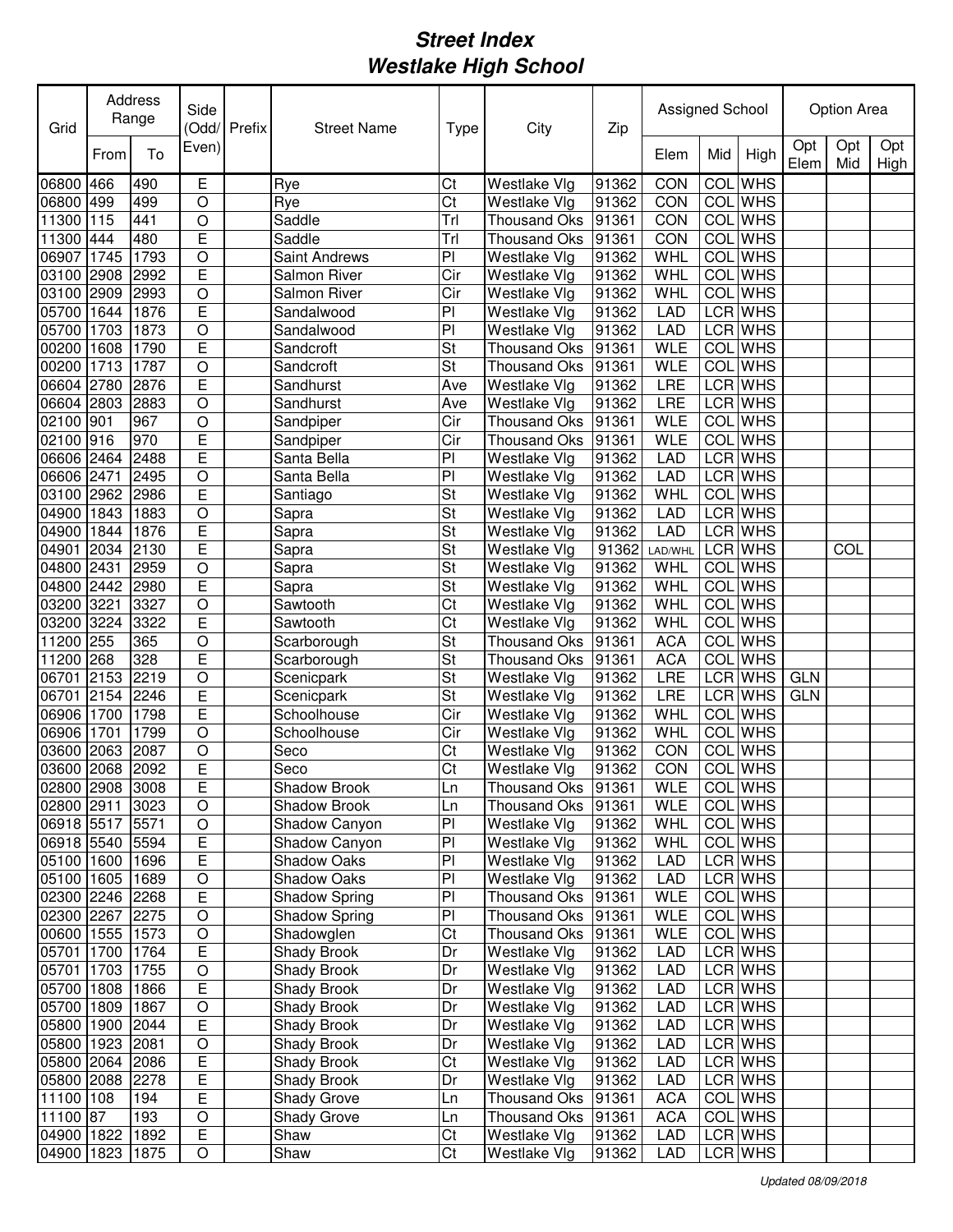| Grid                          |      | Address<br>Range | Side                | (Odd/Prefix | <b>Street Name</b>             | Type      | City                                | Zip            | Assigned School   |            |                       |             | <b>Option Area</b> |             |
|-------------------------------|------|------------------|---------------------|-------------|--------------------------------|-----------|-------------------------------------|----------------|-------------------|------------|-----------------------|-------------|--------------------|-------------|
|                               | From | To               | Even)               |             |                                |           |                                     |                | Elem              | Mid        | High                  | Opt<br>Elem | Opt<br>Mid         | Opt<br>High |
| 06800                         | 466  | 490              | E                   |             | Rye                            | Ct        | <b>Westlake Vlg</b>                 | 91362          | CON               | COL        | <b>WHS</b>            |             |                    |             |
| 06800                         | 499  | 499              | O                   |             | Rye                            | Ct        | Westlake Vlg                        | 91362          | CON               | COL        | <b>WHS</b>            |             |                    |             |
| 11300                         | 115  | 441              | $\circ$             |             | Saddle                         | Trl       | Thousand Oks                        | 91361          | CON               |            | <b>COL</b> WHS        |             |                    |             |
| 11300                         | 444  | 480              | E                   |             | Saddle                         | Trl       | <b>Thousand Oks</b>                 | 91361          | CON               | COL        | <b>WHS</b>            |             |                    |             |
| 06907                         | 1745 | 1793             | $\circ$             |             | <b>Saint Andrews</b>           | PI        | Westlake Vlg                        | 91362          | <b>WHL</b>        | COL        | <b>WHS</b>            |             |                    |             |
| 03100                         | 2908 | 2992             | E                   |             | <b>Salmon River</b>            | Cir       | Westlake Vlg                        | 91362          | WHL               | COL        | <b>WHS</b>            |             |                    |             |
| 03100                         | 2909 | 2993             | $\circ$             |             | <b>Salmon River</b>            | Cir       | Westlake Vlg                        | 91362          | <b>WHL</b>        |            | COL WHS               |             |                    |             |
| 05700                         | 1644 | 1876             | E                   |             | Sandalwood                     | PI        | Westlake Vlg                        | 91362          | LAD               |            | LCR WHS               |             |                    |             |
| 05700                         | 1703 | 1873             | $\overline{O}$      |             | Sandalwood                     | PI        | Westlake Vlg                        | 91362          | <b>LAD</b>        |            | LCR WHS               |             |                    |             |
| 00200                         | 1608 | 1790             | E                   |             | Sandcroft                      | St        | <b>Thousand Oks</b>                 | 91361          | <b>WLE</b>        | <b>COL</b> | <b>WHS</b>            |             |                    |             |
| 00200<br>06604 2780           | 1713 | 1787<br>2876     | $\overline{O}$<br>Ē |             | Sandcroft<br>Sandhurst         | St<br>Ave | <b>Thousand Oks</b><br>Westlake Vlg | 91361<br>91362 | <b>WLE</b><br>LRE | COL        | <b>WHS</b><br>LCR WHS |             |                    |             |
| 06604 2803                    |      | 2883             | $\overline{O}$      |             | Sandhurst                      | Ave       | Westlake Vlg                        | 91362          | <b>LRE</b>        |            | <b>LCR</b> WHS        |             |                    |             |
| 02100 901                     |      | 967              | $\overline{O}$      |             | Sandpiper                      | Cir       | <b>Thousand Oks</b>                 | 91361          | <b>WLE</b>        | <b>COL</b> | <b>WHS</b>            |             |                    |             |
| 02100 916                     |      | 970              | E                   |             | Sandpiper                      | Cir       | <b>Thousand Oks</b>                 | 91361          | <b>WLE</b>        |            | <b>COL</b> WHS        |             |                    |             |
| 06606 2464                    |      | 2488             | Ē                   |             | Santa Bella                    | PI        | Westlake Vlg                        | 91362          | <b>LAD</b>        |            | <b>LCR</b> WHS        |             |                    |             |
| 06606 2471                    |      | 2495             | $\circ$             |             | Santa Bella                    | PI        | Westlake Vlg                        | 91362          | LAD               |            | <b>LCR</b> WHS        |             |                    |             |
| 03100 2962                    |      | 2986             | E                   |             | Santiago                       | St        | Westlake Vlg                        | 91362          | WHL               | <b>COL</b> | <b>WHS</b>            |             |                    |             |
| 04900                         | 1843 | 1883             | $\circ$             |             | Sapra                          | St        | Westlake Vlg                        | 91362          | <b>LAD</b>        |            | <b>LCR</b> WHS        |             |                    |             |
| 04900                         | 1844 | 1876             | E                   |             | Sapra                          | St        | Westlake Vlg                        | 91362          | <b>LAD</b>        |            | <b>LCR</b> WHS        |             |                    |             |
| 04901                         | 2034 | 2130             | E                   |             | Sapra                          | St        | Westlake Vlg                        | 91362          | LAD/WHL           | <b>LCR</b> | <b>WHS</b>            |             | COL                |             |
| 04800                         | 2431 | 2959             | $\overline{O}$      |             | Sapra                          | St        | Westlake Vlg                        | 91362          | WHL               | COL        | <b>WHS</b>            |             |                    |             |
| 04800                         | 2442 | 2980             | E                   |             | Sapra                          | St        | Westlake Vlg                        | 91362          | <b>WHL</b>        | COL        | <b>WHS</b>            |             |                    |             |
| 03200                         | 3221 | 3327             | $\circ$             |             | Sawtooth                       | Ct        | Westlake Vlg                        | 91362          | <b>WHL</b>        | COL        | <b>WHS</b>            |             |                    |             |
| 03200                         | 3224 | 3322             | E                   |             | Sawtooth                       | Ct        | Westlake Vlg                        | 91362          | WHL               | COL        | <b>WHS</b>            |             |                    |             |
| 11200                         | 255  | 365              | O                   |             | Scarborough                    | St        | <b>Thousand Oks</b>                 | 91361          | <b>ACA</b>        | COL        | <b>WHS</b>            |             |                    |             |
| 11200                         | 268  | 328              | E                   |             | Scarborough                    | St        | Thousand Oks                        | 91361          | <b>ACA</b>        | COL        | <b>WHS</b>            |             |                    |             |
| 06701                         | 2153 | 2219             | $\circ$             |             | Scenicpark                     | St        | Westlake Vlg                        | 91362          | LRE               |            | LCR WHS               | <b>GLN</b>  |                    |             |
| 06701                         | 2154 | 2246             | E                   |             | Scenicpark                     | St        | Westlake Vlg                        | 91362          | LRE               |            | <b>LCR</b> WHS        | <b>GLN</b>  |                    |             |
| 06906                         | 1700 | 1798             | Ē                   |             | Schoolhouse                    | Cir       | Westlake Vlg                        | 91362          | <b>WHL</b>        |            | <b>COL</b> WHS        |             |                    |             |
| 06906                         | 1701 | 1799             | O                   |             | Schoolhouse                    | Cir       | Westlake Vlg                        | 91362          | WHL               |            | COL WHS               |             |                    |             |
| 03600                         | 2063 | 2087             | $\circ$             |             | Seco                           | Ct        | Westlake Vlg                        | 91362          | CON               | COL        | <b>WHS</b>            |             |                    |             |
| 03600 2068                    |      | 2092             | E                   |             | Seco                           | Ct        | Westlake Vlg                        | 91362          | CON               |            | COL WHS               |             |                    |             |
| 02800 2908 3008               |      |                  | E                   |             | Shadow Brook                   | Ln        | Thousand Oks 91361                  |                | <b>WLE</b>        |            | COL WHS               |             |                    |             |
| 02800 2911                    |      | 3023             | O                   |             | Shadow Brook                   | Ln        | Thousand Oks                        | 91361          | <b>WLE</b>        |            | COL WHS               |             |                    |             |
| 06918 5517<br>06918 5540 5594 |      | 5571             | $\mathsf O$<br>E    |             | Shadow Canyon<br>Shadow Canyon | PI<br>PI  | Westlake Vlg<br>Westlake Vlg        | 91362<br>91362 | WHL<br>WHL        |            | COL WHS<br>COL WHS    |             |                    |             |
| 05100 1600 1696               |      |                  | E                   |             | Shadow Oaks                    | PI        | Westlake Vlg                        | 91362          | <b>LAD</b>        |            | LCR WHS               |             |                    |             |
| 05100 1605 1689               |      |                  | $\hbox{O}$          |             | Shadow Oaks                    | PI        | Westlake Vlg                        | 91362          | <b>LAD</b>        |            | LCR WHS               |             |                    |             |
| 02300 2246 2268               |      |                  | E                   |             | <b>Shadow Spring</b>           | PI        | Thousand Oks                        | 91361          | <b>WLE</b>        |            | COL WHS               |             |                    |             |
| 02300 2267 2275               |      |                  | $\mathsf O$         |             | Shadow Spring                  | PI        | Thousand Oks                        | 91361          | <b>WLE</b>        |            | COL WHS               |             |                    |             |
| 00600 1555 1573               |      |                  | $\circ$             |             | Shadowglen                     | Ct        | Thousand Oks 91361                  |                | <b>WLE</b>        |            | COL WHS               |             |                    |             |
| 05701 1700 1764               |      |                  | E                   |             | Shady Brook                    | Dr        | Westlake Vlg                        | 91362          | <b>LAD</b>        |            | LCR WHS               |             |                    |             |
| 05701 1703 1755               |      |                  | $\circ$             |             | Shady Brook                    | Dr        | Westlake Vlg                        | 91362          | <b>LAD</b>        |            | LCR WHS               |             |                    |             |
| 05700 1808 1866               |      |                  | E                   |             | Shady Brook                    | Dr        | Westlake Vlg                        | 91362          | <b>LAD</b>        |            | LCR WHS               |             |                    |             |
| 05700 1809 1867               |      |                  | $\circ$             |             | Shady Brook                    | Dr        | Westlake Vlg                        | 91362          | <b>LAD</b>        |            | LCR WHS               |             |                    |             |
| 05800 1900                    |      | 2044             | E                   |             | Shady Brook                    | Dr        | Westlake Vlg                        | 91362          | <b>LAD</b>        |            | LCR WHS               |             |                    |             |
| 05800 1923 2081               |      |                  | $\mathsf O$         |             | Shady Brook                    | Dr        | Westlake Vlg                        | 91362          | <b>LAD</b>        |            | LCR WHS               |             |                    |             |
| 05800 2064 2086               |      |                  | Е                   |             | Shady Brook                    | Ct        | Westlake Vlg                        | 91362          | <b>LAD</b>        |            | LCR WHS               |             |                    |             |
| 05800 2088 2278               |      |                  | Ε                   |             | Shady Brook                    | Dr        | Westlake Vlg                        | 91362          | <b>LAD</b>        |            | LCR WHS               |             |                    |             |
| 11100 108                     |      | 194              | Ε                   |             | Shady Grove                    | Ln        | Thousand Oks                        | 91361          | <b>ACA</b>        |            | COL WHS               |             |                    |             |
| 11100 87                      |      | 193              | O                   |             | Shady Grove                    | Ln        | Thousand Oks                        | 91361          | <b>ACA</b>        |            | COL WHS               |             |                    |             |
| 04900 1822 1892               |      |                  | Ε                   |             | Shaw                           | Ct        | Westlake Vlg                        | 91362          | <b>LAD</b>        |            | LCR WHS               |             |                    |             |
| 04900 1823 1875               |      |                  | O                   |             | Shaw                           | Ct        | Westlake Vlg                        | 91362          | <b>LAD</b>        |            | LCR WHS               |             |                    |             |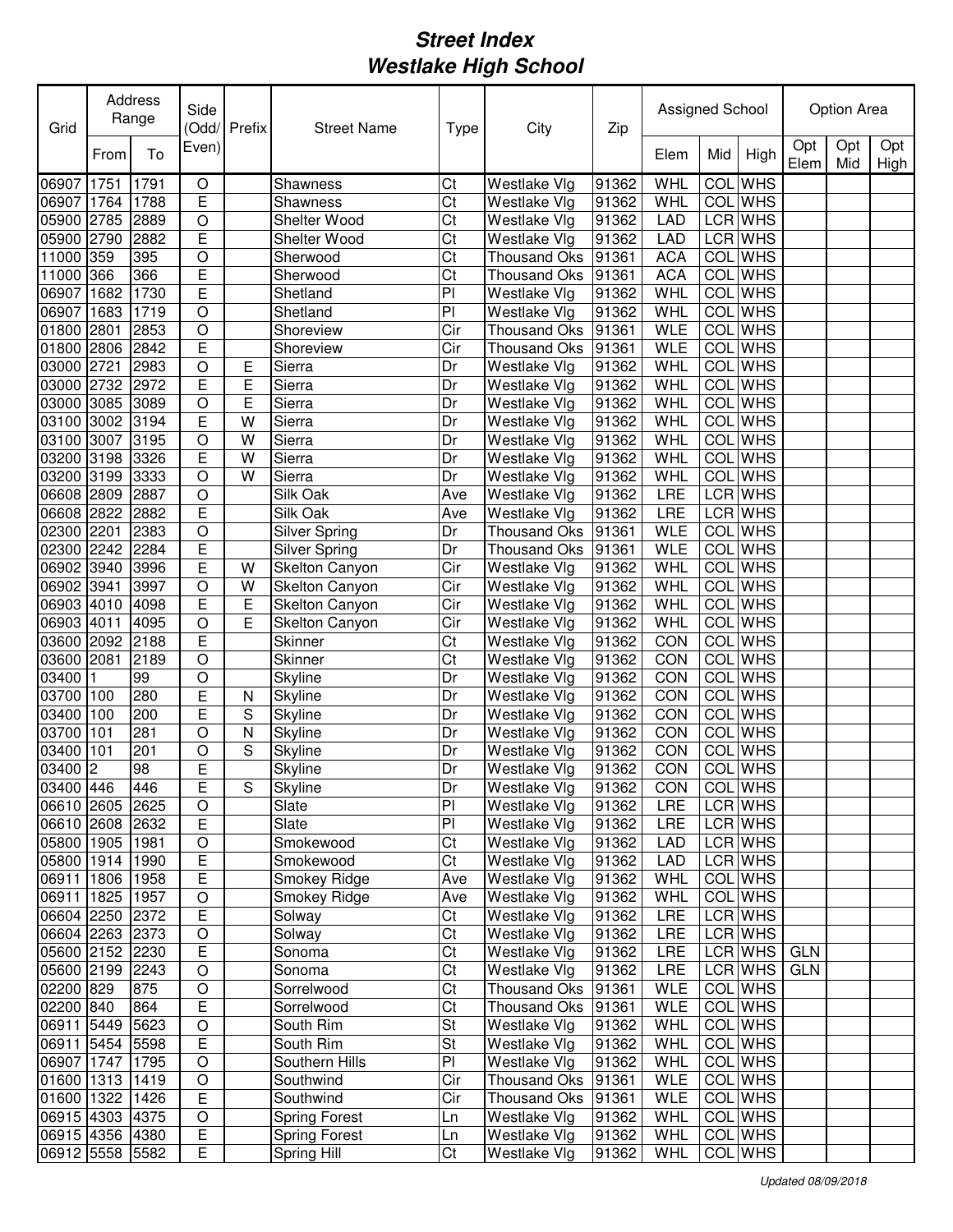| Grid            |                | Address<br>Side<br>Range |                | (Odd/Prefix | <b>Street Name</b><br><b>Type</b> |     | City                | Zip   | Assigned School |            |                | Option Area |            |             |
|-----------------|----------------|--------------------------|----------------|-------------|-----------------------------------|-----|---------------------|-------|-----------------|------------|----------------|-------------|------------|-------------|
|                 | From           | To                       | Even)          |             |                                   |     |                     |       | Elem            | Mid        | High           | Opt<br>Elem | Opt<br>Mid | Opt<br>High |
| 06907           | 1751           | 1791                     | $\mathsf O$    |             | Shawness                          | Ct  | Westlake Vlg        | 91362 | WHL             | COL        | <b>WHS</b>     |             |            |             |
| 06907           | 1764           | 1788                     | E              |             | Shawness                          | Ct  | Westlake Vlg        | 91362 | <b>WHL</b>      |            | <b>COL</b> WHS |             |            |             |
| 05900 2785      |                | 2889                     | O              |             | Shelter Wood                      | Ct  | Westlake Vlg        | 91362 | <b>LAD</b>      |            | LCR WHS        |             |            |             |
| 05900           | 2790           | 2882                     | E              |             | Shelter Wood                      | Ct  | Westlake Vlg        | 91362 | LAD             |            | LCR WHS        |             |            |             |
| 11000 359       |                | 395                      | $\circ$        |             | Sherwood                          | Ct  | <b>Thousand Oks</b> | 91361 | <b>ACA</b>      | COL        | <b>WHS</b>     |             |            |             |
| 11000           | 366            | 366                      | E              |             | Sherwood                          | Ct  | <b>Thousand Oks</b> | 91361 | <b>ACA</b>      | COL        | <b>WHS</b>     |             |            |             |
| 06907           | 1682           | 1730                     | Ē              |             | Shetland                          | PI  | Westlake Vlg        | 91362 | <b>WHL</b>      | COL        | <b>WHS</b>     |             |            |             |
| 06907           | 1683           | 1719                     | $\overline{O}$ |             | Shetland                          | PI  | Westlake Vlg        | 91362 | WHL             | <b>COL</b> | <b>WHS</b>     |             |            |             |
| 01800           | 2801           | 2853                     | $\overline{O}$ |             | Shoreview                         | Cir | Thousand Oks        | 91361 | <b>WLE</b>      | <b>COL</b> | <b>WHS</b>     |             |            |             |
| 01800           | 2806           | 2842                     | E              |             | Shoreview                         | Cir | <b>Thousand Oks</b> | 91361 | <b>WLE</b>      | COL        | <b>WHS</b>     |             |            |             |
| 03000           | 2721           | 2983                     | $\circ$        | Ε           | Sierra                            | Dr  | Westlake Vlg        | 91362 | WHL             | COL        | <b>WHS</b>     |             |            |             |
| 03000 2732      |                | 2972                     | E              | Ε           | Sierra                            | Dr  | Westlake Vlg        | 91362 | <b>WHL</b>      | COL        | <b>WHS</b>     |             |            |             |
| 03000 3085      |                | 3089                     | $\circ$        | E           | Sierra                            | Dr  | Westlake Vlg        | 91362 | WHL             | COL        | <b>WHS</b>     |             |            |             |
| 03100 3002      |                | 3194                     | E              | W           | Sierra                            | Dr  | Westlake Vlg        | 91362 | <b>WHL</b>      | COL        | <b>WHS</b>     |             |            |             |
| 03100 3007      |                | 3195                     | $\bigcirc$     | W           | Sierra                            | Dr  | Westlake Vlg        | 91362 | WHL             | <b>COL</b> | <b>WHS</b>     |             |            |             |
| 03200 3198      |                | 3326                     | E              | W           | Sierra                            | Dr  | Westlake Vlg        | 91362 | WHL             | <b>COL</b> | <b>WHS</b>     |             |            |             |
| 03200 3199      |                | 3333                     | $\circ$        | W           | Sierra                            | Dr  | Westlake Vlg        | 91362 | WHL             | <b>COL</b> | <b>WHS</b>     |             |            |             |
| 06608 2809      |                | 2887                     | $\circ$        |             | Silk Oak                          | Ave | Westlake Vlg        | 91362 | LRE             |            | <b>LCR</b> WHS |             |            |             |
| 06608 2822      |                | 2882                     | E              |             | Silk Oak                          | Ave | Westlake Vlg        | 91362 | LRE             |            | <b>LCR</b> WHS |             |            |             |
| 02300 2201      |                | 2383                     | $\circ$        |             | <b>Silver Spring</b>              | Dr  | <b>Thousand Oks</b> | 91361 | <b>WLE</b>      | COL        | <b>WHS</b>     |             |            |             |
| 02300 2242      |                | 2284                     | E              |             | Silver Spring                     | Dr  | <b>Thousand Oks</b> | 91361 | <b>WLE</b>      | COL        | <b>WHS</b>     |             |            |             |
| 06902 3940      |                | 3996                     | E              | W           | <b>Skelton Canyon</b>             | Cir | Westlake Vlg        | 91362 | WHL             | COL        | <b>WHS</b>     |             |            |             |
| 06902 3941      |                | 3997                     | $\circ$        | W           | Skelton Canyon                    | Cir | Westlake Vlg        | 91362 | <b>WHL</b>      | COL        | <b>WHS</b>     |             |            |             |
| 06903 4010      |                | 4098                     | E              | E           | Skelton Canyon                    | Cir | Westlake Vlg        | 91362 | WHL             | COL        | <b>WHS</b>     |             |            |             |
| 06903 4011      |                | 4095                     | $\circ$        | Е           | Skelton Canyon                    | Cir | Westlake Vlg        | 91362 | WHL             | COL        | <b>WHS</b>     |             |            |             |
| 03600 2092      |                | 2188                     | E              |             | Skinner                           | Ct  | Westlake Vlg        | 91362 | CON             | <b>COL</b> | <b>WHS</b>     |             |            |             |
| 03600           | 2081           | 2189                     | O              |             | Skinner                           | Ct  | Westlake Vlg        | 91362 | CON             | COL        | <b>WHS</b>     |             |            |             |
| 03400           |                | 99                       | O              |             | Skyline                           | Dr  | Westlake Vlg        | 91362 | CON             |            | <b>COL</b> WHS |             |            |             |
| 03700           | 100            | 280                      | E              | N           | Skyline                           | Dr  | Westlake Vlg        | 91362 | CON             |            | <b>COL</b> WHS |             |            |             |
| 03400           | 100            | 200                      | E              | S           | Skyline                           | Dr  | Westlake Vlg        | 91362 | CON             |            | COL WHS        |             |            |             |
| 03700           | 101            | 281                      | O              | Ν           | Skyline                           | Dr  | Westlake Vlg        | 91362 | CON             |            | <b>COL</b> WHS |             |            |             |
| 03400           | 101            | 201                      | O              | S           | Skyline                           | Dr  | Westlake Vlg        | 91362 | CON             | COL        | <b>WHS</b>     |             |            |             |
| 03400           | $\overline{c}$ | 98                       | E              |             | Skyline                           | Dr  | Westlake Vlg        | 91362 | CON             |            | COL WHS        |             |            |             |
| 03400 446       |                | 1446                     | E              | S           | Skyline                           | Dr  | Westlake Vlg        | 91362 | CON             |            | <b>COL</b> WHS |             |            |             |
| 06610 2605 2625 |                |                          | O              |             | Slate                             | PI  | Westlake Vlg        | 91362 | LRE             |            | LCR WHS        |             |            |             |
| 06610 2608 2632 |                |                          | E              |             | Slate                             | PI  | Westlake Vlg        | 91362 | LRE             |            | LCR WHS        |             |            |             |
| 05800 1905 1981 |                |                          | $\mathsf O$    |             | Smokewood                         | Ct  | Westlake Vlg        | 91362 | LAD             |            | LCR WHS        |             |            |             |
| 05800 1914 1990 |                |                          | E              |             | Smokewood                         | Ct  | Westlake Vlg        | 91362 | <b>LAD</b>      |            | LCR WHS        |             |            |             |
| 06911 1806 1958 |                |                          | E              |             | Smokey Ridge                      | Ave | Westlake Vlg        | 91362 | WHL             |            | COL WHS        |             |            |             |
| 06911 1825 1957 |                |                          | $\mathsf O$    |             | Smokey Ridge                      | Ave | Westlake Vlg        | 91362 | WHL             |            | COL WHS        |             |            |             |
| 06604 2250 2372 |                |                          | E              |             | Solway                            | Ct  | Westlake Vlg        | 91362 | <b>LRE</b>      |            | LCR WHS        |             |            |             |
| 06604 2263 2373 |                |                          | $\mathsf O$    |             | Solway                            | Ct  | Westlake Vlg        | 91362 | LRE             |            | LCR WHS        |             |            |             |
| 05600 2152 2230 |                |                          | E              |             | Sonoma                            | Ct  | Westlake Vlg        | 91362 | <b>LRE</b>      |            | LCR WHS        | GLN         |            |             |
| 05600 2199 2243 |                |                          | $\circ$        |             | Sonoma                            | Ct  | Westlake Vlg        | 91362 | LRE             |            | LCR WHS        | <b>GLN</b>  |            |             |
| 02200 829       |                | 875                      | $\circ$        |             | Sorrelwood                        | Ct  | Thousand Oks 91361  |       | <b>WLE</b>      |            | COL WHS        |             |            |             |
| 02200 840       |                | 864                      | E              |             | Sorrelwood                        | Ct  | Thousand Oks 91361  |       | <b>WLE</b>      |            | COL WHS        |             |            |             |
| 06911 5449      |                | 5623                     | $\bigcirc$     |             | South Rim                         | St  | Westlake Vlg        | 91362 | WHL             |            | COL WHS        |             |            |             |
| 06911 5454 5598 |                |                          | Ε              |             | South Rim                         | St  | Westlake Vlg        | 91362 | WHL             |            | COL WHS        |             |            |             |
| 06907 1747 1795 |                |                          | $\mathsf O$    |             | Southern Hills                    | PI  | Westlake Vlg        | 91362 | WHL             |            | COL WHS        |             |            |             |
| 01600 1313 1419 |                |                          | O              |             | Southwind                         | Cir | Thousand Oks 91361  |       | <b>WLE</b>      |            | COL WHS        |             |            |             |
| 01600 1322 1426 |                |                          | E              |             | Southwind                         | Cir | Thousand Oks        | 91361 | <b>WLE</b>      |            | COL WHS        |             |            |             |
| 06915 4303 4375 |                |                          | O              |             | <b>Spring Forest</b>              | Ln  | Westlake Vlg        | 91362 | WHL             |            | COL WHS        |             |            |             |
| 06915 4356 4380 |                |                          | Ε              |             | <b>Spring Forest</b>              | Ln  | Westlake Vlg        | 91362 | WHL             |            | COL WHS        |             |            |             |
| 06912 5558 5582 |                |                          | E              |             | Spring Hill                       | Ct  | Westlake Vlg        | 91362 | WHL             |            | COL WHS        |             |            |             |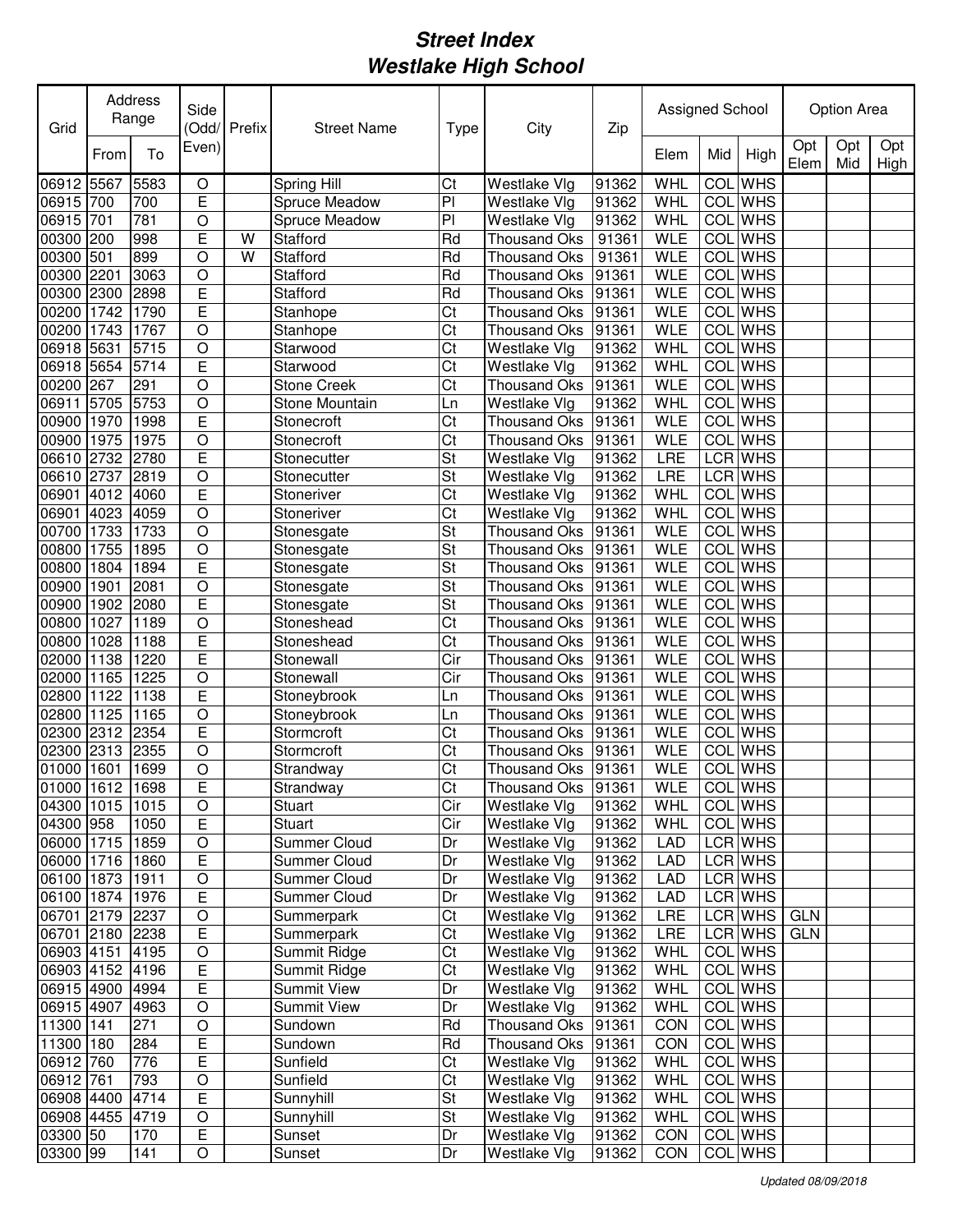| Grid                   |      | Address<br>Range | Side           | (Odd/ Prefix | <b>Street Name</b>  | <b>Type</b>    | City                         | Zip            | Assigned School |            |                    |             | Option Area |             |
|------------------------|------|------------------|----------------|--------------|---------------------|----------------|------------------------------|----------------|-----------------|------------|--------------------|-------------|-------------|-------------|
|                        | From | To               | Even)          |              |                     |                |                              |                | Elem            | Mid        | High               | Opt<br>Elem | Opt<br>Mid  | Opt<br>High |
| 06912                  | 5567 | 5583             | $\mathsf O$    |              | Spring Hill         | Ct             | Westlake Vlg                 | 91362          | WHL             | COL        | <b>WHS</b>         |             |             |             |
| 06915 700              |      | 700              | E              |              | Spruce Meadow       | P <sub>1</sub> | Westlake Vlg                 | 91362          | WHL             | COL        | <b>WHS</b>         |             |             |             |
| 06915                  | 701  | 781              | O              |              | Spruce Meadow       | PI             | Westlake Vlg                 | 91362          | WHL             | COL        | <b>WHS</b>         |             |             |             |
| 00300                  | 200  | 998              | E              | W            | Stafford            | Rd             | <b>Thousand Oks</b>          | 91361          | <b>WLE</b>      | COL        | <b>WHS</b>         |             |             |             |
| 00300                  | 501  | 899              | $\circ$        | W            | Stafford            | Rd             | <b>Thousand Oks</b>          | 91361          | <b>WLE</b>      | COL        | <b>WHS</b>         |             |             |             |
| 00300                  | 2201 | 3063             | $\circ$        |              | Stafford            | Rd             | <b>Thousand Oks</b>          | 91361          | <b>WLE</b>      | COL        | <b>WHS</b>         |             |             |             |
| 00300                  | 2300 | 2898             | E              |              | Stafford            | Rd             | <b>Thousand Oks</b>          | 91361          | <b>WLE</b>      | COL        | <b>WHS</b>         |             |             |             |
| 00200                  | 1742 | 1790             | Ē              |              | Stanhope            | Ct             | <b>Thousand Oks</b>          | 91361          | <b>WLE</b>      | COL        | <b>WHS</b>         |             |             |             |
| 00200                  | 1743 | 1767             | $\overline{O}$ |              | Stanhope            | Ct             | <b>Thousand Oks</b>          | 91361          | WLE             | COL        | <b>WHS</b>         |             |             |             |
| 06918                  | 5631 | 5715             | $\circ$        |              | Starwood            | Ct             | Westlake Vlg                 | 91362          | WHL             | COL        | <b>WHS</b>         |             |             |             |
| 06918                  | 5654 | 5714             | Ē              |              | Starwood            | Ct             | Westlake Vlg                 | 91362          | WHL             | COL        | <b>WHS</b>         |             |             |             |
| 00200                  | 267  | 291              | $\circ$        |              | <b>Stone Creek</b>  | Ct             | <b>Thousand Oks</b>          | 91361          | <b>WLE</b>      | COL        | <b>WHS</b>         |             |             |             |
| 06911                  | 5705 | 5753             | $\overline{O}$ |              | Stone Mountain      | Ln             | Westlake Vlg                 | 91362          | WHL             | COL        | <b>WHS</b>         |             |             |             |
| 00900                  | 1970 | 1998             | Ē              |              | Stonecroft          | Ct             | <b>Thousand Oks</b>          | 91361          | <b>WLE</b>      | COL        | <b>WHS</b>         |             |             |             |
| 00900                  | 1975 | 1975             | $\circ$        |              | Stonecroft          | Ct             | <b>Thousand Oks</b>          | 91361          | <b>WLE</b>      | COL        | <b>WHS</b>         |             |             |             |
| 06610 2732             |      | 2780             | E              |              | Stonecutter         | St             | Westlake Vlg                 | 91362          | LRE             |            | <b>LCR</b> WHS     |             |             |             |
| 06610 2737             |      | 2819             | $\circ$        |              | Stonecutter         | St             | Westlake Vlg                 | 91362          | LRE             |            | <b>LCR</b> WHS     |             |             |             |
| 06901                  | 4012 | 4060             | E              |              | Stoneriver          | Ct             | Westlake Vlg                 | 91362          | WHL             | <b>COL</b> | <b>WHS</b>         |             |             |             |
| 06901                  | 4023 | 4059             | $\circ$        |              | Stoneriver          | Ct             | Westlake Vlg                 | 91362          | WHL             | COL        | <b>WHS</b>         |             |             |             |
| 00700                  | 1733 | 1733             | $\circ$        |              | Stonesgate          | St             | Thousand Oks                 | 91361          | <b>WLE</b>      | COL        | <b>WHS</b>         |             |             |             |
| 00800                  | 1755 | 1895             | O              |              | Stonesgate          | St             | <b>Thousand Oks</b>          | 91361          | <b>WLE</b>      | COL        | <b>WHS</b>         |             |             |             |
| 00800                  | 1804 | 1894             | E              |              | Stonesgate          | St             | <b>Thousand Oks</b>          | 91361          | <b>WLE</b>      | COL        | <b>WHS</b>         |             |             |             |
| 00900                  | 1901 | 2081             | $\circ$        |              | Stonesgate          | St             | <b>Thousand Oks</b>          | 91361          | <b>WLE</b>      | COL        | <b>WHS</b>         |             |             |             |
| 00900                  | 1902 | 2080             | E              |              | Stonesgate          | St             | <b>Thousand Oks</b>          | 91361          | <b>WLE</b>      | COL        | <b>WHS</b>         |             |             |             |
| 00800                  | 1027 | 1189             | $\circ$        |              | Stoneshead          | Ct             | <b>Thousand Oks</b>          | 91361          | <b>WLE</b>      | COL        | <b>WHS</b>         |             |             |             |
| 00800                  | 1028 | 1188             | E              |              | Stoneshead          | Ct             | <b>Thousand Oks</b>          | 91361          | <b>WLE</b>      | COL        | <b>WHS</b>         |             |             |             |
| 02000                  | 1138 | 1220             | E              |              | Stonewall           | Cir            | <b>Thousand Oks</b>          | 91361          | <b>WLE</b>      | COL        | <b>WHS</b>         |             |             |             |
| 02000                  | 1165 | 1225             | $\circ$        |              | Stonewall           | Cir            | <b>Thousand Oks</b>          | 91361          | <b>WLE</b>      | COL        | <b>WHS</b>         |             |             |             |
| 02800                  | 1122 | 1138             | E              |              | Stoneybrook         | Ln             | <b>Thousand Oks</b>          | 91361          | <b>WLE</b>      | COL        | <b>WHS</b>         |             |             |             |
| 02800                  | 1125 | 1165             | $\circ$        |              | Stoneybrook         | Ln             | <b>Thousand Oks</b>          | 91361          | <b>WLE</b>      | COL        | <b>WHS</b>         |             |             |             |
| 02300                  | 2312 | 2354             | E              |              | Stormcroft          | Ct             | <b>Thousand Oks</b>          | 91361          | <b>WLE</b>      | COL        | <b>WHS</b>         |             |             |             |
| 02300                  | 2313 | 2355             | $\circ$        |              | Stormcroft          | Ct             | <b>Thousand Oks</b>          | 91361          | <b>WLE</b>      | COL        | <b>WHS</b>         |             |             |             |
| 01000                  | 1601 | 1699             | O              |              | Strandway           | Ct             | Thousand Oks                 | 91361          | <b>WLE</b>      |            | <b>COL</b> WHS     |             |             |             |
| 01000 1612 1698        |      |                  | E              |              | Strandway           | Ct             | Thousand Oks                 | 91361          | <b>WLE</b>      |            | COL WHS            |             |             |             |
| 04300 1015 1015        |      |                  | $\bigcirc$     |              | Stuart              | Cir            | Westlake Vlg                 | 91362          | WHL             |            | COL WHS            |             |             |             |
| 04300 958              |      | 1050             | E              |              | Stuart              | Cir            | Westlake Vlg                 | 91362          | WHL             |            | COL WHS            |             |             |             |
| 06000 1715 1859        |      |                  | $\hbox{O}$     |              | Summer Cloud        | Dr             | Westlake Vlg                 | 91362          | LAD             |            | LCR WHS            |             |             |             |
| 06000 1716 1860        |      |                  | E              |              | Summer Cloud        | Dr             | Westlake Vlg                 | 91362          | <b>LAD</b>      |            | LCR WHS            |             |             |             |
| 06100 1873 1911        |      |                  | $\hbox{O}$     |              | Summer Cloud        | Dr             | Westlake Vlg                 | 91362          | <b>LAD</b>      |            | LCR WHS            |             |             |             |
| 06100 1874 1976        |      |                  | E              |              | Summer Cloud        | Dr             | Westlake Vlg                 | 91362          | <b>LAD</b>      |            | LCR WHS            |             |             |             |
| 06701 2179 2237        |      |                  | $\hbox{O}$     |              | Summerpark          | Ct             | Westlake Vlg                 | 91362          | <b>LRE</b>      |            | LCR WHS            | <b>GLN</b>  |             |             |
| 06701 2180 2238        |      |                  | E              |              | Summerpark          | Ct             | Westlake Vlg                 | 91362          | LRE             |            | LCR WHS            | <b>GLN</b>  |             |             |
| 06903 4151             |      | 4195             | $\hbox{O}$     |              | Summit Ridge        | Ct             | Westlake Vlg                 | 91362          | WHL             |            | COL WHS            |             |             |             |
| 06903 4152 4196        |      |                  | E              |              | Summit Ridge        | Ct             | Westlake Vlg                 | 91362          | WHL             |            | COL WHS            |             |             |             |
| 06915 4900 4994        |      |                  | $\overline{E}$ |              | <b>Summit View</b>  | Dr             | Westlake Vlg                 | 91362          | WHL             |            | COL WHS            |             |             |             |
| 06915 4907 4963        |      |                  | $\circ$        |              | <b>Summit View</b>  | Dr             | Westlake Vlg                 | 91362          | WHL             |            | COL WHS            |             |             |             |
| 11300 141<br>11300 180 |      | 271<br>284       | $\bigcirc$     |              | Sundown             | Rd<br>Rd       | Thousand Oks 91361           |                | CON             |            | COL WHS<br>COL WHS |             |             |             |
| 06912 760              |      | 776              | Ε<br>Е         |              | Sundown<br>Sunfield | Ct             | Thousand Oks<br>Westlake Vlg | 91361<br>91362 | CON<br>WHL      |            | COL WHS            |             |             |             |
| 06912 761              |      | 793              | $\mathsf O$    |              | Sunfield            | Ct             |                              |                | WHL             |            | COL WHS            |             |             |             |
| 06908 4400             |      | 4714             | E              |              | Sunnyhill           | St             | Westlake Vlg<br>Westlake Vlg | 91362<br>91362 | WHL             |            | COL WHS            |             |             |             |
| 06908 4455 4719        |      |                  | O              |              | Sunnyhill           | St             | Westlake Vlg                 | 91362          | WHL             |            | COL WHS            |             |             |             |
| 03300 50               |      | 170              | Ε              |              | Sunset              | Dr             | Westlake Vlg                 | 91362          | CON             |            | COL WHS            |             |             |             |
| 03300 99               |      | 141              |                |              | Sunset              | Dr             | Westlake Vlg                 | 91362          | CON             |            | COL WHS            |             |             |             |
|                        |      |                  | O              |              |                     |                |                              |                |                 |            |                    |             |             |             |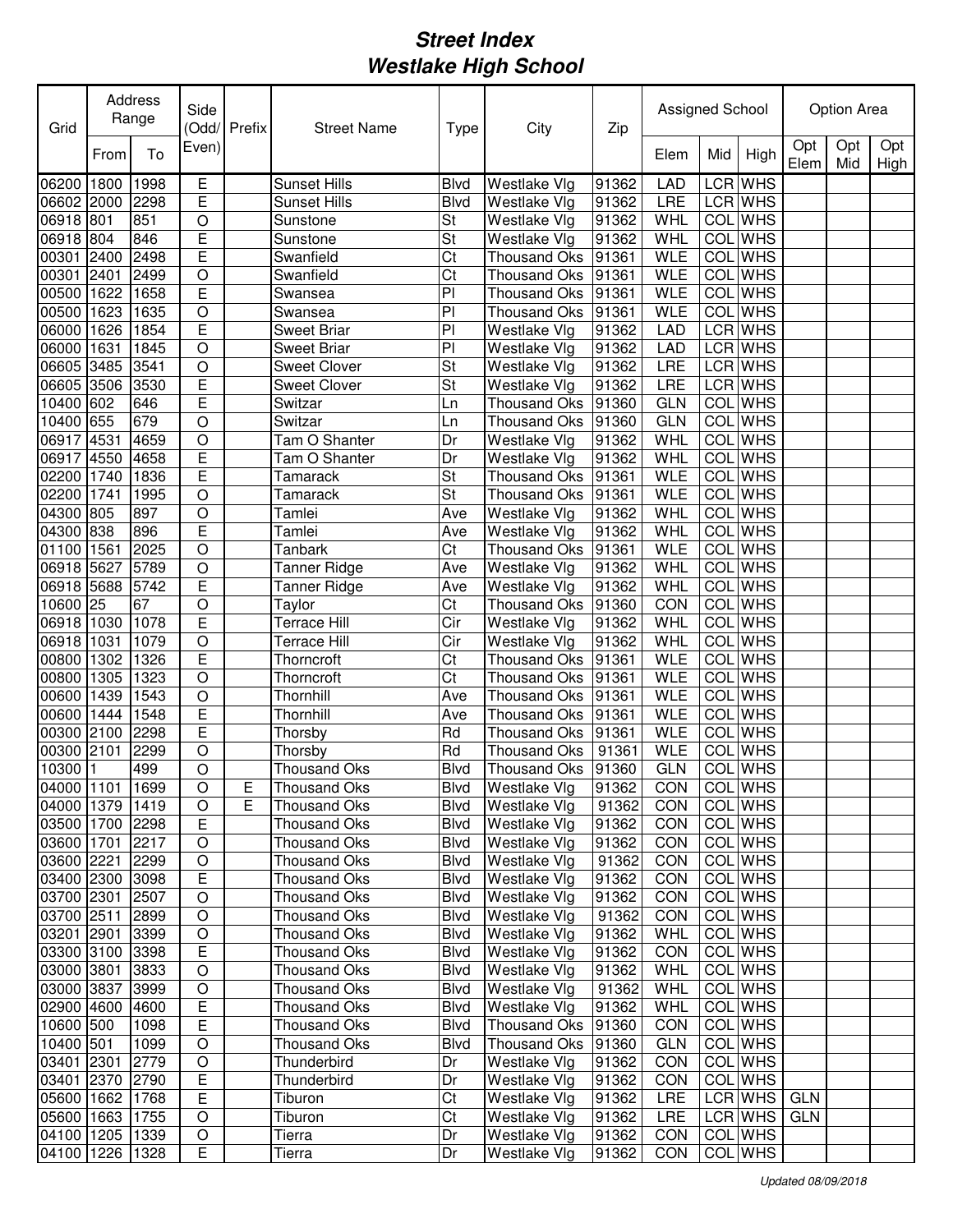| Grid            | Address<br>Range |      | Side           | (Odd/ Prefix   | <b>Street Name</b>  | Type           | City                | Zip   | Assigned School |            |                | Option Area |            |             |
|-----------------|------------------|------|----------------|----------------|---------------------|----------------|---------------------|-------|-----------------|------------|----------------|-------------|------------|-------------|
|                 | From             | To   | Even)          |                |                     |                |                     |       | Elem            | Mid        | High           | Opt<br>Elem | Opt<br>Mid | Opt<br>High |
| 06200           | 1800             | 1998 | Е              |                | <b>Sunset Hills</b> | <b>Blvd</b>    | Westlake Vlg        | 91362 | <b>LAD</b>      | LCR        | <b>WHS</b>     |             |            |             |
| 06602           | 2000             | 2298 | E              |                | <b>Sunset Hills</b> | <b>Blvd</b>    | Westlake Vlg        | 91362 | LRE             |            | LCR WHS        |             |            |             |
| 06918 801       |                  | 851  | O              |                | Sunstone            | St             | Westlake Vlg        | 91362 | WHL             |            | <b>COL</b> WHS |             |            |             |
| 06918 804       |                  | 846  | E              |                | Sunstone            | St             | Westlake Vlg        | 91362 | WHL             |            | <b>COL</b> WHS |             |            |             |
| 00301           | 2400             | 2498 | E              |                | Swanfield           | Ct             | <b>Thousand Oks</b> | 91361 | <b>WLE</b>      |            | <b>COL</b> WHS |             |            |             |
| 00301           | 2401             | 2499 | $\circ$        |                | Swanfield           | Ct             | <b>Thousand Oks</b> | 91361 | <b>WLE</b>      | COL        | <b>WHS</b>     |             |            |             |
| 00500           | 1622             | 1658 | E              |                | Swansea             | PI             | <b>Thousand Oks</b> | 91361 | WLE             |            | COL WHS        |             |            |             |
| 00500           | 1623             | 1635 | $\overline{O}$ |                | Swansea             | PI             | <b>Thousand Oks</b> | 91361 | <b>WLE</b>      | COL        | <b>WHS</b>     |             |            |             |
| 06000           | 1626             | 1854 | Ē              |                | <b>Sweet Briar</b>  | P <sub>1</sub> | Westlake Vlg        | 91362 | <b>LAD</b>      |            | LCR WHS        |             |            |             |
| 06000           | 1631             | 1845 | $\circ$        |                | <b>Sweet Briar</b>  | P              | Westlake Vlg        | 91362 | LAD             |            | LCR WHS        |             |            |             |
| 06605           | 3485             | 3541 | $\circ$        |                | <b>Sweet Clover</b> | St             | Westlake Vlg        | 91362 | <b>LRE</b>      |            | LCR WHS        |             |            |             |
| 06605 3506      |                  | 3530 | E              |                | <b>Sweet Clover</b> | St             | Westlake Vlg        | 91362 | LRE             |            | LCR WHS        |             |            |             |
| 10400 602       |                  | 646  | Ē              |                | Switzar             | Ln             | <b>Thousand Oks</b> | 91360 | <b>GLN</b>      | <b>COL</b> | <b>WHS</b>     |             |            |             |
| 10400 655       |                  | 679  | $\overline{O}$ |                | Switzar             | Ln             | <b>Thousand Oks</b> | 91360 | <b>GLN</b>      | COL        | <b>WHS</b>     |             |            |             |
| 06917           | 4531             | 4659 | $\circ$        |                | Tam O Shanter       | Dr             | Westlake Vlg        | 91362 | WHL             | <b>COL</b> | <b>WHS</b>     |             |            |             |
| 06917           | 4550             | 4658 | E              |                | Tam O Shanter       | Dr             | Westlake Vlg        | 91362 | WHL             | <b>COL</b> | <b>WHS</b>     |             |            |             |
| 02200           | 1740             | 1836 | E              |                | Tamarack            | St             | <b>Thousand Oks</b> | 91361 | <b>WLE</b>      | <b>COL</b> | <b>WHS</b>     |             |            |             |
| 02200           | 1741             | 1995 | $\circ$        |                | Tamarack            | St             | <b>Thousand Oks</b> | 91361 | <b>WLE</b>      | COL        | <b>WHS</b>     |             |            |             |
| 04300           | 805              | 897  | $\circ$        |                | Tamlei              | Ave            | Westlake Vlg        | 91362 | WHL             | COL        | <b>WHS</b>     |             |            |             |
| 04300 838       |                  | 896  | E              |                | Tamlei              | Ave            | Westlake Vlg        | 91362 | <b>WHL</b>      | COL        | <b>WHS</b>     |             |            |             |
| 01100           | 1561             | 2025 | $\circ$        |                | Tanbark             | Ct             | Thousand Oks        | 91361 | <b>WLE</b>      | COL        | <b>WHS</b>     |             |            |             |
| 06918 5627      |                  | 5789 | $\circ$        |                | <b>Tanner Ridge</b> | Ave            | Westlake Vlg        | 91362 | WHL             | COL        | <b>WHS</b>     |             |            |             |
| 06918 5688      |                  | 5742 | E              |                | <b>Tanner Ridge</b> | Ave            | Westlake Vlg        | 91362 | WHL             | COL        | <b>WHS</b>     |             |            |             |
| 10600           | 25               | 67   | $\circ$        |                | Taylor              | Ct             | Thousand Oks        | 91360 | CON             | COL        | <b>WHS</b>     |             |            |             |
| 06918           | 1030             | 1078 | E              |                | Terrace Hill        | Cir            | Westlake Vlg        | 91362 | WHL             | COL        | <b>WHS</b>     |             |            |             |
| 06918           | 1031             | 1079 | $\circ$        |                | Terrace Hill        | Cir            | Westlake Vlg        | 91362 | WHL             | COL        | <b>WHS</b>     |             |            |             |
| 00800           | 1302             | 1326 | E              |                | Thorncroft          | Ct             | Thousand Oks        | 91361 | <b>WLE</b>      | COL        | <b>WHS</b>     |             |            |             |
| 00800           | 1305             | 1323 | O              |                | Thorncroft          | Ct             | <b>Thousand Oks</b> | 91361 | <b>WLE</b>      |            | <b>COL</b> WHS |             |            |             |
| 00600           | 1439             | 1543 | $\circ$        |                | Thornhill           | Ave            | <b>Thousand Oks</b> | 91361 | <b>WLE</b>      |            | <b>COL</b> WHS |             |            |             |
| 00600           | 1444             | 1548 | E              |                | Thornhill           | Ave            | <b>Thousand Oks</b> | 91361 | <b>WLE</b>      |            | <b>COL</b> WHS |             |            |             |
| 00300           | 2100             | 2298 | E              |                | Thorsby             | Rd             | <b>Thousand Oks</b> | 91361 | <b>WLE</b>      |            | <b>COL</b> WHS |             |            |             |
| 00300           | 2101             | 2299 | O              |                | Thorsby             | Rd             | <b>Thousand Oks</b> | 91361 | <b>WLE</b>      | COL        | <b>WHS</b>     |             |            |             |
| 10300           |                  | 499  | O              |                | <b>Thousand Oks</b> | <b>Blvd</b>    | Thousand Oks        | 91360 | <b>GLN</b>      |            | COL WHS        |             |            |             |
| 04000 1101 1699 |                  |      | $\overline{O}$ | $\overline{E}$ | Thousand Oks        | Blvd           | Westlake Vlg        | 91362 | CON             |            | <b>COL</b> WHS |             |            |             |
| 04000 1379 1419 |                  |      | O              | E              | Thousand Oks        | Blvd           | Westlake Vlg        | 91362 | CON             |            | COL WHS        |             |            |             |
| 03500 1700 2298 |                  |      | Е              |                | Thousand Oks        | Blvd           | Westlake Vlg        | 91362 | CON             |            | COL WHS        |             |            |             |
| 03600 1701      |                  | 2217 | $\mathsf O$    |                | Thousand Oks        | <b>Blvd</b>    | Westlake Vlg        | 91362 | CON             |            | COL WHS        |             |            |             |
| 03600 2221      |                  | 2299 | $\mathsf O$    |                | Thousand Oks        | <b>Blvd</b>    | Westlake Vlg        | 91362 | CON             |            | COL WHS        |             |            |             |
| 03400 2300 3098 |                  |      | E              |                | Thousand Oks        | <b>Blvd</b>    | Westlake Vlg        | 91362 | CON             |            | COL WHS        |             |            |             |
| 03700 2301      |                  | 2507 | $\mathsf O$    |                | Thousand Oks        | <b>Blvd</b>    | Westlake Vlg        | 91362 | CON             |            | COL WHS        |             |            |             |
| 03700 2511      |                  | 2899 | $\mathsf O$    |                | Thousand Oks        | <b>Blvd</b>    | Westlake Vlg        | 91362 | <b>CON</b>      |            | COL WHS        |             |            |             |
| 03201 2901      |                  | 3399 | $\circ$        |                | Thousand Oks        | <b>Blvd</b>    | Westlake Vlg        | 91362 | WHL             |            | COL WHS        |             |            |             |
| 03300 3100 3398 |                  |      | E              |                | Thousand Oks        | <b>Blvd</b>    | Westlake Vlg        | 91362 | CON             |            | COL WHS        |             |            |             |
| 03000 3801      |                  | 3833 | $\circ$        |                | Thousand Oks        | Blvd           | Westlake Vlg        | 91362 | WHL             |            | COL WHS        |             |            |             |
| 03000 3837      |                  | 3999 | $\circ$        |                | Thousand Oks        | Blvd           | Westlake Vlg        | 91362 | WHL             |            | COL WHS        |             |            |             |
| 02900 4600      |                  | 4600 | E              |                | Thousand Oks        | <b>Blvd</b>    | Westlake Vlg        | 91362 | WHL             |            | COL WHS        |             |            |             |
| 10600 500       |                  | 1098 | Е              |                | Thousand Oks        | <b>Blvd</b>    | Thousand Oks 91360  |       | CON             |            | COL WHS        |             |            |             |
| 10400 501       |                  | 1099 | $\circ$        |                | Thousand Oks        | <b>Blvd</b>    | Thousand Oks        | 91360 | <b>GLN</b>      |            | COL WHS        |             |            |             |
| 03401 2301      |                  | 2779 | $\mathsf O$    |                | Thunderbird         | Dr             | Westlake Vlg        | 91362 | CON             |            | COL WHS        |             |            |             |
| 03401 2370      |                  | 2790 | Ε              |                | Thunderbird         | Dr             | Westlake Vlg        | 91362 | CON             |            | COL WHS        |             |            |             |
| 05600 1662 1768 |                  |      | Ε              |                | Tiburon             | Ct             | Westlake Vlg        | 91362 | LRE             |            | LCR WHS        | <b>GLN</b>  |            |             |
| 05600           | 1663 1755        |      | O              |                | Tiburon             | Ct             | Westlake Vlg        | 91362 | LRE             |            | LCR WHS        | <b>GLN</b>  |            |             |
| 04100           | 1205 1339        |      | O              |                | Tierra              | Dr             | Westlake Vlg        | 91362 | CON             |            | COL WHS        |             |            |             |
| 04100 1226 1328 |                  |      | E              |                | Tierra              | Dr             | Westlake Vlg        | 91362 | CON             |            | COL WHS        |             |            |             |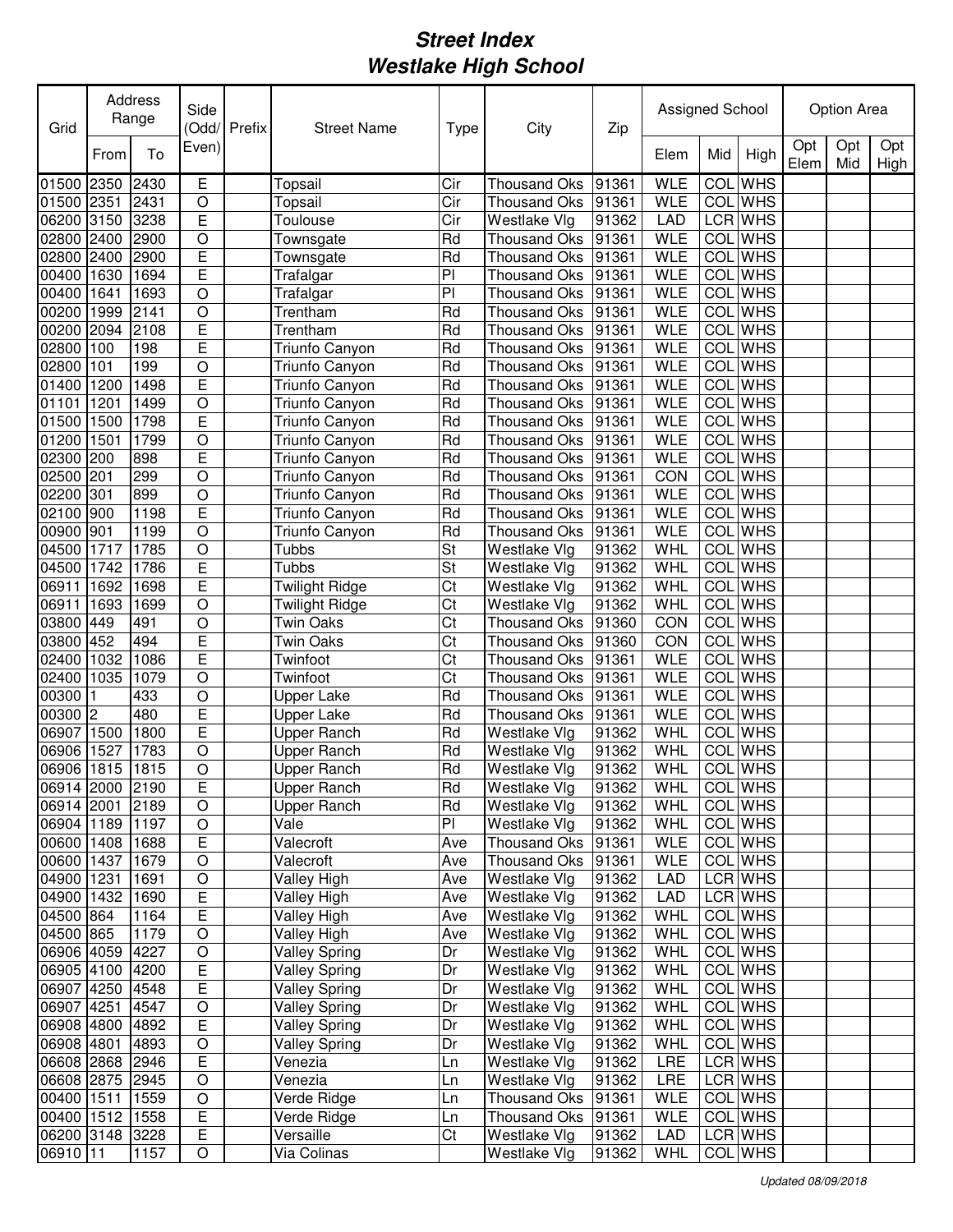| Grid            |                | Address<br>Range | Side           | (Odd/ Prefix<br><b>Street Name</b> |                       | Type | City                | Zip   | Assigned School |                  |                | Option Area |            |             |
|-----------------|----------------|------------------|----------------|------------------------------------|-----------------------|------|---------------------|-------|-----------------|------------------|----------------|-------------|------------|-------------|
|                 | From           | To               | Even)          |                                    |                       |      |                     |       | Elem            | Mid              | High           | Opt<br>Elem | Opt<br>Mid | Opt<br>High |
| 01500           | 2350           | 2430             | E              |                                    | Topsail               | Cir  | <b>Thousand Oks</b> | 91361 | <b>WLE</b>      | COL              | <b>WHS</b>     |             |            |             |
| 01500           | 2351           | 2431             | O              |                                    | Topsail               | Cir  | <b>Thousand Oks</b> | 91361 | <b>WLE</b>      |                  | COL WHS        |             |            |             |
| 06200           | 3150           | 3238             | E              |                                    | Toulouse              | Cir  | Westlake Vlg        | 91362 | <b>LAD</b>      |                  | LCR WHS        |             |            |             |
| 02800           | 2400           | 2900             | O              |                                    | Townsgate             | Rd   | <b>Thousand Oks</b> | 91361 | <b>WLE</b>      |                  | <b>COL</b> WHS |             |            |             |
| 02800           | 2400           | 2900             | E              |                                    | Townsgate             | Rd   | <b>Thousand Oks</b> | 91361 | <b>WLE</b>      | COL              | <b>WHS</b>     |             |            |             |
| 00400           | 1630           | 1694             | E              |                                    | Trafalgar             | PI   | <b>Thousand Oks</b> | 91361 | <b>WLE</b>      | COL              | <b>WHS</b>     |             |            |             |
| 00400           | 1641           | 1693             | O              |                                    | Trafalgar             | PI   | <b>Thousand Oks</b> | 91361 | <b>WLE</b>      | <b>COL</b>       | <b>WHS</b>     |             |            |             |
| 00200           | 1999           | 2141             | O              |                                    | Trentham              | Rd   | <b>Thousand Oks</b> | 91361 | <b>WLE</b>      | <b>COL</b>       | <b>WHS</b>     |             |            |             |
| 00200           | 2094           | 2108             | E              |                                    | Trentham              | Rd   | <b>Thousand Oks</b> | 91361 | <b>WLE</b>      | <b>COL</b>       | <b>WHS</b>     |             |            |             |
| 02800           | 100            | 198              | E              |                                    | Triunfo Canyon        | Rd   | <b>Thousand Oks</b> | 91361 | <b>WLE</b>      | COL              | <b>WHS</b>     |             |            |             |
| 02800           | 101            | 199              | O              |                                    | Triunfo Canyon        | Rd   | <b>Thousand Oks</b> | 91361 | <b>WLE</b>      | COL              | <b>WHS</b>     |             |            |             |
| 01400           | 1200           | 1498             | E              |                                    | Triunfo Canyon        | Rd   | <b>Thousand Oks</b> | 91361 | <b>WLE</b>      | COL              | <b>WHS</b>     |             |            |             |
| 01101           | 1201           | 1499             | $\bigcirc$     |                                    | Triunfo Canyon        | Rd   | <b>Thousand Oks</b> | 91361 | <b>WLE</b>      | <b>COL</b>       | <b>WHS</b>     |             |            |             |
| 01500           | 1500           | 1798             | E              |                                    | Triunfo Canyon        | Rd   | <b>Thousand Oks</b> | 91361 | <b>WLE</b>      | <b>COL</b>       | <b>WHS</b>     |             |            |             |
| 01200           | 1501           | 1799             | $\bigcirc$     |                                    | Triunfo Canyon        | Rd   | <b>Thousand Oks</b> | 91361 | <b>WLE</b>      | COL              | <b>WHS</b>     |             |            |             |
| 02300           | 200            | 898              | Ē              |                                    | Triunfo Canyon        | Rd   | <b>Thousand Oks</b> | 91361 | <b>WLE</b>      | COL              | <b>WHS</b>     |             |            |             |
| 02500           | 201            | 299              | $\circ$        |                                    | Triunfo Canyon        | Rd   | <b>Thousand Oks</b> | 91361 | CON             | COL              | <b>WHS</b>     |             |            |             |
| 02200           | 301            | 899              | $\circ$        |                                    | Triunfo Canyon        | Rd   | <b>Thousand Oks</b> | 91361 | <b>WLE</b>      | COL              | <b>WHS</b>     |             |            |             |
| 02100           | 900            | 1198             | E              |                                    | Triunfo Canyon        | Rd   | <b>Thousand Oks</b> | 91361 | <b>WLE</b>      | COL              | <b>WHS</b>     |             |            |             |
| 00900           | 901            | 1199             | $\circ$        |                                    | Triunfo Canyon        | Rd   | <b>Thousand Oks</b> | 91361 | <b>WLE</b>      | COL              | <b>WHS</b>     |             |            |             |
| 04500           | 1717           | 1785             | $\circ$        |                                    | Tubbs                 | St   | Westlake Vlg        | 91362 | WHL             | COL              | <b>WHS</b>     |             |            |             |
| 04500           | 1742           | 1786             | E              |                                    | Tubbs                 | St   | Westlake Vlg        | 91362 | WHL             | $\overline{COL}$ | <b>WHS</b>     |             |            |             |
| 06911           | 1692           | 1698             | E              |                                    | <b>Twilight Ridge</b> | Ct   | Westlake Vlg        | 91362 | <b>WHL</b>      | COL              | <b>WHS</b>     |             |            |             |
| 06911           | 1693           | 1699             | $\circ$        |                                    | <b>Twilight Ridge</b> | Ct   | Westlake Vlg        | 91362 | WHL             | COL              | <b>WHS</b>     |             |            |             |
| 03800           | 449            | 491              | O              |                                    | Twin Oaks             | Ct   | <b>Thousand Oks</b> | 91360 | CON             | COL              | <b>WHS</b>     |             |            |             |
| 03800           | 452            | 494              | E              |                                    | Twin Oaks             | Ct   | <b>Thousand Oks</b> | 91360 | CON             | COL              | <b>WHS</b>     |             |            |             |
| 02400           | 1032           | 1086             | Ε              |                                    | Twinfoot              | Ct   | <b>Thousand Oks</b> | 91361 | <b>WLE</b>      | <b>COL</b>       | <b>WHS</b>     |             |            |             |
| 02400           | 1035           | 1079             | O              |                                    | Twinfoot              | Ct   | <b>Thousand Oks</b> | 91361 | <b>WLE</b>      |                  | COL WHS        |             |            |             |
| 00300           |                | 433              | O              |                                    | Upper Lake            | Rd   | <b>Thousand Oks</b> | 91361 | <b>WLE</b>      |                  | COL WHS        |             |            |             |
| 00300           | $\overline{c}$ | 480              | E              |                                    | <b>Upper Lake</b>     | Rd   | <b>Thousand Oks</b> | 91361 | <b>WLE</b>      |                  | COL WHS        |             |            |             |
| 06907           | 1500           | 1800             | E              |                                    | <b>Upper Ranch</b>    | Rd   | Westlake Vlg        | 91362 | WHL             |                  | COL WHS        |             |            |             |
| 06906           | 1527           | 1783             | O              |                                    | Upper Ranch           | Rd   | Westlake Vlg        | 91362 | WHL             | <b>COL</b>       | <b>WHS</b>     |             |            |             |
| 06906           | 1815           | 1815             | O              |                                    | Upper Ranch           | Rd   | Westlake Vlg        | 91362 | WHL             |                  | COL WHS        |             |            |             |
| 06914 2000 2190 |                |                  | E              |                                    | Upper Ranch           | Rd   | Westlake Vlg        | 91362 | WHL             |                  | COL WHS        |             |            |             |
| 06914 2001      |                | 2189             | O              |                                    | <b>Upper Ranch</b>    | Rd   | Westlake Vlg        | 91362 | WHL             |                  | COL WHS        |             |            |             |
| 06904 1189      |                | 1197             | O              |                                    | Vale                  | PI   | Westlake Vlg        | 91362 | WHL             |                  | COL WHS        |             |            |             |
| 00600 1408      |                | 1688             | E              |                                    | Valecroft             | Ave  | Thousand Oks        | 91361 | <b>WLE</b>      |                  | COL WHS        |             |            |             |
| 00600 1437      |                | 1679             | $\mathsf O$    |                                    | Valecroft             | Ave  | Thousand Oks        | 91361 | <b>WLE</b>      |                  | COL WHS        |             |            |             |
| 04900 1231      |                | 1691             | $\mathsf O$    |                                    | Valley High           | Ave  | Westlake Vlg        | 91362 | LAD             |                  | LCR WHS        |             |            |             |
| 04900 1432      |                | 1690             | $\overline{E}$ |                                    | Valley High           | Ave  | Westlake Vlg        | 91362 | LAD             |                  | LCR WHS        |             |            |             |
| 04500 864       |                | 1164             | E              |                                    | Valley High           | Ave  | Westlake Vlg        | 91362 | WHL             |                  | COL WHS        |             |            |             |
| 04500 865       |                | 1179             | $\mathsf O$    |                                    | Valley High           | Ave  | Westlake Vlg        | 91362 | WHL             |                  | COL WHS        |             |            |             |
| 06906 4059      |                | 4227             | $\mathsf O$    |                                    | <b>Valley Spring</b>  | Dr   | Westlake Vlg        | 91362 | WHL             |                  | COL WHS        |             |            |             |
| 06905 4100      |                | 4200             | E              |                                    | <b>Valley Spring</b>  | Dr   | Westlake Vlg        | 91362 | WHL             |                  | COL WHS        |             |            |             |
| 06907 4250 4548 |                |                  | $\overline{E}$ |                                    | <b>Valley Spring</b>  | Dr   | Westlake Vlg        | 91362 | WHL             |                  | COL WHS        |             |            |             |
| 06907 4251      |                | 4547             | $\mathsf O$    |                                    | <b>Valley Spring</b>  | Dr   | Westlake Vlg        | 91362 | WHL             |                  | COL WHS        |             |            |             |
| 06908 4800      |                | 4892             | $\overline{E}$ |                                    | <b>Valley Spring</b>  | Dr   | Westlake Vlg        | 91362 | WHL             |                  | COL WHS        |             |            |             |
| 06908 4801      |                | 4893             | O              |                                    | <b>Valley Spring</b>  | Dr   | Westlake Vlg        | 91362 | WHL             |                  | COL WHS        |             |            |             |
| 06608 2868 2946 |                |                  | Е              |                                    | Venezia               | Ln   | Westlake Vlg        | 91362 | <b>LRE</b>      |                  | LCR WHS        |             |            |             |
| 06608 2875 2945 |                |                  | O              |                                    | Venezia               | Ln   | Westlake Vlg        | 91362 | LRE             |                  | LCR WHS        |             |            |             |
| 00400 1511      |                | 1559             | O              |                                    | Verde Ridge           | Ln   | Thousand Oks        | 91361 | WLE             |                  | COL WHS        |             |            |             |
| 00400 1512 1558 |                |                  | E              |                                    | Verde Ridge           | Ln   | Thousand Oks        | 91361 | <b>WLE</b>      |                  | COL WHS        |             |            |             |
| 06200 3148 3228 |                |                  | Ε              |                                    | Versaille             | Ct   | Westlake Vlg        | 91362 | LAD             |                  | LCR WHS        |             |            |             |
| 06910 11        |                | 1157             | O              |                                    | Via Colinas           |      | Westlake Vlg        | 91362 | WHL             |                  | COL WHS        |             |            |             |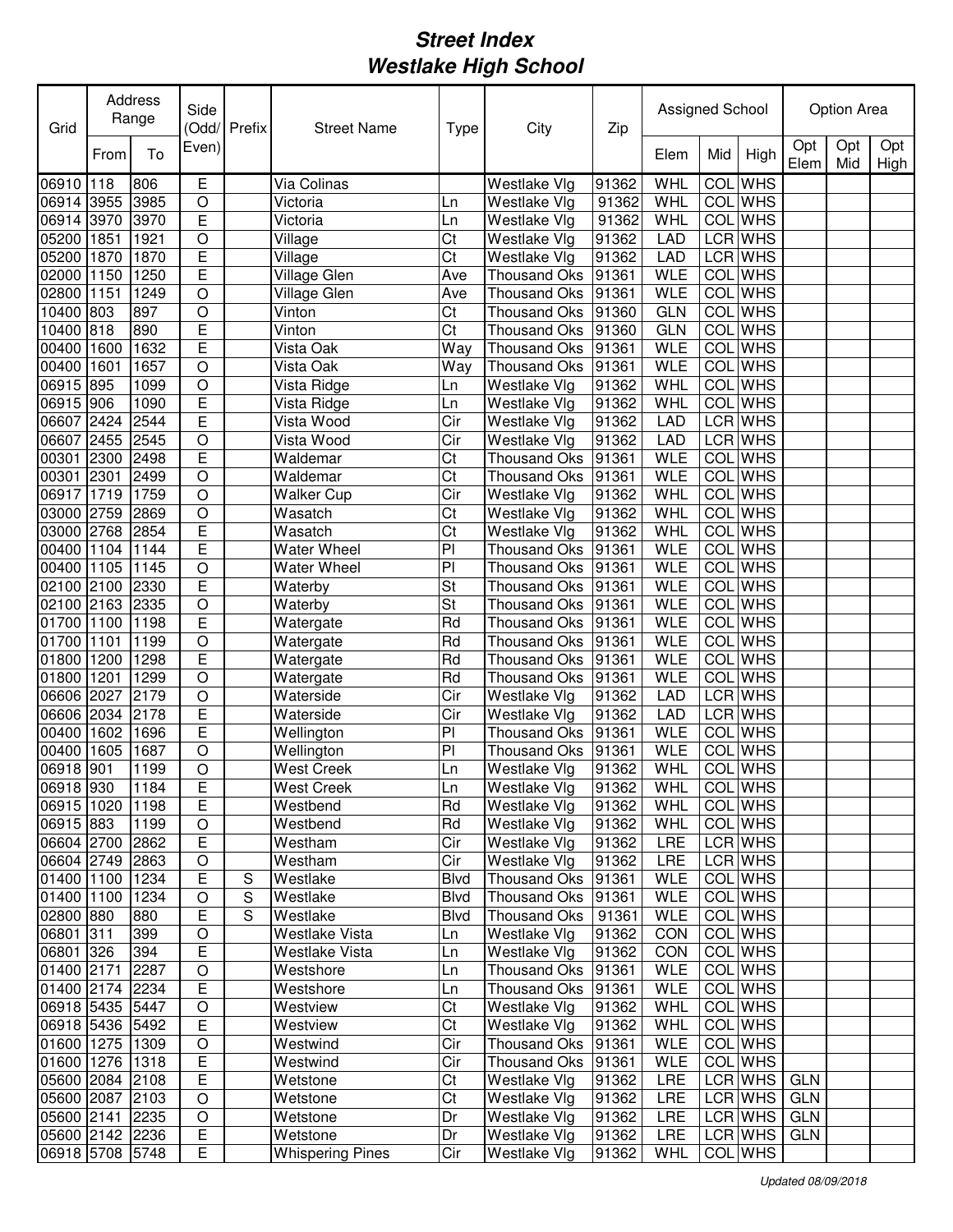| Grid            |      | Address<br>Range | Side<br>Odd/Prefix<br><b>Street Name</b> |   |                                 | <b>Type</b>    | City                | Zip   | Assigned School |            |                | <b>Option Area</b> |            |             |
|-----------------|------|------------------|------------------------------------------|---|---------------------------------|----------------|---------------------|-------|-----------------|------------|----------------|--------------------|------------|-------------|
|                 | From | To               | Even)                                    |   |                                 |                |                     |       | Elem            | Mid        | High           | Opt<br>Elem        | Opt<br>Mid | Opt<br>High |
| 06910 118       |      | 806              | Е                                        |   | Via Colinas                     |                | Westlake Vlg        | 91362 | WHL             | COL        | <b>WHS</b>     |                    |            |             |
| 06914           | 3955 | 3985             | O                                        |   | Victoria                        | Ln             | Westlake Vlg        | 91362 | <b>WHL</b>      |            | <b>COL</b> WHS |                    |            |             |
| 06914 3970      |      | 3970             | E                                        |   | Victoria                        | Ln             | Westlake Vlg        | 91362 | WHL             |            | <b>COL</b> WHS |                    |            |             |
| 05200           | 1851 | 1921             | $\circ$                                  |   | Village                         | Ct             | Westlake Vlg        | 91362 | <b>LAD</b>      |            | LCR WHS        |                    |            |             |
| 05200           | 1870 | 1870             | E                                        |   | Village                         | Ct             | Westlake Vlg        | 91362 | <b>LAD</b>      |            | LCR WHS        |                    |            |             |
| 02000           | 1150 | 1250             | E                                        |   | Village Glen                    | Ave            | <b>Thousand Oks</b> | 91361 | <b>WLE</b>      |            | <b>COL</b> WHS |                    |            |             |
| 02800           | 1151 | 1249             | $\circ$                                  |   | Village Glen                    | Ave            | <b>Thousand Oks</b> | 91361 | <b>WLE</b>      |            | COL WHS        |                    |            |             |
| 10400           | 803  | 897              | $\circ$                                  |   | Vinton                          | Ct             | <b>Thousand Oks</b> | 91360 | <b>GLN</b>      | COL        | <b>WHS</b>     |                    |            |             |
| 10400           | 818  | 890              | E                                        |   | Vinton                          | Ct             | <b>Thousand Oks</b> | 91360 | <b>GLN</b>      | <b>COL</b> | <b>WHS</b>     |                    |            |             |
| 00400           | 1600 | 1632             | E                                        |   | Vista Oak                       | Way            | <b>Thousand Oks</b> | 91361 | <b>WLE</b>      | COL        | <b>WHS</b>     |                    |            |             |
| 00400           | 1601 | 1657             | $\circ$                                  |   | Vista Oak                       | Way            | <b>Thousand Oks</b> | 91361 | <b>WLE</b>      | COL        | <b>WHS</b>     |                    |            |             |
| 06915           | 895  | 1099             | $\circ$                                  |   | Vista Ridge                     | Ln             | Westlake Vlg        | 91362 | <b>WHL</b>      | COL        | <b>WHS</b>     |                    |            |             |
| 06915 906       |      | 1090             | Ē                                        |   | Vista Ridge                     | Ln             | Westlake Vlg        | 91362 | WHL             | COL        | <b>WHS</b>     |                    |            |             |
| 06607           | 2424 | 2544             | Ē                                        |   | Vista Wood                      | Cir            | Westlake Vlg        | 91362 | <b>LAD</b>      |            | <b>LCR</b> WHS |                    |            |             |
| 06607 2455      |      | 2545             | $\circ$                                  |   | Vista Wood                      | Cir            | Westlake Vlg        | 91362 | <b>LAD</b>      |            | <b>LCR</b> WHS |                    |            |             |
| 00301 2300      |      | 2498             | E                                        |   | Waldemar                        | Ct             | Thousand Oks        | 91361 | <b>WLE</b>      | <b>COL</b> | <b>WHS</b>     |                    |            |             |
| 00301 2301      |      | 2499             | $\circ$                                  |   | $\overline{\mathsf{W}}$ aldemar | Ct             | <b>Thousand Oks</b> | 91361 | <b>WLE</b>      | <b>COL</b> | <b>WHS</b>     |                    |            |             |
| 06917           | 1719 | 1759             | $\circ$                                  |   | <b>Walker Cup</b>               | Cir            | Westlake Vlg        | 91362 | WHL             | COL        | <b>WHS</b>     |                    |            |             |
| 03000 2759      |      | 2869             | $\circ$                                  |   | Wasatch                         | Ct             | Westlake Vlg        | 91362 | WHL             | COL        | <b>WHS</b>     |                    |            |             |
| 03000 2768      |      | 2854             | E                                        |   | Wasatch                         | Ct             | Westlake Vlg        | 91362 | <b>WHL</b>      | COL        | <b>WHS</b>     |                    |            |             |
| 00400 1104      |      | 1144             | E                                        |   | <b>Water Wheel</b>              | P <sub>1</sub> | <b>Thousand Oks</b> | 91361 | <b>WLE</b>      | COL        | <b>WHS</b>     |                    |            |             |
| 00400 1105      |      | 1145             | $\circ$                                  |   | <b>Water Wheel</b>              | P <sub>1</sub> | <b>Thousand Oks</b> | 91361 | <b>WLE</b>      | COL        | <b>WHS</b>     |                    |            |             |
| 02100 2100      |      | 2330             | E                                        |   | Waterby                         | St             | <b>Thousand Oks</b> | 91361 | <b>WLE</b>      | COL        | <b>WHS</b>     |                    |            |             |
| 02100 2163      |      | 2335             | $\circ$                                  |   | Waterby                         | St             | <b>Thousand Oks</b> | 91361 | <b>WLE</b>      | COL        | <b>WHS</b>     |                    |            |             |
| 01700 1100      |      | 1198             | Ε                                        |   | Watergate                       | Rd             | <b>Thousand Oks</b> | 91361 | <b>WLE</b>      | COL        | <b>WHS</b>     |                    |            |             |
| 01700           | 1101 | 1199             | $\circ$                                  |   | Watergate                       | Rd             | <b>Thousand Oks</b> | 91361 | <b>WLE</b>      | COL        | <b>WHS</b>     |                    |            |             |
| 01800           | 1200 | 1298             | E                                        |   | Watergate                       | Rd             | <b>Thousand Oks</b> | 91361 | <b>WLE</b>      | COL        | <b>WHS</b>     |                    |            |             |
| 01800           | 1201 | 1299             | O                                        |   | Watergate                       | Rd             | Thousand Oks        | 91361 | <b>WLE</b>      |            | COL WHS        |                    |            |             |
| 06606 2027      |      | 2179             | $\circ$                                  |   | Waterside                       | Cir            | Westlake Vlg        | 91362 | <b>LAD</b>      |            | LCR WHS        |                    |            |             |
| 06606           | 2034 | 2178             | E                                        |   | Waterside                       | Cir            | Westlake Vlg        | 91362 | <b>LAD</b>      |            | LCR WHS        |                    |            |             |
| 00400           | 1602 | 1696             | E                                        |   | Wellington                      | PI             | Thousand Oks        | 91361 | <b>WLE</b>      |            | COL WHS        |                    |            |             |
| 00400           | 1605 | 1687             | $\circ$                                  |   | Wellington                      | PI             | <b>Thousand Oks</b> | 91361 | <b>WLE</b>      | COL        | <b>WHS</b>     |                    |            |             |
| 06918 901       |      | 1199             | O                                        |   | <b>West Creek</b>               | Ln             | Westlake Vlg        | 91362 | WHL             |            | <b>COL</b> WHS |                    |            |             |
| 06918 930       |      | 1184             | E                                        |   | West Creek                      | Ln             | Westlake Vlg        | 91362 | WHL             |            | <b>COL</b> WHS |                    |            |             |
| 06915 1020      |      | 1198             | E                                        |   | Westbend                        | Rd             | Westlake Vlg        | 91362 | WHL             |            | COL WHS        |                    |            |             |
| 06915 883       |      | 1199             | O                                        |   | Westbend                        | Rd             | Westlake Vlg        | 91362 | WHL             |            | COL WHS        |                    |            |             |
| 06604 2700      |      | 2862             | E                                        |   | Westham                         | Cir            | Westlake Vlg        | 91362 | LRE             |            | LCR WHS        |                    |            |             |
| 06604 2749 2863 |      |                  | $\mathsf O$                              |   | Westham                         | Cir            | Westlake Vlg        | 91362 | LRE             |            | LCR WHS        |                    |            |             |
| 01400 1100 1234 |      |                  | E                                        | S | Westlake                        | <b>Blvd</b>    | Thousand Oks        | 91361 | <b>WLE</b>      |            | COL WHS        |                    |            |             |
| 01400 1100 1234 |      |                  | $\mathsf O$                              | S | Westlake                        | <b>Blvd</b>    | Thousand Oks        | 91361 | <b>WLE</b>      |            | COL WHS        |                    |            |             |
| 02800 880       |      | 880              | E                                        | S | Westlake                        | <b>Blvd</b>    | Thousand Oks        | 91361 | <b>WLE</b>      |            | COL WHS        |                    |            |             |
| 06801 311       |      | 399              | O                                        |   | Westlake Vista                  | Ln             | Westlake Vlg        | 91362 | CON             |            | COL WHS        |                    |            |             |
| 06801 326       |      | 394              | E                                        |   | Westlake Vista                  | Ln             | Westlake Vlg        | 91362 | CON             |            | COL WHS        |                    |            |             |
| 01400 2171      |      | 2287             | $\circ$                                  |   | Westshore                       | Ln             | Thousand Oks 91361  |       | <b>WLE</b>      |            | COL WHS        |                    |            |             |
| 01400 2174 2234 |      |                  | E                                        |   | Westshore                       | Ln             | Thousand Oks 91361  |       | <b>WLE</b>      |            | COL WHS        |                    |            |             |
| 06918 5435 5447 |      |                  | $\circ$                                  |   | Westview                        | Ct             | Westlake Vlg        | 91362 | WHL             |            | COL WHS        |                    |            |             |
| 06918 5436 5492 |      |                  | E                                        |   | Westview                        | Ct             | Westlake Vlg        | 91362 | WHL             |            | COL WHS        |                    |            |             |
| 01600 1275 1309 |      |                  | $\circ$                                  |   | Westwind                        | Cir            | Thousand Oks        | 91361 | <b>WLE</b>      |            | COL WHS        |                    |            |             |
| 01600 1276 1318 |      |                  | Е                                        |   | Westwind                        | Cir            | Thousand Oks        | 91361 | <b>WLE</b>      |            | COL WHS        |                    |            |             |
| 05600 2084 2108 |      |                  | Ε                                        |   | Wetstone                        | Ct             | Westlake Vlg        | 91362 | LRE             |            | LCR WHS        | <b>GLN</b>         |            |             |
| 05600 2087 2103 |      |                  | $\mathsf O$                              |   | Wetstone                        | Ct             | Westlake Vlg        | 91362 | LRE             |            | LCR WHS        | <b>GLN</b>         |            |             |
| 05600 2141 2235 |      |                  | O                                        |   | Wetstone                        | Dr             | Westlake Vlg        | 91362 | LRE             |            | LCR WHS        | <b>GLN</b>         |            |             |
| 05600 2142 2236 |      |                  | Ε                                        |   | Wetstone                        | Dr             | Westlake Vlg        | 91362 | <b>LRE</b>      |            | LCR WHS        | <b>GLN</b>         |            |             |
| 06918 5708 5748 |      |                  | E                                        |   | <b>Whispering Pines</b>         | Cir            | Westlake Vlg        | 91362 | <b>WHL</b>      |            | COL WHS        |                    |            |             |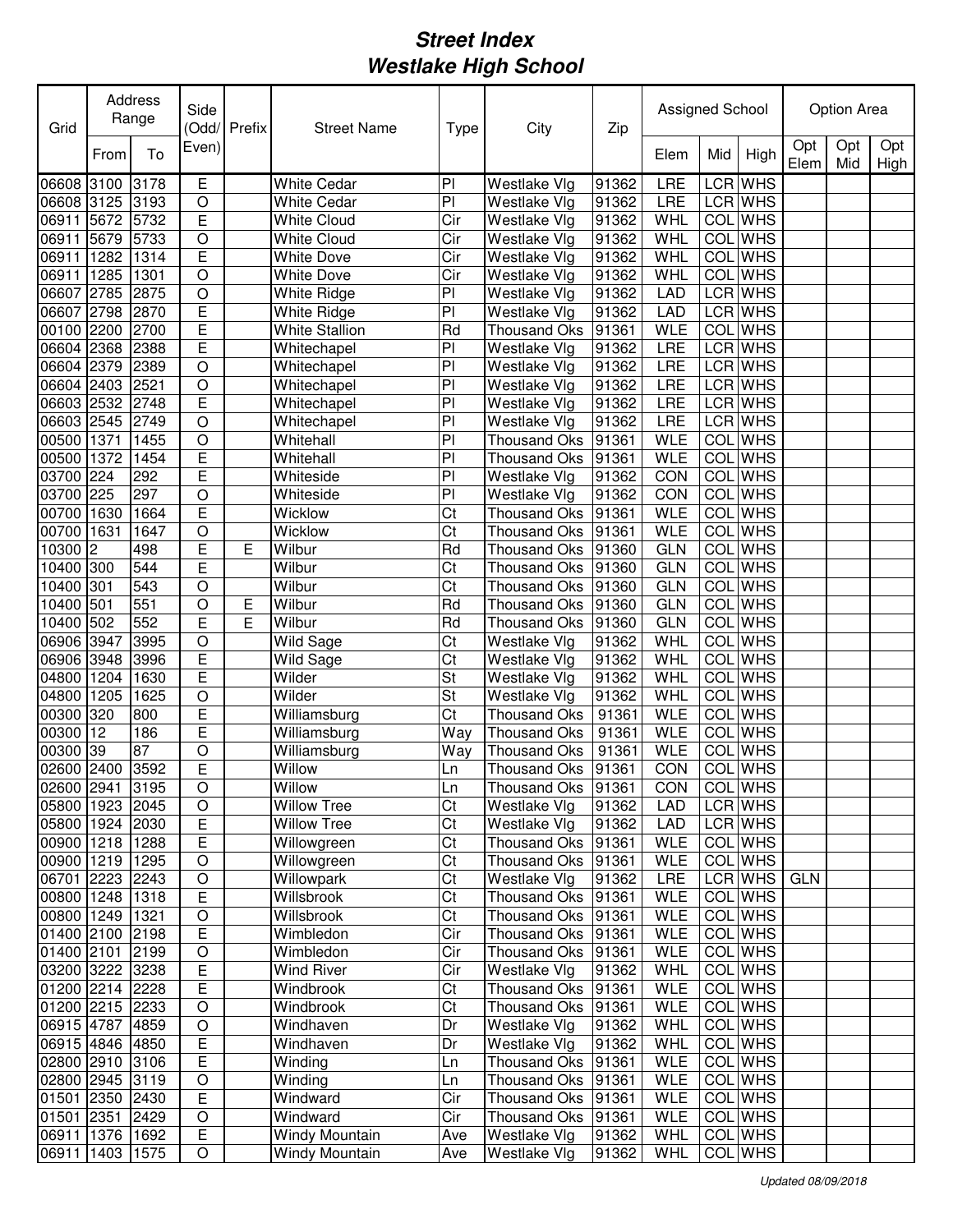| Grid            |           | Address<br>Range | Side           | (Odd/ Prefix | <b>Street Name</b>           | City<br><b>Type</b>    |                     | Zip   |                   | Assigned School |                |             | Option Area |             |  |
|-----------------|-----------|------------------|----------------|--------------|------------------------------|------------------------|---------------------|-------|-------------------|-----------------|----------------|-------------|-------------|-------------|--|
|                 | From      | To               | Even)          |              |                              |                        |                     |       | Elem              | Mid             | High           | Opt<br>Elem | Opt<br>Mid  | Opt<br>High |  |
| 06608           | 3100      | 3178             | E              |              | <b>White Cedar</b>           | PI                     | Westlake Vlg        | 91362 | LRE               | LCR             | <b>WHS</b>     |             |             |             |  |
| 06608 3125      |           | 3193             | O              |              | <b>White Cedar</b>           | P <sub>1</sub>         | Westlake Vlg        | 91362 | LRE               |                 | LCR WHS        |             |             |             |  |
| 06911           | 5672      | 5732             | E              |              | <b>White Cloud</b>           | Cir                    | Westlake Vlg        | 91362 | WHL               |                 | <b>COL</b> WHS |             |             |             |  |
| 06911           | 5679      | 5733             | $\circ$        |              | <b>White Cloud</b>           | Cir                    | Westlake Vlg        | 91362 | WHL               |                 | <b>COL</b> WHS |             |             |             |  |
| 06911           | 1282      | 1314             | E              |              | <b>White Dove</b>            | Cir                    | Westlake Vlg        | 91362 | WHL               |                 | <b>COL</b> WHS |             |             |             |  |
| 06911           | 1285      | 1301             | $\circ$        |              | <b>White Dove</b>            | Cir                    | Westlake Vlg        | 91362 | WHL               |                 | <b>COL</b> WHS |             |             |             |  |
| 06607           | 2785      | 2875             | $\circ$        |              | White Ridge                  | PI                     | Westlake Vlg        | 91362 | LAD               |                 | LCR WHS        |             |             |             |  |
| 06607           | 2798      | 2870             | E              |              | White Ridge                  | PI                     | Westlake Vlg        | 91362 | LAD               |                 | LCR WHS        |             |             |             |  |
| 00100           | 2200      | 2700             | Ē              |              | <b>White Stallion</b>        | Rd                     | Thousand Oks        | 91361 | <b>WLE</b>        |                 | COL WHS        |             |             |             |  |
| 06604 2368      |           | 2388             | E              |              | Whitechapel                  | P                      | Westlake Vlg        | 91362 | LRE               |                 | LCR WHS        |             |             |             |  |
| 06604           | 2379      | 2389             | $\circ$        |              | Whitechapel                  | P                      | Westlake Vlg        | 91362 | LRE               |                 | LCR WHS        |             |             |             |  |
| 06604 2403      |           | 2521             | $\circ$        |              | Whitechapel                  | P                      | Westlake Vlg        | 91362 | <b>LRE</b>        |                 | LCR WHS        |             |             |             |  |
| 06603 2532      |           | 2748             | Ē              |              | Whitechapel                  | $\overline{P}$         | Westlake Vlg        | 91362 | <b>LRE</b>        |                 | <b>LCR</b> WHS |             |             |             |  |
| 06603 2545      |           | 2749             | $\overline{O}$ |              | Whitechapel                  | P <sub>1</sub>         | Westlake Vlg        | 91362 | LRE               |                 | <b>LCR</b> WHS |             |             |             |  |
| 00500           | 1371      | 1455             | $\circ$        |              | Whitehall                    | P <sub>1</sub>         | <b>Thousand Oks</b> | 91361 | <b>WLE</b>        | COL             | <b>WHS</b>     |             |             |             |  |
| 00500           | 1372      | 1454             | E              |              | Whitehall                    | PI                     | Thousand Oks        | 91361 | <b>WLE</b>        | <b>COL</b>      | <b>WHS</b>     |             |             |             |  |
| 03700           | 224       | 292              | E              |              | Whiteside                    | P <sub>1</sub>         | Westlake Vlg        | 91362 | CON               | COL             | <b>WHS</b>     |             |             |             |  |
| 03700           | 225       | 297              | $\circ$        |              | Whiteside                    | PI                     | Westlake Vlg        | 91362 | CON               | COL             | <b>WHS</b>     |             |             |             |  |
| 00700           | 1630      | 1664             | E              |              | Wicklow                      | Ct                     | <b>Thousand Oks</b> | 91361 | <b>WLE</b>        | COL             | <b>WHS</b>     |             |             |             |  |
| 00700           | 1631      | 1647             | O              |              | Wicklow                      | Ct                     | <b>Thousand Oks</b> | 91361 | <b>WLE</b>        | COL             | <b>WHS</b>     |             |             |             |  |
| 10300           | 2         | 498              | E              | E            | Wilbur                       | Rd                     | <b>Thousand Oks</b> | 91360 | <b>GLN</b>        | COL             | <b>WHS</b>     |             |             |             |  |
| 10400 300       |           | 544              | E              |              | Wilbur                       | Ct                     | <b>Thousand Oks</b> | 91360 | <b>GLN</b>        | COL             | <b>WHS</b>     |             |             |             |  |
| 10400           | 301       | 543              | O              |              | Wilbur                       | Ct                     | <b>Thousand Oks</b> | 91360 | <b>GLN</b>        | COL             | <b>WHS</b>     |             |             |             |  |
| 10400           | 501       | 551              | $\circ$        | E            | Wilbur                       | Rd                     | <b>Thousand Oks</b> | 91360 | <b>GLN</b>        | COL             | <b>WHS</b>     |             |             |             |  |
| 10400           | 502       | 552              | E              | Е            | Wilbur                       | Rd                     | <b>Thousand Oks</b> | 91360 | <b>GLN</b>        | COL             | <b>WHS</b>     |             |             |             |  |
| 06906 3947      |           | 3995             | $\circ$        |              | Wild Sage                    | Ct                     | Westlake Vlg        | 91362 | WHL               | COL             | <b>WHS</b>     |             |             |             |  |
| 06906 3948      |           | 3996             | E              |              | Wild Sage                    | Ct                     | Westlake Vlg        | 91362 | WHL               | COL             | <b>WHS</b>     |             |             |             |  |
| 04800           | 1204      | 1630             | E              |              | Wilder                       | St                     | Westlake Vlg        | 91362 | WHL               | COL             | <b>WHS</b>     |             |             |             |  |
| 04800           | 1205      | 1625             | O              |              | Wilder                       | St                     | Westlake Vlg        | 91362 | WHL               |                 | <b>COL</b> WHS |             |             |             |  |
| 00300           | 320       | 800              | E              |              | Williamsburg                 | Ct                     | <b>Thousand Oks</b> | 91361 | <b>WLE</b>        |                 | <b>COL</b> WHS |             |             |             |  |
| 00300           | 12        | 186              | E              |              | Williamsburg                 | Way                    | <b>Thousand Oks</b> | 91361 | <b>WLE</b>        |                 | COL WHS        |             |             |             |  |
| 00300           | 39        | 87               | $\circ$        |              | Williamsburg                 | Way                    | <b>Thousand Oks</b> | 91361 | <b>WLE</b>        | COL             | <b>WHS</b>     |             |             |             |  |
| 02600 2400      |           | 3592             | E              |              | Willow                       | Ln                     | <b>Thousand Oks</b> | 91361 | CON               |                 | COL WHS        |             |             |             |  |
| 02600 2941 3195 |           |                  | $\overline{O}$ |              |                              |                        | Thousand Oks 91361  |       | CON               |                 | <b>COL WHS</b> |             |             |             |  |
| 05800 1923 2045 |           |                  | O              |              | Willow<br><b>Willow Tree</b> | Ln<br>Ct               | Westlake Vlg        | 91362 | LAD               |                 | LCR WHS        |             |             |             |  |
| 05800 1924 2030 |           |                  | E              |              | <b>Willow Tree</b>           | Ct                     | Westlake Vlg        | 91362 | <b>LAD</b>        |                 | LCR WHS        |             |             |             |  |
| 00900 1218 1288 |           |                  | E              |              | Willowgreen                  | Ct                     | Thousand Oks        | 91361 | <b>WLE</b>        |                 | COL WHS        |             |             |             |  |
| 00900 1219 1295 |           |                  | $\hbox{O}$     |              | Willowgreen                  | Ct                     | Thousand Oks        | 91361 | <b>WLE</b>        |                 | COL WHS        |             |             |             |  |
| 06701 2223 2243 |           |                  | $\overline{O}$ |              | Willowpark                   | Ct                     | Westlake Vlg        | 91362 | LRE               |                 | LCR WHS        | GLN         |             |             |  |
| 00800 1248 1318 |           |                  | E              |              | Willsbrook                   | Ct                     | Thousand Oks        | 91361 | <b>WLE</b>        |                 | COL WHS        |             |             |             |  |
| 00800 1249 1321 |           |                  | $\bigcirc$     |              | Willsbrook                   | $\overline{\text{Ct}}$ | Thousand Oks 91361  |       | WLE               |                 | COL WHS        |             |             |             |  |
| 01400 2100 2198 |           |                  | E              |              | Wimbledon                    | Cir                    | Thousand Oks 91361  |       | <b>WLE</b>        |                 | COL WHS        |             |             |             |  |
| 01400 2101      |           | 2199             | $\bigcirc$     |              | Wimbledon                    | Cir                    | Thousand Oks 91361  |       | <b>WLE</b>        |                 | COL WHS        |             |             |             |  |
| 03200 3222 3238 |           |                  | E              |              | <b>Wind River</b>            | Cir                    |                     |       |                   |                 | COL WHS        |             |             |             |  |
|                 |           |                  | $\overline{E}$ |              | Windbrook                    | Ct                     | Westlake Vlg        | 91362 | WHL<br><b>WLE</b> |                 | COL WHS        |             |             |             |  |
| 01200 2214 2228 |           |                  |                |              |                              |                        | Thousand Oks 91361  |       |                   |                 | <b>COL</b> WHS |             |             |             |  |
| 01200 2215 2233 |           |                  | $\circ$        |              | Windbrook                    | Ct                     | Thousand Oks 91361  |       | <b>WLE</b>        |                 |                |             |             |             |  |
| 06915 4787 4859 |           |                  | $\circ$        |              | Windhaven                    | Dr                     | Westlake Vlg        | 91362 | WHL               |                 | COL WHS        |             |             |             |  |
| 06915 4846 4850 |           |                  | Ε              |              | Windhaven                    | Dr                     | Westlake Vlg        | 91362 | WHL               |                 | COL WHS        |             |             |             |  |
| 02800 2910 3106 |           |                  | Е              |              | Winding                      | Ln                     | Thousand Oks        | 91361 | <b>WLE</b>        |                 | COL WHS        |             |             |             |  |
| 02800 2945 3119 |           |                  | O              |              | Winding                      | Ln                     | Thousand Oks        | 91361 | <b>WLE</b>        |                 | COL WHS        |             |             |             |  |
| 01501 2350 2430 |           |                  | $\overline{E}$ |              | Windward                     | Cir                    | Thousand Oks        | 91361 | <b>WLE</b>        |                 | COL WHS        |             |             |             |  |
| 01501 2351      |           | 2429             | O              |              | Windward                     | Cir                    | Thousand Oks 91361  |       | <b>WLE</b>        |                 | COL WHS        |             |             |             |  |
| 06911           | 1376 1692 |                  | E              |              | Windy Mountain               | Ave                    | Westlake Vlg        | 91362 | WHL               |                 | COL WHS        |             |             |             |  |
| 06911           | 1403 1575 |                  | O              |              | Windy Mountain               | Ave                    | Westlake Vlg        | 91362 | WHL               |                 | COL WHS        |             |             |             |  |